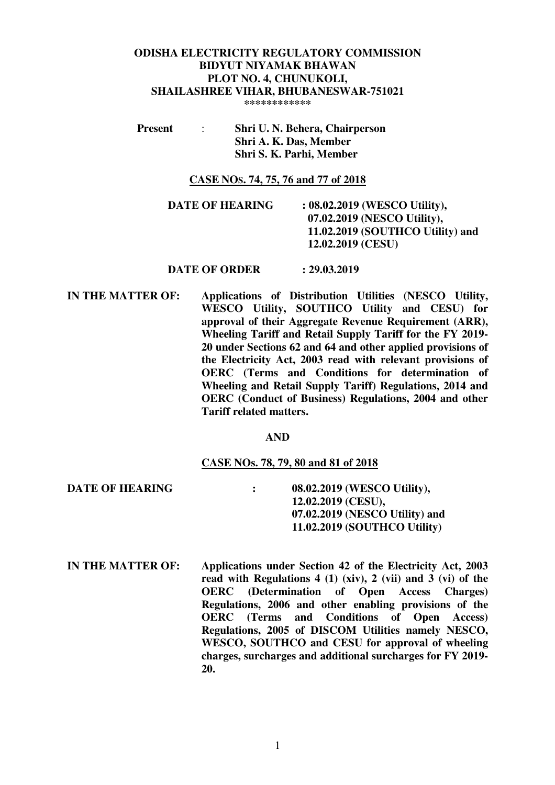# **ODISHA ELECTRICITY REGULATORY COMMISSION BIDYUT NIYAMAK BHAWAN PLOT NO. 4, CHUNUKOLI, SHAILASHREE VIHAR, BHUBANESWAR-751021**

**\*\*\*\*\*\*\*\*\*\*\*\*** 

 **Present** : **Shri U. N. Behera, Chairperson Shri A. K. Das, Member Shri S. K. Parhi, Member** 

#### **CASE NOS. 74, 75, 76 and 77 of 2018**

**DATE OF HEARING : 08.02.2019 (WESCO Utility), 07.02.2019 (NESCO Utility), 11.02.2019 (SOUTHCO Utility) and 12.02.2019 (CESU)** 

#### **DATE OF ORDER : 29.03.2019**

**IN THE MATTER OF:** Applications of Distribution Utilities (NESCO Utility, **WESCO Utility, SOUTHCO Utility and CESU) for approval of their Aggregate Revenue Requirement (ARR), Wheeling Tariff and Retail Supply Tariff for the FY 2019- 20 under Sections 62 and 64 and other applied provisions of the Electricity Act, 2003 read with relevant provisions of OERC (Terms and Conditions for determination of Wheeling and Retail Supply Tariff) Regulations, 2014 and OERC (Conduct of Business) Regulations, 2004 and other Tariff related matters.** 

#### **AND**

#### **CASE NOs. 78, 79, 80 and 81 of 2018**

**DATE OF HEARING : 08.02.2019 (WESCO Utility), 12.02.2019 (CESU), 07.02.2019 (NESCO Utility) and 11.02.2019 (SOUTHCO Utility)** 

**IN THE MATTER OF: Applications under Section 42 of the Electricity Act, 2003 read with Regulations 4 (1) (xiv), 2 (vii) and 3 (vi) of the OERC (Determination of Open Access Charges) Regulations, 2006 and other enabling provisions of the OERC (Terms and Conditions of Open Access) Regulations, 2005 of DISCOM Utilities namely NESCO, WESCO, SOUTHCO and CESU for approval of wheeling charges, surcharges and additional surcharges for FY 2019- 20.**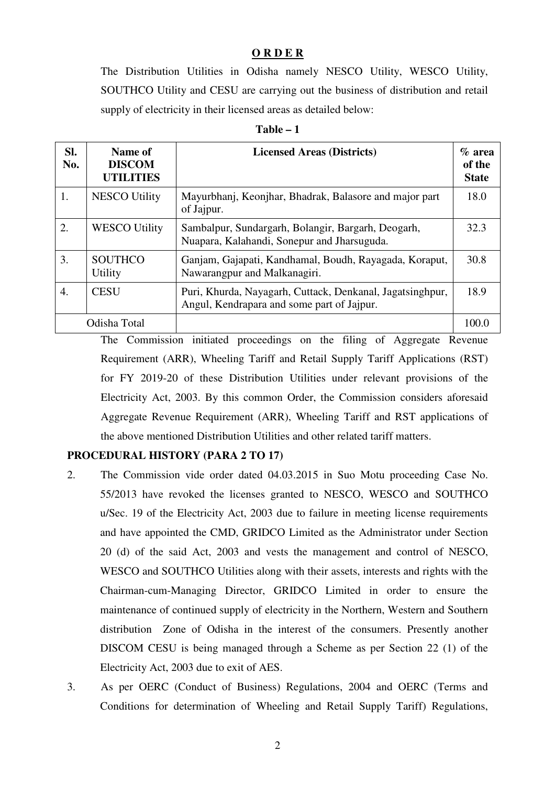## **O R D E R**

The Distribution Utilities in Odisha namely NESCO Utility, WESCO Utility, SOUTHCO Utility and CESU are carrying out the business of distribution and retail supply of electricity in their licensed areas as detailed below:

| anie |  |
|------|--|
|------|--|

| SI.<br>No. | Name of<br><b>DISCOM</b><br><b>UTILITIES</b> | <b>Licensed Areas (Districts)</b>                                                                       | $\%$ area<br>of the<br><b>State</b> |
|------------|----------------------------------------------|---------------------------------------------------------------------------------------------------------|-------------------------------------|
| 1.         | <b>NESCO Utility</b>                         | Mayurbhanj, Keonjhar, Bhadrak, Balasore and major part<br>of Jajpur.                                    | 18.0                                |
| 2.         | <b>WESCO Utility</b>                         | Sambalpur, Sundargarh, Bolangir, Bargarh, Deogarh,<br>Nuapara, Kalahandi, Sonepur and Jharsuguda.       | 32.3                                |
| 3.         | <b>SOUTHCO</b><br>Utility                    | Ganjam, Gajapati, Kandhamal, Boudh, Rayagada, Koraput,<br>Nawarangpur and Malkanagiri.                  | 30.8                                |
| 4.         | <b>CESU</b>                                  | Puri, Khurda, Nayagarh, Cuttack, Denkanal, Jagatsinghpur,<br>Angul, Kendrapara and some part of Jajpur. | 18.9                                |
|            | Odisha Total                                 |                                                                                                         | 100.0                               |

The Commission initiated proceedings on the filing of Aggregate Revenue Requirement (ARR), Wheeling Tariff and Retail Supply Tariff Applications (RST) for FY 2019-20 of these Distribution Utilities under relevant provisions of the Electricity Act, 2003. By this common Order, the Commission considers aforesaid Aggregate Revenue Requirement (ARR), Wheeling Tariff and RST applications of the above mentioned Distribution Utilities and other related tariff matters.

# **PROCEDURAL HISTORY (PARA 2 TO 17)**

- 2. The Commission vide order dated 04.03.2015 in Suo Motu proceeding Case No. 55/2013 have revoked the licenses granted to NESCO, WESCO and SOUTHCO u/Sec. 19 of the Electricity Act, 2003 due to failure in meeting license requirements and have appointed the CMD, GRIDCO Limited as the Administrator under Section 20 (d) of the said Act, 2003 and vests the management and control of NESCO, WESCO and SOUTHCO Utilities along with their assets, interests and rights with the Chairman-cum-Managing Director, GRIDCO Limited in order to ensure the maintenance of continued supply of electricity in the Northern, Western and Southern distribution Zone of Odisha in the interest of the consumers. Presently another DISCOM CESU is being managed through a Scheme as per Section 22 (1) of the Electricity Act, 2003 due to exit of AES.
- 3. As per OERC (Conduct of Business) Regulations, 2004 and OERC (Terms and Conditions for determination of Wheeling and Retail Supply Tariff) Regulations,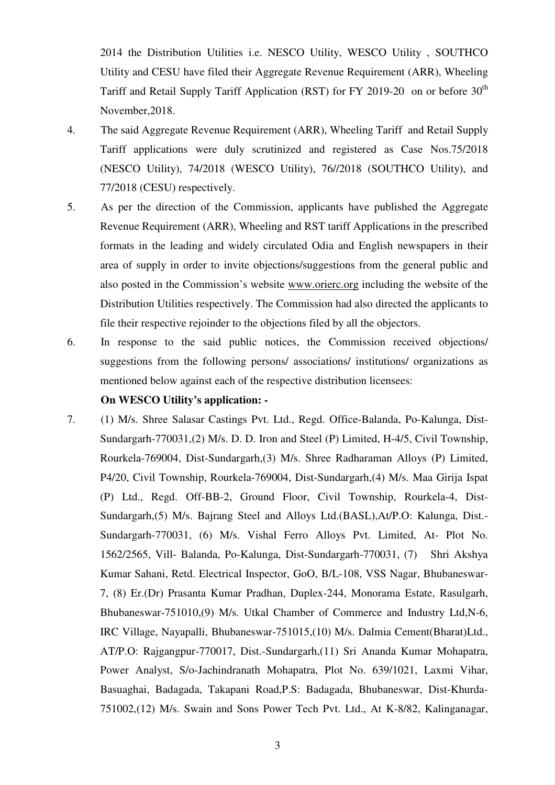2014 the Distribution Utilities i.e. NESCO Utility, WESCO Utility , SOUTHCO Utility and CESU have filed their Aggregate Revenue Requirement (ARR), Wheeling Tariff and Retail Supply Tariff Application (RST) for FY 2019-20 on or before  $30<sup>th</sup>$ November,2018.

- 4. The said Aggregate Revenue Requirement (ARR), Wheeling Tariff and Retail Supply Tariff applications were duly scrutinized and registered as Case Nos.75/2018 (NESCO Utility), 74/2018 (WESCO Utility), 76//2018 (SOUTHCO Utility), and 77/2018 (CESU) respectively.
- 5. As per the direction of the Commission, applicants have published the Aggregate Revenue Requirement (ARR), Wheeling and RST tariff Applications in the prescribed formats in the leading and widely circulated Odia and English newspapers in their area of supply in order to invite objections/suggestions from the general public and also posted in the Commission's website www.orierc.org including the website of the Distribution Utilities respectively. The Commission had also directed the applicants to file their respective rejoinder to the objections filed by all the objectors.
- 6. In response to the said public notices, the Commission received objections/ suggestions from the following persons/ associations/ institutions/ organizations as mentioned below against each of the respective distribution licensees:

#### **On WESCO Utility's application: -**

7. (1) M/s. Shree Salasar Castings Pvt. Ltd., Regd. Office-Balanda, Po-Kalunga, Dist-Sundargarh-770031,(2) M/s. D. D. Iron and Steel (P) Limited, H-4/5, Civil Township, Rourkela-769004, Dist-Sundargarh,(3) M/s. Shree Radharaman Alloys (P) Limited, P4/20, Civil Township, Rourkela-769004, Dist-Sundargarh,(4) M/s. Maa Girija Ispat (P) Ltd., Regd. Off-BB-2, Ground Floor, Civil Township, Rourkela-4, Dist-Sundargarh,(5) M/s. Bajrang Steel and Alloys Ltd.(BASL),At/P.O: Kalunga, Dist.- Sundargarh-770031, (6) M/s. Vishal Ferro Alloys Pvt. Limited, At- Plot No. 1562/2565, Vill- Balanda, Po-Kalunga, Dist-Sundargarh-770031, (7) Shri Akshya Kumar Sahani, Retd. Electrical Inspector, GoO, B/L-108, VSS Nagar, Bhubaneswar-7, (8) Er.(Dr) Prasanta Kumar Pradhan, Duplex-244, Monorama Estate, Rasulgarh, Bhubaneswar-751010,(9) M/s. Utkal Chamber of Commerce and Industry Ltd,N-6, IRC Village, Nayapalli, Bhubaneswar-751015,(10) M/s. Dalmia Cement(Bharat)Ltd., AT/P.O: Rajgangpur-770017, Dist.-Sundargarh,(11) Sri Ananda Kumar Mohapatra, Power Analyst, S/o-Jachindranath Mohapatra, Plot No. 639/1021, Laxmi Vihar, Basuaghai, Badagada, Takapani Road,P.S: Badagada, Bhubaneswar, Dist-Khurda-751002,(12) M/s. Swain and Sons Power Tech Pvt. Ltd., At K-8/82, Kalinganagar,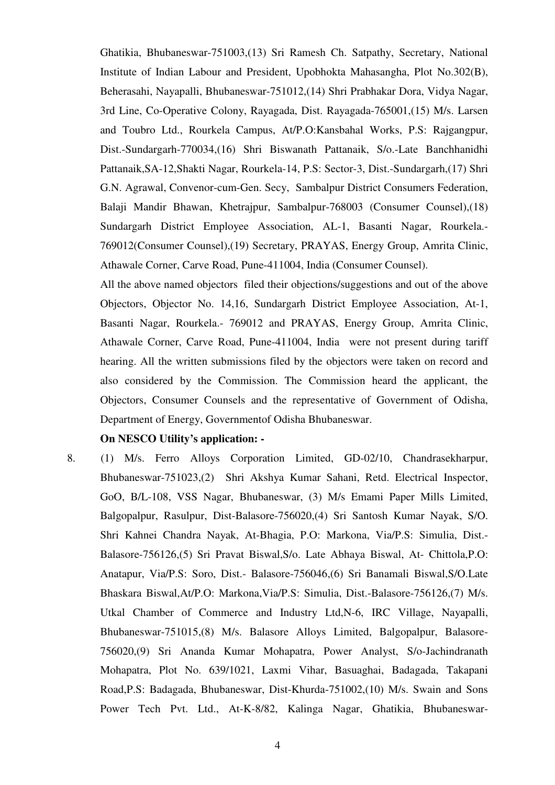Ghatikia, Bhubaneswar-751003,(13) Sri Ramesh Ch. Satpathy, Secretary, National Institute of Indian Labour and President, Upobhokta Mahasangha, Plot No.302(B), Beherasahi, Nayapalli, Bhubaneswar-751012,(14) Shri Prabhakar Dora, Vidya Nagar, 3rd Line, Co-Operative Colony, Rayagada, Dist. Rayagada-765001,(15) M/s. Larsen and Toubro Ltd., Rourkela Campus, At/P.O:Kansbahal Works, P.S: Rajgangpur, Dist.-Sundargarh-770034,(16) Shri Biswanath Pattanaik, S/o.-Late Banchhanidhi Pattanaik,SA-12,Shakti Nagar, Rourkela-14, P.S: Sector-3, Dist.-Sundargarh,(17) Shri G.N. Agrawal, Convenor-cum-Gen. Secy, Sambalpur District Consumers Federation, Balaji Mandir Bhawan, Khetrajpur, Sambalpur-768003 (Consumer Counsel),(18) Sundargarh District Employee Association, AL-1, Basanti Nagar, Rourkela.- 769012(Consumer Counsel),(19) Secretary, PRAYAS, Energy Group, Amrita Clinic, Athawale Corner, Carve Road, Pune-411004, India (Consumer Counsel).

All the above named objectors filed their objections/suggestions and out of the above Objectors, Objector No. 14,16, Sundargarh District Employee Association, At-1, Basanti Nagar, Rourkela.- 769012 and PRAYAS, Energy Group, Amrita Clinic, Athawale Corner, Carve Road, Pune-411004, India were not present during tariff hearing. All the written submissions filed by the objectors were taken on record and also considered by the Commission. The Commission heard the applicant, the Objectors, Consumer Counsels and the representative of Government of Odisha, Department of Energy, Governmentof Odisha Bhubaneswar.

#### **On NESCO Utility's application: -**

8. (1) M/s. Ferro Alloys Corporation Limited, GD-02/10, Chandrasekharpur, Bhubaneswar-751023,(2) Shri Akshya Kumar Sahani, Retd. Electrical Inspector, GoO, B/L-108, VSS Nagar, Bhubaneswar, (3) M/s Emami Paper Mills Limited, Balgopalpur, Rasulpur, Dist-Balasore-756020,(4) Sri Santosh Kumar Nayak, S/O. Shri Kahnei Chandra Nayak, At-Bhagia, P.O: Markona, Via/P.S: Simulia, Dist.- Balasore-756126,(5) Sri Pravat Biswal,S/o. Late Abhaya Biswal, At- Chittola,P.O: Anatapur, Via/P.S: Soro, Dist.- Balasore-756046,(6) Sri Banamali Biswal,S/O.Late Bhaskara Biswal,At/P.O: Markona,Via/P.S: Simulia, Dist.-Balasore-756126,(7) M/s. Utkal Chamber of Commerce and Industry Ltd,N-6, IRC Village, Nayapalli, Bhubaneswar-751015,(8) M/s. Balasore Alloys Limited, Balgopalpur, Balasore-756020,(9) Sri Ananda Kumar Mohapatra, Power Analyst, S/o-Jachindranath Mohapatra, Plot No. 639/1021, Laxmi Vihar, Basuaghai, Badagada, Takapani Road,P.S: Badagada, Bhubaneswar, Dist-Khurda-751002,(10) M/s. Swain and Sons Power Tech Pvt. Ltd., At-K-8/82, Kalinga Nagar, Ghatikia, Bhubaneswar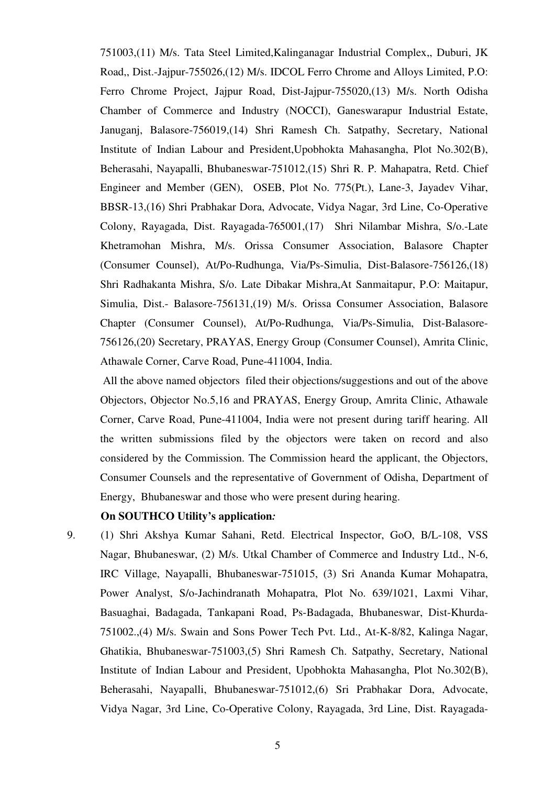751003,(11) M/s. Tata Steel Limited,Kalinganagar Industrial Complex,, Duburi, JK Road,, Dist.-Jajpur-755026,(12) M/s. IDCOL Ferro Chrome and Alloys Limited, P.O: Ferro Chrome Project, Jajpur Road, Dist-Jajpur-755020,(13) M/s. North Odisha Chamber of Commerce and Industry (NOCCI), Ganeswarapur Industrial Estate, Januganj, Balasore-756019,(14) Shri Ramesh Ch. Satpathy, Secretary, National Institute of Indian Labour and President,Upobhokta Mahasangha, Plot No.302(B), Beherasahi, Nayapalli, Bhubaneswar-751012,(15) Shri R. P. Mahapatra, Retd. Chief Engineer and Member (GEN), OSEB, Plot No. 775(Pt.), Lane-3, Jayadev Vihar, BBSR-13,(16) Shri Prabhakar Dora, Advocate, Vidya Nagar, 3rd Line, Co-Operative Colony, Rayagada, Dist. Rayagada-765001,(17) Shri Nilambar Mishra, S/o.-Late Khetramohan Mishra, M/s. Orissa Consumer Association, Balasore Chapter (Consumer Counsel), At/Po-Rudhunga, Via/Ps-Simulia, Dist-Balasore-756126,(18) Shri Radhakanta Mishra, S/o. Late Dibakar Mishra,At Sanmaitapur, P.O: Maitapur, Simulia, Dist.- Balasore-756131,(19) M/s. Orissa Consumer Association, Balasore Chapter (Consumer Counsel), At/Po-Rudhunga, Via/Ps-Simulia, Dist-Balasore-756126,(20) Secretary, PRAYAS, Energy Group (Consumer Counsel), Amrita Clinic, Athawale Corner, Carve Road, Pune-411004, India.

 All the above named objectors filed their objections/suggestions and out of the above Objectors, Objector No.5,16 and PRAYAS, Energy Group, Amrita Clinic, Athawale Corner, Carve Road, Pune-411004, India were not present during tariff hearing. All the written submissions filed by the objectors were taken on record and also considered by the Commission. The Commission heard the applicant, the Objectors, Consumer Counsels and the representative of Government of Odisha, Department of Energy, Bhubaneswar and those who were present during hearing.

## **On SOUTHCO Utility's application***:*

9. (1) Shri Akshya Kumar Sahani, Retd. Electrical Inspector, GoO, B/L-108, VSS Nagar, Bhubaneswar, (2) M/s. Utkal Chamber of Commerce and Industry Ltd., N-6, IRC Village, Nayapalli, Bhubaneswar-751015, (3) Sri Ananda Kumar Mohapatra, Power Analyst, S/o-Jachindranath Mohapatra, Plot No. 639/1021, Laxmi Vihar, Basuaghai, Badagada, Tankapani Road, Ps-Badagada, Bhubaneswar, Dist-Khurda-751002.,(4) M/s. Swain and Sons Power Tech Pvt. Ltd., At-K-8/82, Kalinga Nagar, Ghatikia, Bhubaneswar-751003,(5) Shri Ramesh Ch. Satpathy, Secretary, National Institute of Indian Labour and President, Upobhokta Mahasangha, Plot No.302(B), Beherasahi, Nayapalli, Bhubaneswar-751012,(6) Sri Prabhakar Dora, Advocate, Vidya Nagar, 3rd Line, Co-Operative Colony, Rayagada, 3rd Line, Dist. Rayagada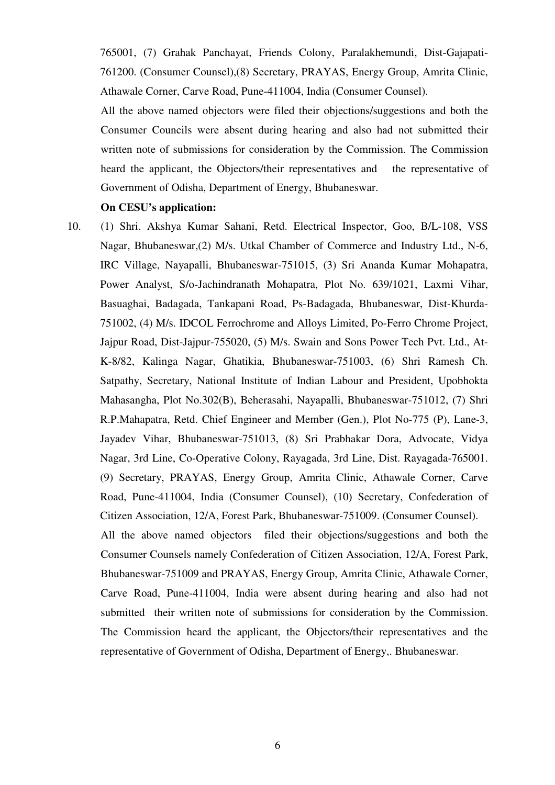765001, (7) Grahak Panchayat, Friends Colony, Paralakhemundi, Dist-Gajapati-761200. (Consumer Counsel),(8) Secretary, PRAYAS, Energy Group, Amrita Clinic, Athawale Corner, Carve Road, Pune-411004, India (Consumer Counsel).

All the above named objectors were filed their objections/suggestions and both the Consumer Councils were absent during hearing and also had not submitted their written note of submissions for consideration by the Commission. The Commission heard the applicant, the Objectors/their representatives and the representative of Government of Odisha, Department of Energy, Bhubaneswar.

#### **On CESU's application:**

10. (1) Shri. Akshya Kumar Sahani, Retd. Electrical Inspector, Goo, B/L-108, VSS Nagar, Bhubaneswar,(2) M/s. Utkal Chamber of Commerce and Industry Ltd., N-6, IRC Village, Nayapalli, Bhubaneswar-751015, (3) Sri Ananda Kumar Mohapatra, Power Analyst, S/o-Jachindranath Mohapatra, Plot No. 639/1021, Laxmi Vihar, Basuaghai, Badagada, Tankapani Road, Ps-Badagada, Bhubaneswar, Dist-Khurda-751002, (4) M/s. IDCOL Ferrochrome and Alloys Limited, Po-Ferro Chrome Project, Jajpur Road, Dist-Jajpur-755020, (5) M/s. Swain and Sons Power Tech Pvt. Ltd., At-K-8/82, Kalinga Nagar, Ghatikia, Bhubaneswar-751003, (6) Shri Ramesh Ch. Satpathy, Secretary, National Institute of Indian Labour and President, Upobhokta Mahasangha, Plot No.302(B), Beherasahi, Nayapalli, Bhubaneswar-751012, (7) Shri R.P.Mahapatra, Retd. Chief Engineer and Member (Gen.), Plot No-775 (P), Lane-3, Jayadev Vihar, Bhubaneswar-751013, (8) Sri Prabhakar Dora, Advocate, Vidya Nagar, 3rd Line, Co-Operative Colony, Rayagada, 3rd Line, Dist. Rayagada-765001. (9) Secretary, PRAYAS, Energy Group, Amrita Clinic, Athawale Corner, Carve Road, Pune-411004, India (Consumer Counsel), (10) Secretary, Confederation of Citizen Association, 12/A, Forest Park, Bhubaneswar-751009. (Consumer Counsel).

All the above named objectors filed their objections/suggestions and both the Consumer Counsels namely Confederation of Citizen Association, 12/A, Forest Park, Bhubaneswar-751009 and PRAYAS, Energy Group, Amrita Clinic, Athawale Corner, Carve Road, Pune-411004, India were absent during hearing and also had not submitted their written note of submissions for consideration by the Commission. The Commission heard the applicant, the Objectors/their representatives and the representative of Government of Odisha, Department of Energy,. Bhubaneswar.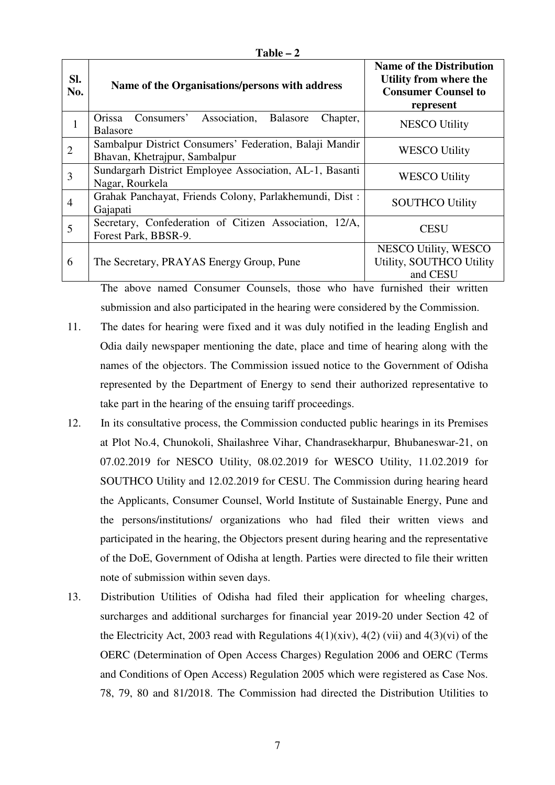| anı<br>K<br>г |  |
|---------------|--|
|---------------|--|

| Sl.<br>No.     | Name of the Organisations/persons with address                                           | <b>Name of the Distribution</b><br>Utility from where the<br><b>Consumer Counsel to</b><br>represent |
|----------------|------------------------------------------------------------------------------------------|------------------------------------------------------------------------------------------------------|
| $\mathbf{1}$   | Orissa Consumers' Association, Balasore<br>Chapter,<br><b>Balasore</b>                   | <b>NESCO Utility</b>                                                                                 |
| $\overline{2}$ | Sambalpur District Consumers' Federation, Balaji Mandir<br>Bhavan, Khetrajpur, Sambalpur | <b>WESCO Utility</b>                                                                                 |
| $\overline{3}$ | Sundargarh District Employee Association, AL-1, Basanti<br>Nagar, Rourkela               | <b>WESCO Utility</b>                                                                                 |
| $\overline{4}$ | Grahak Panchayat, Friends Colony, Parlakhemundi, Dist:<br>Gajapati                       | <b>SOUTHCO Utility</b>                                                                               |
| 5              | Secretary, Confederation of Citizen Association, 12/A,<br>Forest Park, BBSR-9.           | <b>CESU</b>                                                                                          |
| 6              | The Secretary, PRAYAS Energy Group, Pune                                                 | NESCO Utility, WESCO<br>Utility, SOUTHCO Utility<br>and CESU                                         |

The above named Consumer Counsels, those who have furnished their written submission and also participated in the hearing were considered by the Commission.

- 11. The dates for hearing were fixed and it was duly notified in the leading English and Odia daily newspaper mentioning the date, place and time of hearing along with the names of the objectors. The Commission issued notice to the Government of Odisha represented by the Department of Energy to send their authorized representative to take part in the hearing of the ensuing tariff proceedings.
- 12. In its consultative process, the Commission conducted public hearings in its Premises at Plot No.4, Chunokoli, Shailashree Vihar, Chandrasekharpur, Bhubaneswar-21, on 07.02.2019 for NESCO Utility, 08.02.2019 for WESCO Utility, 11.02.2019 for SOUTHCO Utility and 12.02.2019 for CESU. The Commission during hearing heard the Applicants, Consumer Counsel, World Institute of Sustainable Energy, Pune and the persons/institutions/ organizations who had filed their written views and participated in the hearing, the Objectors present during hearing and the representative of the DoE, Government of Odisha at length. Parties were directed to file their written note of submission within seven days.
- 13. Distribution Utilities of Odisha had filed their application for wheeling charges, surcharges and additional surcharges for financial year 2019-20 under Section 42 of the Electricity Act, 2003 read with Regulations  $4(1)(\dot{x}iv)$ ,  $4(2)(\dot{v}i)$  and  $4(3)(\dot{v}i)$  of the OERC (Determination of Open Access Charges) Regulation 2006 and OERC (Terms and Conditions of Open Access) Regulation 2005 which were registered as Case Nos. 78, 79, 80 and 81/2018. The Commission had directed the Distribution Utilities to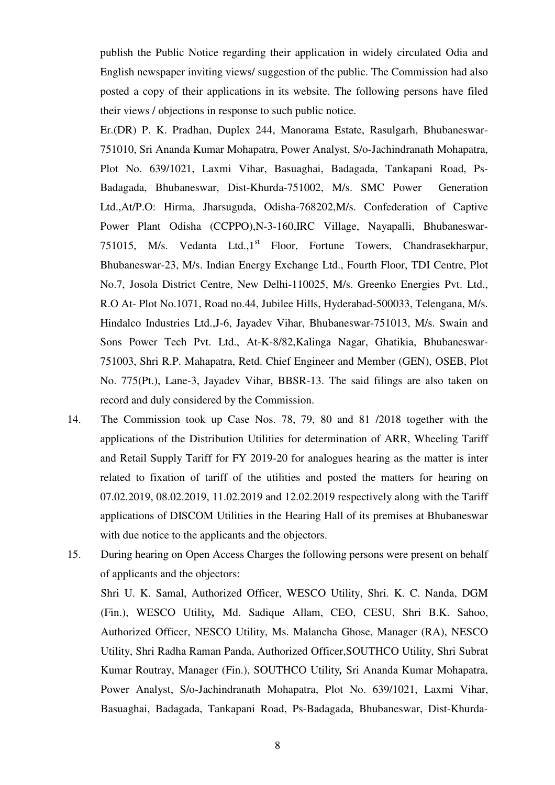publish the Public Notice regarding their application in widely circulated Odia and English newspaper inviting views/ suggestion of the public. The Commission had also posted a copy of their applications in its website. The following persons have filed their views / objections in response to such public notice.

Er.(DR) P. K. Pradhan, Duplex 244, Manorama Estate, Rasulgarh, Bhubaneswar-751010, Sri Ananda Kumar Mohapatra, Power Analyst, S/o-Jachindranath Mohapatra, Plot No. 639/1021, Laxmi Vihar, Basuaghai, Badagada, Tankapani Road, Ps-Badagada, Bhubaneswar, Dist-Khurda-751002, M/s. SMC Power Generation Ltd.,At/P.O: Hirma, Jharsuguda, Odisha-768202,M/s. Confederation of Captive Power Plant Odisha (CCPPO),N-3-160,IRC Village, Nayapalli, Bhubaneswar-751015, M/s. Vedanta Ltd.,1<sup>st</sup> Floor, Fortune Towers, Chandrasekharpur, Bhubaneswar-23, M/s. Indian Energy Exchange Ltd., Fourth Floor, TDI Centre, Plot No.7, Josola District Centre, New Delhi-110025, M/s. Greenko Energies Pvt. Ltd., R.O At- Plot No.1071, Road no.44, Jubilee Hills, Hyderabad-500033, Telengana, M/s. Hindalco Industries Ltd.,J-6, Jayadev Vihar, Bhubaneswar-751013, M/s. Swain and Sons Power Tech Pvt. Ltd., At-K-8/82,Kalinga Nagar, Ghatikia, Bhubaneswar-751003, Shri R.P. Mahapatra, Retd. Chief Engineer and Member (GEN), OSEB, Plot No. 775(Pt.), Lane-3, Jayadev Vihar, BBSR-13. The said filings are also taken on record and duly considered by the Commission.

- 14. The Commission took up Case Nos. 78, 79, 80 and 81 /2018 together with the applications of the Distribution Utilities for determination of ARR, Wheeling Tariff and Retail Supply Tariff for FY 2019-20 for analogues hearing as the matter is inter related to fixation of tariff of the utilities and posted the matters for hearing on 07.02.2019, 08.02.2019, 11.02.2019 and 12.02.2019 respectively along with the Tariff applications of DISCOM Utilities in the Hearing Hall of its premises at Bhubaneswar with due notice to the applicants and the objectors.
- 15. During hearing on Open Access Charges the following persons were present on behalf of applicants and the objectors:

Shri U. K. Samal, Authorized Officer, WESCO Utility, Shri. K. C. Nanda, DGM (Fin.), WESCO Utility*,* Md. Sadique Allam, CEO, CESU, Shri B.K. Sahoo, Authorized Officer, NESCO Utility, Ms. Malancha Ghose, Manager (RA), NESCO Utility, Shri Radha Raman Panda, Authorized Officer,SOUTHCO Utility, Shri Subrat Kumar Routray, Manager (Fin.), SOUTHCO Utility*,* Sri Ananda Kumar Mohapatra, Power Analyst, S/o-Jachindranath Mohapatra, Plot No. 639/1021, Laxmi Vihar, Basuaghai, Badagada, Tankapani Road, Ps-Badagada, Bhubaneswar, Dist-Khurda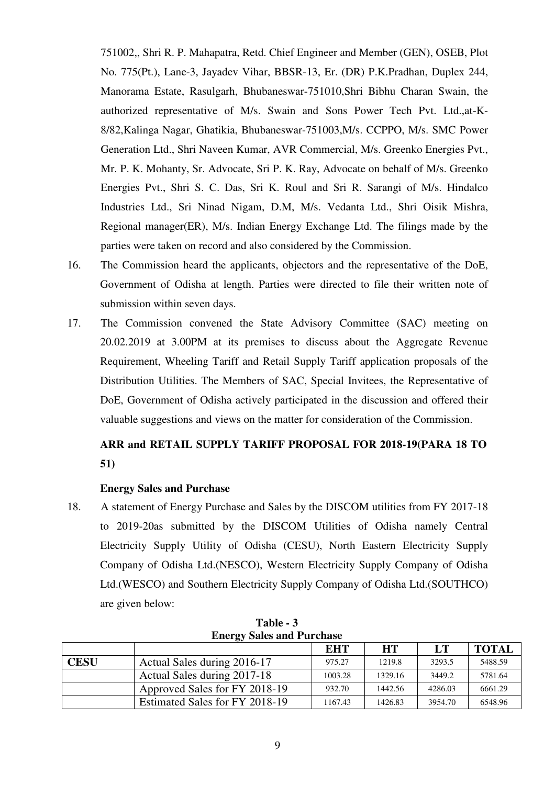751002,, Shri R. P. Mahapatra, Retd. Chief Engineer and Member (GEN), OSEB, Plot No. 775(Pt.), Lane-3, Jayadev Vihar, BBSR-13, Er. (DR) P.K.Pradhan, Duplex 244, Manorama Estate, Rasulgarh, Bhubaneswar-751010,Shri Bibhu Charan Swain, the authorized representative of M/s. Swain and Sons Power Tech Pvt. Ltd.,at-K-8/82,Kalinga Nagar, Ghatikia, Bhubaneswar-751003,M/s. CCPPO, M/s. SMC Power Generation Ltd., Shri Naveen Kumar, AVR Commercial, M/s. Greenko Energies Pvt., Mr. P. K. Mohanty, Sr. Advocate, Sri P. K. Ray, Advocate on behalf of M/s. Greenko Energies Pvt., Shri S. C. Das, Sri K. Roul and Sri R. Sarangi of M/s. Hindalco Industries Ltd., Sri Ninad Nigam, D.M, M/s. Vedanta Ltd., Shri Oisik Mishra, Regional manager(ER), M/s. Indian Energy Exchange Ltd. The filings made by the parties were taken on record and also considered by the Commission.

- 16. The Commission heard the applicants, objectors and the representative of the DoE, Government of Odisha at length. Parties were directed to file their written note of submission within seven days.
- 17. The Commission convened the State Advisory Committee (SAC) meeting on 20.02.2019 at 3.00PM at its premises to discuss about the Aggregate Revenue Requirement, Wheeling Tariff and Retail Supply Tariff application proposals of the Distribution Utilities. The Members of SAC, Special Invitees, the Representative of DoE, Government of Odisha actively participated in the discussion and offered their valuable suggestions and views on the matter for consideration of the Commission.

# **ARR and RETAIL SUPPLY TARIFF PROPOSAL FOR 2018-19(PARA 18 TO 51)**

## **Energy Sales and Purchase**

18. A statement of Energy Purchase and Sales by the DISCOM utilities from FY 2017-18 to 2019-20as submitted by the DISCOM Utilities of Odisha namely Central Electricity Supply Utility of Odisha (CESU), North Eastern Electricity Supply Company of Odisha Ltd.(NESCO), Western Electricity Supply Company of Odisha Ltd.(WESCO) and Southern Electricity Supply Company of Odisha Ltd.(SOUTHCO) are given below:

| <b>Energy Sales and Purchase</b> |                                |         |           |         |              |  |  |  |  |
|----------------------------------|--------------------------------|---------|-----------|---------|--------------|--|--|--|--|
|                                  |                                | EHT     | <b>HT</b> | LT      | <b>TOTAL</b> |  |  |  |  |
| <b>CESU</b>                      | Actual Sales during 2016-17    | 975.27  | 1219.8    | 3293.5  | 5488.59      |  |  |  |  |
|                                  | Actual Sales during 2017-18    | 1003.28 | 1329.16   | 3449.2  | 5781.64      |  |  |  |  |
|                                  | Approved Sales for FY 2018-19  | 932.70  | 1442.56   | 4286.03 | 6661.29      |  |  |  |  |
|                                  | Estimated Sales for FY 2018-19 | 1167.43 | 1426.83   | 3954.70 | 6548.96      |  |  |  |  |

**Table - 3 Energy Sales and Purchase**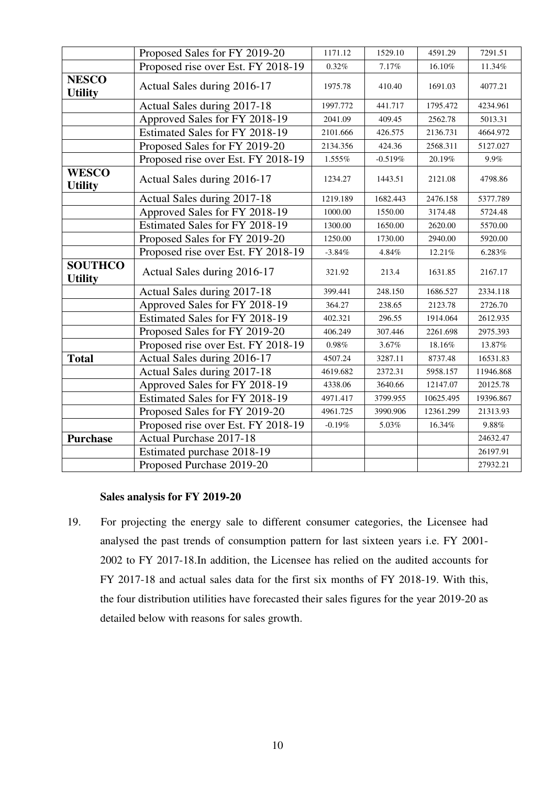|                                  | Proposed Sales for FY 2019-20      | 1171.12  | 1529.10   | 4591.29   | 7291.51   |
|----------------------------------|------------------------------------|----------|-----------|-----------|-----------|
|                                  | Proposed rise over Est. FY 2018-19 | $0.32\%$ | 7.17%     | $16.10\%$ | 11.34%    |
| <b>NESCO</b><br><b>Utility</b>   | Actual Sales during 2016-17        | 1975.78  | 410.40    | 1691.03   | 4077.21   |
|                                  | Actual Sales during 2017-18        | 1997.772 | 441.717   | 1795.472  | 4234.961  |
|                                  | Approved Sales for FY 2018-19      | 2041.09  | 409.45    | 2562.78   | 5013.31   |
|                                  | Estimated Sales for FY 2018-19     | 2101.666 | 426.575   | 2136.731  | 4664.972  |
|                                  | Proposed Sales for FY 2019-20      | 2134.356 | 424.36    | 2568.311  | 5127.027  |
|                                  | Proposed rise over Est. FY 2018-19 | 1.555%   | $-0.519%$ | 20.19%    | 9.9%      |
| <b>WESCO</b><br><b>Utility</b>   | Actual Sales during 2016-17        | 1234.27  | 1443.51   | 2121.08   | 4798.86   |
|                                  | Actual Sales during 2017-18        | 1219.189 | 1682.443  | 2476.158  | 5377.789  |
|                                  | Approved Sales for FY 2018-19      | 1000.00  | 1550.00   | 3174.48   | 5724.48   |
|                                  | Estimated Sales for FY 2018-19     | 1300.00  | 1650.00   | 2620.00   | 5570.00   |
|                                  | Proposed Sales for FY 2019-20      | 1250.00  | 1730.00   | 2940.00   | 5920.00   |
|                                  | Proposed rise over Est. FY 2018-19 | $-3.84%$ | 4.84%     | 12.21%    | 6.283%    |
| <b>SOUTHCO</b><br><b>Utility</b> | Actual Sales during 2016-17        | 321.92   | 213.4     | 1631.85   | 2167.17   |
|                                  | Actual Sales during 2017-18        | 399.441  | 248.150   | 1686.527  | 2334.118  |
|                                  | Approved Sales for FY 2018-19      | 364.27   | 238.65    | 2123.78   | 2726.70   |
|                                  | Estimated Sales for FY 2018-19     | 402.321  | 296.55    | 1914.064  | 2612.935  |
|                                  | Proposed Sales for FY 2019-20      | 406.249  | 307.446   | 2261.698  | 2975.393  |
|                                  | Proposed rise over Est. FY 2018-19 | 0.98%    | 3.67%     | 18.16%    | 13.87%    |
| <b>Total</b>                     | Actual Sales during 2016-17        | 4507.24  | 3287.11   | 8737.48   | 16531.83  |
|                                  | Actual Sales during 2017-18        | 4619.682 | 2372.31   | 5958.157  | 11946.868 |
|                                  | Approved Sales for FY 2018-19      | 4338.06  | 3640.66   | 12147.07  | 20125.78  |
|                                  | Estimated Sales for FY 2018-19     | 4971.417 | 3799.955  | 10625.495 | 19396.867 |
|                                  | Proposed Sales for FY 2019-20      | 4961.725 | 3990.906  | 12361.299 | 21313.93  |
|                                  | Proposed rise over Est. FY 2018-19 | $-0.19%$ | 5.03%     | 16.34%    | $9.88\%$  |
| <b>Purchase</b>                  | <b>Actual Purchase 2017-18</b>     |          |           |           | 24632.47  |
|                                  | Estimated purchase 2018-19         |          |           |           | 26197.91  |
|                                  | Proposed Purchase 2019-20          |          |           |           | 27932.21  |

# **Sales analysis for FY 2019-20**

19. For projecting the energy sale to different consumer categories, the Licensee had analysed the past trends of consumption pattern for last sixteen years i.e. FY 2001- 2002 to FY 2017-18.In addition, the Licensee has relied on the audited accounts for FY 2017-18 and actual sales data for the first six months of FY 2018-19. With this, the four distribution utilities have forecasted their sales figures for the year 2019-20 as detailed below with reasons for sales growth.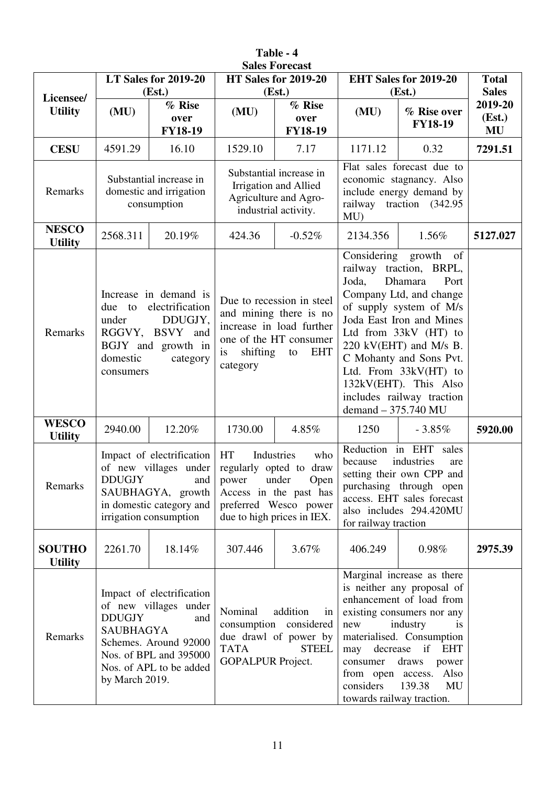| <b>Sales Forecast</b>           |                                                     |                                                                                                                                             |                            |                                                                                                                                                                                                                                                                                                                                                                                                                                                 |                              |                                                                                                                                                                                                                                                                                                                    |                                         |  |  |  |
|---------------------------------|-----------------------------------------------------|---------------------------------------------------------------------------------------------------------------------------------------------|----------------------------|-------------------------------------------------------------------------------------------------------------------------------------------------------------------------------------------------------------------------------------------------------------------------------------------------------------------------------------------------------------------------------------------------------------------------------------------------|------------------------------|--------------------------------------------------------------------------------------------------------------------------------------------------------------------------------------------------------------------------------------------------------------------------------------------------------------------|-----------------------------------------|--|--|--|
|                                 |                                                     | LT Sales for 2019-20                                                                                                                        |                            | HT Sales for 2019-20                                                                                                                                                                                                                                                                                                                                                                                                                            |                              | <b>EHT Sales for 2019-20</b>                                                                                                                                                                                                                                                                                       | <b>Total</b>                            |  |  |  |
| Licensee/<br><b>Utility</b>     | (MU)                                                | (Est.)<br>% Rise<br>over<br><b>FY18-19</b>                                                                                                  | (MU)                       | (Est.)<br>% Rise<br>over<br><b>FY18-19</b>                                                                                                                                                                                                                                                                                                                                                                                                      | (MU)                         | (Est.)<br>% Rise over<br><b>FY18-19</b>                                                                                                                                                                                                                                                                            | <b>Sales</b><br>2019-20<br>(Est.)<br>MU |  |  |  |
| <b>CESU</b>                     | 4591.29                                             | 16.10                                                                                                                                       | 1529.10                    | 7.17                                                                                                                                                                                                                                                                                                                                                                                                                                            | 1171.12                      | 0.32                                                                                                                                                                                                                                                                                                               | 7291.51                                 |  |  |  |
| Remarks                         |                                                     | Substantial increase in<br>domestic and irrigation<br>consumption                                                                           |                            | Substantial increase in<br>Irrigation and Allied<br>Agriculture and Agro-<br>industrial activity.                                                                                                                                                                                                                                                                                                                                               | MU                           | Flat sales forecast due to<br>economic stagnancy. Also<br>include energy demand by<br>railway traction (342.95)                                                                                                                                                                                                    |                                         |  |  |  |
| <b>NESCO</b><br><b>Utility</b>  | 2568.311                                            | 20.19%                                                                                                                                      | 424.36                     | $-0.52%$                                                                                                                                                                                                                                                                                                                                                                                                                                        | 2134.356                     | 1.56%                                                                                                                                                                                                                                                                                                              | 5127.027                                |  |  |  |
| Remarks                         | due to<br>under<br>domestic<br>consumers            | Increase in demand is<br>electrification<br>DDUGJY,<br>RGGVY, BSVY and<br>BGJY and growth in<br>category                                    | shifting<br>is<br>category | Due to recession in steel<br>and mining there is no<br>increase in load further<br>one of the HT consumer<br><b>EHT</b><br>to                                                                                                                                                                                                                                                                                                                   | Joda,<br>demand - 375.740 MU | Considering growth of<br>railway traction, BRPL,<br>Dhamara<br>Port<br>Company Ltd, and change<br>of supply system of M/s<br>Joda East Iron and Mines<br>Ltd from 33kV (HT) to<br>220 kV(EHT) and M/s B.<br>C Mohanty and Sons Pvt.<br>Ltd. From 33kV(HT) to<br>132kV(EHT). This Also<br>includes railway traction |                                         |  |  |  |
| <b>WESCO</b><br><b>Utility</b>  | 2940.00                                             | 12.20%                                                                                                                                      | 1730.00                    | 4.85%                                                                                                                                                                                                                                                                                                                                                                                                                                           | 1250<br>$-3.85%$             |                                                                                                                                                                                                                                                                                                                    | 5920.00                                 |  |  |  |
| Remarks                         |                                                     | Impact of electrification<br>of new villages under<br>DDUGJY and<br>SAUBHAGYA, growth<br>in domestic category and<br>irrigation consumption |                            | HT<br>Industries<br>who<br>regularly opted to draw<br>power under Open<br>Access in the past has<br>preferred Wesco power<br>due to high prices in IEX.                                                                                                                                                                                                                                                                                         |                              | Reduction in EHT sales<br>because<br>industries<br>are<br>setting their own CPP and<br>purchasing through open<br>access. EHT sales forecast<br>also includes 294.420MU<br>for railway traction                                                                                                                    |                                         |  |  |  |
| <b>SOUTHO</b><br><b>Utility</b> | 2261.70                                             | 18.14%                                                                                                                                      | 307.446                    | $3.67\%$                                                                                                                                                                                                                                                                                                                                                                                                                                        | 406.249                      | 0.98%                                                                                                                                                                                                                                                                                                              | 2975.39                                 |  |  |  |
| Remarks                         | <b>DDUGJY</b><br><b>SAUBHAGYA</b><br>by March 2019. | Impact of electrification<br>of new villages under<br>and<br>Schemes. Around 92000<br>Nos. of BPL and 395000<br>Nos. of APL to be added     | Nominal<br><b>TATA</b>     | Marginal increase as there<br>is neither any proposal of<br>enhancement of load from<br>addition<br>existing consumers nor any<br>in<br>consumption considered<br>industry<br>is<br>new<br>due drawl of power by<br>materialised. Consumption<br><b>STEEL</b><br>decrease if<br>may<br><b>EHT</b><br><b>GOPALPUR Project.</b><br>consumer<br>draws<br>power<br>from open access. Also<br>139.38<br>considers<br>MU<br>towards railway traction. |                              |                                                                                                                                                                                                                                                                                                                    |                                         |  |  |  |

**Table - 4**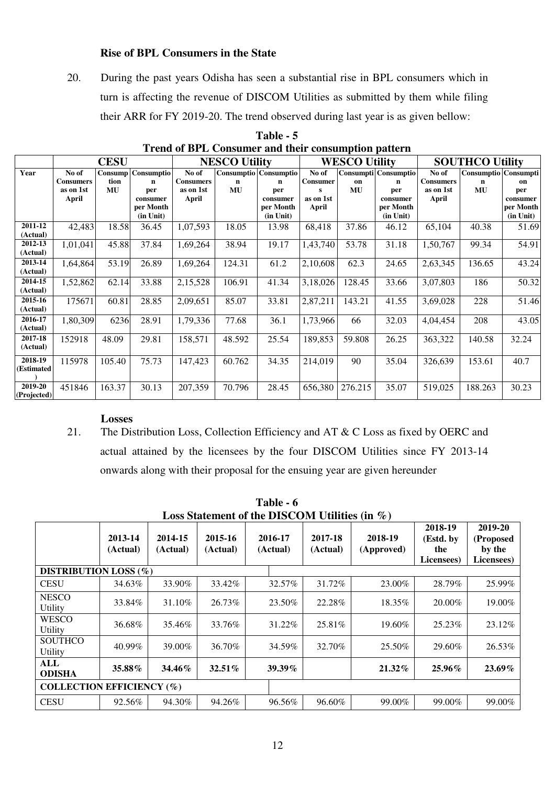#### **Rise of BPL Consumers in the State**

20. During the past years Odisha has seen a substantial rise in BPL consumers which in turn is affecting the revenue of DISCOM Utilities as submitted by them while filing their ARR for FY 2019-20. The trend observed during last year is as given bellow:

|                        |                                                 | <b>CESU</b>           |                                                                        |                                                 | <b>NESCO Utility</b> |                                                                                          | <b>WESCO Utility</b>                                |                 |                                                                            | <b>SOUTHCO Utility</b>                          |                                 |                                                 |
|------------------------|-------------------------------------------------|-----------------------|------------------------------------------------------------------------|-------------------------------------------------|----------------------|------------------------------------------------------------------------------------------|-----------------------------------------------------|-----------------|----------------------------------------------------------------------------|-------------------------------------------------|---------------------------------|-------------------------------------------------|
| Year                   | No of<br><b>Consumers</b><br>as on 1st<br>April | Consump<br>tion<br>MU | Consumptio<br>$\mathbf n$<br>per<br>consumer<br>per Month<br>(in Unit) | No of<br><b>Consumers</b><br>as on 1st<br>April | $\mathbf n$<br>MU    | <b>Consumptio</b> Consumptio<br>$\mathbf n$<br>per<br>consumer<br>per Month<br>(in Unit) | No of<br><b>Consumer</b><br>s<br>as on 1st<br>April | on<br><b>MU</b> | Consumpti   Consumptio  <br>n<br>per<br>consumer<br>per Month<br>(in Unit) | No of<br><b>Consumers</b><br>as on 1st<br>April | Consumptio Consumpti<br>n<br>MU | on<br>per<br>consumer<br>per Month<br>(in Unit) |
| 2011-12<br>(Actual)    | 42,483                                          | 18.58                 | 36.45                                                                  | 1,07,593                                        | 18.05                | 13.98                                                                                    | 68,418                                              | 37.86           | 46.12                                                                      | 65,104                                          | 40.38                           | 51.69                                           |
| 2012-13<br>(Actual)    | 1,01,041                                        | 45.88                 | 37.84                                                                  | 1,69,264                                        | 38.94                | 19.17                                                                                    | 1,43,740                                            | 53.78           | 31.18                                                                      | 1,50,767                                        | 99.34                           | 54.91                                           |
| 2013-14<br>(Actual)    | 1,64,864                                        | 53.19                 | 26.89                                                                  | 1,69,264                                        | 124.31               | 61.2                                                                                     | 2,10,608                                            | 62.3            | 24.65                                                                      | 2,63,345                                        | 136.65                          | 43.24                                           |
| 2014-15<br>(Actual)    | 1,52,862                                        | 62.14                 | 33.88                                                                  | 2,15,528                                        | 106.91               | 41.34                                                                                    | 3,18,026                                            | 128.45          | 33.66                                                                      | 3,07,803                                        | 186                             | 50.32                                           |
| 2015-16<br>(Actual)    | 175671                                          | 60.81                 | 28.85                                                                  | 2,09,651                                        | 85.07                | 33.81                                                                                    | 2,87,211                                            | 143.21          | 41.55                                                                      | 3,69,028                                        | 228                             | 51.46                                           |
| 2016-17<br>(Actual)    | 1,80,309                                        | 6236                  | 28.91                                                                  | 1,79,336                                        | 77.68                | 36.1                                                                                     | 1,73,966                                            | 66              | 32.03                                                                      | 4,04,454                                        | 208                             | 43.05                                           |
| 2017-18<br>(Actual)    | 152918                                          | 48.09                 | 29.81                                                                  | 158,571                                         | 48.592               | 25.54                                                                                    | 189,853                                             | 59.808          | 26.25                                                                      | 363,322                                         | 140.58                          | 32.24                                           |
| 2018-19<br>(Estimated  | 115978                                          | 105.40                | 75.73                                                                  | 147,423                                         | 60.762               | 34.35                                                                                    | 214,019                                             | 90              | 35.04                                                                      | 326,639                                         | 153.61                          | 40.7                                            |
| 2019-20<br>(Projected) | 451846                                          | 163.37                | 30.13                                                                  | 207,359                                         | 70.796               | 28.45                                                                                    | 656,380                                             | 276.215         | 35.07                                                                      | 519,025                                         | 188.263                         | 30.23                                           |

**Table - 5 Trend of BPL Consumer and their consumption pattern**

#### **Losses**

21. The Distribution Loss, Collection Efficiency and AT & C Loss as fixed by OERC and actual attained by the licensees by the four DISCOM Utilities since FY 2013-14 onwards along with their proposal for the ensuing year are given hereunder

| Loss Statement of the DISCOM Utilities (in $\%$ ) |                     |                     |                     |                     |                     |                       |                                           |                                              |  |  |  |
|---------------------------------------------------|---------------------|---------------------|---------------------|---------------------|---------------------|-----------------------|-------------------------------------------|----------------------------------------------|--|--|--|
|                                                   | 2013-14<br>(Actual) | 2014-15<br>(Actual) | 2015-16<br>(Actual) | 2016-17<br>(Actual) | 2017-18<br>(Actual) | 2018-19<br>(Approved) | 2018-19<br>(Estd. by<br>the<br>Licensees) | 2019-20<br>(Proposed<br>by the<br>Licensees) |  |  |  |
| <b>DISTRIBUTION LOSS (%)</b>                      |                     |                     |                     |                     |                     |                       |                                           |                                              |  |  |  |
| <b>CESU</b>                                       | 34.63%              | 33.90%              | 33.42%              | 32.57%              | 31.72%              | 23.00%                | 28.79%                                    | 25.99%                                       |  |  |  |
| <b>NESCO</b><br><b>Utility</b>                    | 33.84%              | 31.10%              | 26.73%              | 23.50%              | 22.28%              | 18.35%                | 20.00%                                    | 19.00%                                       |  |  |  |
| <b>WESCO</b><br>Utility                           | 36.68%              | 35.46%              | 33.76%              | 31.22%              | 25.81\%             | 19.60%                | 25.23%                                    | 23.12%                                       |  |  |  |
| <b>SOUTHCO</b><br>Utility                         | 40.99%              | 39.00%              | 36.70%              | 34.59%              | 32.70%              | 25.50%                | 29.60%                                    | 26.53%                                       |  |  |  |
| ALL<br><b>ODISHA</b>                              | 35.88%              | 34.46%              | $32.51\%$           | $39.39\%$           |                     | 21.32%                | $25.96\%$                                 | 23.69%                                       |  |  |  |
| <b>COLLECTION EFFICIENCY (%)</b>                  |                     |                     |                     |                     |                     |                       |                                           |                                              |  |  |  |
| <b>CESU</b>                                       | 92.56%              | 94.30%              | 94.26%              | 96.56%              | 96.60%              | 99.00%                | 99.00%                                    | 99.00%                                       |  |  |  |

**Table - 6**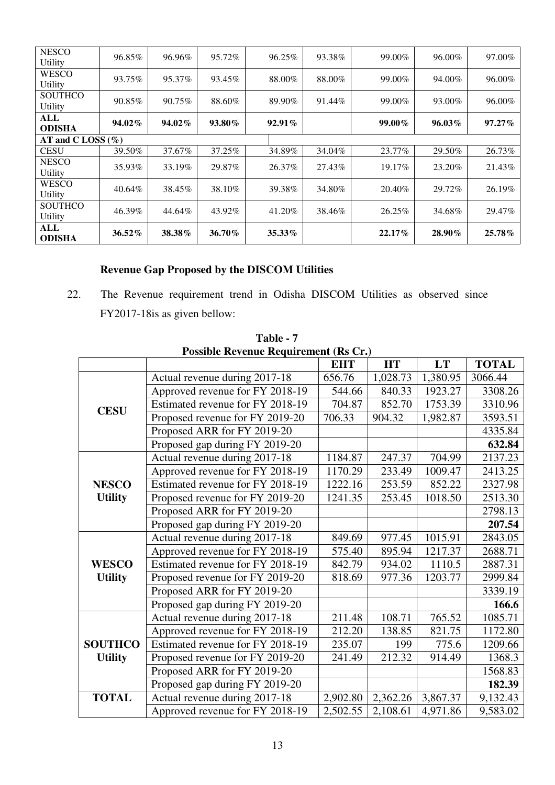| <b>NESCO</b><br>Utility   | 96.85% | 96.96% | 95.72% | 96.25%    | 93.38% | 99.00%    | 96.00% | 97.00% |
|---------------------------|--------|--------|--------|-----------|--------|-----------|--------|--------|
| <b>WESCO</b><br>Utility   | 93.75% | 95.37% | 93.45% | 88.00%    | 88.00% | 99.00%    | 94.00% | 96.00% |
| <b>SOUTHCO</b><br>Utility | 90.85% | 90.75% | 88.60% | 89.90%    | 91.44% | 99.00%    | 93.00% | 96.00% |
| ALL<br><b>ODISHA</b>      | 94.02% | 94.02% | 93.80% | $92.91\%$ |        | 99.00%    | 96.03% | 97.27% |
| AT and C LOSS $(\% )$     |        |        |        |           |        |           |        |        |
| <b>CESU</b>               | 39.50% | 37.67% | 37.25% | 34.89%    | 34.04% | 23.77%    | 29.50% | 26.73% |
| <b>NESCO</b><br>Utility   | 35.93% | 33.19% | 29.87% | 26.37%    | 27.43% | 19.17%    | 23.20% | 21.43% |
| <b>WESCO</b><br>Utility   | 40.64% | 38.45% | 38.10% | 39.38%    | 34.80% | 20.40%    | 29.72% | 26.19% |
| <b>SOUTHCO</b><br>Utility | 46.39% | 44.64% | 43.92% | 41.20%    | 38.46% | 26.25%    | 34.68% | 29.47% |
| ALL<br><b>ODISHA</b>      | 36.52% | 38.38% | 36.70% | 35.33%    |        | $22.17\%$ | 28.90% | 25.78% |

# **Revenue Gap Proposed by the DISCOM Utilities**

22. The Revenue requirement trend in Odisha DISCOM Utilities as observed since FY2017-18is as given bellow:

|                |                                  | <b>EHT</b> | <b>HT</b> | <b>LT</b> | <b>TOTAL</b> |
|----------------|----------------------------------|------------|-----------|-----------|--------------|
|                | Actual revenue during 2017-18    | 656.76     | 1,028.73  | 1,380.95  | 3066.44      |
|                | Approved revenue for FY 2018-19  | 544.66     | 840.33    | 1923.27   | 3308.26      |
| <b>CESU</b>    | Estimated revenue for FY 2018-19 | 704.87     | 852.70    | 1753.39   | 3310.96      |
|                | Proposed revenue for FY 2019-20  | 706.33     | 904.32    | 1,982.87  | 3593.51      |
|                | Proposed ARR for FY 2019-20      |            |           |           | 4335.84      |
|                | Proposed gap during FY 2019-20   |            |           |           | 632.84       |
|                | Actual revenue during 2017-18    | 1184.87    | 247.37    | 704.99    | 2137.23      |
|                | Approved revenue for FY 2018-19  | 1170.29    | 233.49    | 1009.47   | 2413.25      |
| <b>NESCO</b>   | Estimated revenue for FY 2018-19 | 1222.16    | 253.59    | 852.22    | 2327.98      |
| <b>Utility</b> | Proposed revenue for FY 2019-20  | 1241.35    | 253.45    | 1018.50   | 2513.30      |
|                | Proposed ARR for FY 2019-20      |            |           |           | 2798.13      |
|                | Proposed gap during FY 2019-20   |            |           |           | 207.54       |
|                | Actual revenue during 2017-18    | 849.69     | 977.45    | 1015.91   | 2843.05      |
|                | Approved revenue for FY 2018-19  | 575.40     | 895.94    | 1217.37   | 2688.71      |
| <b>WESCO</b>   | Estimated revenue for FY 2018-19 | 842.79     | 934.02    | 1110.5    | 2887.31      |
| <b>Utility</b> | Proposed revenue for FY 2019-20  | 818.69     | 977.36    | 1203.77   | 2999.84      |
|                | Proposed ARR for FY 2019-20      |            |           |           | 3339.19      |
|                | Proposed gap during FY 2019-20   |            |           |           | 166.6        |
|                | Actual revenue during 2017-18    | 211.48     | 108.71    | 765.52    | 1085.71      |
|                | Approved revenue for FY 2018-19  | 212.20     | 138.85    | 821.75    | 1172.80      |
| <b>SOUTHCO</b> | Estimated revenue for FY 2018-19 | 235.07     | 199       | 775.6     | 1209.66      |
| <b>Utility</b> | Proposed revenue for FY 2019-20  | 241.49     | 212.32    | 914.49    | 1368.3       |
|                | Proposed ARR for FY 2019-20      |            |           |           | 1568.83      |
|                | Proposed gap during FY 2019-20   |            |           |           | 182.39       |
| <b>TOTAL</b>   | Actual revenue during 2017-18    | 2,902.80   | 2,362.26  | 3,867.37  | 9,132.43     |
|                | Approved revenue for FY 2018-19  | 2,502.55   | 2,108.61  | 4,971.86  | 9,583.02     |

**Table - 7 Possible Revenue Requirement (Rs Cr.)**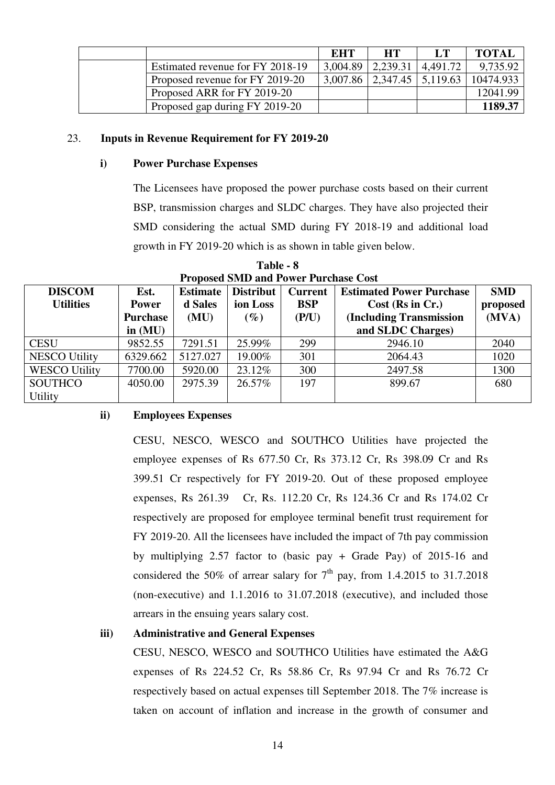|                                  | EHT      | <b>HT</b>                        | LT       | <b>TOTAL</b> |
|----------------------------------|----------|----------------------------------|----------|--------------|
| Estimated revenue for FY 2018-19 | 3.004.89 | 2.239.31                         | 4,491.72 | 9,735.92     |
| Proposed revenue for FY 2019-20  |          | $3,007.86$   2,347.45   5,119.63 |          | 10474.933    |
| Proposed ARR for FY 2019-20      |          |                                  |          | 12041.99     |
| Proposed gap during FY 2019-20   |          |                                  |          | 1189.37      |

### 23. **Inputs in Revenue Requirement for FY 2019-20**

#### **i) Power Purchase Expenses**

The Licensees have proposed the power purchase costs based on their current BSP, transmission charges and SLDC charges. They have also projected their SMD considering the actual SMD during FY 2018-19 and additional load growth in FY 2019-20 which is as shown in table given below.

| <b>Froposed SMD and Fower Furthase Cost</b> |              |                 |           |                |                                 |            |  |  |
|---------------------------------------------|--------------|-----------------|-----------|----------------|---------------------------------|------------|--|--|
| <b>DISCOM</b>                               | Est.         | <b>Estimate</b> | Distribut | <b>Current</b> | <b>Estimated Power Purchase</b> | <b>SMD</b> |  |  |
| <b>Utilities</b>                            | <b>Power</b> | d Sales         | ion Loss  | <b>BSP</b>     | $Cost$ (Rs in Cr.)              | proposed   |  |  |
|                                             | Purchase     | (MU)            | $(\%)$    | (P/U)          | (Including Transmission         | (MVA)      |  |  |
|                                             | in $(MU)$    |                 |           |                | and SLDC Charges)               |            |  |  |
| <b>CESU</b>                                 | 9852.55      | 7291.51         | 25.99%    | 299            | 2946.10                         | 2040       |  |  |
| <b>NESCO Utility</b>                        | 6329.662     | 5127.027        | 19.00%    | 301            | 2064.43                         | 1020       |  |  |
| <b>WESCO Utility</b>                        | 7700.00      | 5920.00         | 23.12%    | 300            | 2497.58                         | 1300       |  |  |
| <b>SOUTHCO</b>                              | 4050.00      | 2975.39         | 26.57%    | 197            | 899.67                          | 680        |  |  |
| <b>Utility</b>                              |              |                 |           |                |                                 |            |  |  |

**Table - 8 Proposed SMD and Power Purchase Cost** 

#### **ii) Employees Expenses**

CESU, NESCO, WESCO and SOUTHCO Utilities have projected the employee expenses of Rs 677.50 Cr, Rs 373.12 Cr, Rs 398.09 Cr and Rs 399.51 Cr respectively for FY 2019-20. Out of these proposed employee expenses, Rs 261.39 Cr, Rs. 112.20 Cr, Rs 124.36 Cr and Rs 174.02 Cr respectively are proposed for employee terminal benefit trust requirement for FY 2019-20. All the licensees have included the impact of 7th pay commission by multiplying 2.57 factor to (basic pay + Grade Pay) of 2015-16 and considered the 50% of arrear salary for  $7<sup>th</sup>$  pay, from 1.4.2015 to 31.7.2018 (non-executive) and 1.1.2016 to 31.07.2018 (executive), and included those arrears in the ensuing years salary cost.

### **iii) Administrative and General Expenses**

CESU, NESCO, WESCO and SOUTHCO Utilities have estimated the A&G expenses of Rs 224.52 Cr, Rs 58.86 Cr, Rs 97.94 Cr and Rs 76.72 Cr respectively based on actual expenses till September 2018. The 7% increase is taken on account of inflation and increase in the growth of consumer and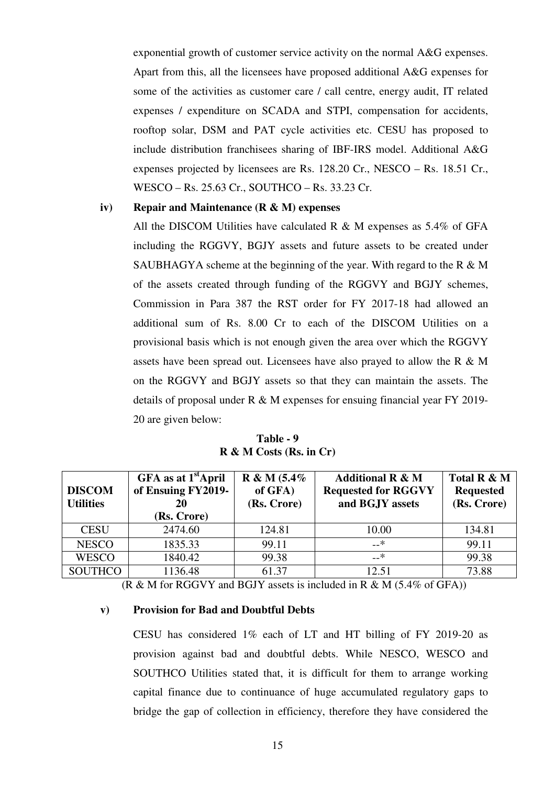exponential growth of customer service activity on the normal A&G expenses. Apart from this, all the licensees have proposed additional A&G expenses for some of the activities as customer care / call centre, energy audit, IT related expenses / expenditure on SCADA and STPI, compensation for accidents, rooftop solar, DSM and PAT cycle activities etc. CESU has proposed to include distribution franchisees sharing of IBF-IRS model. Additional A&G expenses projected by licensees are Rs. 128.20 Cr., NESCO – Rs. 18.51 Cr., WESCO – Rs. 25.63 Cr., SOUTHCO – Rs. 33.23 Cr.

#### **iv) Repair and Maintenance (R & M) expenses**

All the DISCOM Utilities have calculated R  $\&$  M expenses as 5.4% of GFA including the RGGVY, BGJY assets and future assets to be created under SAUBHAGYA scheme at the beginning of the year. With regard to the R  $\& M$ of the assets created through funding of the RGGVY and BGJY schemes, Commission in Para 387 the RST order for FY 2017-18 had allowed an additional sum of Rs. 8.00 Cr to each of the DISCOM Utilities on a provisional basis which is not enough given the area over which the RGGVY assets have been spread out. Licensees have also prayed to allow the R & M on the RGGVY and BGJY assets so that they can maintain the assets. The details of proposal under R & M expenses for ensuing financial year FY 2019- 20 are given below:

**Table - 9 R & M Costs (Rs. in Cr)** 

| <b>DISCOM</b><br><b>Utilities</b> | GFA as at 1 <sup>st</sup> April<br>of Ensuing FY2019-<br>20<br>(Rs. Crore) | $R & M (5.4\%$<br>of GFA)<br>(Rs. Crore) | <b>Additional R &amp; M</b><br><b>Requested for RGGVY</b><br>and BGJY assets | Total R & M<br><b>Requested</b><br>(Rs. Crore) |
|-----------------------------------|----------------------------------------------------------------------------|------------------------------------------|------------------------------------------------------------------------------|------------------------------------------------|
| <b>CESU</b>                       | 2474.60                                                                    | 124.81                                   | 10.00                                                                        | 134.81                                         |
| <b>NESCO</b>                      | 1835.33                                                                    | 99.11                                    | –_*                                                                          | 99.11                                          |
| <b>WESCO</b>                      | 1840.42                                                                    | 99.38                                    | –_*                                                                          | 99.38                                          |
| <b>SOUTHCO</b>                    | 1136.48                                                                    | 61.37                                    | 12.51                                                                        | 73.88                                          |

 $(R \& M \text{ for RGGVY and BGJY assets is included in R \& M (5.4\% of GFA))}$ 

#### **v) Provision for Bad and Doubtful Debts**

CESU has considered 1% each of LT and HT billing of FY 2019-20 as provision against bad and doubtful debts. While NESCO, WESCO and SOUTHCO Utilities stated that, it is difficult for them to arrange working capital finance due to continuance of huge accumulated regulatory gaps to bridge the gap of collection in efficiency, therefore they have considered the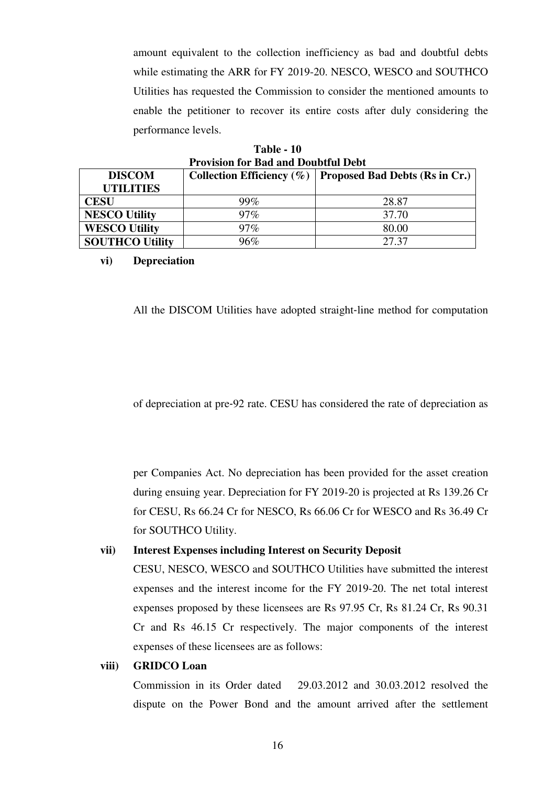amount equivalent to the collection inefficiency as bad and doubtful debts while estimating the ARR for FY 2019-20. NESCO, WESCO and SOUTHCO Utilities has requested the Commission to consider the mentioned amounts to enable the petitioner to recover its entire costs after duly considering the performance levels.

| Table - 10 |                                            |  |  |  |  |
|------------|--------------------------------------------|--|--|--|--|
|            | <b>Provision for Bad and Doubtful Debt</b> |  |  |  |  |

| <b>DISCOM</b>          |        | Collection Efficiency $(\% )$   Proposed Bad Debts (Rs in Cr.) |  |  |  |  |  |
|------------------------|--------|----------------------------------------------------------------|--|--|--|--|--|
| <b>UTILITIES</b>       |        |                                                                |  |  |  |  |  |
| <b>CESU</b>            | $99\%$ | 28.87                                                          |  |  |  |  |  |
| <b>NESCO Utility</b>   | $97\%$ | 37.70                                                          |  |  |  |  |  |
| <b>WESCO Utility</b>   | $97\%$ | 80.00                                                          |  |  |  |  |  |
| <b>SOUTHCO Utility</b> | 96%    | 27.37                                                          |  |  |  |  |  |

## **vi) Depreciation**

All the DISCOM Utilities have adopted straight‐line method for computation

of depreciation at pre‐92 rate. CESU has considered the rate of depreciation as

per Companies Act. No depreciation has been provided for the asset creation during ensuing year. Depreciation for FY 2019-20 is projected at Rs 139.26 Cr for CESU, Rs 66.24 Cr for NESCO, Rs 66.06 Cr for WESCO and Rs 36.49 Cr for SOUTHCO Utility.

#### **vii) Interest Expenses including Interest on Security Deposit**

CESU, NESCO, WESCO and SOUTHCO Utilities have submitted the interest expenses and the interest income for the FY 2019-20. The net total interest expenses proposed by these licensees are Rs 97.95 Cr, Rs 81.24 Cr, Rs 90.31 Cr and Rs 46.15 Cr respectively. The major components of the interest expenses of these licensees are as follows:

#### **viii) GRIDCO Loan**

Commission in its Order dated 29.03.2012 and 30.03.2012 resolved the dispute on the Power Bond and the amount arrived after the settlement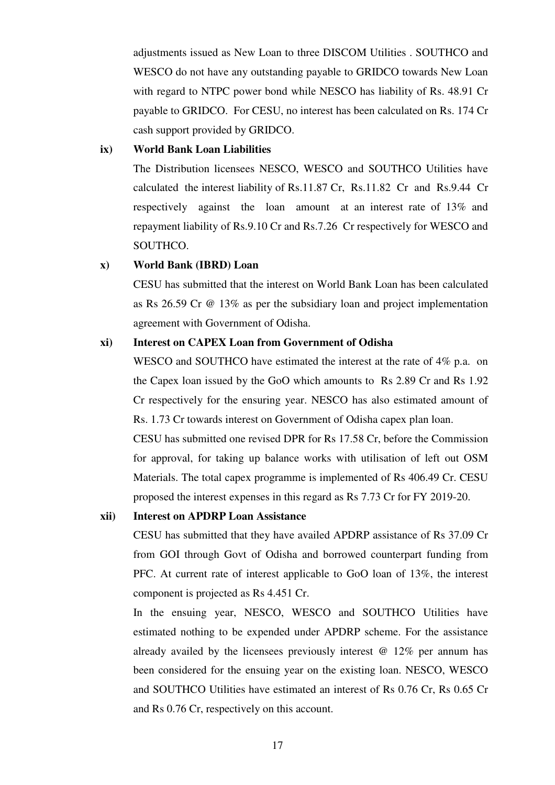adjustments issued as New Loan to three DISCOM Utilities . SOUTHCO and WESCO do not have any outstanding payable to GRIDCO towards New Loan with regard to NTPC power bond while NESCO has liability of Rs. 48.91 Cr payable to GRIDCO. For CESU, no interest has been calculated on Rs. 174 Cr cash support provided by GRIDCO.

#### **ix) World Bank Loan Liabilities**

The Distribution licensees NESCO, WESCO and SOUTHCO Utilities have calculated the interest liability of Rs.11.87 Cr, Rs.11.82 Cr and Rs.9.44 Cr respectively against the loan amount at an interest rate of 13% and repayment liability of Rs.9.10 Cr and Rs.7.26 Cr respectively for WESCO and SOUTHCO.

#### **x) World Bank (IBRD) Loan**

CESU has submitted that the interest on World Bank Loan has been calculated as Rs 26.59 Cr @ 13% as per the subsidiary loan and project implementation agreement with Government of Odisha.

## **xi) Interest on CAPEX Loan from Government of Odisha**

WESCO and SOUTHCO have estimated the interest at the rate of 4% p.a. on the Capex loan issued by the GoO which amounts to Rs 2.89 Cr and Rs 1.92 Cr respectively for the ensuring year. NESCO has also estimated amount of Rs. 1.73 Cr towards interest on Government of Odisha capex plan loan.

CESU has submitted one revised DPR for Rs 17.58 Cr, before the Commission for approval, for taking up balance works with utilisation of left out OSM Materials. The total capex programme is implemented of Rs 406.49 Cr. CESU proposed the interest expenses in this regard as Rs 7.73 Cr for FY 2019-20.

## **xii) Interest on APDRP Loan Assistance**

CESU has submitted that they have availed APDRP assistance of Rs 37.09 Cr from GOI through Govt of Odisha and borrowed counterpart funding from PFC. At current rate of interest applicable to GoO loan of 13%, the interest component is projected as Rs 4.451 Cr.

In the ensuing year, NESCO, WESCO and SOUTHCO Utilities have estimated nothing to be expended under APDRP scheme. For the assistance already availed by the licensees previously interest  $\omega$  12% per annum has been considered for the ensuing year on the existing loan. NESCO, WESCO and SOUTHCO Utilities have estimated an interest of Rs 0.76 Cr, Rs 0.65 Cr and Rs 0.76 Cr, respectively on this account.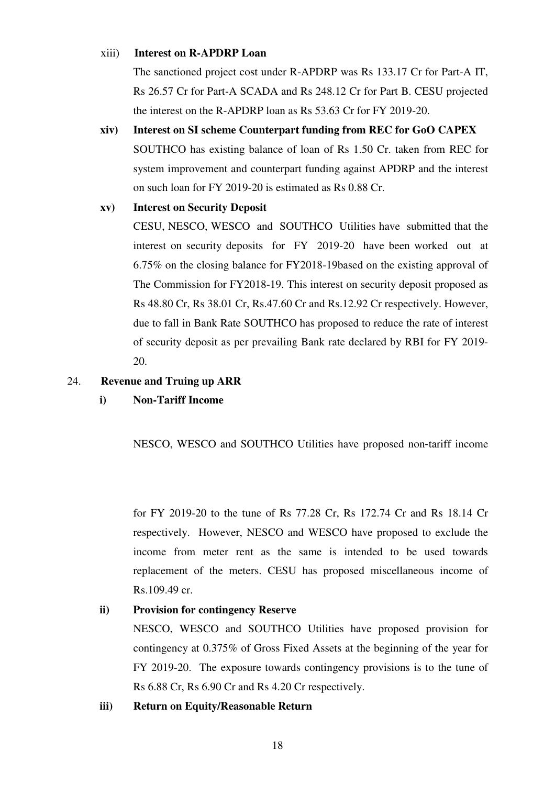#### xiii) **Interest on R-APDRP Loan**

The sanctioned project cost under R-APDRP was Rs 133.17 Cr for Part-A IT, Rs 26.57 Cr for Part-A SCADA and Rs 248.12 Cr for Part B. CESU projected the interest on the R-APDRP loan as Rs 53.63 Cr for FY 2019-20.

**xiv) Interest on SI scheme Counterpart funding from REC for GoO CAPEX**  SOUTHCO has existing balance of loan of Rs 1.50 Cr. taken from REC for system improvement and counterpart funding against APDRP and the interest on such loan for FY 2019-20 is estimated as Rs 0.88 Cr.

## **xv) Interest on Security Deposit**

CESU, NESCO, WESCO and SOUTHCO Utilities have submitted that the interest on security deposits for FY 2019-20 have been worked out at 6.75% on the closing balance for FY2018-19based on the existing approval of The Commission for FY2018-19. This interest on security deposit proposed as Rs 48.80 Cr, Rs 38.01 Cr, Rs.47.60 Cr and Rs.12.92 Cr respectively. However, due to fall in Bank Rate SOUTHCO has proposed to reduce the rate of interest of security deposit as per prevailing Bank rate declared by RBI for FY 2019- 20.

## 24. **Revenue and Truing up ARR**

# **i) Non-Tariff Income**

NESCO, WESCO and SOUTHCO Utilities have proposed non‐tariff income

for FY 2019-20 to the tune of Rs 77.28 Cr, Rs 172.74 Cr and Rs 18.14 Cr respectively. However, NESCO and WESCO have proposed to exclude the income from meter rent as the same is intended to be used towards replacement of the meters. CESU has proposed miscellaneous income of Rs.109.49 cr.

# **ii) Provision for contingency Reserve**

NESCO, WESCO and SOUTHCO Utilities have proposed provision for contingency at 0.375% of Gross Fixed Assets at the beginning of the year for FY 2019-20. The exposure towards contingency provisions is to the tune of Rs 6.88 Cr, Rs 6.90 Cr and Rs 4.20 Cr respectively.

### **iii) Return on Equity/Reasonable Return**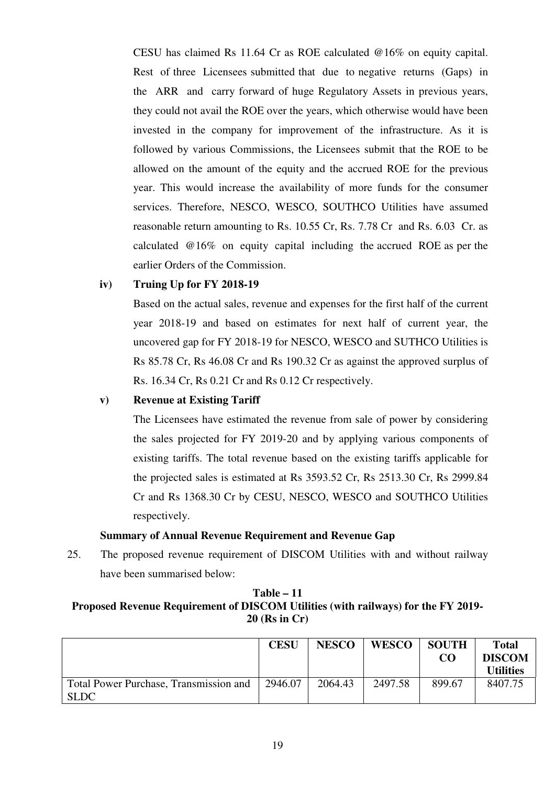CESU has claimed Rs 11.64 Cr as ROE calculated @16% on equity capital. Rest of three Licensees submitted that due to negative returns (Gaps) in the ARR and carry forward of huge Regulatory Assets in previous years, they could not avail the ROE over the years, which otherwise would have been invested in the company for improvement of the infrastructure. As it is followed by various Commissions, the Licensees submit that the ROE to be allowed on the amount of the equity and the accrued ROE for the previous year. This would increase the availability of more funds for the consumer services. Therefore, NESCO, WESCO, SOUTHCO Utilities have assumed reasonable return amounting to Rs. 10.55 Cr, Rs. 7.78 Cr and Rs. 6.03 Cr. as calculated @16% on equity capital including the accrued ROE as per the earlier Orders of the Commission.

# **iv) Truing Up for FY 2018-19**

Based on the actual sales, revenue and expenses for the first half of the current year 2018-19 and based on estimates for next half of current year, the uncovered gap for FY 2018-19 for NESCO, WESCO and SUTHCO Utilities is Rs 85.78 Cr, Rs 46.08 Cr and Rs 190.32 Cr as against the approved surplus of Rs. 16.34 Cr, Rs 0.21 Cr and Rs 0.12 Cr respectively.

### **v) Revenue at Existing Tariff**

The Licensees have estimated the revenue from sale of power by considering the sales projected for FY 2019-20 and by applying various components of existing tariffs. The total revenue based on the existing tariffs applicable for the projected sales is estimated at Rs 3593.52 Cr, Rs 2513.30 Cr, Rs 2999.84 Cr and Rs 1368.30 Cr by CESU, NESCO, WESCO and SOUTHCO Utilities respectively.

## **Summary of Annual Revenue Requirement and Revenue Gap**

25. The proposed revenue requirement of DISCOM Utilities with and without railway have been summarised below:

## **Table – 11 Proposed Revenue Requirement of DISCOM Utilities (with railways) for the FY 2019- 20 (Rs in Cr)**

|                                        | <b>CESU</b> | <b>NESCO</b> | <b>WESCO</b> | <b>SOUTH</b>    | Total            |
|----------------------------------------|-------------|--------------|--------------|-----------------|------------------|
|                                        |             |              |              | CO <sub>0</sub> | <b>DISCOM</b>    |
|                                        |             |              |              |                 | <b>Utilities</b> |
| Total Power Purchase, Transmission and | 2946.07     | 2064.43      | 2497.58      | 899.67          | 8407.75          |
| <b>SLDC</b>                            |             |              |              |                 |                  |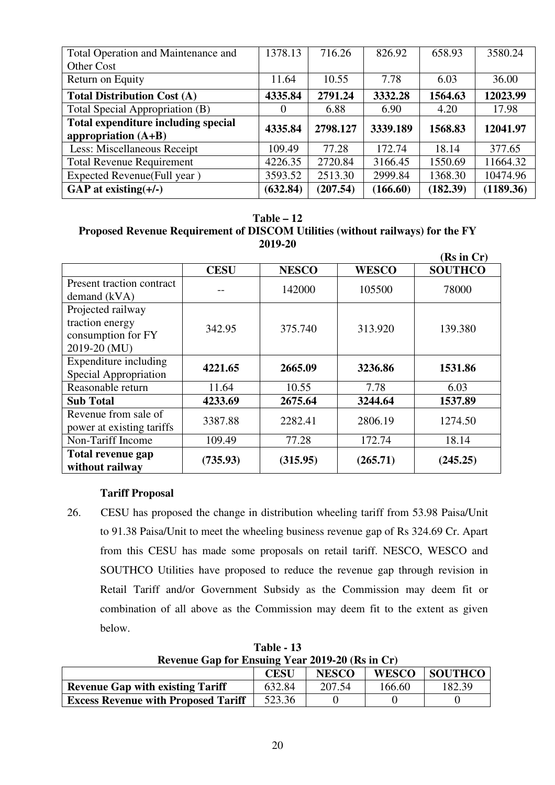| Total Operation and Maintenance and<br>Other Cost | 1378.13  | 716.26   | 826.92   | 658.93   | 3580.24   |
|---------------------------------------------------|----------|----------|----------|----------|-----------|
| Return on Equity                                  | 11.64    | 10.55    | 7.78     | 6.03     | 36.00     |
| <b>Total Distribution Cost (A)</b>                | 4335.84  | 2791.24  | 3332.28  | 1564.63  | 12023.99  |
| Total Special Appropriation (B)                   | $\theta$ | 6.88     | 6.90     | 4.20     | 17.98     |
| Total expenditure including special               | 4335.84  | 2798.127 | 3339.189 | 1568.83  | 12041.97  |
| appropriation $(A+B)$                             |          |          |          |          |           |
| Less: Miscellaneous Receipt                       | 109.49   | 77.28    | 172.74   | 18.14    | 377.65    |
| <b>Total Revenue Requirement</b>                  | 4226.35  | 2720.84  | 3166.45  | 1550.69  | 11664.32  |
| Expected Revenue(Full year)                       | 3593.52  | 2513.30  | 2999.84  | 1368.30  | 10474.96  |
| GAP at existing $(+/-)$                           | (632.84) | (207.54) | (166.60) | (182.39) | (1189.36) |

#### **Table – 12**

# **Proposed Revenue Requirement of DISCOM Utilities (without railways) for the FY 2019-20**

|                                                                            |             |              |              | (Rs in Cr)     |
|----------------------------------------------------------------------------|-------------|--------------|--------------|----------------|
|                                                                            | <b>CESU</b> | <b>NESCO</b> | <b>WESCO</b> | <b>SOUTHCO</b> |
| Present traction contract<br>demand $(kVA)$                                |             | 142000       | 105500       | 78000          |
| Projected railway<br>traction energy<br>consumption for FY<br>2019-20 (MU) | 342.95      | 375.740      | 313.920      | 139.380        |
| Expenditure including<br>Special Appropriation                             | 4221.65     | 2665.09      | 3236.86      | 1531.86        |
| Reasonable return                                                          | 11.64       | 10.55        | 7.78         | 6.03           |
| <b>Sub Total</b>                                                           | 4233.69     | 2675.64      | 3244.64      | 1537.89        |
| Revenue from sale of<br>power at existing tariffs                          | 3387.88     | 2282.41      | 2806.19      | 1274.50        |
| Non-Tariff Income                                                          | 109.49      | 77.28        | 172.74       | 18.14          |
| Total revenue gap<br>without railway                                       | (735.93)    | (315.95)     | (265.71)     | (245.25)       |

### **Tariff Proposal**

26. CESU has proposed the change in distribution wheeling tariff from 53.98 Paisa/Unit to 91.38 Paisa/Unit to meet the wheeling business revenue gap of Rs 324.69 Cr. Apart from this CESU has made some proposals on retail tariff. NESCO, WESCO and SOUTHCO Utilities have proposed to reduce the revenue gap through revision in Retail Tariff and/or Government Subsidy as the Commission may deem fit or combination of all above as the Commission may deem fit to the extent as given below.

**Table - 13 Revenue Gap for Ensuing Year 2019-20 (Rs in Cr)** 

|                                            | <b>CESU</b> | <b>NESCO</b> | <b>WESCO</b> | <b>SOUTHCO</b> |  |  |  |
|--------------------------------------------|-------------|--------------|--------------|----------------|--|--|--|
| <b>Revenue Gap with existing Tariff</b>    | 632.84      | 207.54       | 166.60       | 182.39         |  |  |  |
| <b>Excess Revenue with Proposed Tariff</b> | 523.36      |              |              |                |  |  |  |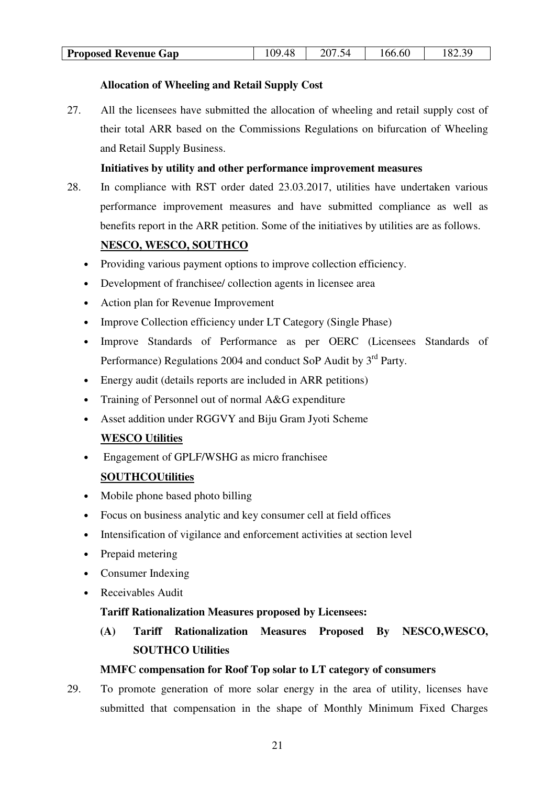| Proposed<br><b>Revenue Gap</b> | 48<br>ΩC<br>тυ<br>$\cdot$ | ৲∠<br>$\cdot$ $\cdot$ | .66.60 | oc<br>റ<br>ن ∠ن |
|--------------------------------|---------------------------|-----------------------|--------|-----------------|

# **Allocation of Wheeling and Retail Supply Cost**

27. All the licensees have submitted the allocation of wheeling and retail supply cost of their total ARR based on the Commissions Regulations on bifurcation of Wheeling and Retail Supply Business.

## **Initiatives by utility and other performance improvement measures**

28. In compliance with RST order dated 23.03.2017, utilities have undertaken various performance improvement measures and have submitted compliance as well as benefits report in the ARR petition. Some of the initiatives by utilities are as follows.

## **NESCO, WESCO, SOUTHCO**

- Providing various payment options to improve collection efficiency.
- Development of franchisee/ collection agents in licensee area
- Action plan for Revenue Improvement
- Improve Collection efficiency under LT Category (Single Phase)
- Improve Standards of Performance as per OERC (Licensees Standards of Performance) Regulations 2004 and conduct SoP Audit by 3<sup>rd</sup> Party.
- Energy audit (details reports are included in ARR petitions)
- Training of Personnel out of normal A&G expenditure
- Asset addition under RGGVY and Biju Gram Jyoti Scheme

### **WESCO Utilities**

• Engagement of GPLF/WSHG as micro franchisee

# **SOUTHCOUtilities**

- Mobile phone based photo billing
- Focus on business analytic and key consumer cell at field offices
- Intensification of vigilance and enforcement activities at section level
- Prepaid metering
- Consumer Indexing
- Receivables Audit

### **Tariff Rationalization Measures proposed by Licensees:**

**(A) Tariff Rationalization Measures Proposed By NESCO,WESCO, SOUTHCO Utilities** 

### **MMFC compensation for Roof Top solar to LT category of consumers**

29. To promote generation of more solar energy in the area of utility, licenses have submitted that compensation in the shape of Monthly Minimum Fixed Charges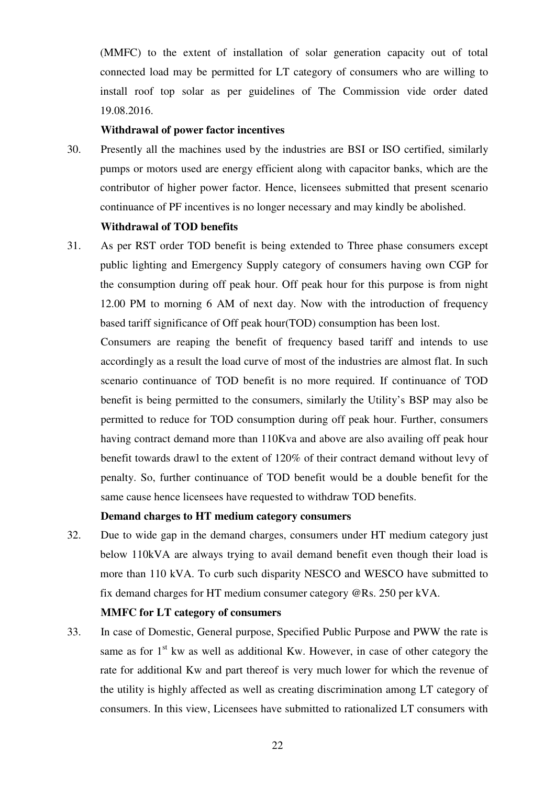(MMFC) to the extent of installation of solar generation capacity out of total connected load may be permitted for LT category of consumers who are willing to install roof top solar as per guidelines of The Commission vide order dated 19.08.2016.

#### **Withdrawal of power factor incentives**

30. Presently all the machines used by the industries are BSI or ISO certified, similarly pumps or motors used are energy efficient along with capacitor banks, which are the contributor of higher power factor. Hence, licensees submitted that present scenario continuance of PF incentives is no longer necessary and may kindly be abolished.

## **Withdrawal of TOD benefits**

31. As per RST order TOD benefit is being extended to Three phase consumers except public lighting and Emergency Supply category of consumers having own CGP for the consumption during off peak hour. Off peak hour for this purpose is from night 12.00 PM to morning 6 AM of next day. Now with the introduction of frequency based tariff significance of Off peak hour(TOD) consumption has been lost.

Consumers are reaping the benefit of frequency based tariff and intends to use accordingly as a result the load curve of most of the industries are almost flat. In such scenario continuance of TOD benefit is no more required. If continuance of TOD benefit is being permitted to the consumers, similarly the Utility's BSP may also be permitted to reduce for TOD consumption during off peak hour. Further, consumers having contract demand more than 110Kva and above are also availing off peak hour benefit towards drawl to the extent of 120% of their contract demand without levy of penalty. So, further continuance of TOD benefit would be a double benefit for the same cause hence licensees have requested to withdraw TOD benefits.

#### **Demand charges to HT medium category consumers**

32. Due to wide gap in the demand charges, consumers under HT medium category just below 110kVA are always trying to avail demand benefit even though their load is more than 110 kVA. To curb such disparity NESCO and WESCO have submitted to fix demand charges for HT medium consumer category @Rs. 250 per kVA.

#### **MMFC for LT category of consumers**

33. In case of Domestic, General purpose, Specified Public Purpose and PWW the rate is same as for  $1<sup>st</sup>$  kw as well as additional Kw. However, in case of other category the rate for additional Kw and part thereof is very much lower for which the revenue of the utility is highly affected as well as creating discrimination among LT category of consumers. In this view, Licensees have submitted to rationalized LT consumers with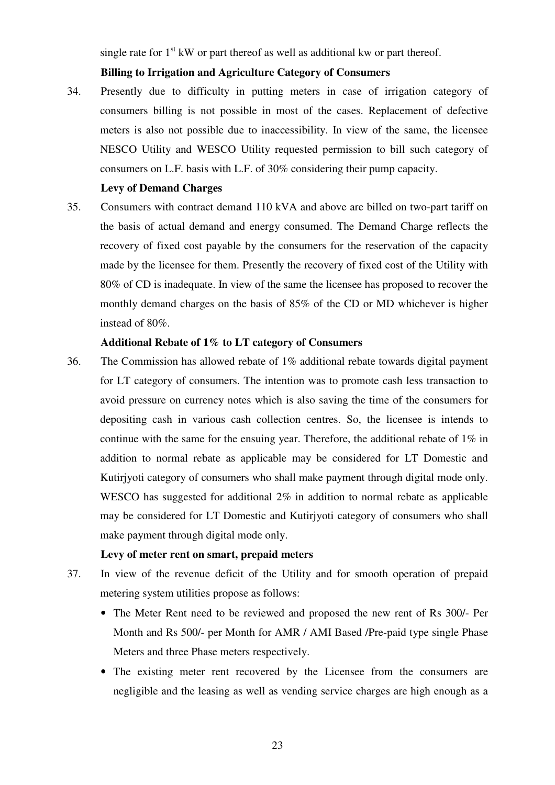single rate for  $1<sup>st</sup>$  kW or part thereof as well as additional kw or part thereof.

## **Billing to Irrigation and Agriculture Category of Consumers**

34. Presently due to difficulty in putting meters in case of irrigation category of consumers billing is not possible in most of the cases. Replacement of defective meters is also not possible due to inaccessibility. In view of the same, the licensee NESCO Utility and WESCO Utility requested permission to bill such category of consumers on L.F. basis with L.F. of 30% considering their pump capacity.

## **Levy of Demand Charges**

35. Consumers with contract demand 110 kVA and above are billed on two-part tariff on the basis of actual demand and energy consumed. The Demand Charge reflects the recovery of fixed cost payable by the consumers for the reservation of the capacity made by the licensee for them. Presently the recovery of fixed cost of the Utility with 80% of CD is inadequate. In view of the same the licensee has proposed to recover the monthly demand charges on the basis of 85% of the CD or MD whichever is higher instead of 80%.

## **Additional Rebate of 1% to LT category of Consumers**

36. The Commission has allowed rebate of 1% additional rebate towards digital payment for LT category of consumers. The intention was to promote cash less transaction to avoid pressure on currency notes which is also saving the time of the consumers for depositing cash in various cash collection centres. So, the licensee is intends to continue with the same for the ensuing year. Therefore, the additional rebate of 1% in addition to normal rebate as applicable may be considered for LT Domestic and Kutirjyoti category of consumers who shall make payment through digital mode only. WESCO has suggested for additional 2% in addition to normal rebate as applicable may be considered for LT Domestic and Kutirjyoti category of consumers who shall make payment through digital mode only.

### **Levy of meter rent on smart, prepaid meters**

- 37. In view of the revenue deficit of the Utility and for smooth operation of prepaid metering system utilities propose as follows:
	- The Meter Rent need to be reviewed and proposed the new rent of Rs 300/- Per Month and Rs 500/- per Month for AMR / AMI Based /Pre-paid type single Phase Meters and three Phase meters respectively.
	- The existing meter rent recovered by the Licensee from the consumers are negligible and the leasing as well as vending service charges are high enough as a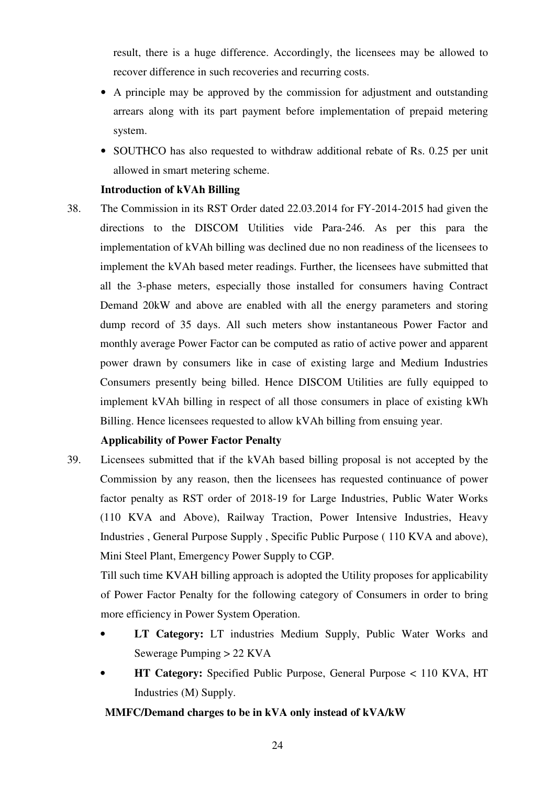result, there is a huge difference. Accordingly, the licensees may be allowed to recover difference in such recoveries and recurring costs.

- A principle may be approved by the commission for adjustment and outstanding arrears along with its part payment before implementation of prepaid metering system.
- SOUTHCO has also requested to withdraw additional rebate of Rs. 0.25 per unit allowed in smart metering scheme.

## **Introduction of kVAh Billing**

38. The Commission in its RST Order dated 22.03.2014 for FY-2014-2015 had given the directions to the DISCOM Utilities vide Para-246. As per this para the implementation of kVAh billing was declined due no non readiness of the licensees to implement the kVAh based meter readings. Further, the licensees have submitted that all the 3-phase meters, especially those installed for consumers having Contract Demand 20kW and above are enabled with all the energy parameters and storing dump record of 35 days. All such meters show instantaneous Power Factor and monthly average Power Factor can be computed as ratio of active power and apparent power drawn by consumers like in case of existing large and Medium Industries Consumers presently being billed. Hence DISCOM Utilities are fully equipped to implement kVAh billing in respect of all those consumers in place of existing kWh Billing. Hence licensees requested to allow kVAh billing from ensuing year.

# **Applicability of Power Factor Penalty**

39. Licensees submitted that if the kVAh based billing proposal is not accepted by the Commission by any reason, then the licensees has requested continuance of power factor penalty as RST order of 2018-19 for Large Industries, Public Water Works (110 KVA and Above), Railway Traction, Power Intensive Industries, Heavy Industries , General Purpose Supply , Specific Public Purpose ( 110 KVA and above), Mini Steel Plant, Emergency Power Supply to CGP.

Till such time KVAH billing approach is adopted the Utility proposes for applicability of Power Factor Penalty for the following category of Consumers in order to bring more efficiency in Power System Operation.

- **LT Category:** LT industries Medium Supply, Public Water Works and Sewerage Pumping > 22 KVA
- **HT Category:** Specified Public Purpose, General Purpose < 110 KVA, HT Industries (M) Supply.

# **MMFC/Demand charges to be in kVA only instead of kVA/kW**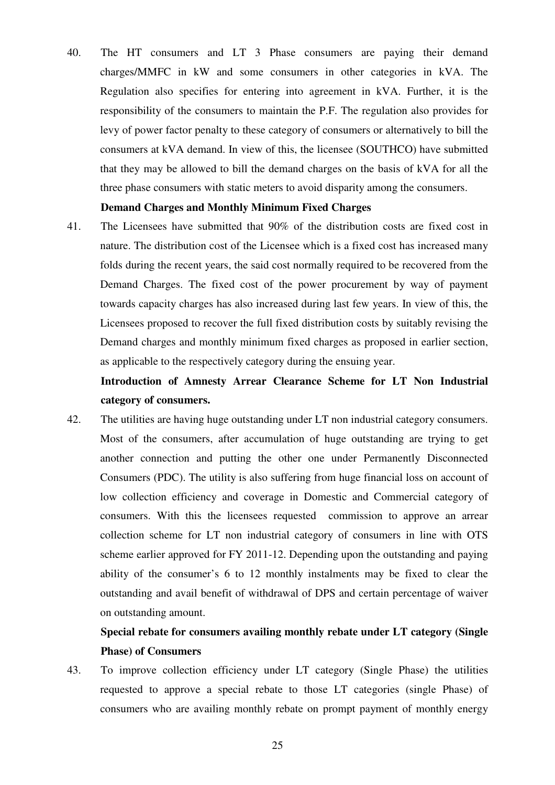40. The HT consumers and LT 3 Phase consumers are paying their demand charges/MMFC in kW and some consumers in other categories in kVA. The Regulation also specifies for entering into agreement in kVA. Further, it is the responsibility of the consumers to maintain the P.F. The regulation also provides for levy of power factor penalty to these category of consumers or alternatively to bill the consumers at kVA demand. In view of this, the licensee (SOUTHCO) have submitted that they may be allowed to bill the demand charges on the basis of kVA for all the three phase consumers with static meters to avoid disparity among the consumers.

#### **Demand Charges and Monthly Minimum Fixed Charges**

41. The Licensees have submitted that 90% of the distribution costs are fixed cost in nature. The distribution cost of the Licensee which is a fixed cost has increased many folds during the recent years, the said cost normally required to be recovered from the Demand Charges. The fixed cost of the power procurement by way of payment towards capacity charges has also increased during last few years. In view of this, the Licensees proposed to recover the full fixed distribution costs by suitably revising the Demand charges and monthly minimum fixed charges as proposed in earlier section, as applicable to the respectively category during the ensuing year.

# **Introduction of Amnesty Arrear Clearance Scheme for LT Non Industrial category of consumers.**

42. The utilities are having huge outstanding under LT non industrial category consumers. Most of the consumers, after accumulation of huge outstanding are trying to get another connection and putting the other one under Permanently Disconnected Consumers (PDC). The utility is also suffering from huge financial loss on account of low collection efficiency and coverage in Domestic and Commercial category of consumers. With this the licensees requested commission to approve an arrear collection scheme for LT non industrial category of consumers in line with OTS scheme earlier approved for FY 2011-12. Depending upon the outstanding and paying ability of the consumer's 6 to 12 monthly instalments may be fixed to clear the outstanding and avail benefit of withdrawal of DPS and certain percentage of waiver on outstanding amount.

# **Special rebate for consumers availing monthly rebate under LT category (Single Phase) of Consumers**

43. To improve collection efficiency under LT category (Single Phase) the utilities requested to approve a special rebate to those LT categories (single Phase) of consumers who are availing monthly rebate on prompt payment of monthly energy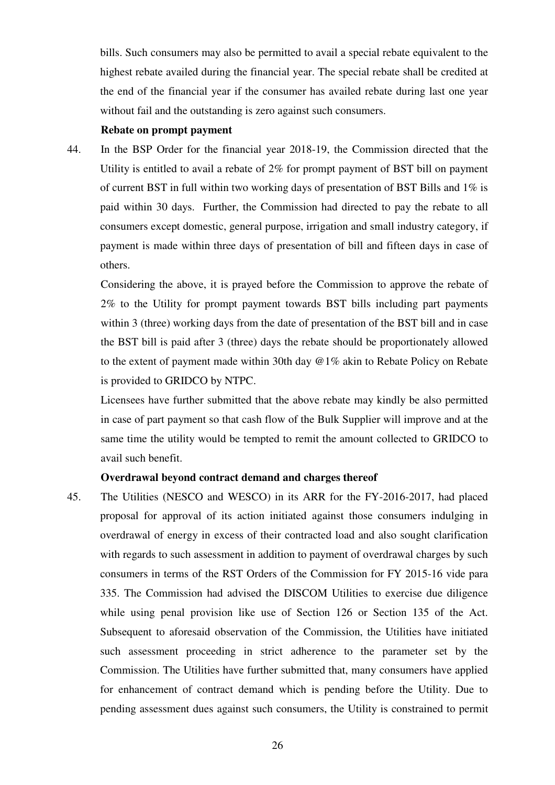bills. Such consumers may also be permitted to avail a special rebate equivalent to the highest rebate availed during the financial year. The special rebate shall be credited at the end of the financial year if the consumer has availed rebate during last one year without fail and the outstanding is zero against such consumers.

#### **Rebate on prompt payment**

44. In the BSP Order for the financial year 2018-19, the Commission directed that the Utility is entitled to avail a rebate of 2% for prompt payment of BST bill on payment of current BST in full within two working days of presentation of BST Bills and 1% is paid within 30 days. Further, the Commission had directed to pay the rebate to all consumers except domestic, general purpose, irrigation and small industry category, if payment is made within three days of presentation of bill and fifteen days in case of others.

Considering the above, it is prayed before the Commission to approve the rebate of 2% to the Utility for prompt payment towards BST bills including part payments within 3 (three) working days from the date of presentation of the BST bill and in case the BST bill is paid after 3 (three) days the rebate should be proportionately allowed to the extent of payment made within 30th day @1% akin to Rebate Policy on Rebate is provided to GRIDCO by NTPC.

Licensees have further submitted that the above rebate may kindly be also permitted in case of part payment so that cash flow of the Bulk Supplier will improve and at the same time the utility would be tempted to remit the amount collected to GRIDCO to avail such benefit.

#### **Overdrawal beyond contract demand and charges thereof**

45. The Utilities (NESCO and WESCO) in its ARR for the FY-2016-2017, had placed proposal for approval of its action initiated against those consumers indulging in overdrawal of energy in excess of their contracted load and also sought clarification with regards to such assessment in addition to payment of overdrawal charges by such consumers in terms of the RST Orders of the Commission for FY 2015-16 vide para 335. The Commission had advised the DISCOM Utilities to exercise due diligence while using penal provision like use of Section 126 or Section 135 of the Act. Subsequent to aforesaid observation of the Commission, the Utilities have initiated such assessment proceeding in strict adherence to the parameter set by the Commission. The Utilities have further submitted that, many consumers have applied for enhancement of contract demand which is pending before the Utility. Due to pending assessment dues against such consumers, the Utility is constrained to permit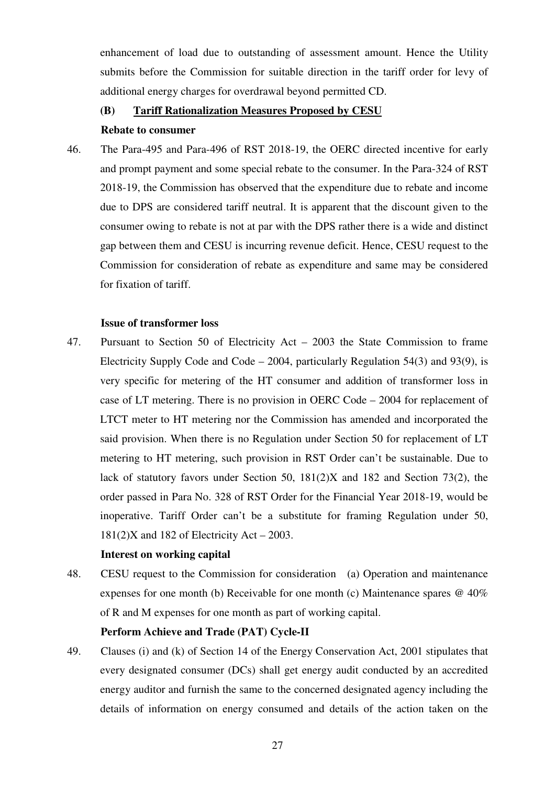enhancement of load due to outstanding of assessment amount. Hence the Utility submits before the Commission for suitable direction in the tariff order for levy of additional energy charges for overdrawal beyond permitted CD.

#### **(B) Tariff Rationalization Measures Proposed by CESU**

#### **Rebate to consumer**

46. The Para-495 and Para-496 of RST 2018-19, the OERC directed incentive for early and prompt payment and some special rebate to the consumer. In the Para-324 of RST 2018-19, the Commission has observed that the expenditure due to rebate and income due to DPS are considered tariff neutral. It is apparent that the discount given to the consumer owing to rebate is not at par with the DPS rather there is a wide and distinct gap between them and CESU is incurring revenue deficit. Hence, CESU request to the Commission for consideration of rebate as expenditure and same may be considered for fixation of tariff.

#### **Issue of transformer loss**

47. Pursuant to Section 50 of Electricity Act – 2003 the State Commission to frame Electricity Supply Code and Code – 2004, particularly Regulation 54(3) and 93(9), is very specific for metering of the HT consumer and addition of transformer loss in case of LT metering. There is no provision in OERC Code – 2004 for replacement of LTCT meter to HT metering nor the Commission has amended and incorporated the said provision. When there is no Regulation under Section 50 for replacement of LT metering to HT metering, such provision in RST Order can't be sustainable. Due to lack of statutory favors under Section 50, 181(2)X and 182 and Section 73(2), the order passed in Para No. 328 of RST Order for the Financial Year 2018-19, would be inoperative. Tariff Order can't be a substitute for framing Regulation under 50,  $181(2)X$  and 182 of Electricity Act – 2003.

#### **Interest on working capital**

48. CESU request to the Commission for consideration (a) Operation and maintenance expenses for one month (b) Receivable for one month (c) Maintenance spares @ 40% of R and M expenses for one month as part of working capital.

#### **Perform Achieve and Trade (PAT) Cycle-II**

49. Clauses (i) and (k) of Section 14 of the Energy Conservation Act, 2001 stipulates that every designated consumer (DCs) shall get energy audit conducted by an accredited energy auditor and furnish the same to the concerned designated agency including the details of information on energy consumed and details of the action taken on the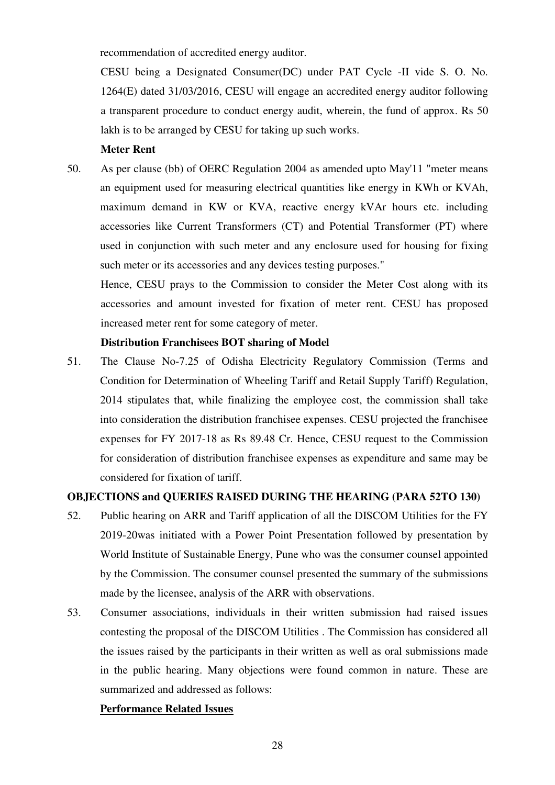recommendation of accredited energy auditor.

CESU being a Designated Consumer(DC) under PAT Cycle -II vide S. O. No. 1264(E) dated 31/03/2016, CESU will engage an accredited energy auditor following a transparent procedure to conduct energy audit, wherein, the fund of approx. Rs 50 lakh is to be arranged by CESU for taking up such works.

#### **Meter Rent**

50. As per clause (bb) of OERC Regulation 2004 as amended upto May'11 "meter means an equipment used for measuring electrical quantities like energy in KWh or KVAh, maximum demand in KW or KVA, reactive energy kVAr hours etc. including accessories like Current Transformers (CT) and Potential Transformer (PT) where used in conjunction with such meter and any enclosure used for housing for fixing such meter or its accessories and any devices testing purposes."

Hence, CESU prays to the Commission to consider the Meter Cost along with its accessories and amount invested for fixation of meter rent. CESU has proposed increased meter rent for some category of meter.

## **Distribution Franchisees BOT sharing of Model**

51. The Clause No-7.25 of Odisha Electricity Regulatory Commission (Terms and Condition for Determination of Wheeling Tariff and Retail Supply Tariff) Regulation, 2014 stipulates that, while finalizing the employee cost, the commission shall take into consideration the distribution franchisee expenses. CESU projected the franchisee expenses for FY 2017-18 as Rs 89.48 Cr. Hence, CESU request to the Commission for consideration of distribution franchisee expenses as expenditure and same may be considered for fixation of tariff.

## **OBJECTIONS and QUERIES RAISED DURING THE HEARING (PARA 52TO 130)**

- 52. Public hearing on ARR and Tariff application of all the DISCOM Utilities for the FY 2019-20was initiated with a Power Point Presentation followed by presentation by World Institute of Sustainable Energy, Pune who was the consumer counsel appointed by the Commission. The consumer counsel presented the summary of the submissions made by the licensee, analysis of the ARR with observations.
- 53. Consumer associations, individuals in their written submission had raised issues contesting the proposal of the DISCOM Utilities . The Commission has considered all the issues raised by the participants in their written as well as oral submissions made in the public hearing. Many objections were found common in nature. These are summarized and addressed as follows:

## **Performance Related Issues**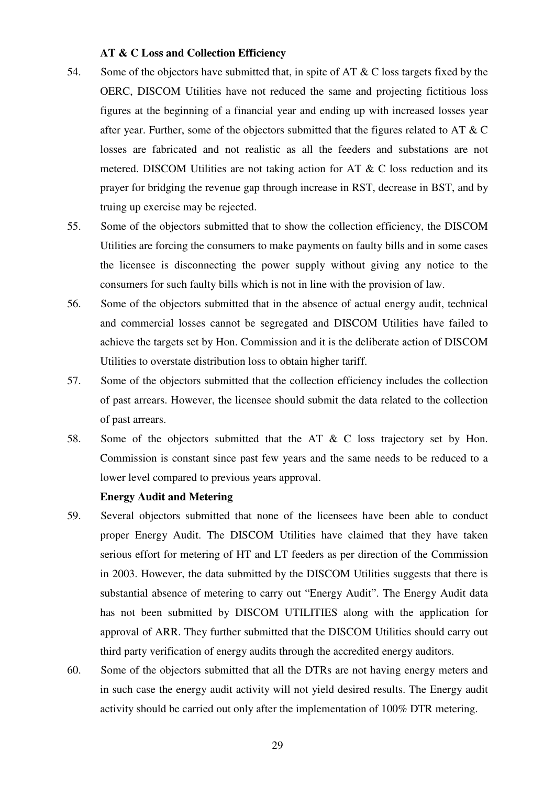#### **AT & C Loss and Collection Efficiency**

- 54. Some of the objectors have submitted that, in spite of AT  $\&$  C loss targets fixed by the OERC, DISCOM Utilities have not reduced the same and projecting fictitious loss figures at the beginning of a financial year and ending up with increased losses year after year. Further, some of the objectors submitted that the figures related to AT & C losses are fabricated and not realistic as all the feeders and substations are not metered. DISCOM Utilities are not taking action for AT & C loss reduction and its prayer for bridging the revenue gap through increase in RST, decrease in BST, and by truing up exercise may be rejected.
- 55. Some of the objectors submitted that to show the collection efficiency, the DISCOM Utilities are forcing the consumers to make payments on faulty bills and in some cases the licensee is disconnecting the power supply without giving any notice to the consumers for such faulty bills which is not in line with the provision of law.
- 56. Some of the objectors submitted that in the absence of actual energy audit, technical and commercial losses cannot be segregated and DISCOM Utilities have failed to achieve the targets set by Hon. Commission and it is the deliberate action of DISCOM Utilities to overstate distribution loss to obtain higher tariff.
- 57. Some of the objectors submitted that the collection efficiency includes the collection of past arrears. However, the licensee should submit the data related to the collection of past arrears.
- 58. Some of the objectors submitted that the AT & C loss trajectory set by Hon. Commission is constant since past few years and the same needs to be reduced to a lower level compared to previous years approval.

## **Energy Audit and Metering**

- 59. Several objectors submitted that none of the licensees have been able to conduct proper Energy Audit. The DISCOM Utilities have claimed that they have taken serious effort for metering of HT and LT feeders as per direction of the Commission in 2003. However, the data submitted by the DISCOM Utilities suggests that there is substantial absence of metering to carry out "Energy Audit". The Energy Audit data has not been submitted by DISCOM UTILITIES along with the application for approval of ARR. They further submitted that the DISCOM Utilities should carry out third party verification of energy audits through the accredited energy auditors.
- 60. Some of the objectors submitted that all the DTRs are not having energy meters and in such case the energy audit activity will not yield desired results. The Energy audit activity should be carried out only after the implementation of 100% DTR metering.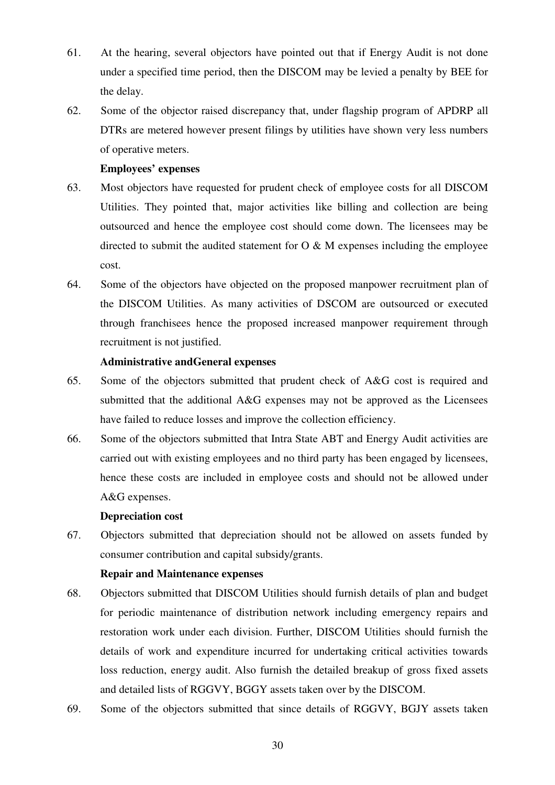- 61. At the hearing, several objectors have pointed out that if Energy Audit is not done under a specified time period, then the DISCOM may be levied a penalty by BEE for the delay.
- 62. Some of the objector raised discrepancy that, under flagship program of APDRP all DTRs are metered however present filings by utilities have shown very less numbers of operative meters.

## **Employees' expenses**

- 63. Most objectors have requested for prudent check of employee costs for all DISCOM Utilities. They pointed that, major activities like billing and collection are being outsourced and hence the employee cost should come down. The licensees may be directed to submit the audited statement for  $O \& M$  expenses including the employee cost.
- 64. Some of the objectors have objected on the proposed manpower recruitment plan of the DISCOM Utilities. As many activities of DSCOM are outsourced or executed through franchisees hence the proposed increased manpower requirement through recruitment is not justified.

## **Administrative andGeneral expenses**

- 65. Some of the objectors submitted that prudent check of A&G cost is required and submitted that the additional A&G expenses may not be approved as the Licensees have failed to reduce losses and improve the collection efficiency.
- 66. Some of the objectors submitted that Intra State ABT and Energy Audit activities are carried out with existing employees and no third party has been engaged by licensees, hence these costs are included in employee costs and should not be allowed under A&G expenses.

# **Depreciation cost**

67. Objectors submitted that depreciation should not be allowed on assets funded by consumer contribution and capital subsidy/grants.

# **Repair and Maintenance expenses**

- 68. Objectors submitted that DISCOM Utilities should furnish details of plan and budget for periodic maintenance of distribution network including emergency repairs and restoration work under each division. Further, DISCOM Utilities should furnish the details of work and expenditure incurred for undertaking critical activities towards loss reduction, energy audit. Also furnish the detailed breakup of gross fixed assets and detailed lists of RGGVY, BGGY assets taken over by the DISCOM.
- 69. Some of the objectors submitted that since details of RGGVY, BGJY assets taken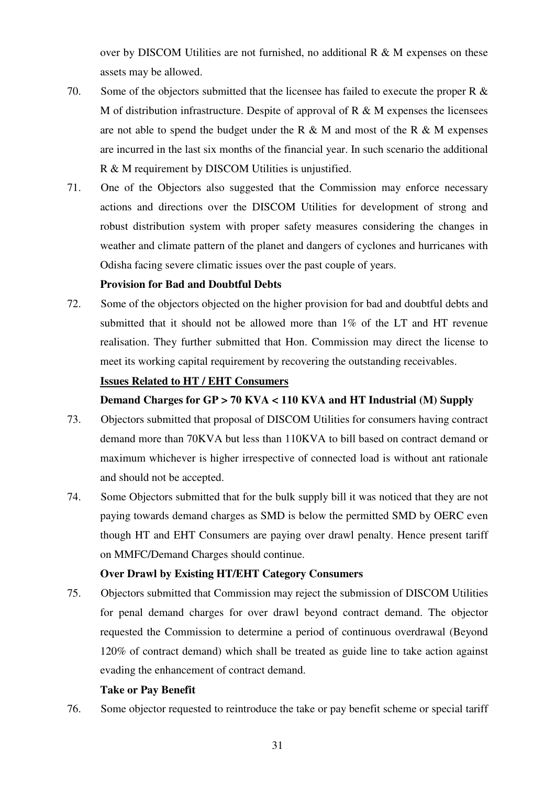over by DISCOM Utilities are not furnished, no additional R & M expenses on these assets may be allowed.

- 70. Some of the objectors submitted that the licensee has failed to execute the proper R & M of distribution infrastructure. Despite of approval of  $R \& M$  expenses the licensees are not able to spend the budget under the R  $\&$  M and most of the R  $\&$  M expenses are incurred in the last six months of the financial year. In such scenario the additional R & M requirement by DISCOM Utilities is unjustified.
- 71. One of the Objectors also suggested that the Commission may enforce necessary actions and directions over the DISCOM Utilities for development of strong and robust distribution system with proper safety measures considering the changes in weather and climate pattern of the planet and dangers of cyclones and hurricanes with Odisha facing severe climatic issues over the past couple of years.

## **Provision for Bad and Doubtful Debts**

72. Some of the objectors objected on the higher provision for bad and doubtful debts and submitted that it should not be allowed more than 1% of the LT and HT revenue realisation. They further submitted that Hon. Commission may direct the license to meet its working capital requirement by recovering the outstanding receivables.

## **Issues Related to HT / EHT Consumers**

### **Demand Charges for GP > 70 KVA < 110 KVA and HT Industrial (M) Supply**

- 73. Objectors submitted that proposal of DISCOM Utilities for consumers having contract demand more than 70KVA but less than 110KVA to bill based on contract demand or maximum whichever is higher irrespective of connected load is without ant rationale and should not be accepted.
- 74. Some Objectors submitted that for the bulk supply bill it was noticed that they are not paying towards demand charges as SMD is below the permitted SMD by OERC even though HT and EHT Consumers are paying over drawl penalty. Hence present tariff on MMFC/Demand Charges should continue.

# **Over Drawl by Existing HT/EHT Category Consumers**

75. Objectors submitted that Commission may reject the submission of DISCOM Utilities for penal demand charges for over drawl beyond contract demand. The objector requested the Commission to determine a period of continuous overdrawal (Beyond 120% of contract demand) which shall be treated as guide line to take action against evading the enhancement of contract demand.

### **Take or Pay Benefit**

76. Some objector requested to reintroduce the take or pay benefit scheme or special tariff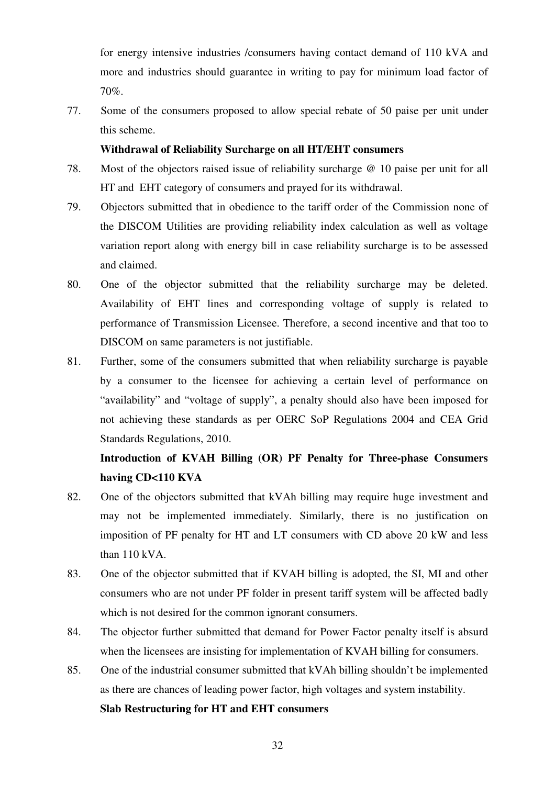for energy intensive industries /consumers having contact demand of 110 kVA and more and industries should guarantee in writing to pay for minimum load factor of 70%.

77. Some of the consumers proposed to allow special rebate of 50 paise per unit under this scheme.

## **Withdrawal of Reliability Surcharge on all HT/EHT consumers**

- 78. Most of the objectors raised issue of reliability surcharge @ 10 paise per unit for all HT and EHT category of consumers and prayed for its withdrawal.
- 79. Objectors submitted that in obedience to the tariff order of the Commission none of the DISCOM Utilities are providing reliability index calculation as well as voltage variation report along with energy bill in case reliability surcharge is to be assessed and claimed.
- 80. One of the objector submitted that the reliability surcharge may be deleted. Availability of EHT lines and corresponding voltage of supply is related to performance of Transmission Licensee. Therefore, a second incentive and that too to DISCOM on same parameters is not justifiable.
- 81. Further, some of the consumers submitted that when reliability surcharge is payable by a consumer to the licensee for achieving a certain level of performance on "availability" and "voltage of supply", a penalty should also have been imposed for not achieving these standards as per OERC SoP Regulations 2004 and CEA Grid Standards Regulations, 2010.

# **Introduction of KVAH Billing (OR) PF Penalty for Three-phase Consumers having CD<110 KVA**

- 82. One of the objectors submitted that kVAh billing may require huge investment and may not be implemented immediately. Similarly, there is no justification on imposition of PF penalty for HT and LT consumers with CD above 20 kW and less than 110 kVA.
- 83. One of the objector submitted that if KVAH billing is adopted, the SI, MI and other consumers who are not under PF folder in present tariff system will be affected badly which is not desired for the common ignorant consumers.
- 84. The objector further submitted that demand for Power Factor penalty itself is absurd when the licensees are insisting for implementation of KVAH billing for consumers.
- 85. One of the industrial consumer submitted that kVAh billing shouldn't be implemented as there are chances of leading power factor, high voltages and system instability.

## **Slab Restructuring for HT and EHT consumers**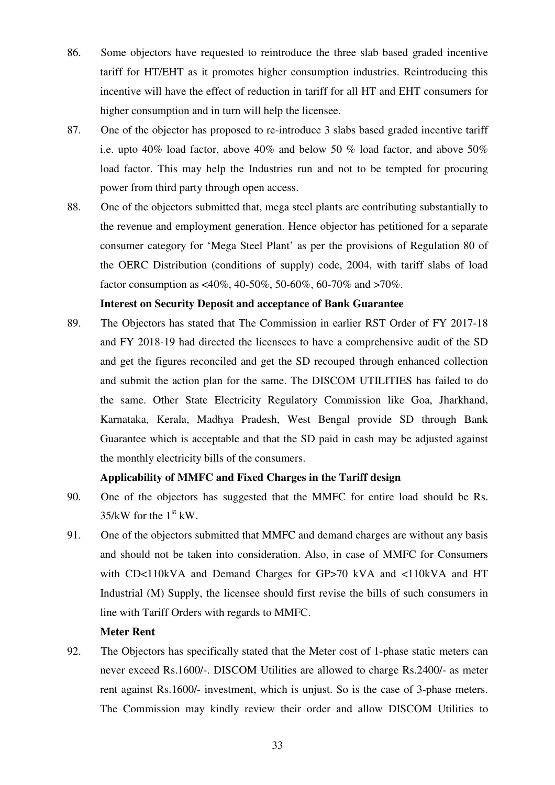- 86. Some objectors have requested to reintroduce the three slab based graded incentive tariff for HT/EHT as it promotes higher consumption industries. Reintroducing this incentive will have the effect of reduction in tariff for all HT and EHT consumers for higher consumption and in turn will help the licensee.
- 87. One of the objector has proposed to re-introduce 3 slabs based graded incentive tariff i.e. upto 40% load factor, above 40% and below 50 % load factor, and above 50% load factor. This may help the Industries run and not to be tempted for procuring power from third party through open access.
- 88. One of the objectors submitted that, mega steel plants are contributing substantially to the revenue and employment generation. Hence objector has petitioned for a separate consumer category for 'Mega Steel Plant' as per the provisions of Regulation 80 of the OERC Distribution (conditions of supply) code, 2004, with tariff slabs of load factor consumption as <40%, 40-50%, 50-60%, 60-70% and >70%.

## **Interest on Security Deposit and acceptance of Bank Guarantee**

89. The Objectors has stated that The Commission in earlier RST Order of FY 2017-18 and FY 2018-19 had directed the licensees to have a comprehensive audit of the SD and get the figures reconciled and get the SD recouped through enhanced collection and submit the action plan for the same. The DISCOM UTILITIES has failed to do the same. Other State Electricity Regulatory Commission like Goa, Jharkhand, Karnataka, Kerala, Madhya Pradesh, West Bengal provide SD through Bank Guarantee which is acceptable and that the SD paid in cash may be adjusted against the monthly electricity bills of the consumers.

### **Applicability of MMFC and Fixed Charges in the Tariff design**

- 90. One of the objectors has suggested that the MMFC for entire load should be Rs.  $35$ /kW for the  $1<sup>st</sup>$  kW.
- 91. One of the objectors submitted that MMFC and demand charges are without any basis and should not be taken into consideration. Also, in case of MMFC for Consumers with CD<110kVA and Demand Charges for GP>70 kVA and <110kVA and HT Industrial (M) Supply, the licensee should first revise the bills of such consumers in line with Tariff Orders with regards to MMFC.

### **Meter Rent**

92. The Objectors has specifically stated that the Meter cost of 1-phase static meters can never exceed Rs.1600/-. DISCOM Utilities are allowed to charge Rs.2400/- as meter rent against Rs.1600/- investment, which is unjust. So is the case of 3-phase meters. The Commission may kindly review their order and allow DISCOM Utilities to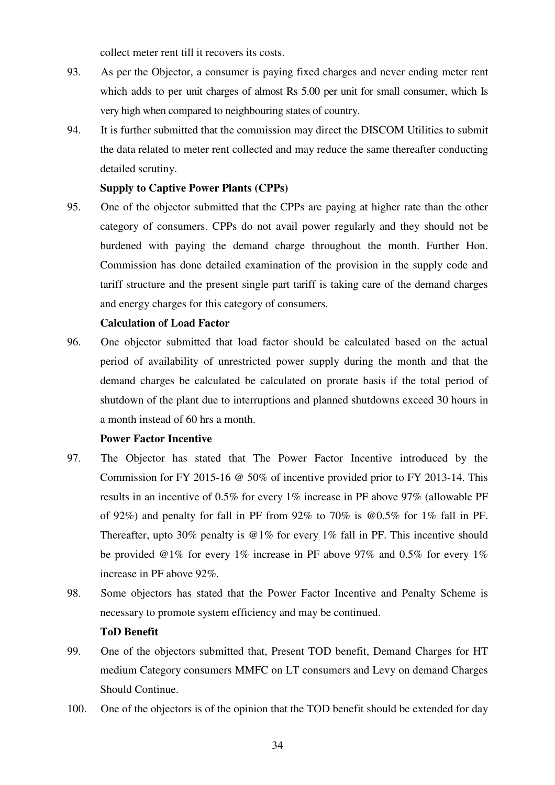collect meter rent till it recovers its costs.

- 93. As per the Objector, a consumer is paying fixed charges and never ending meter rent which adds to per unit charges of almost Rs 5.00 per unit for small consumer, which Is very high when compared to neighbouring states of country.
- 94. It is further submitted that the commission may direct the DISCOM Utilities to submit the data related to meter rent collected and may reduce the same thereafter conducting detailed scrutiny.

### **Supply to Captive Power Plants (CPPs)**

95. One of the objector submitted that the CPPs are paying at higher rate than the other category of consumers. CPPs do not avail power regularly and they should not be burdened with paying the demand charge throughout the month. Further Hon. Commission has done detailed examination of the provision in the supply code and tariff structure and the present single part tariff is taking care of the demand charges and energy charges for this category of consumers.

### **Calculation of Load Factor**

96. One objector submitted that load factor should be calculated based on the actual period of availability of unrestricted power supply during the month and that the demand charges be calculated be calculated on prorate basis if the total period of shutdown of the plant due to interruptions and planned shutdowns exceed 30 hours in a month instead of 60 hrs a month.

### **Power Factor Incentive**

- 97. The Objector has stated that The Power Factor Incentive introduced by the Commission for FY 2015-16 @ 50% of incentive provided prior to FY 2013-14. This results in an incentive of 0.5% for every 1% increase in PF above 97% (allowable PF of 92%) and penalty for fall in PF from 92% to 70% is  $@0.5%$  for 1% fall in PF. Thereafter, upto 30% penalty is @1% for every 1% fall in PF. This incentive should be provided @1% for every 1% increase in PF above 97% and 0.5% for every 1% increase in PF above 92%.
- 98. Some objectors has stated that the Power Factor Incentive and Penalty Scheme is necessary to promote system efficiency and may be continued.

### **ToD Benefit**

- 99. One of the objectors submitted that, Present TOD benefit, Demand Charges for HT medium Category consumers MMFC on LT consumers and Levy on demand Charges Should Continue.
- 100. One of the objectors is of the opinion that the TOD benefit should be extended for day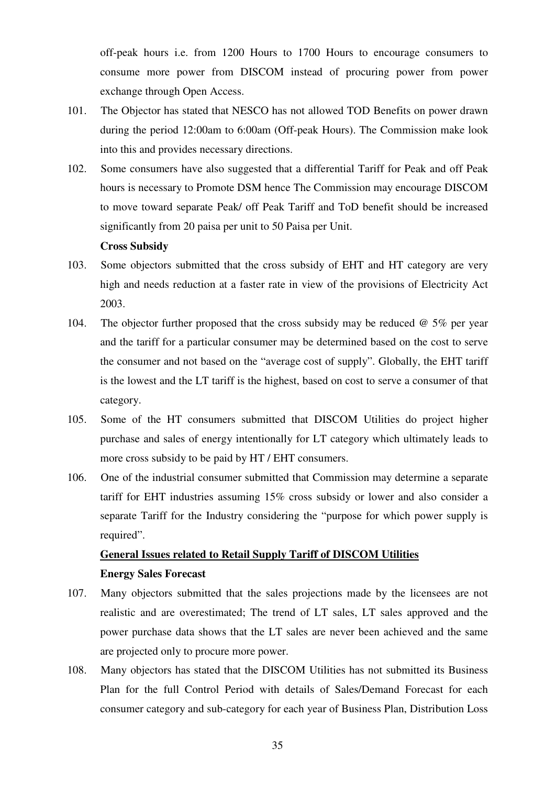off-peak hours i.e. from 1200 Hours to 1700 Hours to encourage consumers to consume more power from DISCOM instead of procuring power from power exchange through Open Access.

- 101. The Objector has stated that NESCO has not allowed TOD Benefits on power drawn during the period 12:00am to 6:00am (Off-peak Hours). The Commission make look into this and provides necessary directions.
- 102. Some consumers have also suggested that a differential Tariff for Peak and off Peak hours is necessary to Promote DSM hence The Commission may encourage DISCOM to move toward separate Peak/ off Peak Tariff and ToD benefit should be increased significantly from 20 paisa per unit to 50 Paisa per Unit.

#### **Cross Subsidy**

- 103. Some objectors submitted that the cross subsidy of EHT and HT category are very high and needs reduction at a faster rate in view of the provisions of Electricity Act 2003.
- 104. The objector further proposed that the cross subsidy may be reduced  $\omega$  5% per year and the tariff for a particular consumer may be determined based on the cost to serve the consumer and not based on the "average cost of supply". Globally, the EHT tariff is the lowest and the LT tariff is the highest, based on cost to serve a consumer of that category.
- 105. Some of the HT consumers submitted that DISCOM Utilities do project higher purchase and sales of energy intentionally for LT category which ultimately leads to more cross subsidy to be paid by HT / EHT consumers.
- 106. One of the industrial consumer submitted that Commission may determine a separate tariff for EHT industries assuming 15% cross subsidy or lower and also consider a separate Tariff for the Industry considering the "purpose for which power supply is required".

# **General Issues related to Retail Supply Tariff of DISCOM Utilities Energy Sales Forecast**

- 107. Many objectors submitted that the sales projections made by the licensees are not realistic and are overestimated; The trend of LT sales, LT sales approved and the power purchase data shows that the LT sales are never been achieved and the same are projected only to procure more power.
- 108. Many objectors has stated that the DISCOM Utilities has not submitted its Business Plan for the full Control Period with details of Sales/Demand Forecast for each consumer category and sub-category for each year of Business Plan, Distribution Loss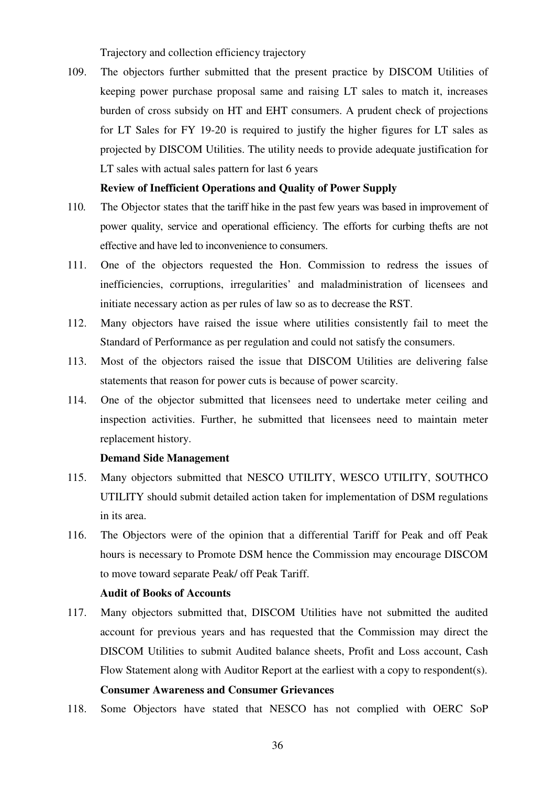Trajectory and collection efficiency trajectory

109. The objectors further submitted that the present practice by DISCOM Utilities of keeping power purchase proposal same and raising LT sales to match it, increases burden of cross subsidy on HT and EHT consumers. A prudent check of projections for LT Sales for FY 19-20 is required to justify the higher figures for LT sales as projected by DISCOM Utilities. The utility needs to provide adequate justification for LT sales with actual sales pattern for last 6 years

#### **Review of Inefficient Operations and Quality of Power Supply**

- 110. The Objector states that the tariff hike in the past few years was based in improvement of power quality, service and operational efficiency. The efforts for curbing thefts are not effective and have led to inconvenience to consumers.
- 111. One of the objectors requested the Hon. Commission to redress the issues of inefficiencies, corruptions, irregularities' and maladministration of licensees and initiate necessary action as per rules of law so as to decrease the RST.
- 112. Many objectors have raised the issue where utilities consistently fail to meet the Standard of Performance as per regulation and could not satisfy the consumers.
- 113. Most of the objectors raised the issue that DISCOM Utilities are delivering false statements that reason for power cuts is because of power scarcity.
- 114. One of the objector submitted that licensees need to undertake meter ceiling and inspection activities. Further, he submitted that licensees need to maintain meter replacement history.

#### **Demand Side Management**

- 115. Many objectors submitted that NESCO UTILITY, WESCO UTILITY, SOUTHCO UTILITY should submit detailed action taken for implementation of DSM regulations in its area.
- 116. The Objectors were of the opinion that a differential Tariff for Peak and off Peak hours is necessary to Promote DSM hence the Commission may encourage DISCOM to move toward separate Peak/ off Peak Tariff.

#### **Audit of Books of Accounts**

- 117. Many objectors submitted that, DISCOM Utilities have not submitted the audited account for previous years and has requested that the Commission may direct the DISCOM Utilities to submit Audited balance sheets, Profit and Loss account, Cash Flow Statement along with Auditor Report at the earliest with a copy to respondent(s). **Consumer Awareness and Consumer Grievances**
- 118. Some Objectors have stated that NESCO has not complied with OERC SoP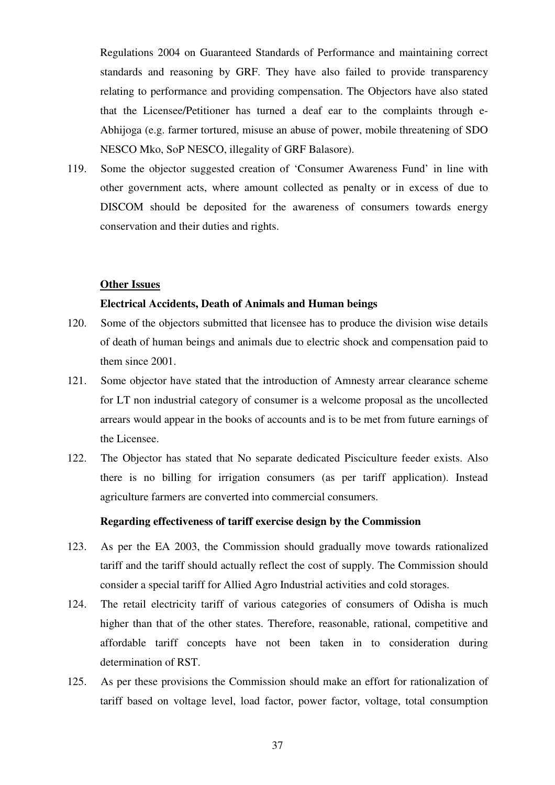Regulations 2004 on Guaranteed Standards of Performance and maintaining correct standards and reasoning by GRF. They have also failed to provide transparency relating to performance and providing compensation. The Objectors have also stated that the Licensee/Petitioner has turned a deaf ear to the complaints through e-Abhijoga (e.g. farmer tortured, misuse an abuse of power, mobile threatening of SDO NESCO Mko, SoP NESCO, illegality of GRF Balasore).

119. Some the objector suggested creation of 'Consumer Awareness Fund' in line with other government acts, where amount collected as penalty or in excess of due to DISCOM should be deposited for the awareness of consumers towards energy conservation and their duties and rights.

#### **Other Issues**

## **Electrical Accidents, Death of Animals and Human beings**

- 120. Some of the objectors submitted that licensee has to produce the division wise details of death of human beings and animals due to electric shock and compensation paid to them since 2001.
- 121. Some objector have stated that the introduction of Amnesty arrear clearance scheme for LT non industrial category of consumer is a welcome proposal as the uncollected arrears would appear in the books of accounts and is to be met from future earnings of the Licensee.
- 122. The Objector has stated that No separate dedicated Pisciculture feeder exists. Also there is no billing for irrigation consumers (as per tariff application). Instead agriculture farmers are converted into commercial consumers.

#### **Regarding effectiveness of tariff exercise design by the Commission**

- 123. As per the EA 2003, the Commission should gradually move towards rationalized tariff and the tariff should actually reflect the cost of supply. The Commission should consider a special tariff for Allied Agro Industrial activities and cold storages.
- 124. The retail electricity tariff of various categories of consumers of Odisha is much higher than that of the other states. Therefore, reasonable, rational, competitive and affordable tariff concepts have not been taken in to consideration during determination of RST.
- 125. As per these provisions the Commission should make an effort for rationalization of tariff based on voltage level, load factor, power factor, voltage, total consumption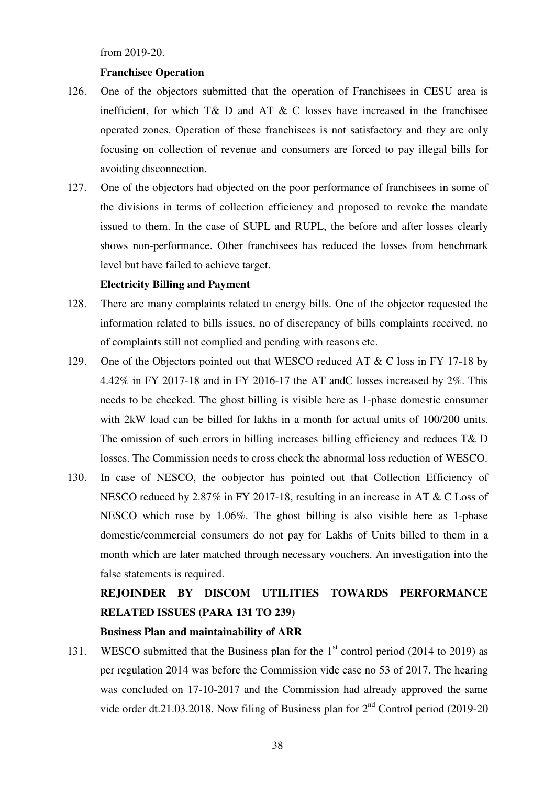from 2019-20.

## **Franchisee Operation**

- 126. One of the objectors submitted that the operation of Franchisees in CESU area is inefficient, for which  $T\& D$  and  $AT \& C$  losses have increased in the franchisee operated zones. Operation of these franchisees is not satisfactory and they are only focusing on collection of revenue and consumers are forced to pay illegal bills for avoiding disconnection.
- 127. One of the objectors had objected on the poor performance of franchisees in some of the divisions in terms of collection efficiency and proposed to revoke the mandate issued to them. In the case of SUPL and RUPL, the before and after losses clearly shows non-performance. Other franchisees has reduced the losses from benchmark level but have failed to achieve target.

## **Electricity Billing and Payment**

- 128. There are many complaints related to energy bills. One of the objector requested the information related to bills issues, no of discrepancy of bills complaints received, no of complaints still not complied and pending with reasons etc.
- 129. One of the Objectors pointed out that WESCO reduced AT & C loss in FY 17-18 by 4.42% in FY 2017-18 and in FY 2016-17 the AT andC losses increased by 2%. This needs to be checked. The ghost billing is visible here as 1-phase domestic consumer with 2kW load can be billed for lakhs in a month for actual units of 100/200 units. The omission of such errors in billing increases billing efficiency and reduces T& D losses. The Commission needs to cross check the abnormal loss reduction of WESCO.
- 130. In case of NESCO, the oobjector has pointed out that Collection Efficiency of NESCO reduced by 2.87% in FY 2017-18, resulting in an increase in AT & C Loss of NESCO which rose by 1.06%. The ghost billing is also visible here as 1-phase domestic/commercial consumers do not pay for Lakhs of Units billed to them in a month which are later matched through necessary vouchers. An investigation into the false statements is required.

# **REJOINDER BY DISCOM UTILITIES TOWARDS PERFORMANCE RELATED ISSUES (PARA 131 TO 239)**

## **Business Plan and maintainability of ARR**

131. WESCO submitted that the Business plan for the  $1<sup>st</sup>$  control period (2014 to 2019) as per regulation 2014 was before the Commission vide case no 53 of 2017. The hearing was concluded on 17-10-2017 and the Commission had already approved the same vide order dt.21.03.2018. Now filing of Business plan for  $2<sup>nd</sup>$  Control period (2019-20)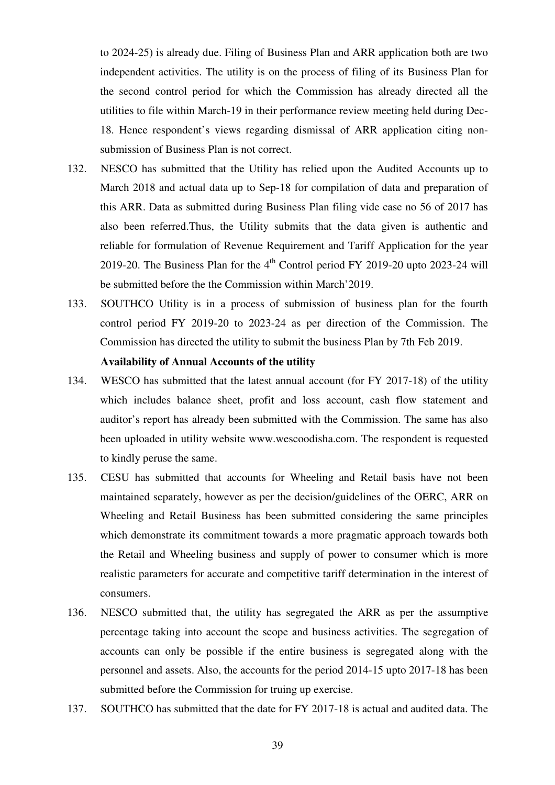to 2024-25) is already due. Filing of Business Plan and ARR application both are two independent activities. The utility is on the process of filing of its Business Plan for the second control period for which the Commission has already directed all the utilities to file within March-19 in their performance review meeting held during Dec-18. Hence respondent's views regarding dismissal of ARR application citing nonsubmission of Business Plan is not correct.

- 132. NESCO has submitted that the Utility has relied upon the Audited Accounts up to March 2018 and actual data up to Sep-18 for compilation of data and preparation of this ARR. Data as submitted during Business Plan filing vide case no 56 of 2017 has also been referred.Thus, the Utility submits that the data given is authentic and reliable for formulation of Revenue Requirement and Tariff Application for the year 2019-20. The Business Plan for the  $4<sup>th</sup>$  Control period FY 2019-20 upto 2023-24 will be submitted before the the Commission within March'2019.
- 133. SOUTHCO Utility is in a process of submission of business plan for the fourth control period FY 2019-20 to 2023-24 as per direction of the Commission. The Commission has directed the utility to submit the business Plan by 7th Feb 2019.

## **Availability of Annual Accounts of the utility**

- 134. WESCO has submitted that the latest annual account (for FY 2017-18) of the utility which includes balance sheet, profit and loss account, cash flow statement and auditor's report has already been submitted with the Commission. The same has also been uploaded in utility website www.wescoodisha.com. The respondent is requested to kindly peruse the same.
- 135. CESU has submitted that accounts for Wheeling and Retail basis have not been maintained separately, however as per the decision/guidelines of the OERC, ARR on Wheeling and Retail Business has been submitted considering the same principles which demonstrate its commitment towards a more pragmatic approach towards both the Retail and Wheeling business and supply of power to consumer which is more realistic parameters for accurate and competitive tariff determination in the interest of consumers.
- 136. NESCO submitted that, the utility has segregated the ARR as per the assumptive percentage taking into account the scope and business activities. The segregation of accounts can only be possible if the entire business is segregated along with the personnel and assets. Also, the accounts for the period 2014-15 upto 2017-18 has been submitted before the Commission for truing up exercise.
- 137. SOUTHCO has submitted that the date for FY 2017-18 is actual and audited data. The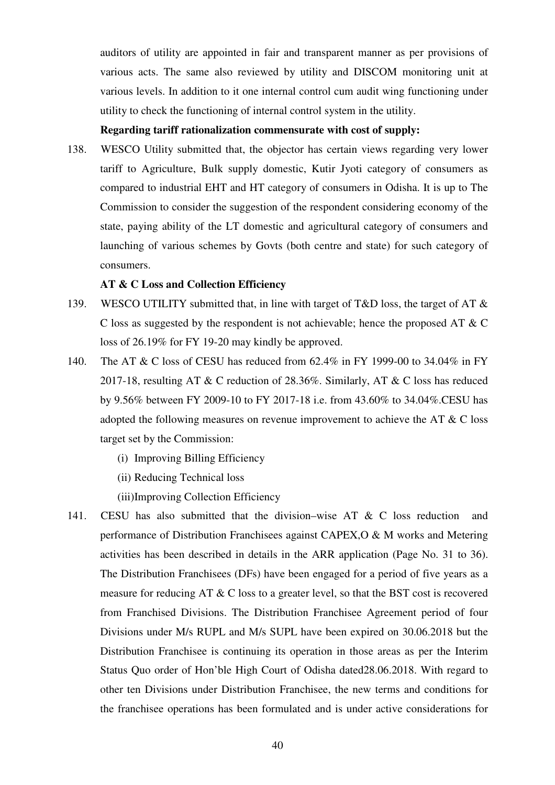auditors of utility are appointed in fair and transparent manner as per provisions of various acts. The same also reviewed by utility and DISCOM monitoring unit at various levels. In addition to it one internal control cum audit wing functioning under utility to check the functioning of internal control system in the utility.

## **Regarding tariff rationalization commensurate with cost of supply:**

138. WESCO Utility submitted that, the objector has certain views regarding very lower tariff to Agriculture, Bulk supply domestic, Kutir Jyoti category of consumers as compared to industrial EHT and HT category of consumers in Odisha. It is up to The Commission to consider the suggestion of the respondent considering economy of the state, paying ability of the LT domestic and agricultural category of consumers and launching of various schemes by Govts (both centre and state) for such category of consumers.

## **AT & C Loss and Collection Efficiency**

- 139. WESCO UTILITY submitted that, in line with target of T&D loss, the target of AT & C loss as suggested by the respondent is not achievable; hence the proposed AT & C loss of 26.19% for FY 19-20 may kindly be approved.
- 140. The AT & C loss of CESU has reduced from 62.4% in FY 1999-00 to 34.04% in FY 2017-18, resulting AT & C reduction of 28.36%. Similarly, AT & C loss has reduced by 9.56% between FY 2009-10 to FY 2017-18 i.e. from 43.60% to 34.04%.CESU has adopted the following measures on revenue improvement to achieve the AT & C loss target set by the Commission:
	- (i) Improving Billing Efficiency
	- (ii) Reducing Technical loss
	- (iii)Improving Collection Efficiency
- 141. CESU has also submitted that the division–wise AT & C loss reduction and performance of Distribution Franchisees against CAPEX,O & M works and Metering activities has been described in details in the ARR application (Page No. 31 to 36). The Distribution Franchisees (DFs) have been engaged for a period of five years as a measure for reducing AT & C loss to a greater level, so that the BST cost is recovered from Franchised Divisions. The Distribution Franchisee Agreement period of four Divisions under M/s RUPL and M/s SUPL have been expired on 30.06.2018 but the Distribution Franchisee is continuing its operation in those areas as per the Interim Status Quo order of Hon'ble High Court of Odisha dated28.06.2018. With regard to other ten Divisions under Distribution Franchisee, the new terms and conditions for the franchisee operations has been formulated and is under active considerations for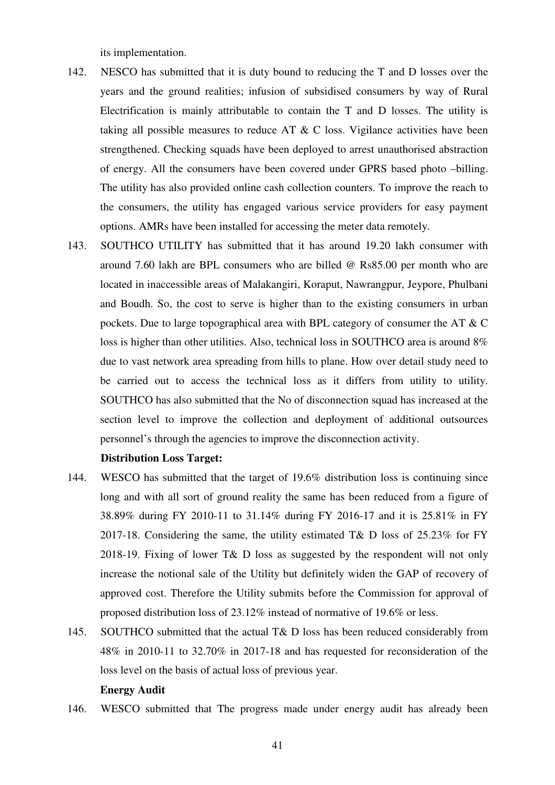its implementation.

- 142. NESCO has submitted that it is duty bound to reducing the T and D losses over the years and the ground realities; infusion of subsidised consumers by way of Rural Electrification is mainly attributable to contain the T and D losses. The utility is taking all possible measures to reduce AT  $\& C$  loss. Vigilance activities have been strengthened. Checking squads have been deployed to arrest unauthorised abstraction of energy. All the consumers have been covered under GPRS based photo –billing. The utility has also provided online cash collection counters. To improve the reach to the consumers, the utility has engaged various service providers for easy payment options. AMRs have been installed for accessing the meter data remotely.
- 143. SOUTHCO UTILITY has submitted that it has around 19.20 lakh consumer with around 7.60 lakh are BPL consumers who are billed @ Rs85.00 per month who are located in inaccessible areas of Malakangiri, Koraput, Nawrangpur, Jeypore, Phulbani and Boudh. So, the cost to serve is higher than to the existing consumers in urban pockets. Due to large topographical area with BPL category of consumer the AT & C loss is higher than other utilities. Also, technical loss in SOUTHCO area is around 8% due to vast network area spreading from hills to plane. How over detail study need to be carried out to access the technical loss as it differs from utility to utility. SOUTHCO has also submitted that the No of disconnection squad has increased at the section level to improve the collection and deployment of additional outsources personnel's through the agencies to improve the disconnection activity.

## **Distribution Loss Target:**

- 144. WESCO has submitted that the target of 19.6% distribution loss is continuing since long and with all sort of ground reality the same has been reduced from a figure of 38.89% during FY 2010-11 to 31.14% during FY 2016-17 and it is 25.81% in FY 2017-18. Considering the same, the utility estimated T& D loss of 25.23% for FY 2018-19. Fixing of lower T& D loss as suggested by the respondent will not only increase the notional sale of the Utility but definitely widen the GAP of recovery of approved cost. Therefore the Utility submits before the Commission for approval of proposed distribution loss of 23.12% instead of normative of 19.6% or less.
- 145. SOUTHCO submitted that the actual T& D loss has been reduced considerably from 48% in 2010-11 to 32.70% in 2017-18 and has requested for reconsideration of the loss level on the basis of actual loss of previous year.

#### **Energy Audit**

146. WESCO submitted that The progress made under energy audit has already been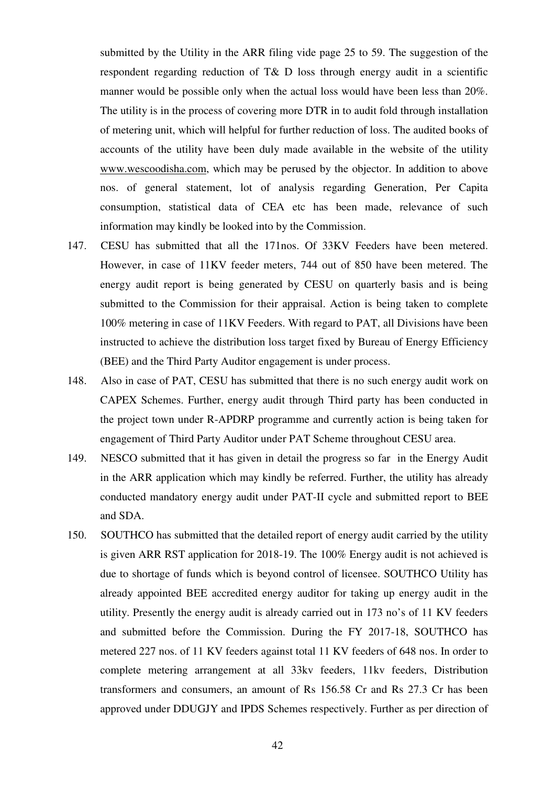submitted by the Utility in the ARR filing vide page 25 to 59. The suggestion of the respondent regarding reduction of T& D loss through energy audit in a scientific manner would be possible only when the actual loss would have been less than 20%. The utility is in the process of covering more DTR in to audit fold through installation of metering unit, which will helpful for further reduction of loss. The audited books of accounts of the utility have been duly made available in the website of the utility www.wescoodisha.com, which may be perused by the objector. In addition to above nos. of general statement, lot of analysis regarding Generation, Per Capita consumption, statistical data of CEA etc has been made, relevance of such information may kindly be looked into by the Commission.

- 147. CESU has submitted that all the 171nos. Of 33KV Feeders have been metered. However, in case of 11KV feeder meters, 744 out of 850 have been metered. The energy audit report is being generated by CESU on quarterly basis and is being submitted to the Commission for their appraisal. Action is being taken to complete 100% metering in case of 11KV Feeders. With regard to PAT, all Divisions have been instructed to achieve the distribution loss target fixed by Bureau of Energy Efficiency (BEE) and the Third Party Auditor engagement is under process.
- 148. Also in case of PAT, CESU has submitted that there is no such energy audit work on CAPEX Schemes. Further, energy audit through Third party has been conducted in the project town under R-APDRP programme and currently action is being taken for engagement of Third Party Auditor under PAT Scheme throughout CESU area.
- 149. NESCO submitted that it has given in detail the progress so far in the Energy Audit in the ARR application which may kindly be referred. Further, the utility has already conducted mandatory energy audit under PAT-II cycle and submitted report to BEE and SDA.
- 150. SOUTHCO has submitted that the detailed report of energy audit carried by the utility is given ARR RST application for 2018-19. The 100% Energy audit is not achieved is due to shortage of funds which is beyond control of licensee. SOUTHCO Utility has already appointed BEE accredited energy auditor for taking up energy audit in the utility. Presently the energy audit is already carried out in 173 no's of 11 KV feeders and submitted before the Commission. During the FY 2017-18, SOUTHCO has metered 227 nos. of 11 KV feeders against total 11 KV feeders of 648 nos. In order to complete metering arrangement at all 33kv feeders, 11kv feeders, Distribution transformers and consumers, an amount of Rs 156.58 Cr and Rs 27.3 Cr has been approved under DDUGJY and IPDS Schemes respectively. Further as per direction of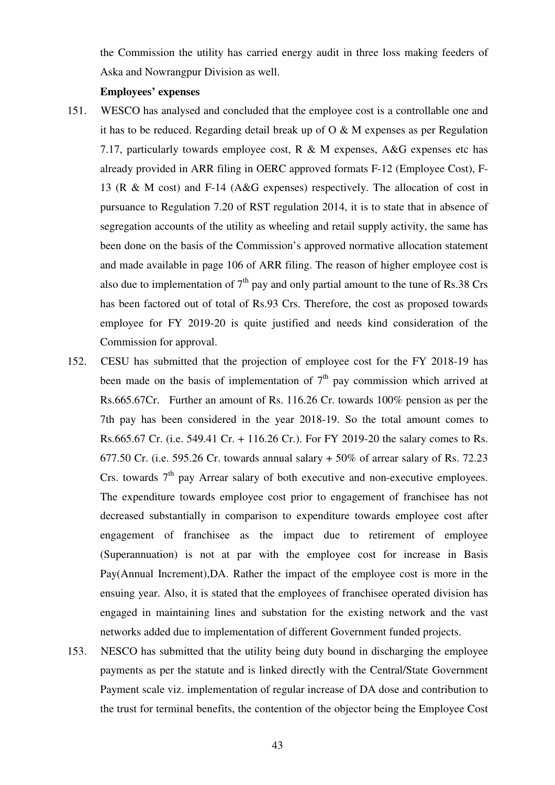the Commission the utility has carried energy audit in three loss making feeders of Aska and Nowrangpur Division as well.

#### **Employees' expenses**

- 151. WESCO has analysed and concluded that the employee cost is a controllable one and it has to be reduced. Regarding detail break up of  $O & M$  expenses as per Regulation 7.17, particularly towards employee cost, R & M expenses, A&G expenses etc has already provided in ARR filing in OERC approved formats F-12 (Employee Cost), F-13 (R & M cost) and F-14 (A&G expenses) respectively. The allocation of cost in pursuance to Regulation 7.20 of RST regulation 2014, it is to state that in absence of segregation accounts of the utility as wheeling and retail supply activity, the same has been done on the basis of the Commission's approved normative allocation statement and made available in page 106 of ARR filing. The reason of higher employee cost is also due to implementation of  $7<sup>th</sup>$  pay and only partial amount to the tune of Rs.38 Crs has been factored out of total of Rs.93 Crs. Therefore, the cost as proposed towards employee for FY 2019-20 is quite justified and needs kind consideration of the Commission for approval.
- 152. CESU has submitted that the projection of employee cost for the FY 2018-19 has been made on the basis of implementation of  $7<sup>th</sup>$  pay commission which arrived at Rs.665.67Cr. Further an amount of Rs. 116.26 Cr. towards 100% pension as per the 7th pay has been considered in the year 2018-19. So the total amount comes to Rs.665.67 Cr. (i.e. 549.41 Cr. + 116.26 Cr.). For FY 2019-20 the salary comes to Rs. 677.50 Cr. (i.e. 595.26 Cr. towards annual salary  $+50\%$  of arrear salary of Rs. 72.23 Crs. towards  $7<sup>th</sup>$  pay Arrear salary of both executive and non-executive employees. The expenditure towards employee cost prior to engagement of franchisee has not decreased substantially in comparison to expenditure towards employee cost after engagement of franchisee as the impact due to retirement of employee (Superannuation) is not at par with the employee cost for increase in Basis Pay(Annual Increment),DA. Rather the impact of the employee cost is more in the ensuing year. Also, it is stated that the employees of franchisee operated division has engaged in maintaining lines and substation for the existing network and the vast networks added due to implementation of different Government funded projects.
- 153. NESCO has submitted that the utility being duty bound in discharging the employee payments as per the statute and is linked directly with the Central/State Government Payment scale viz. implementation of regular increase of DA dose and contribution to the trust for terminal benefits, the contention of the objector being the Employee Cost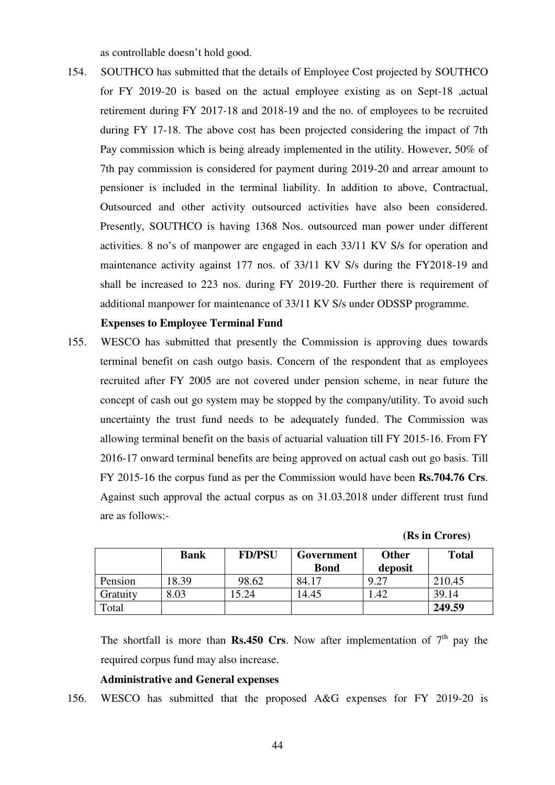as controllable doesn't hold good.

154. SOUTHCO has submitted that the details of Employee Cost projected by SOUTHCO for FY 2019-20 is based on the actual employee existing as on Sept-18 ,actual retirement during FY 2017-18 and 2018-19 and the no. of employees to be recruited during FY 17-18. The above cost has been projected considering the impact of 7th Pay commission which is being already implemented in the utility. However, 50% of 7th pay commission is considered for payment during 2019-20 and arrear amount to pensioner is included in the terminal liability. In addition to above, Contractual, Outsourced and other activity outsourced activities have also been considered. Presently, SOUTHCO is having 1368 Nos. outsourced man power under different activities. 8 no's of manpower are engaged in each 33/11 KV S/s for operation and maintenance activity against 177 nos. of 33/11 KV S/s during the FY2018-19 and shall be increased to 223 nos. during FY 2019-20. Further there is requirement of additional manpower for maintenance of 33/11 KV S/s under ODSSP programme.

## **Expenses to Employee Terminal Fund**

155. WESCO has submitted that presently the Commission is approving dues towards terminal benefit on cash outgo basis. Concern of the respondent that as employees recruited after FY 2005 are not covered under pension scheme, in near future the concept of cash out go system may be stopped by the company/utility. To avoid such uncertainty the trust fund needs to be adequately funded. The Commission was allowing terminal benefit on the basis of actuarial valuation till FY 2015-16. From FY 2016-17 onward terminal benefits are being approved on actual cash out go basis. Till FY 2015-16 the corpus fund as per the Commission would have been **Rs.704.76 Crs**. Against such approval the actual corpus as on 31.03.2018 under different trust fund are as follows:-

**(Rs in Crores)** 

|          | Bank  | <b>FD/PSU</b> | Government  | <b>Other</b> | <b>Total</b> |
|----------|-------|---------------|-------------|--------------|--------------|
|          |       |               | <b>Bond</b> | deposit      |              |
| Pension  | 18.39 | 98.62         | 84.17       | 9.27         | 210.45       |
| Gratuity | 8.03  | 5.24          | 14.45       | .42          | 39.14        |
| Total    |       |               |             |              | 249.59       |

The shortfall is more than **Rs.450 Crs**. Now after implementation of  $7<sup>th</sup>$  pay the required corpus fund may also increase.

### **Administrative and General expenses**

156. WESCO has submitted that the proposed A&G expenses for FY 2019-20 is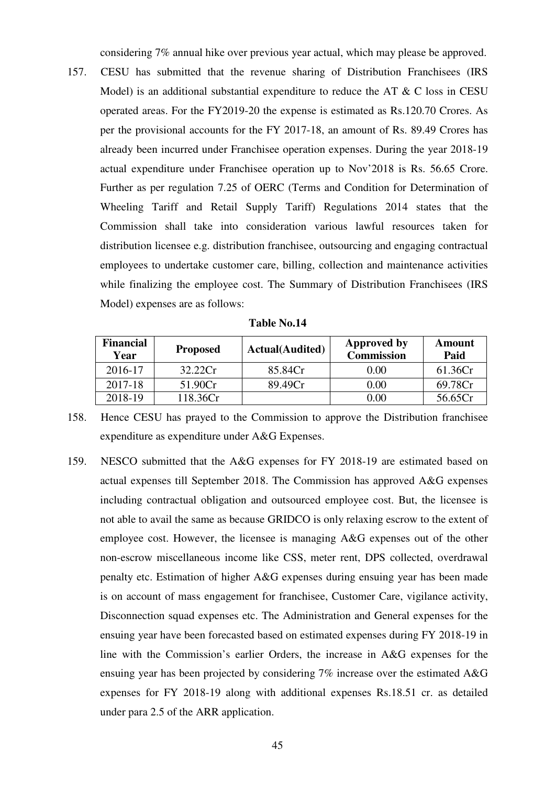considering 7% annual hike over previous year actual, which may please be approved.

157. CESU has submitted that the revenue sharing of Distribution Franchisees (IRS Model) is an additional substantial expenditure to reduce the AT  $&$  C loss in CESU operated areas. For the FY2019-20 the expense is estimated as Rs.120.70 Crores. As per the provisional accounts for the FY 2017-18, an amount of Rs. 89.49 Crores has already been incurred under Franchisee operation expenses. During the year 2018-19 actual expenditure under Franchisee operation up to Nov'2018 is Rs. 56.65 Crore. Further as per regulation 7.25 of OERC (Terms and Condition for Determination of Wheeling Tariff and Retail Supply Tariff) Regulations 2014 states that the Commission shall take into consideration various lawful resources taken for distribution licensee e.g. distribution franchisee, outsourcing and engaging contractual employees to undertake customer care, billing, collection and maintenance activities while finalizing the employee cost. The Summary of Distribution Franchisees (IRS Model) expenses are as follows:

| <b>Financial</b><br>Year | <b>Proposed</b> | <b>Actual</b> (Audited) | <b>Approved by</b><br><b>Commission</b> | Amount<br>Paid |
|--------------------------|-----------------|-------------------------|-----------------------------------------|----------------|
| 2016-17                  | 32.22Cr         | 85.84Cr                 | 0.00                                    | 61.36Cr        |
| 2017-18                  | 51.90Cr         | 89.49Cr                 | 0.00                                    | 69.78Cr        |
| 2018-19                  | 118.36Cr        |                         | $0.00\,$                                | 56.65Cr        |

**Table No.14** 

- 158. Hence CESU has prayed to the Commission to approve the Distribution franchisee expenditure as expenditure under A&G Expenses.
- 159. NESCO submitted that the A&G expenses for FY 2018-19 are estimated based on actual expenses till September 2018. The Commission has approved A&G expenses including contractual obligation and outsourced employee cost. But, the licensee is not able to avail the same as because GRIDCO is only relaxing escrow to the extent of employee cost. However, the licensee is managing A&G expenses out of the other non-escrow miscellaneous income like CSS, meter rent, DPS collected, overdrawal penalty etc. Estimation of higher A&G expenses during ensuing year has been made is on account of mass engagement for franchisee, Customer Care, vigilance activity, Disconnection squad expenses etc. The Administration and General expenses for the ensuing year have been forecasted based on estimated expenses during FY 2018-19 in line with the Commission's earlier Orders, the increase in A&G expenses for the ensuing year has been projected by considering 7% increase over the estimated A&G expenses for FY 2018-19 along with additional expenses Rs.18.51 cr. as detailed under para 2.5 of the ARR application.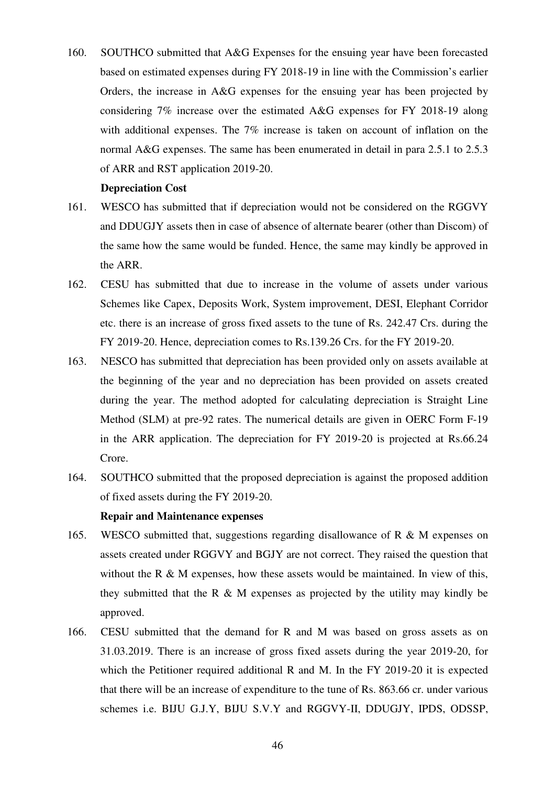160. SOUTHCO submitted that A&G Expenses for the ensuing year have been forecasted based on estimated expenses during FY 2018-19 in line with the Commission's earlier Orders, the increase in A&G expenses for the ensuing year has been projected by considering 7% increase over the estimated A&G expenses for FY 2018-19 along with additional expenses. The 7% increase is taken on account of inflation on the normal A&G expenses. The same has been enumerated in detail in para 2.5.1 to 2.5.3 of ARR and RST application 2019-20.

#### **Depreciation Cost**

- 161. WESCO has submitted that if depreciation would not be considered on the RGGVY and DDUGJY assets then in case of absence of alternate bearer (other than Discom) of the same how the same would be funded. Hence, the same may kindly be approved in the ARR.
- 162. CESU has submitted that due to increase in the volume of assets under various Schemes like Capex, Deposits Work, System improvement, DESI, Elephant Corridor etc. there is an increase of gross fixed assets to the tune of Rs. 242.47 Crs. during the FY 2019-20. Hence, depreciation comes to Rs.139.26 Crs. for the FY 2019-20.
- 163. NESCO has submitted that depreciation has been provided only on assets available at the beginning of the year and no depreciation has been provided on assets created during the year. The method adopted for calculating depreciation is Straight Line Method (SLM) at pre-92 rates. The numerical details are given in OERC Form F-19 in the ARR application. The depreciation for FY 2019-20 is projected at Rs.66.24 Crore.
- 164. SOUTHCO submitted that the proposed depreciation is against the proposed addition of fixed assets during the FY 2019-20.

## **Repair and Maintenance expenses**

- 165. WESCO submitted that, suggestions regarding disallowance of R & M expenses on assets created under RGGVY and BGJY are not correct. They raised the question that without the R & M expenses, how these assets would be maintained. In view of this, they submitted that the R  $\&$  M expenses as projected by the utility may kindly be approved.
- 166. CESU submitted that the demand for R and M was based on gross assets as on 31.03.2019. There is an increase of gross fixed assets during the year 2019-20, for which the Petitioner required additional R and M. In the FY 2019-20 it is expected that there will be an increase of expenditure to the tune of Rs. 863.66 cr. under various schemes i.e. BIJU G.J.Y, BIJU S.V.Y and RGGVY-II, DDUGJY, IPDS, ODSSP,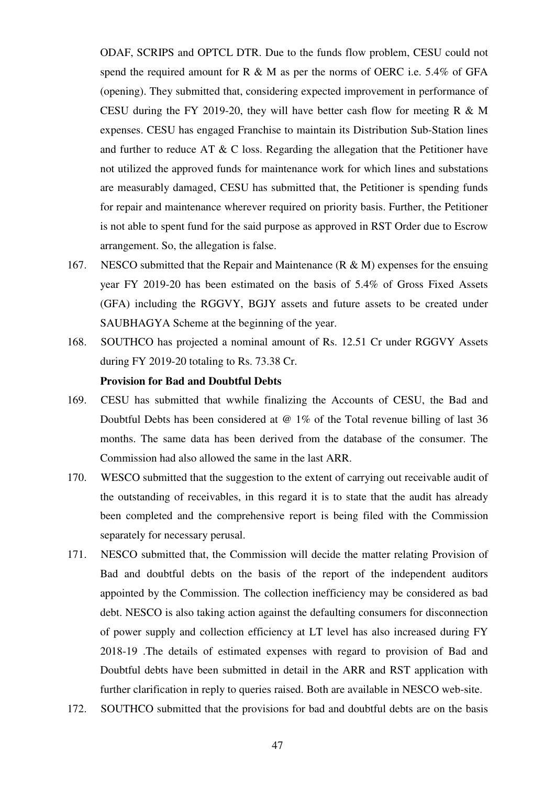ODAF, SCRIPS and OPTCL DTR. Due to the funds flow problem, CESU could not spend the required amount for R  $\&$  M as per the norms of OERC i.e. 5.4% of GFA (opening). They submitted that, considering expected improvement in performance of CESU during the FY 2019-20, they will have better cash flow for meeting R & M expenses. CESU has engaged Franchise to maintain its Distribution Sub-Station lines and further to reduce AT  $\& C$  loss. Regarding the allegation that the Petitioner have not utilized the approved funds for maintenance work for which lines and substations are measurably damaged, CESU has submitted that, the Petitioner is spending funds for repair and maintenance wherever required on priority basis. Further, the Petitioner is not able to spent fund for the said purpose as approved in RST Order due to Escrow arrangement. So, the allegation is false.

- 167. NESCO submitted that the Repair and Maintenance (R & M) expenses for the ensuing year FY 2019-20 has been estimated on the basis of 5.4% of Gross Fixed Assets (GFA) including the RGGVY, BGJY assets and future assets to be created under SAUBHAGYA Scheme at the beginning of the year.
- 168. SOUTHCO has projected a nominal amount of Rs. 12.51 Cr under RGGVY Assets during FY 2019-20 totaling to Rs. 73.38 Cr.

## **Provision for Bad and Doubtful Debts**

- 169. CESU has submitted that wwhile finalizing the Accounts of CESU, the Bad and Doubtful Debts has been considered at  $\omega$  1% of the Total revenue billing of last 36 months. The same data has been derived from the database of the consumer. The Commission had also allowed the same in the last ARR.
- 170. WESCO submitted that the suggestion to the extent of carrying out receivable audit of the outstanding of receivables, in this regard it is to state that the audit has already been completed and the comprehensive report is being filed with the Commission separately for necessary perusal.
- 171. NESCO submitted that, the Commission will decide the matter relating Provision of Bad and doubtful debts on the basis of the report of the independent auditors appointed by the Commission. The collection inefficiency may be considered as bad debt. NESCO is also taking action against the defaulting consumers for disconnection of power supply and collection efficiency at LT level has also increased during FY 2018-19 .The details of estimated expenses with regard to provision of Bad and Doubtful debts have been submitted in detail in the ARR and RST application with further clarification in reply to queries raised. Both are available in NESCO web-site.
- 172. SOUTHCO submitted that the provisions for bad and doubtful debts are on the basis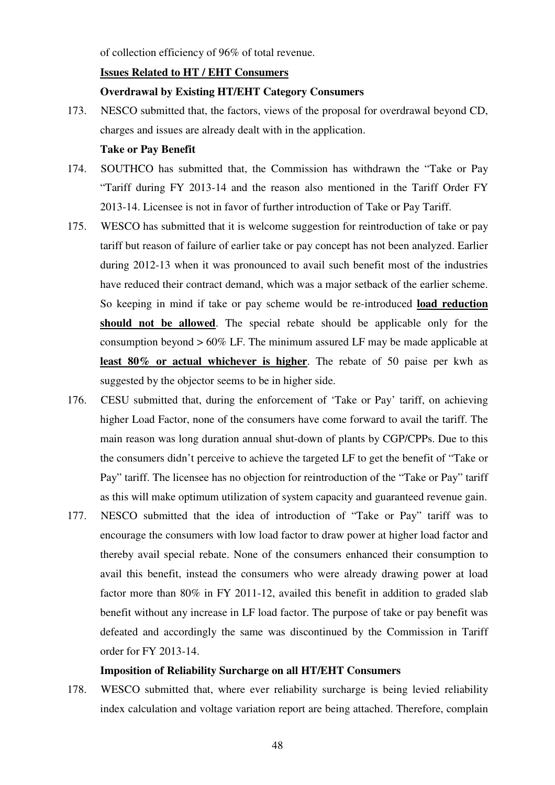of collection efficiency of 96% of total revenue.

## **Issues Related to HT / EHT Consumers**

#### **Overdrawal by Existing HT/EHT Category Consumers**

173. NESCO submitted that, the factors, views of the proposal for overdrawal beyond CD, charges and issues are already dealt with in the application.

## **Take or Pay Benefit**

- 174. SOUTHCO has submitted that, the Commission has withdrawn the "Take or Pay "Tariff during FY 2013-14 and the reason also mentioned in the Tariff Order FY 2013-14. Licensee is not in favor of further introduction of Take or Pay Tariff.
- 175. WESCO has submitted that it is welcome suggestion for reintroduction of take or pay tariff but reason of failure of earlier take or pay concept has not been analyzed. Earlier during 2012-13 when it was pronounced to avail such benefit most of the industries have reduced their contract demand, which was a major setback of the earlier scheme. So keeping in mind if take or pay scheme would be re-introduced **load reduction should not be allowed**. The special rebate should be applicable only for the consumption beyond > 60% LF. The minimum assured LF may be made applicable at **least 80% or actual whichever is higher**. The rebate of 50 paise per kwh as suggested by the objector seems to be in higher side.
- 176. CESU submitted that, during the enforcement of 'Take or Pay' tariff, on achieving higher Load Factor, none of the consumers have come forward to avail the tariff. The main reason was long duration annual shut-down of plants by CGP/CPPs. Due to this the consumers didn't perceive to achieve the targeted LF to get the benefit of "Take or Pay" tariff. The licensee has no objection for reintroduction of the "Take or Pay" tariff as this will make optimum utilization of system capacity and guaranteed revenue gain.
- 177. NESCO submitted that the idea of introduction of "Take or Pay" tariff was to encourage the consumers with low load factor to draw power at higher load factor and thereby avail special rebate. None of the consumers enhanced their consumption to avail this benefit, instead the consumers who were already drawing power at load factor more than 80% in FY 2011-12, availed this benefit in addition to graded slab benefit without any increase in LF load factor. The purpose of take or pay benefit was defeated and accordingly the same was discontinued by the Commission in Tariff order for FY 2013-14.

#### **Imposition of Reliability Surcharge on all HT/EHT Consumers**

178. WESCO submitted that, where ever reliability surcharge is being levied reliability index calculation and voltage variation report are being attached. Therefore, complain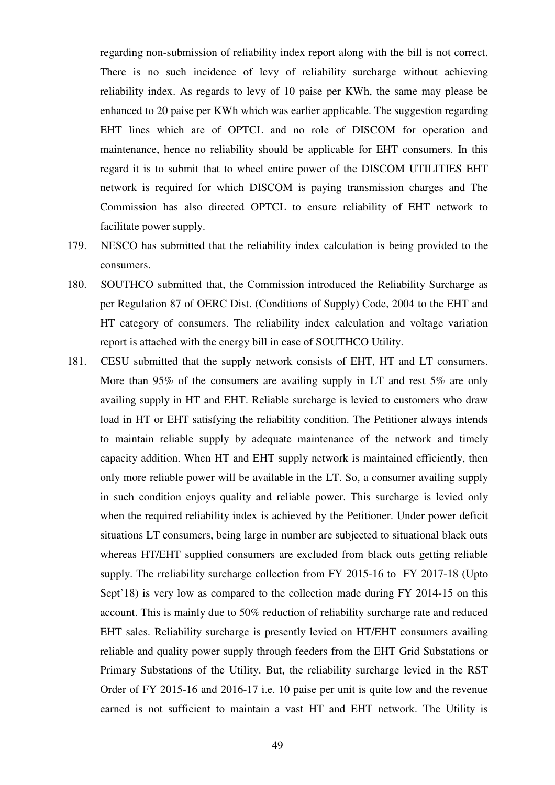regarding non-submission of reliability index report along with the bill is not correct. There is no such incidence of levy of reliability surcharge without achieving reliability index. As regards to levy of 10 paise per KWh, the same may please be enhanced to 20 paise per KWh which was earlier applicable. The suggestion regarding EHT lines which are of OPTCL and no role of DISCOM for operation and maintenance, hence no reliability should be applicable for EHT consumers. In this regard it is to submit that to wheel entire power of the DISCOM UTILITIES EHT network is required for which DISCOM is paying transmission charges and The Commission has also directed OPTCL to ensure reliability of EHT network to facilitate power supply.

- 179. NESCO has submitted that the reliability index calculation is being provided to the consumers.
- 180. SOUTHCO submitted that, the Commission introduced the Reliability Surcharge as per Regulation 87 of OERC Dist. (Conditions of Supply) Code, 2004 to the EHT and HT category of consumers. The reliability index calculation and voltage variation report is attached with the energy bill in case of SOUTHCO Utility.
- 181. CESU submitted that the supply network consists of EHT, HT and LT consumers. More than 95% of the consumers are availing supply in LT and rest 5% are only availing supply in HT and EHT. Reliable surcharge is levied to customers who draw load in HT or EHT satisfying the reliability condition. The Petitioner always intends to maintain reliable supply by adequate maintenance of the network and timely capacity addition. When HT and EHT supply network is maintained efficiently, then only more reliable power will be available in the LT. So, a consumer availing supply in such condition enjoys quality and reliable power. This surcharge is levied only when the required reliability index is achieved by the Petitioner. Under power deficit situations LT consumers, being large in number are subjected to situational black outs whereas HT/EHT supplied consumers are excluded from black outs getting reliable supply. The rreliability surcharge collection from FY 2015-16 to FY 2017-18 (Upto Sept'18) is very low as compared to the collection made during FY 2014-15 on this account. This is mainly due to 50% reduction of reliability surcharge rate and reduced EHT sales. Reliability surcharge is presently levied on HT/EHT consumers availing reliable and quality power supply through feeders from the EHT Grid Substations or Primary Substations of the Utility. But, the reliability surcharge levied in the RST Order of FY 2015-16 and 2016-17 i.e. 10 paise per unit is quite low and the revenue earned is not sufficient to maintain a vast HT and EHT network. The Utility is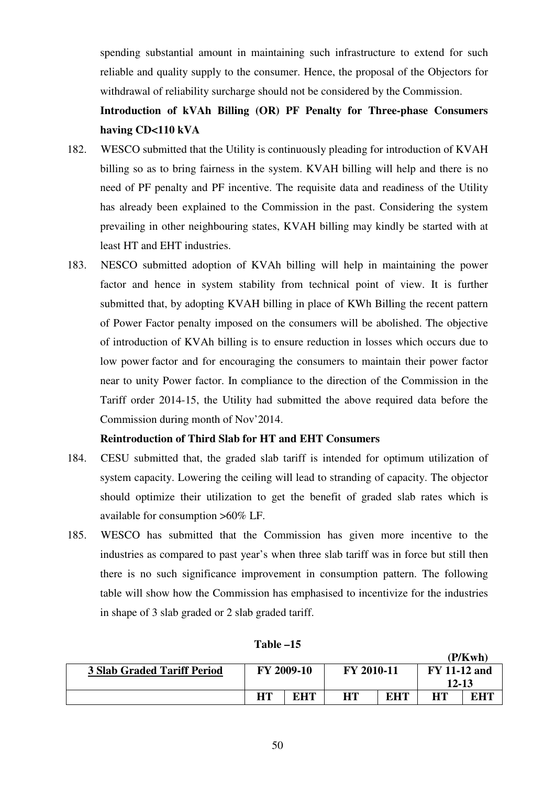spending substantial amount in maintaining such infrastructure to extend for such reliable and quality supply to the consumer. Hence, the proposal of the Objectors for withdrawal of reliability surcharge should not be considered by the Commission.

## **Introduction of kVAh Billing (OR) PF Penalty for Three-phase Consumers having CD<110 kVA**

- 182. WESCO submitted that the Utility is continuously pleading for introduction of KVAH billing so as to bring fairness in the system. KVAH billing will help and there is no need of PF penalty and PF incentive. The requisite data and readiness of the Utility has already been explained to the Commission in the past. Considering the system prevailing in other neighbouring states, KVAH billing may kindly be started with at least HT and EHT industries.
- 183. NESCO submitted adoption of KVAh billing will help in maintaining the power factor and hence in system stability from technical point of view. It is further submitted that, by adopting KVAH billing in place of KWh Billing the recent pattern of Power Factor penalty imposed on the consumers will be abolished. The objective of introduction of KVAh billing is to ensure reduction in losses which occurs due to low power factor and for encouraging the consumers to maintain their power factor near to unity Power factor. In compliance to the direction of the Commission in the Tariff order 2014-15, the Utility had submitted the above required data before the Commission during month of Nov'2014.

## **Reintroduction of Third Slab for HT and EHT Consumers**

- 184. CESU submitted that, the graded slab tariff is intended for optimum utilization of system capacity. Lowering the ceiling will lead to stranding of capacity. The objector should optimize their utilization to get the benefit of graded slab rates which is available for consumption >60% LF.
- 185. WESCO has submitted that the Commission has given more incentive to the industries as compared to past year's when three slab tariff was in force but still then there is no such significance improvement in consumption pattern. The following table will show how the Commission has emphasised to incentivize for the industries in shape of 3 slab graded or 2 slab graded tariff.

|                                    |            |     |            |            |                     | (P/Kwh) |
|------------------------------------|------------|-----|------------|------------|---------------------|---------|
| <b>3 Slab Graded Tariff Period</b> | FY 2009-10 |     | FY 2010-11 |            | <b>FY 11-12 and</b> |         |
|                                    |            |     |            |            | 12-13               |         |
|                                    | HT         | EHT | <b>HT</b>  | <b>EHT</b> | HТ                  | EHT     |

| Table |  |
|-------|--|
|-------|--|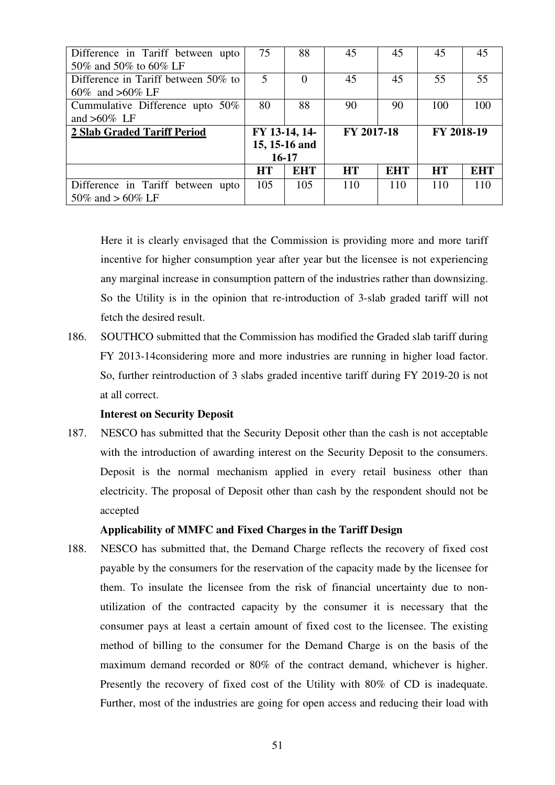| Difference in Tariff between upto<br>50% and 50% to 60% LF | 75            | 88            | 45         | 45         | 45         | 45         |
|------------------------------------------------------------|---------------|---------------|------------|------------|------------|------------|
| Difference in Tariff between 50% to<br>60\% and >60\% LF   | 5             |               | 45         | 45         | 55         | 55         |
|                                                            |               |               |            |            |            |            |
| Cummulative Difference upto 50%                            | 80            | 88            | 90         | 90         | 100        | 100        |
| and $>60\%$ LF                                             |               |               |            |            |            |            |
| 2 Slab Graded Tariff Period                                | FY 13-14, 14- |               | FY 2017-18 |            | FY 2018-19 |            |
|                                                            |               | 15, 15-16 and |            |            |            |            |
|                                                            | $16 - 17$     |               |            |            |            |            |
|                                                            | <b>HT</b>     | <b>EHT</b>    | <b>HT</b>  | <b>EHT</b> | <b>HT</b>  | <b>EHT</b> |
| Difference in Tariff between upto                          | 105           | 105           | 110        | 110        | 110        | 110        |
| 50\% and > 60\% LF                                         |               |               |            |            |            |            |

Here it is clearly envisaged that the Commission is providing more and more tariff incentive for higher consumption year after year but the licensee is not experiencing any marginal increase in consumption pattern of the industries rather than downsizing. So the Utility is in the opinion that re-introduction of 3-slab graded tariff will not fetch the desired result.

186. SOUTHCO submitted that the Commission has modified the Graded slab tariff during FY 2013-14considering more and more industries are running in higher load factor. So, further reintroduction of 3 slabs graded incentive tariff during FY 2019-20 is not at all correct.

#### **Interest on Security Deposit**

187. NESCO has submitted that the Security Deposit other than the cash is not acceptable with the introduction of awarding interest on the Security Deposit to the consumers. Deposit is the normal mechanism applied in every retail business other than electricity. The proposal of Deposit other than cash by the respondent should not be accepted

#### **Applicability of MMFC and Fixed Charges in the Tariff Design**

188. NESCO has submitted that, the Demand Charge reflects the recovery of fixed cost payable by the consumers for the reservation of the capacity made by the licensee for them. To insulate the licensee from the risk of financial uncertainty due to nonutilization of the contracted capacity by the consumer it is necessary that the consumer pays at least a certain amount of fixed cost to the licensee. The existing method of billing to the consumer for the Demand Charge is on the basis of the maximum demand recorded or 80% of the contract demand, whichever is higher. Presently the recovery of fixed cost of the Utility with 80% of CD is inadequate. Further, most of the industries are going for open access and reducing their load with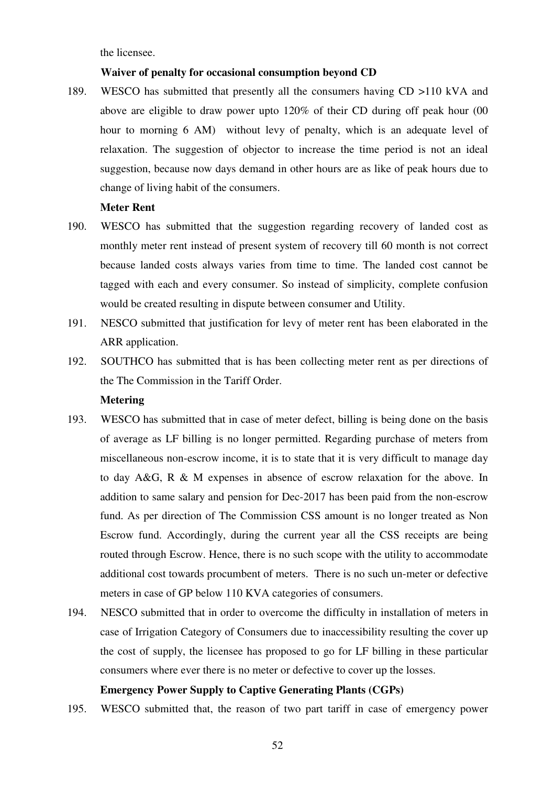the licensee.

### **Waiver of penalty for occasional consumption beyond CD**

189. WESCO has submitted that presently all the consumers having CD >110 kVA and above are eligible to draw power upto 120% of their CD during off peak hour (00 hour to morning 6 AM) without levy of penalty, which is an adequate level of relaxation. The suggestion of objector to increase the time period is not an ideal suggestion, because now days demand in other hours are as like of peak hours due to change of living habit of the consumers.

## **Meter Rent**

- 190. WESCO has submitted that the suggestion regarding recovery of landed cost as monthly meter rent instead of present system of recovery till 60 month is not correct because landed costs always varies from time to time. The landed cost cannot be tagged with each and every consumer. So instead of simplicity, complete confusion would be created resulting in dispute between consumer and Utility.
- 191. NESCO submitted that justification for levy of meter rent has been elaborated in the ARR application.
- 192. SOUTHCO has submitted that is has been collecting meter rent as per directions of the The Commission in the Tariff Order.

## **Metering**

- 193. WESCO has submitted that in case of meter defect, billing is being done on the basis of average as LF billing is no longer permitted. Regarding purchase of meters from miscellaneous non-escrow income, it is to state that it is very difficult to manage day to day A&G, R & M expenses in absence of escrow relaxation for the above. In addition to same salary and pension for Dec-2017 has been paid from the non-escrow fund. As per direction of The Commission CSS amount is no longer treated as Non Escrow fund. Accordingly, during the current year all the CSS receipts are being routed through Escrow. Hence, there is no such scope with the utility to accommodate additional cost towards procumbent of meters. There is no such un-meter or defective meters in case of GP below 110 KVA categories of consumers.
- 194. NESCO submitted that in order to overcome the difficulty in installation of meters in case of Irrigation Category of Consumers due to inaccessibility resulting the cover up the cost of supply, the licensee has proposed to go for LF billing in these particular consumers where ever there is no meter or defective to cover up the losses.

## **Emergency Power Supply to Captive Generating Plants (CGPs)**

195. WESCO submitted that, the reason of two part tariff in case of emergency power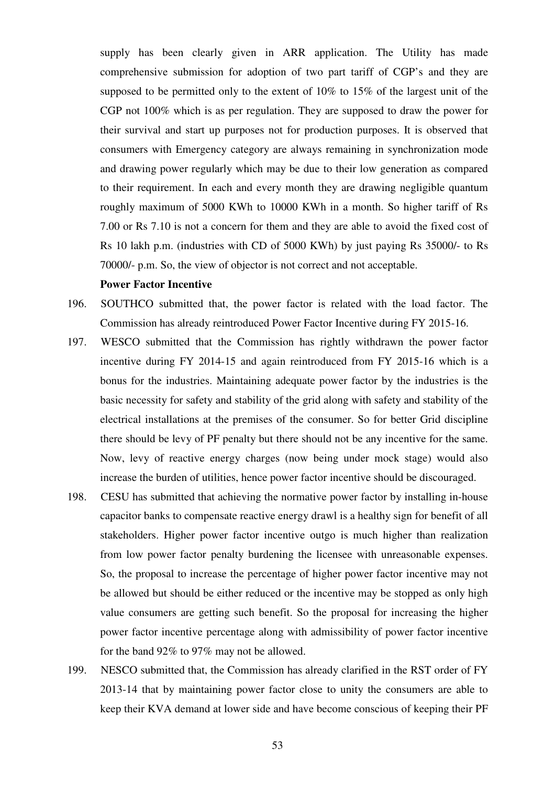supply has been clearly given in ARR application. The Utility has made comprehensive submission for adoption of two part tariff of CGP's and they are supposed to be permitted only to the extent of 10% to 15% of the largest unit of the CGP not 100% which is as per regulation. They are supposed to draw the power for their survival and start up purposes not for production purposes. It is observed that consumers with Emergency category are always remaining in synchronization mode and drawing power regularly which may be due to their low generation as compared to their requirement. In each and every month they are drawing negligible quantum roughly maximum of 5000 KWh to 10000 KWh in a month. So higher tariff of Rs 7.00 or Rs 7.10 is not a concern for them and they are able to avoid the fixed cost of Rs 10 lakh p.m. (industries with CD of 5000 KWh) by just paying Rs 35000/- to Rs 70000/- p.m. So, the view of objector is not correct and not acceptable.

## **Power Factor Incentive**

- 196. SOUTHCO submitted that, the power factor is related with the load factor. The Commission has already reintroduced Power Factor Incentive during FY 2015-16.
- 197. WESCO submitted that the Commission has rightly withdrawn the power factor incentive during FY 2014-15 and again reintroduced from FY 2015-16 which is a bonus for the industries. Maintaining adequate power factor by the industries is the basic necessity for safety and stability of the grid along with safety and stability of the electrical installations at the premises of the consumer. So for better Grid discipline there should be levy of PF penalty but there should not be any incentive for the same. Now, levy of reactive energy charges (now being under mock stage) would also increase the burden of utilities, hence power factor incentive should be discouraged.
- 198. CESU has submitted that achieving the normative power factor by installing in-house capacitor banks to compensate reactive energy drawl is a healthy sign for benefit of all stakeholders. Higher power factor incentive outgo is much higher than realization from low power factor penalty burdening the licensee with unreasonable expenses. So, the proposal to increase the percentage of higher power factor incentive may not be allowed but should be either reduced or the incentive may be stopped as only high value consumers are getting such benefit. So the proposal for increasing the higher power factor incentive percentage along with admissibility of power factor incentive for the band 92% to 97% may not be allowed.
- 199. NESCO submitted that, the Commission has already clarified in the RST order of FY 2013-14 that by maintaining power factor close to unity the consumers are able to keep their KVA demand at lower side and have become conscious of keeping their PF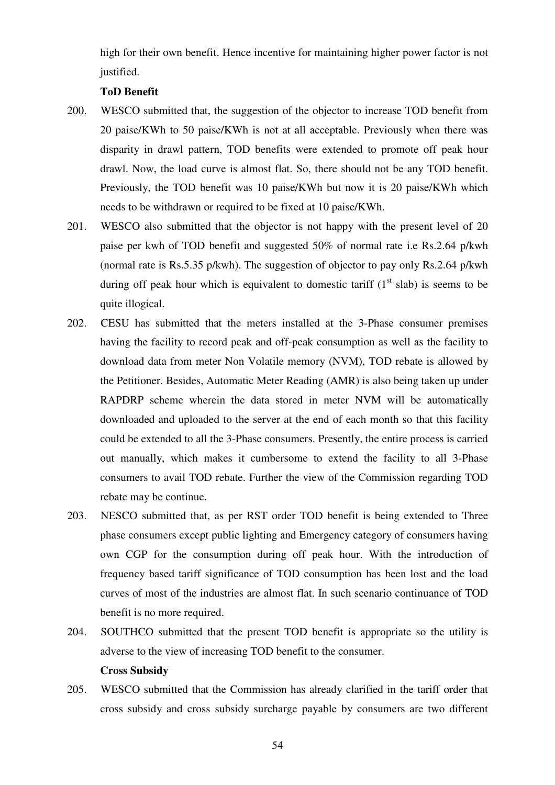high for their own benefit. Hence incentive for maintaining higher power factor is not justified.

## **ToD Benefit**

- 200. WESCO submitted that, the suggestion of the objector to increase TOD benefit from 20 paise/KWh to 50 paise/KWh is not at all acceptable. Previously when there was disparity in drawl pattern, TOD benefits were extended to promote off peak hour drawl. Now, the load curve is almost flat. So, there should not be any TOD benefit. Previously, the TOD benefit was 10 paise/KWh but now it is 20 paise/KWh which needs to be withdrawn or required to be fixed at 10 paise/KWh.
- 201. WESCO also submitted that the objector is not happy with the present level of 20 paise per kwh of TOD benefit and suggested 50% of normal rate i.e Rs.2.64 p/kwh (normal rate is Rs.5.35 p/kwh). The suggestion of objector to pay only Rs.2.64 p/kwh during off peak hour which is equivalent to domestic tariff  $(1<sup>st</sup> slab)$  is seems to be quite illogical.
- 202. CESU has submitted that the meters installed at the 3-Phase consumer premises having the facility to record peak and off-peak consumption as well as the facility to download data from meter Non Volatile memory (NVM), TOD rebate is allowed by the Petitioner. Besides, Automatic Meter Reading (AMR) is also being taken up under RAPDRP scheme wherein the data stored in meter NVM will be automatically downloaded and uploaded to the server at the end of each month so that this facility could be extended to all the 3-Phase consumers. Presently, the entire process is carried out manually, which makes it cumbersome to extend the facility to all 3-Phase consumers to avail TOD rebate. Further the view of the Commission regarding TOD rebate may be continue.
- 203. NESCO submitted that, as per RST order TOD benefit is being extended to Three phase consumers except public lighting and Emergency category of consumers having own CGP for the consumption during off peak hour. With the introduction of frequency based tariff significance of TOD consumption has been lost and the load curves of most of the industries are almost flat. In such scenario continuance of TOD benefit is no more required.
- 204. SOUTHCO submitted that the present TOD benefit is appropriate so the utility is adverse to the view of increasing TOD benefit to the consumer. **Cross Subsidy**
- 205. WESCO submitted that the Commission has already clarified in the tariff order that cross subsidy and cross subsidy surcharge payable by consumers are two different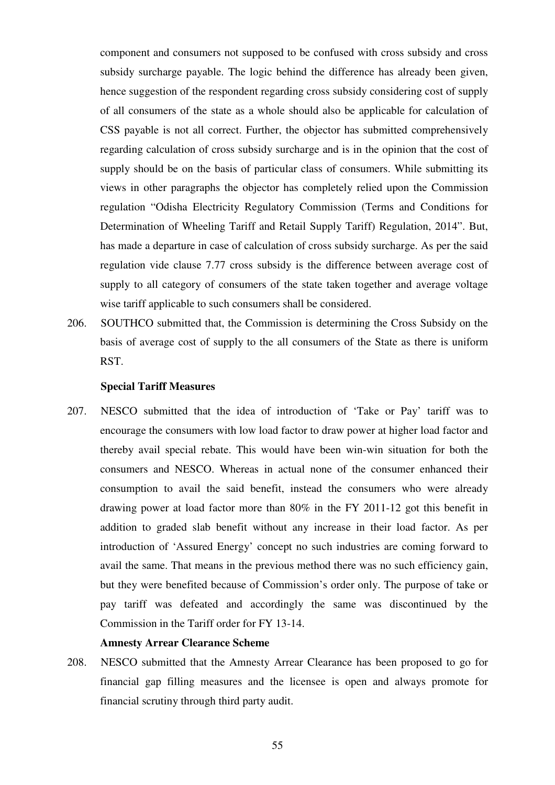component and consumers not supposed to be confused with cross subsidy and cross subsidy surcharge payable. The logic behind the difference has already been given, hence suggestion of the respondent regarding cross subsidy considering cost of supply of all consumers of the state as a whole should also be applicable for calculation of CSS payable is not all correct. Further, the objector has submitted comprehensively regarding calculation of cross subsidy surcharge and is in the opinion that the cost of supply should be on the basis of particular class of consumers. While submitting its views in other paragraphs the objector has completely relied upon the Commission regulation "Odisha Electricity Regulatory Commission (Terms and Conditions for Determination of Wheeling Tariff and Retail Supply Tariff) Regulation, 2014". But, has made a departure in case of calculation of cross subsidy surcharge. As per the said regulation vide clause 7.77 cross subsidy is the difference between average cost of supply to all category of consumers of the state taken together and average voltage wise tariff applicable to such consumers shall be considered.

206. SOUTHCO submitted that, the Commission is determining the Cross Subsidy on the basis of average cost of supply to the all consumers of the State as there is uniform RST.

#### **Special Tariff Measures**

207. NESCO submitted that the idea of introduction of 'Take or Pay' tariff was to encourage the consumers with low load factor to draw power at higher load factor and thereby avail special rebate. This would have been win-win situation for both the consumers and NESCO. Whereas in actual none of the consumer enhanced their consumption to avail the said benefit, instead the consumers who were already drawing power at load factor more than 80% in the FY 2011-12 got this benefit in addition to graded slab benefit without any increase in their load factor. As per introduction of 'Assured Energy' concept no such industries are coming forward to avail the same. That means in the previous method there was no such efficiency gain, but they were benefited because of Commission's order only. The purpose of take or pay tariff was defeated and accordingly the same was discontinued by the Commission in the Tariff order for FY 13-14.

### **Amnesty Arrear Clearance Scheme**

208. NESCO submitted that the Amnesty Arrear Clearance has been proposed to go for financial gap filling measures and the licensee is open and always promote for financial scrutiny through third party audit.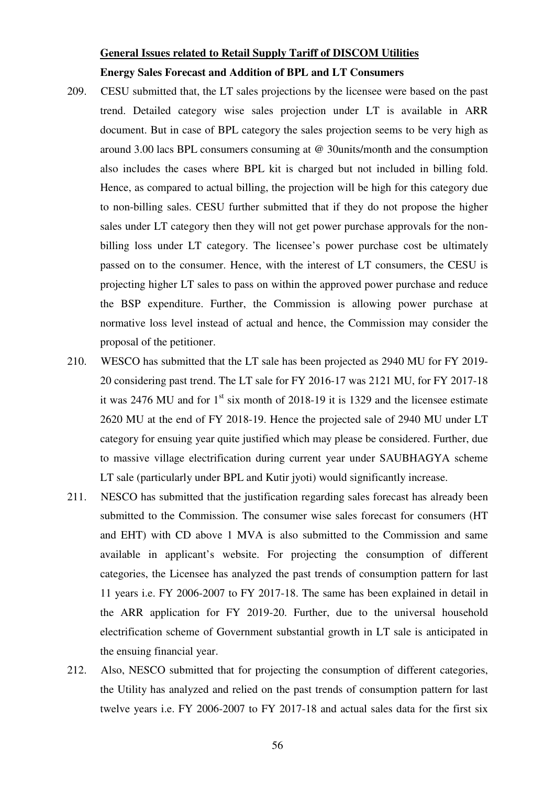## **General Issues related to Retail Supply Tariff of DISCOM Utilities Energy Sales Forecast and Addition of BPL and LT Consumers**

- 209. CESU submitted that, the LT sales projections by the licensee were based on the past trend. Detailed category wise sales projection under LT is available in ARR document. But in case of BPL category the sales projection seems to be very high as around 3.00 lacs BPL consumers consuming at @ 30units/month and the consumption also includes the cases where BPL kit is charged but not included in billing fold. Hence, as compared to actual billing, the projection will be high for this category due to non-billing sales. CESU further submitted that if they do not propose the higher sales under LT category then they will not get power purchase approvals for the nonbilling loss under LT category. The licensee's power purchase cost be ultimately passed on to the consumer. Hence, with the interest of LT consumers, the CESU is projecting higher LT sales to pass on within the approved power purchase and reduce the BSP expenditure. Further, the Commission is allowing power purchase at normative loss level instead of actual and hence, the Commission may consider the proposal of the petitioner.
- 210. WESCO has submitted that the LT sale has been projected as 2940 MU for FY 2019- 20 considering past trend. The LT sale for FY 2016-17 was 2121 MU, for FY 2017-18 it was 2476 MU and for  $1<sup>st</sup>$  six month of 2018-19 it is 1329 and the licensee estimate 2620 MU at the end of FY 2018-19. Hence the projected sale of 2940 MU under LT category for ensuing year quite justified which may please be considered. Further, due to massive village electrification during current year under SAUBHAGYA scheme LT sale (particularly under BPL and Kutir jyoti) would significantly increase.
- 211. NESCO has submitted that the justification regarding sales forecast has already been submitted to the Commission. The consumer wise sales forecast for consumers (HT and EHT) with CD above 1 MVA is also submitted to the Commission and same available in applicant's website. For projecting the consumption of different categories, the Licensee has analyzed the past trends of consumption pattern for last 11 years i.e. FY 2006-2007 to FY 2017-18. The same has been explained in detail in the ARR application for FY 2019-20. Further, due to the universal household electrification scheme of Government substantial growth in LT sale is anticipated in the ensuing financial year.
- 212. Also, NESCO submitted that for projecting the consumption of different categories, the Utility has analyzed and relied on the past trends of consumption pattern for last twelve years i.e. FY 2006-2007 to FY 2017-18 and actual sales data for the first six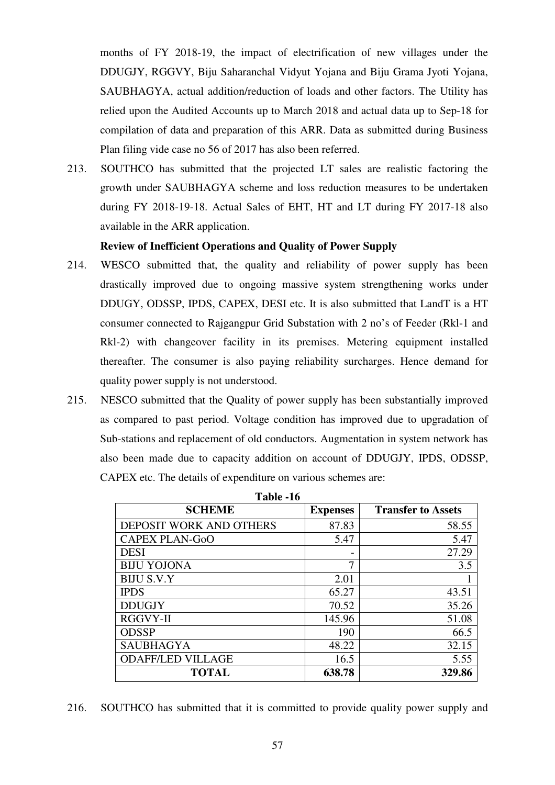months of FY 2018-19, the impact of electrification of new villages under the DDUGJY, RGGVY, Biju Saharanchal Vidyut Yojana and Biju Grama Jyoti Yojana, SAUBHAGYA, actual addition/reduction of loads and other factors. The Utility has relied upon the Audited Accounts up to March 2018 and actual data up to Sep-18 for compilation of data and preparation of this ARR. Data as submitted during Business Plan filing vide case no 56 of 2017 has also been referred.

213. SOUTHCO has submitted that the projected LT sales are realistic factoring the growth under SAUBHAGYA scheme and loss reduction measures to be undertaken during FY 2018-19-18. Actual Sales of EHT, HT and LT during FY 2017-18 also available in the ARR application.

## **Review of Inefficient Operations and Quality of Power Supply**

- 214. WESCO submitted that, the quality and reliability of power supply has been drastically improved due to ongoing massive system strengthening works under DDUGY, ODSSP, IPDS, CAPEX, DESI etc. It is also submitted that LandT is a HT consumer connected to Rajgangpur Grid Substation with 2 no's of Feeder (Rkl-1 and Rkl-2) with changeover facility in its premises. Metering equipment installed thereafter. The consumer is also paying reliability surcharges. Hence demand for quality power supply is not understood.
- 215. NESCO submitted that the Quality of power supply has been substantially improved as compared to past period. Voltage condition has improved due to upgradation of Sub-stations and replacement of old conductors. Augmentation in system network has also been made due to capacity addition on account of DDUGJY, IPDS, ODSSP, CAPEX etc. The details of expenditure on various schemes are:

| <b>SCHEME</b>            | <b>Expenses</b> | <b>Transfer to Assets</b> |
|--------------------------|-----------------|---------------------------|
| DEPOSIT WORK AND OTHERS  | 87.83           | 58.55                     |
| <b>CAPEX PLAN-GoO</b>    | 5.47            | 5.47                      |
| <b>DESI</b>              |                 | 27.29                     |
| <b>BIJU YOJONA</b>       |                 | 3.5                       |
| <b>BIJU S.V.Y</b>        | 2.01            |                           |
| <b>IPDS</b>              | 65.27           | 43.51                     |
| <b>DDUGJY</b>            | 70.52           | 35.26                     |
| <b>RGGVY-II</b>          | 145.96          | 51.08                     |
| <b>ODSSP</b>             | 190             | 66.5                      |
| <b>SAUBHAGYA</b>         | 48.22           | 32.15                     |
| <b>ODAFF/LED VILLAGE</b> | 16.5            | 5.55                      |
| <b>TOTAL</b>             | 638.78          | 329.86                    |

| <b>Table -16</b> |  |
|------------------|--|
|------------------|--|

216. SOUTHCO has submitted that it is committed to provide quality power supply and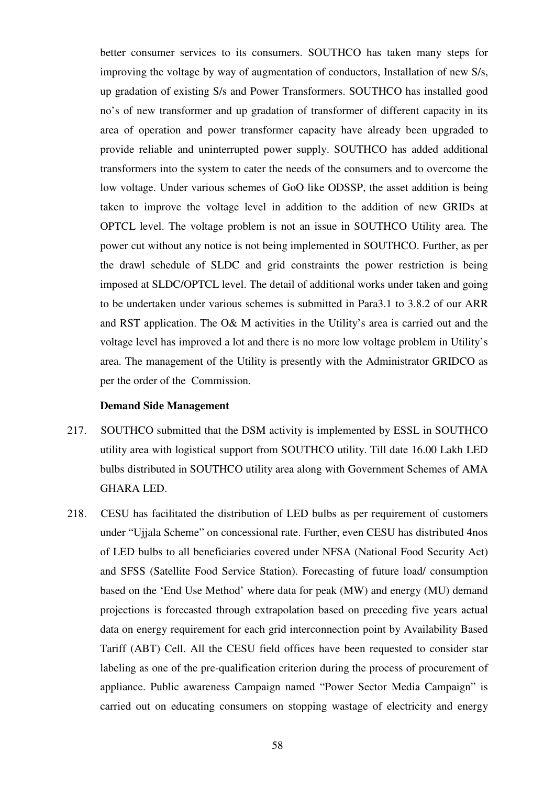better consumer services to its consumers. SOUTHCO has taken many steps for improving the voltage by way of augmentation of conductors, Installation of new S/s, up gradation of existing S/s and Power Transformers. SOUTHCO has installed good no's of new transformer and up gradation of transformer of different capacity in its area of operation and power transformer capacity have already been upgraded to provide reliable and uninterrupted power supply. SOUTHCO has added additional transformers into the system to cater the needs of the consumers and to overcome the low voltage. Under various schemes of GoO like ODSSP, the asset addition is being taken to improve the voltage level in addition to the addition of new GRIDs at OPTCL level. The voltage problem is not an issue in SOUTHCO Utility area. The power cut without any notice is not being implemented in SOUTHCO. Further, as per the drawl schedule of SLDC and grid constraints the power restriction is being imposed at SLDC/OPTCL level. The detail of additional works under taken and going to be undertaken under various schemes is submitted in Para3.1 to 3.8.2 of our ARR and RST application. The O& M activities in the Utility's area is carried out and the voltage level has improved a lot and there is no more low voltage problem in Utility's area. The management of the Utility is presently with the Administrator GRIDCO as per the order of the Commission.

#### **Demand Side Management**

- 217. SOUTHCO submitted that the DSM activity is implemented by ESSL in SOUTHCO utility area with logistical support from SOUTHCO utility. Till date 16.00 Lakh LED bulbs distributed in SOUTHCO utility area along with Government Schemes of AMA GHARA LED.
- 218. CESU has facilitated the distribution of LED bulbs as per requirement of customers under "Ujjala Scheme" on concessional rate. Further, even CESU has distributed 4nos of LED bulbs to all beneficiaries covered under NFSA (National Food Security Act) and SFSS (Satellite Food Service Station). Forecasting of future load/ consumption based on the 'End Use Method' where data for peak (MW) and energy (MU) demand projections is forecasted through extrapolation based on preceding five years actual data on energy requirement for each grid interconnection point by Availability Based Tariff (ABT) Cell. All the CESU field offices have been requested to consider star labeling as one of the pre-qualification criterion during the process of procurement of appliance. Public awareness Campaign named "Power Sector Media Campaign" is carried out on educating consumers on stopping wastage of electricity and energy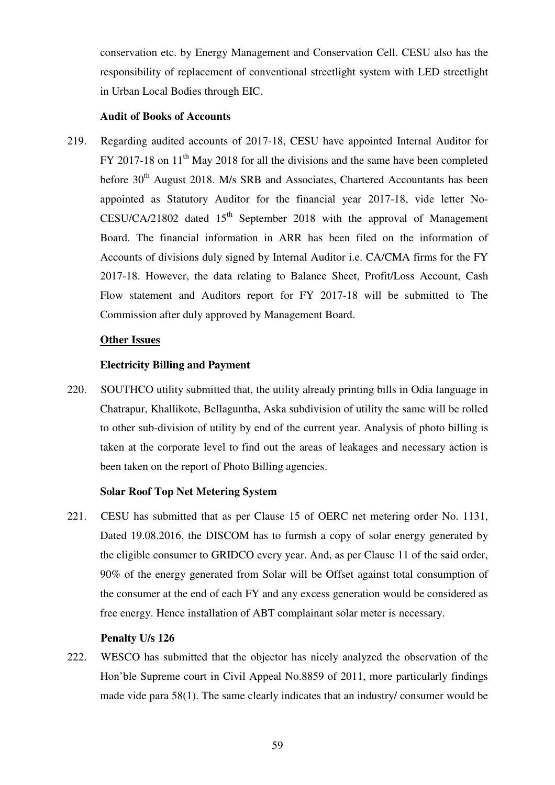conservation etc. by Energy Management and Conservation Cell. CESU also has the responsibility of replacement of conventional streetlight system with LED streetlight in Urban Local Bodies through EIC.

## **Audit of Books of Accounts**

219. Regarding audited accounts of 2017-18, CESU have appointed Internal Auditor for FY 2017-18 on 11<sup>th</sup> May 2018 for all the divisions and the same have been completed before  $30<sup>th</sup>$  August 2018. M/s SRB and Associates, Chartered Accountants has been appointed as Statutory Auditor for the financial year 2017-18, vide letter No-CESU/CA/21802 dated  $15<sup>th</sup>$  September 2018 with the approval of Management Board. The financial information in ARR has been filed on the information of Accounts of divisions duly signed by Internal Auditor i.e. CA/CMA firms for the FY 2017-18. However, the data relating to Balance Sheet, Profit/Loss Account, Cash Flow statement and Auditors report for FY 2017-18 will be submitted to The Commission after duly approved by Management Board.

## **Other Issues**

## **Electricity Billing and Payment**

220. SOUTHCO utility submitted that, the utility already printing bills in Odia language in Chatrapur, Khallikote, Bellaguntha, Aska subdivision of utility the same will be rolled to other sub-division of utility by end of the current year. Analysis of photo billing is taken at the corporate level to find out the areas of leakages and necessary action is been taken on the report of Photo Billing agencies.

## **Solar Roof Top Net Metering System**

221. CESU has submitted that as per Clause 15 of OERC net metering order No. 1131, Dated 19.08.2016, the DISCOM has to furnish a copy of solar energy generated by the eligible consumer to GRIDCO every year. And, as per Clause 11 of the said order, 90% of the energy generated from Solar will be Offset against total consumption of the consumer at the end of each FY and any excess generation would be considered as free energy. Hence installation of ABT complainant solar meter is necessary.

## **Penalty U/s 126**

222. WESCO has submitted that the objector has nicely analyzed the observation of the Hon'ble Supreme court in Civil Appeal No.8859 of 2011, more particularly findings made vide para 58(1). The same clearly indicates that an industry/ consumer would be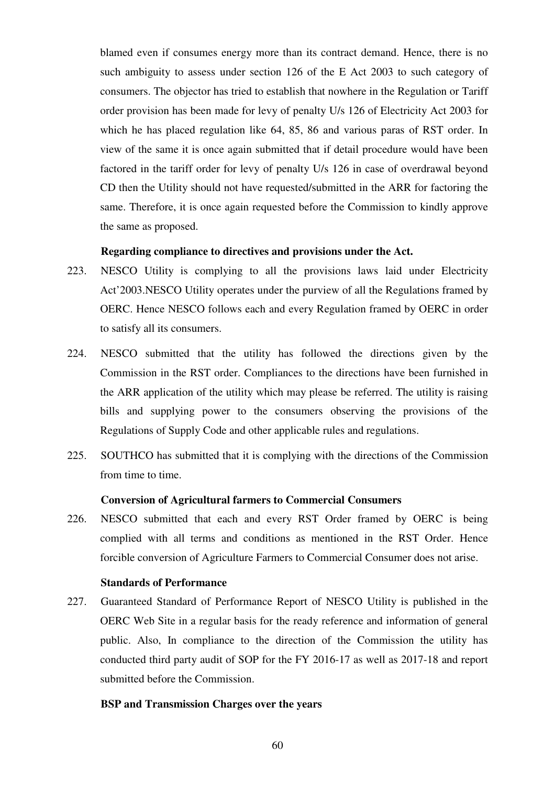blamed even if consumes energy more than its contract demand. Hence, there is no such ambiguity to assess under section 126 of the E Act 2003 to such category of consumers. The objector has tried to establish that nowhere in the Regulation or Tariff order provision has been made for levy of penalty U/s 126 of Electricity Act 2003 for which he has placed regulation like 64, 85, 86 and various paras of RST order. In view of the same it is once again submitted that if detail procedure would have been factored in the tariff order for levy of penalty U/s 126 in case of overdrawal beyond CD then the Utility should not have requested/submitted in the ARR for factoring the same. Therefore, it is once again requested before the Commission to kindly approve the same as proposed.

## **Regarding compliance to directives and provisions under the Act.**

- 223. NESCO Utility is complying to all the provisions laws laid under Electricity Act'2003.NESCO Utility operates under the purview of all the Regulations framed by OERC. Hence NESCO follows each and every Regulation framed by OERC in order to satisfy all its consumers.
- 224. NESCO submitted that the utility has followed the directions given by the Commission in the RST order. Compliances to the directions have been furnished in the ARR application of the utility which may please be referred. The utility is raising bills and supplying power to the consumers observing the provisions of the Regulations of Supply Code and other applicable rules and regulations.
- 225. SOUTHCO has submitted that it is complying with the directions of the Commission from time to time.

#### **Conversion of Agricultural farmers to Commercial Consumers**

226. NESCO submitted that each and every RST Order framed by OERC is being complied with all terms and conditions as mentioned in the RST Order. Hence forcible conversion of Agriculture Farmers to Commercial Consumer does not arise.

#### **Standards of Performance**

227. Guaranteed Standard of Performance Report of NESCO Utility is published in the OERC Web Site in a regular basis for the ready reference and information of general public. Also, In compliance to the direction of the Commission the utility has conducted third party audit of SOP for the FY 2016-17 as well as 2017-18 and report submitted before the Commission.

#### **BSP and Transmission Charges over the years**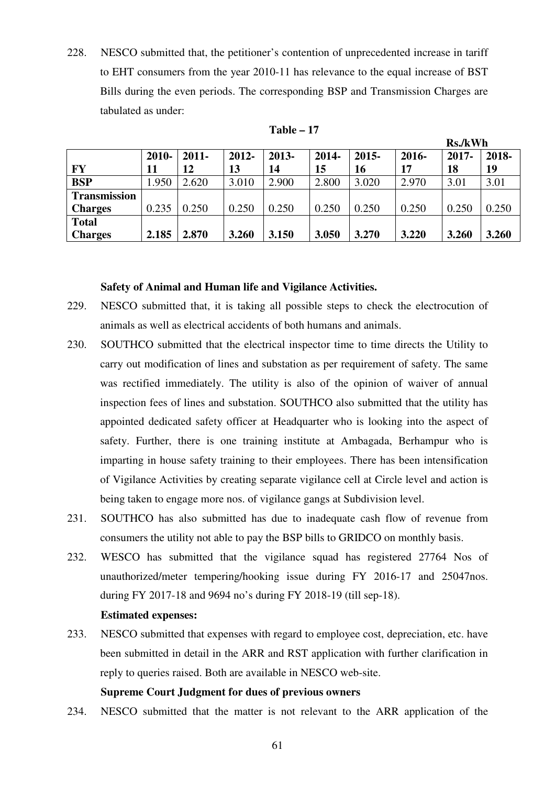228. NESCO submitted that, the petitioner's contention of unprecedented increase in tariff to EHT consumers from the year 2010-11 has relevance to the equal increase of BST Bills during the even periods. The corresponding BSP and Transmission Charges are tabulated as under:

|                     |       |          |          |       |       |          |       | INS./K VV II |       |
|---------------------|-------|----------|----------|-------|-------|----------|-------|--------------|-------|
|                     | 2010- | $2011 -$ | $2012 -$ | 2013- | 2014- | $2015 -$ | 2016- | $2017 -$     | 2018- |
| FY                  | 11    | 12       | 13       | 14    | 15    | 16       | 17    | 18           | 19    |
| <b>BSP</b>          | 1.950 | 2.620    | 3.010    | 2.900 | 2.800 | 3.020    | 2.970 | 3.01         | 3.01  |
| <b>Transmission</b> |       |          |          |       |       |          |       |              |       |
| <b>Charges</b>      | 0.235 | 0.250    | 0.250    | 0.250 | 0.250 | 0.250    | 0.250 | 0.250        | 0.250 |
| <b>Total</b>        |       |          |          |       |       |          |       |              |       |
| <b>Charges</b>      | 2.185 | 2.870    | 3.260    | 3.150 | 3.050 | 3.270    | 3.220 | 3.260        | 3.260 |

**Table – 17** 

 $\mathbf{D} \cdot \mathbf{A} \cdot \mathbf{W}$ 

#### **Safety of Animal and Human life and Vigilance Activities.**

- 229. NESCO submitted that, it is taking all possible steps to check the electrocution of animals as well as electrical accidents of both humans and animals.
- 230. SOUTHCO submitted that the electrical inspector time to time directs the Utility to carry out modification of lines and substation as per requirement of safety. The same was rectified immediately. The utility is also of the opinion of waiver of annual inspection fees of lines and substation. SOUTHCO also submitted that the utility has appointed dedicated safety officer at Headquarter who is looking into the aspect of safety. Further, there is one training institute at Ambagada, Berhampur who is imparting in house safety training to their employees. There has been intensification of Vigilance Activities by creating separate vigilance cell at Circle level and action is being taken to engage more nos. of vigilance gangs at Subdivision level.
- 231. SOUTHCO has also submitted has due to inadequate cash flow of revenue from consumers the utility not able to pay the BSP bills to GRIDCO on monthly basis.
- 232. WESCO has submitted that the vigilance squad has registered 27764 Nos of unauthorized/meter tempering/hooking issue during FY 2016-17 and 25047nos. during FY 2017-18 and 9694 no's during FY 2018-19 (till sep-18).

#### **Estimated expenses:**

233. NESCO submitted that expenses with regard to employee cost, depreciation, etc. have been submitted in detail in the ARR and RST application with further clarification in reply to queries raised. Both are available in NESCO web-site.

## **Supreme Court Judgment for dues of previous owners**

234. NESCO submitted that the matter is not relevant to the ARR application of the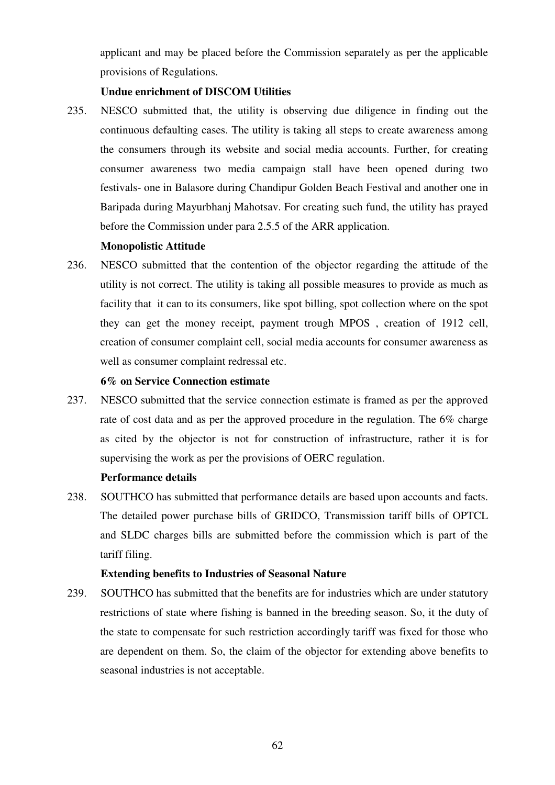applicant and may be placed before the Commission separately as per the applicable provisions of Regulations.

## **Undue enrichment of DISCOM Utilities**

235. NESCO submitted that, the utility is observing due diligence in finding out the continuous defaulting cases. The utility is taking all steps to create awareness among the consumers through its website and social media accounts. Further, for creating consumer awareness two media campaign stall have been opened during two festivals- one in Balasore during Chandipur Golden Beach Festival and another one in Baripada during Mayurbhanj Mahotsav. For creating such fund, the utility has prayed before the Commission under para 2.5.5 of the ARR application.

## **Monopolistic Attitude**

236. NESCO submitted that the contention of the objector regarding the attitude of the utility is not correct. The utility is taking all possible measures to provide as much as facility that it can to its consumers, like spot billing, spot collection where on the spot they can get the money receipt, payment trough MPOS , creation of 1912 cell, creation of consumer complaint cell, social media accounts for consumer awareness as well as consumer complaint redressal etc.

#### **6% on Service Connection estimate**

237. NESCO submitted that the service connection estimate is framed as per the approved rate of cost data and as per the approved procedure in the regulation. The 6% charge as cited by the objector is not for construction of infrastructure, rather it is for supervising the work as per the provisions of OERC regulation.

## **Performance details**

238. SOUTHCO has submitted that performance details are based upon accounts and facts. The detailed power purchase bills of GRIDCO, Transmission tariff bills of OPTCL and SLDC charges bills are submitted before the commission which is part of the tariff filing.

## **Extending benefits to Industries of Seasonal Nature**

239. SOUTHCO has submitted that the benefits are for industries which are under statutory restrictions of state where fishing is banned in the breeding season. So, it the duty of the state to compensate for such restriction accordingly tariff was fixed for those who are dependent on them. So, the claim of the objector for extending above benefits to seasonal industries is not acceptable.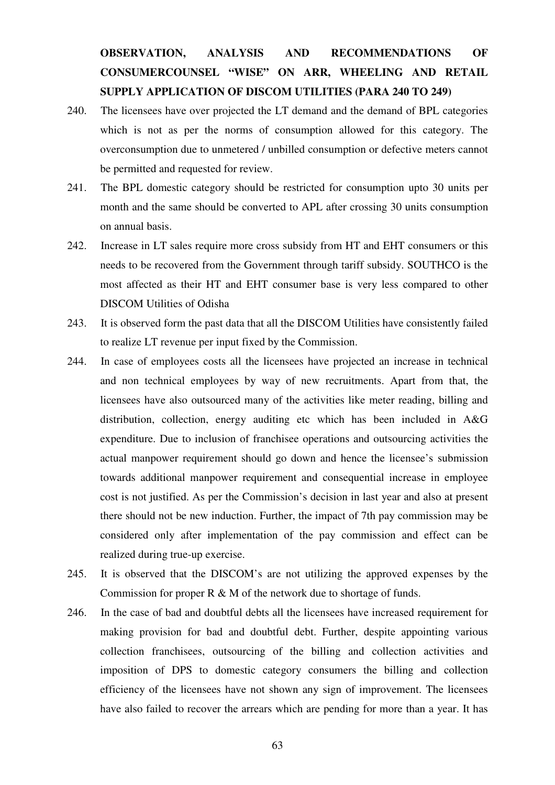## **OBSERVATION, ANALYSIS AND RECOMMENDATIONS OF CONSUMERCOUNSEL "WISE" ON ARR, WHEELING AND RETAIL SUPPLY APPLICATION OF DISCOM UTILITIES (PARA 240 TO 249)**

- 240. The licensees have over projected the LT demand and the demand of BPL categories which is not as per the norms of consumption allowed for this category. The overconsumption due to unmetered / unbilled consumption or defective meters cannot be permitted and requested for review.
- 241. The BPL domestic category should be restricted for consumption upto 30 units per month and the same should be converted to APL after crossing 30 units consumption on annual basis.
- 242. Increase in LT sales require more cross subsidy from HT and EHT consumers or this needs to be recovered from the Government through tariff subsidy. SOUTHCO is the most affected as their HT and EHT consumer base is very less compared to other DISCOM Utilities of Odisha
- 243. It is observed form the past data that all the DISCOM Utilities have consistently failed to realize LT revenue per input fixed by the Commission.
- 244. In case of employees costs all the licensees have projected an increase in technical and non technical employees by way of new recruitments. Apart from that, the licensees have also outsourced many of the activities like meter reading, billing and distribution, collection, energy auditing etc which has been included in A&G expenditure. Due to inclusion of franchisee operations and outsourcing activities the actual manpower requirement should go down and hence the licensee's submission towards additional manpower requirement and consequential increase in employee cost is not justified. As per the Commission's decision in last year and also at present there should not be new induction. Further, the impact of 7th pay commission may be considered only after implementation of the pay commission and effect can be realized during true-up exercise.
- 245. It is observed that the DISCOM's are not utilizing the approved expenses by the Commission for proper  $R \& M$  of the network due to shortage of funds.
- 246. In the case of bad and doubtful debts all the licensees have increased requirement for making provision for bad and doubtful debt. Further, despite appointing various collection franchisees, outsourcing of the billing and collection activities and imposition of DPS to domestic category consumers the billing and collection efficiency of the licensees have not shown any sign of improvement. The licensees have also failed to recover the arrears which are pending for more than a year. It has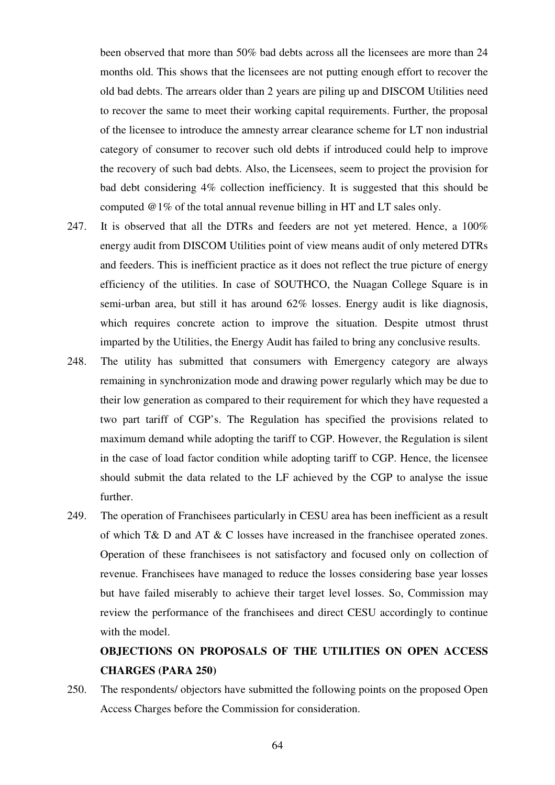been observed that more than 50% bad debts across all the licensees are more than 24 months old. This shows that the licensees are not putting enough effort to recover the old bad debts. The arrears older than 2 years are piling up and DISCOM Utilities need to recover the same to meet their working capital requirements. Further, the proposal of the licensee to introduce the amnesty arrear clearance scheme for LT non industrial category of consumer to recover such old debts if introduced could help to improve the recovery of such bad debts. Also, the Licensees, seem to project the provision for bad debt considering 4% collection inefficiency. It is suggested that this should be computed @1% of the total annual revenue billing in HT and LT sales only.

- 247. It is observed that all the DTRs and feeders are not yet metered. Hence, a 100% energy audit from DISCOM Utilities point of view means audit of only metered DTRs and feeders. This is inefficient practice as it does not reflect the true picture of energy efficiency of the utilities. In case of SOUTHCO, the Nuagan College Square is in semi-urban area, but still it has around 62% losses. Energy audit is like diagnosis, which requires concrete action to improve the situation. Despite utmost thrust imparted by the Utilities, the Energy Audit has failed to bring any conclusive results.
- 248. The utility has submitted that consumers with Emergency category are always remaining in synchronization mode and drawing power regularly which may be due to their low generation as compared to their requirement for which they have requested a two part tariff of CGP's. The Regulation has specified the provisions related to maximum demand while adopting the tariff to CGP. However, the Regulation is silent in the case of load factor condition while adopting tariff to CGP. Hence, the licensee should submit the data related to the LF achieved by the CGP to analyse the issue further.
- 249. The operation of Franchisees particularly in CESU area has been inefficient as a result of which T& D and AT & C losses have increased in the franchisee operated zones. Operation of these franchisees is not satisfactory and focused only on collection of revenue. Franchisees have managed to reduce the losses considering base year losses but have failed miserably to achieve their target level losses. So, Commission may review the performance of the franchisees and direct CESU accordingly to continue with the model.

## **OBJECTIONS ON PROPOSALS OF THE UTILITIES ON OPEN ACCESS CHARGES (PARA 250)**

250. The respondents/ objectors have submitted the following points on the proposed Open Access Charges before the Commission for consideration.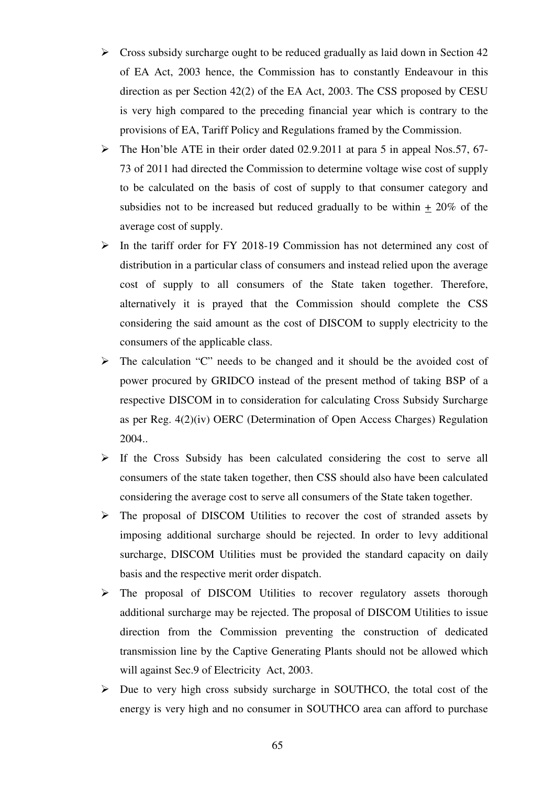- $\triangleright$  Cross subsidy surcharge ought to be reduced gradually as laid down in Section 42 of EA Act, 2003 hence, the Commission has to constantly Endeavour in this direction as per Section 42(2) of the EA Act, 2003. The CSS proposed by CESU is very high compared to the preceding financial year which is contrary to the provisions of EA, Tariff Policy and Regulations framed by the Commission.
- $\triangleright$  The Hon'ble ATE in their order dated 02.9.2011 at para 5 in appeal Nos.57, 67-73 of 2011 had directed the Commission to determine voltage wise cost of supply to be calculated on the basis of cost of supply to that consumer category and subsidies not to be increased but reduced gradually to be within  $+20\%$  of the average cost of supply.
- $\triangleright$  In the tariff order for FY 2018-19 Commission has not determined any cost of distribution in a particular class of consumers and instead relied upon the average cost of supply to all consumers of the State taken together. Therefore, alternatively it is prayed that the Commission should complete the CSS considering the said amount as the cost of DISCOM to supply electricity to the consumers of the applicable class.
- The calculation "C" needs to be changed and it should be the avoided cost of power procured by GRIDCO instead of the present method of taking BSP of a respective DISCOM in to consideration for calculating Cross Subsidy Surcharge as per Reg. 4(2)(iv) OERC (Determination of Open Access Charges) Regulation 2004..
- $\triangleright$  If the Cross Subsidy has been calculated considering the cost to serve all consumers of the state taken together, then CSS should also have been calculated considering the average cost to serve all consumers of the State taken together.
- The proposal of DISCOM Utilities to recover the cost of stranded assets by imposing additional surcharge should be rejected. In order to levy additional surcharge, DISCOM Utilities must be provided the standard capacity on daily basis and the respective merit order dispatch.
- The proposal of DISCOM Utilities to recover regulatory assets thorough additional surcharge may be rejected. The proposal of DISCOM Utilities to issue direction from the Commission preventing the construction of dedicated transmission line by the Captive Generating Plants should not be allowed which will against Sec.9 of Electricity Act, 2003.
- $\triangleright$  Due to very high cross subsidy surcharge in SOUTHCO, the total cost of the energy is very high and no consumer in SOUTHCO area can afford to purchase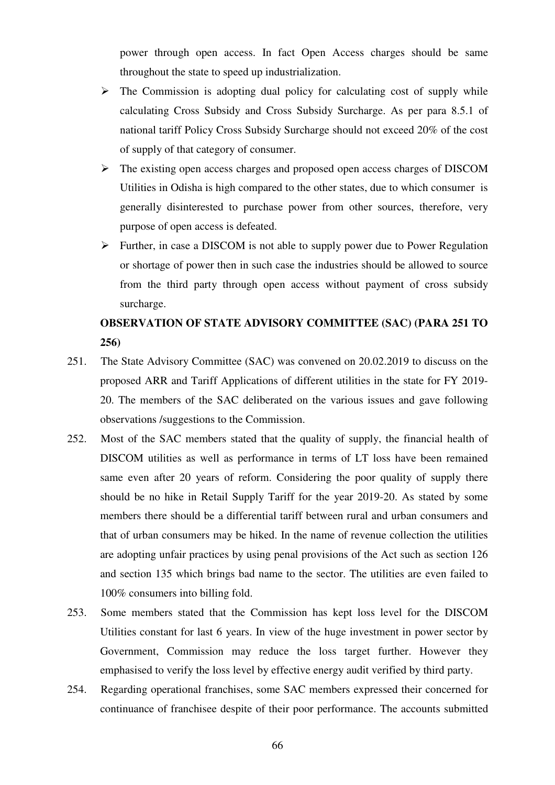power through open access. In fact Open Access charges should be same throughout the state to speed up industrialization.

- $\triangleright$  The Commission is adopting dual policy for calculating cost of supply while calculating Cross Subsidy and Cross Subsidy Surcharge. As per para 8.5.1 of national tariff Policy Cross Subsidy Surcharge should not exceed 20% of the cost of supply of that category of consumer.
- The existing open access charges and proposed open access charges of DISCOM Utilities in Odisha is high compared to the other states, due to which consumer is generally disinterested to purchase power from other sources, therefore, very purpose of open access is defeated.
- $\triangleright$  Further, in case a DISCOM is not able to supply power due to Power Regulation or shortage of power then in such case the industries should be allowed to source from the third party through open access without payment of cross subsidy surcharge.

## **OBSERVATION OF STATE ADVISORY COMMITTEE (SAC) (PARA 251 TO 256)**

- 251. The State Advisory Committee (SAC) was convened on 20.02.2019 to discuss on the proposed ARR and Tariff Applications of different utilities in the state for FY 2019- 20. The members of the SAC deliberated on the various issues and gave following observations /suggestions to the Commission.
- 252. Most of the SAC members stated that the quality of supply, the financial health of DISCOM utilities as well as performance in terms of LT loss have been remained same even after 20 years of reform. Considering the poor quality of supply there should be no hike in Retail Supply Tariff for the year 2019-20. As stated by some members there should be a differential tariff between rural and urban consumers and that of urban consumers may be hiked. In the name of revenue collection the utilities are adopting unfair practices by using penal provisions of the Act such as section 126 and section 135 which brings bad name to the sector. The utilities are even failed to 100% consumers into billing fold.
- 253. Some members stated that the Commission has kept loss level for the DISCOM Utilities constant for last 6 years. In view of the huge investment in power sector by Government, Commission may reduce the loss target further. However they emphasised to verify the loss level by effective energy audit verified by third party.
- 254. Regarding operational franchises, some SAC members expressed their concerned for continuance of franchisee despite of their poor performance. The accounts submitted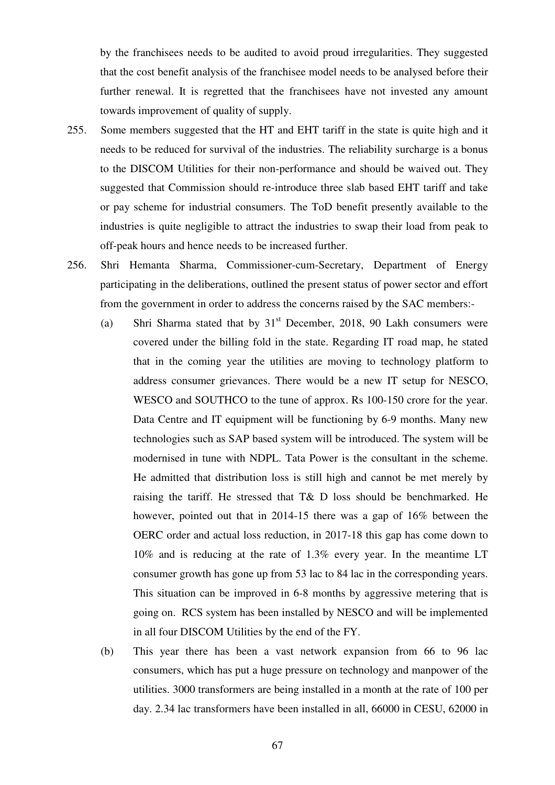by the franchisees needs to be audited to avoid proud irregularities. They suggested that the cost benefit analysis of the franchisee model needs to be analysed before their further renewal. It is regretted that the franchisees have not invested any amount towards improvement of quality of supply.

- 255. Some members suggested that the HT and EHT tariff in the state is quite high and it needs to be reduced for survival of the industries. The reliability surcharge is a bonus to the DISCOM Utilities for their non-performance and should be waived out. They suggested that Commission should re-introduce three slab based EHT tariff and take or pay scheme for industrial consumers. The ToD benefit presently available to the industries is quite negligible to attract the industries to swap their load from peak to off-peak hours and hence needs to be increased further.
- 256. Shri Hemanta Sharma, Commissioner-cum-Secretary, Department of Energy participating in the deliberations, outlined the present status of power sector and effort from the government in order to address the concerns raised by the SAC members:-
	- (a) Shri Sharma stated that by  $31<sup>st</sup>$  December, 2018, 90 Lakh consumers were covered under the billing fold in the state. Regarding IT road map, he stated that in the coming year the utilities are moving to technology platform to address consumer grievances. There would be a new IT setup for NESCO, WESCO and SOUTHCO to the tune of approx. Rs 100-150 crore for the year. Data Centre and IT equipment will be functioning by 6-9 months. Many new technologies such as SAP based system will be introduced. The system will be modernised in tune with NDPL. Tata Power is the consultant in the scheme. He admitted that distribution loss is still high and cannot be met merely by raising the tariff. He stressed that T& D loss should be benchmarked. He however, pointed out that in 2014-15 there was a gap of 16% between the OERC order and actual loss reduction, in 2017-18 this gap has come down to 10% and is reducing at the rate of 1.3% every year. In the meantime LT consumer growth has gone up from 53 lac to 84 lac in the corresponding years. This situation can be improved in 6-8 months by aggressive metering that is going on. RCS system has been installed by NESCO and will be implemented in all four DISCOM Utilities by the end of the FY.
	- (b) This year there has been a vast network expansion from 66 to 96 lac consumers, which has put a huge pressure on technology and manpower of the utilities. 3000 transformers are being installed in a month at the rate of 100 per day. 2.34 lac transformers have been installed in all, 66000 in CESU, 62000 in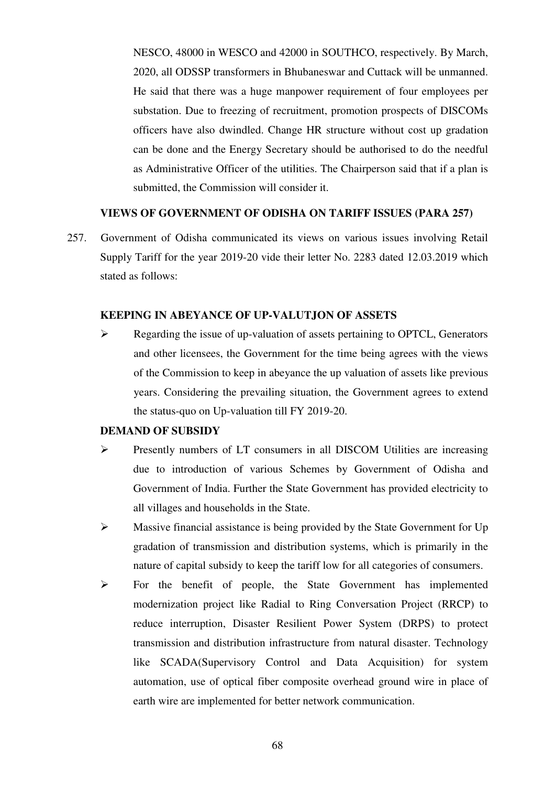NESCO, 48000 in WESCO and 42000 in SOUTHCO, respectively. By March, 2020, all ODSSP transformers in Bhubaneswar and Cuttack will be unmanned. He said that there was a huge manpower requirement of four employees per substation. Due to freezing of recruitment, promotion prospects of DISCOMs officers have also dwindled. Change HR structure without cost up gradation can be done and the Energy Secretary should be authorised to do the needful as Administrative Officer of the utilities. The Chairperson said that if a plan is submitted, the Commission will consider it.

## **VIEWS OF GOVERNMENT OF ODISHA ON TARIFF ISSUES (PARA 257)**

257. Government of Odisha communicated its views on various issues involving Retail Supply Tariff for the year 2019-20 vide their letter No. 2283 dated 12.03.2019 which stated as follows:

## **KEEPING IN ABEYANCE OF UP-VALUTJON OF ASSETS**

Regarding the issue of up-valuation of assets pertaining to OPTCL, Generators and other licensees, the Government for the time being agrees with the views of the Commission to keep in abeyance the up valuation of assets like previous years. Considering the prevailing situation, the Government agrees to extend the status-quo on Up-valuation till FY 2019-20.

#### **DEMAND OF SUBSIDY**

- Presently numbers of LT consumers in all DISCOM Utilities are increasing due to introduction of various Schemes by Government of Odisha and Government of India. Further the State Government has provided electricity to all villages and households in the State.
- $\triangleright$  Massive financial assistance is being provided by the State Government for Up gradation of transmission and distribution systems, which is primarily in the nature of capital subsidy to keep the tariff low for all categories of consumers.
- For the benefit of people, the State Government has implemented modernization project like Radial to Ring Conversation Project (RRCP) to reduce interruption, Disaster Resilient Power System (DRPS) to protect transmission and distribution infrastructure from natural disaster. Technology like SCADA(Supervisory Control and Data Acquisition) for system automation, use of optical fiber composite overhead ground wire in place of earth wire are implemented for better network communication.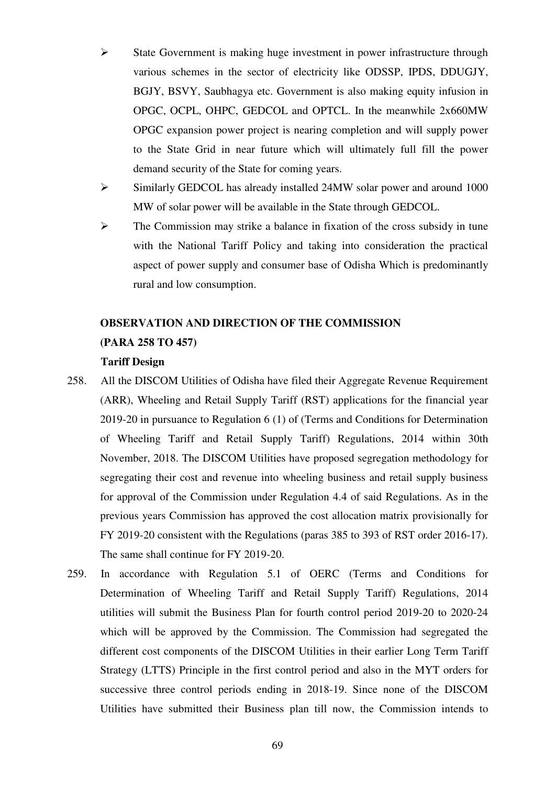- $\triangleright$  State Government is making huge investment in power infrastructure through various schemes in the sector of electricity like ODSSP, IPDS, DDUGJY, BGJY, BSVY, Saubhagya etc. Government is also making equity infusion in OPGC, OCPL, OHPC, GEDCOL and OPTCL. In the meanwhile 2x660MW OPGC expansion power project is nearing completion and will supply power to the State Grid in near future which will ultimately full fill the power demand security of the State for coming years.
- Similarly GEDCOL has already installed 24MW solar power and around 1000 MW of solar power will be available in the State through GEDCOL.
- $\triangleright$  The Commission may strike a balance in fixation of the cross subsidy in tune with the National Tariff Policy and taking into consideration the practical aspect of power supply and consumer base of Odisha Which is predominantly rural and low consumption.

## **OBSERVATION AND DIRECTION OF THE COMMISSION (PARA 258 TO 457)**

## **Tariff Design**

- 258. All the DISCOM Utilities of Odisha have filed their Aggregate Revenue Requirement (ARR), Wheeling and Retail Supply Tariff (RST) applications for the financial year 2019-20 in pursuance to Regulation 6 (1) of (Terms and Conditions for Determination of Wheeling Tariff and Retail Supply Tariff) Regulations, 2014 within 30th November, 2018. The DISCOM Utilities have proposed segregation methodology for segregating their cost and revenue into wheeling business and retail supply business for approval of the Commission under Regulation 4.4 of said Regulations. As in the previous years Commission has approved the cost allocation matrix provisionally for FY 2019-20 consistent with the Regulations (paras 385 to 393 of RST order 2016-17). The same shall continue for FY 2019-20.
- 259. In accordance with Regulation 5.1 of OERC (Terms and Conditions for Determination of Wheeling Tariff and Retail Supply Tariff) Regulations, 2014 utilities will submit the Business Plan for fourth control period 2019-20 to 2020-24 which will be approved by the Commission. The Commission had segregated the different cost components of the DISCOM Utilities in their earlier Long Term Tariff Strategy (LTTS) Principle in the first control period and also in the MYT orders for successive three control periods ending in 2018-19. Since none of the DISCOM Utilities have submitted their Business plan till now, the Commission intends to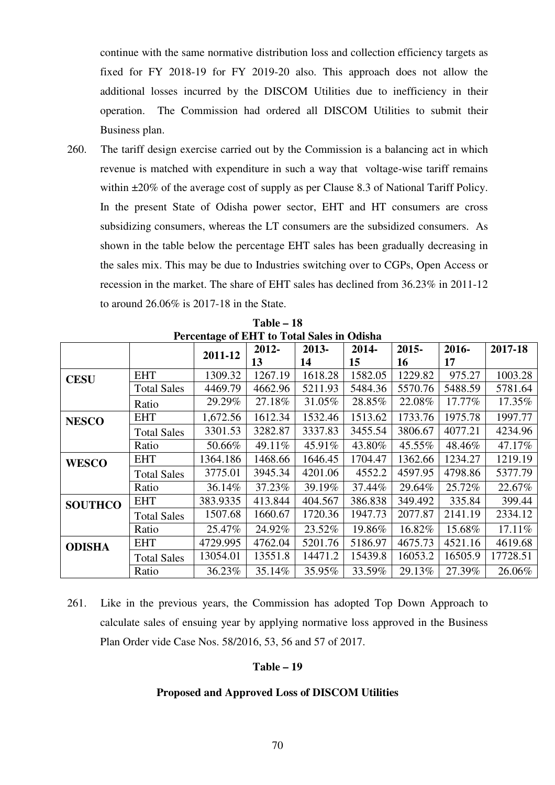continue with the same normative distribution loss and collection efficiency targets as fixed for FY 2018-19 for FY 2019-20 also. This approach does not allow the additional losses incurred by the DISCOM Utilities due to inefficiency in their operation. The Commission had ordered all DISCOM Utilities to submit their Business plan.

260. The tariff design exercise carried out by the Commission is a balancing act in which revenue is matched with expenditure in such a way that voltage-wise tariff remains within  $\pm 20\%$  of the average cost of supply as per Clause 8.3 of National Tariff Policy. In the present State of Odisha power sector, EHT and HT consumers are cross subsidizing consumers, whereas the LT consumers are the subsidized consumers. As shown in the table below the percentage EHT sales has been gradually decreasing in the sales mix. This may be due to Industries switching over to CGPs, Open Access or recession in the market. The share of EHT sales has declined from 36.23% in 2011-12 to around 26.06% is 2017-18 in the State.

|                |                    | o<br>2011-12 | 2012-   | 2013-   | 2014-   | 2015-   | 2016-   | 2017-18  |
|----------------|--------------------|--------------|---------|---------|---------|---------|---------|----------|
|                |                    |              | 13      | 14      | 15      | 16      | 17      |          |
| <b>CESU</b>    | <b>EHT</b>         | 1309.32      | 1267.19 | 1618.28 | 1582.05 | 1229.82 | 975.27  | 1003.28  |
|                | <b>Total Sales</b> | 4469.79      | 4662.96 | 5211.93 | 5484.36 | 5570.76 | 5488.59 | 5781.64  |
|                | Ratio              | 29.29%       | 27.18%  | 31.05%  | 28.85%  | 22.08%  | 17.77%  | 17.35%   |
| <b>NESCO</b>   | <b>EHT</b>         | 1,672.56     | 1612.34 | 1532.46 | 1513.62 | 1733.76 | 1975.78 | 1997.77  |
|                | <b>Total Sales</b> | 3301.53      | 3282.87 | 3337.83 | 3455.54 | 3806.67 | 4077.21 | 4234.96  |
|                | Ratio              | 50.66%       | 49.11%  | 45.91%  | 43.80%  | 45.55%  | 48.46%  | 47.17%   |
| <b>WESCO</b>   | <b>EHT</b>         | 1364.186     | 1468.66 | 1646.45 | 1704.47 | 1362.66 | 1234.27 | 1219.19  |
|                | <b>Total Sales</b> | 3775.01      | 3945.34 | 4201.06 | 4552.2  | 4597.95 | 4798.86 | 5377.79  |
|                | Ratio              | 36.14%       | 37.23%  | 39.19%  | 37.44%  | 29.64%  | 25.72%  | 22.67%   |
| <b>SOUTHCO</b> | <b>EHT</b>         | 383.9335     | 413.844 | 404.567 | 386.838 | 349.492 | 335.84  | 399.44   |
|                | <b>Total Sales</b> | 1507.68      | 1660.67 | 1720.36 | 1947.73 | 2077.87 | 2141.19 | 2334.12  |
|                | Ratio              | 25.47%       | 24.92%  | 23.52%  | 19.86%  | 16.82%  | 15.68%  | 17.11%   |
| <b>ODISHA</b>  | <b>EHT</b>         | 4729.995     | 4762.04 | 5201.76 | 5186.97 | 4675.73 | 4521.16 | 4619.68  |
|                | <b>Total Sales</b> | 13054.01     | 13551.8 | 14471.2 | 15439.8 | 16053.2 | 16505.9 | 17728.51 |
|                | Ratio              | 36.23%       | 35.14%  | 35.95%  | 33.59%  | 29.13%  | 27.39%  | 26.06%   |

**Table – 18 Percentage of EHT to Total Sales in Odisha** 

261. Like in the previous years, the Commission has adopted Top Down Approach to calculate sales of ensuing year by applying normative loss approved in the Business Plan Order vide Case Nos. 58/2016, 53, 56 and 57 of 2017.

#### **Table – 19**

## **Proposed and Approved Loss of DISCOM Utilities**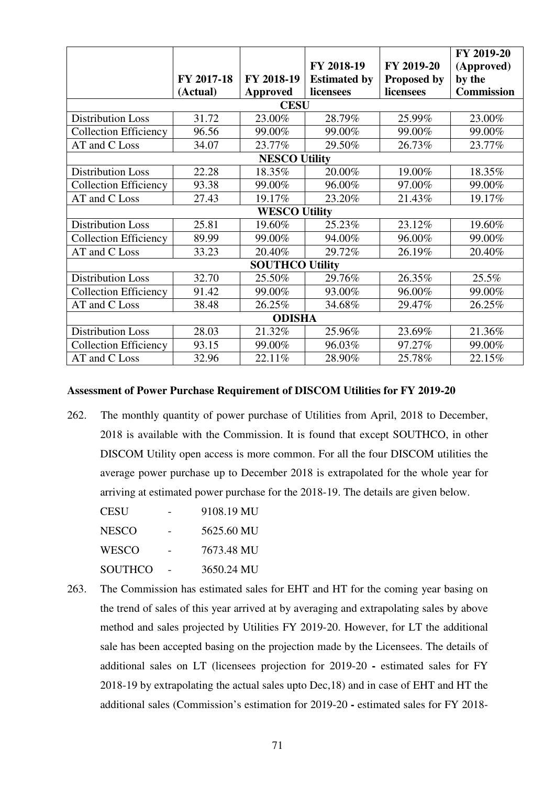|                              |             |                        |                     |                    | FY 2019-20 |  |  |  |
|------------------------------|-------------|------------------------|---------------------|--------------------|------------|--|--|--|
|                              |             |                        | FY 2018-19          | FY 2019-20         | (Approved) |  |  |  |
|                              | FY 2017-18  | FY 2018-19             | <b>Estimated by</b> | <b>Proposed by</b> | by the     |  |  |  |
|                              | (Actual)    | Approved               | licensees           | licensees          | Commission |  |  |  |
|                              | <b>CESU</b> |                        |                     |                    |            |  |  |  |
| <b>Distribution Loss</b>     | 31.72       | 23.00%                 | 28.79%              | 25.99%             | 23.00%     |  |  |  |
| <b>Collection Efficiency</b> | 96.56       | 99.00%                 | 99.00%              | 99.00%             | 99.00%     |  |  |  |
| AT and C Loss                | 34.07       | 23.77%                 | 29.50%              | 26.73%             | 23.77%     |  |  |  |
|                              |             | <b>NESCO Utility</b>   |                     |                    |            |  |  |  |
| <b>Distribution Loss</b>     | 22.28       | 18.35%                 | 20.00%              | 19.00%             | 18.35%     |  |  |  |
| <b>Collection Efficiency</b> | 93.38       | 99.00%                 | 96.00%              | 97.00%             | 99.00%     |  |  |  |
| AT and C Loss                | 27.43       | 19.17%                 | 23.20%              | 21.43%             | 19.17%     |  |  |  |
|                              |             | <b>WESCO Utility</b>   |                     |                    |            |  |  |  |
| <b>Distribution Loss</b>     | 25.81       | 19.60%                 | 25.23%              | 23.12%             | 19.60%     |  |  |  |
| <b>Collection Efficiency</b> | 89.99       | 99.00%                 | 94.00%              | 96.00%             | 99.00%     |  |  |  |
| AT and C Loss                | 33.23       | 20.40%                 | 29.72%              | 26.19%             | 20.40%     |  |  |  |
|                              |             | <b>SOUTHCO Utility</b> |                     |                    |            |  |  |  |
| <b>Distribution Loss</b>     | 32.70       | 25.50%                 | 29.76%              | 26.35%             | 25.5%      |  |  |  |
| <b>Collection Efficiency</b> | 91.42       | 99.00%                 | 93.00%              | 96.00%             | 99.00%     |  |  |  |
| AT and C Loss                | 38.48       | 26.25%                 | 34.68%              | 29.47%             | 26.25%     |  |  |  |
| <b>ODISHA</b>                |             |                        |                     |                    |            |  |  |  |
| <b>Distribution Loss</b>     | 28.03       | 21.32%                 | 25.96%              | 23.69%             | 21.36%     |  |  |  |
| <b>Collection Efficiency</b> | 93.15       | 99.00%                 | 96.03%              | 97.27%             | 99.00%     |  |  |  |
| AT and C Loss                | 32.96       | 22.11%                 | 28.90%              | 25.78%             | 22.15%     |  |  |  |

## **Assessment of Power Purchase Requirement of DISCOM Utilities for FY 2019-20**

262. The monthly quantity of power purchase of Utilities from April, 2018 to December, 2018 is available with the Commission. It is found that except SOUTHCO, in other DISCOM Utility open access is more common. For all the four DISCOM utilities the average power purchase up to December 2018 is extrapolated for the whole year for arriving at estimated power purchase for the 2018-19. The details are given below.

| CESU    | 9108.19 MU |
|---------|------------|
| NESCO   | 5625.60 MU |
| WESCO   | 7673.48 MU |
| SOUTHCO | 3650.24 MU |

263. The Commission has estimated sales for EHT and HT for the coming year basing on the trend of sales of this year arrived at by averaging and extrapolating sales by above method and sales projected by Utilities FY 2019-20. However, for LT the additional sale has been accepted basing on the projection made by the Licensees. The details of additional sales on LT (licensees projection for 2019-20 **-** estimated sales for FY 2018-19 by extrapolating the actual sales upto Dec,18) and in case of EHT and HT the additional sales (Commission's estimation for 2019-20 **-** estimated sales for FY 2018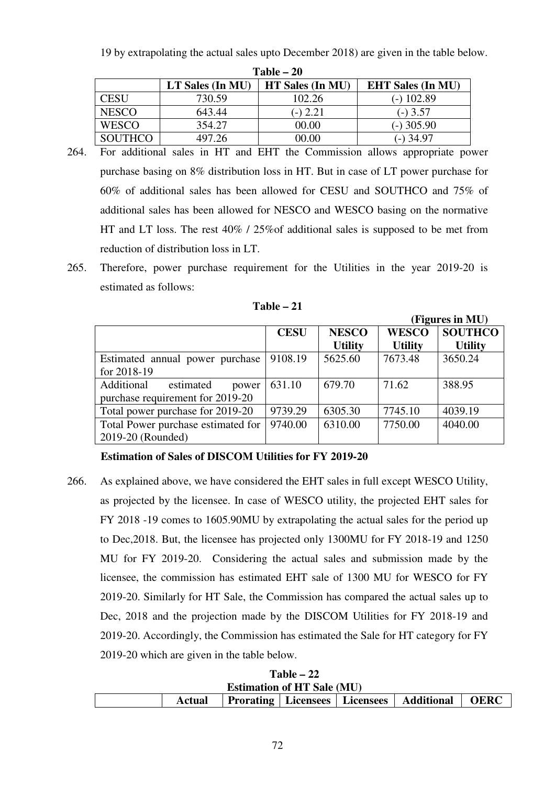19 by extrapolating the actual sales upto December 2018) are given in the table below.

| Table – 20     |                  |                  |                          |  |  |  |  |
|----------------|------------------|------------------|--------------------------|--|--|--|--|
|                | LT Sales (In MU) | HT Sales (In MU) | <b>EHT Sales (In MU)</b> |  |  |  |  |
| CESU           | 730.59           | 102.26           | (-) 102.89               |  |  |  |  |
| <b>NESCO</b>   | 643.44           | $(-) 2.21$       | $-$ ) 3.57               |  |  |  |  |
| <b>WESCO</b>   | 354.27           | 00.00            | $(-)$ 305.90             |  |  |  |  |
| <b>SOUTHCO</b> | 497.26           | 00.00            | $-$ 34.97                |  |  |  |  |

- 264. For additional sales in HT and EHT the Commission allows appropriate power purchase basing on 8% distribution loss in HT. But in case of LT power purchase for 60% of additional sales has been allowed for CESU and SOUTHCO and 75% of additional sales has been allowed for NESCO and WESCO basing on the normative HT and LT loss. The rest 40% / 25%of additional sales is supposed to be met from reduction of distribution loss in LT.
- 265. Therefore, power purchase requirement for the Utilities in the year 2019-20 is estimated as follows:

| Table - |
|---------|
|---------|

|                                                                      |             |                                | (Figures in MU)                |                                  |  |  |
|----------------------------------------------------------------------|-------------|--------------------------------|--------------------------------|----------------------------------|--|--|
|                                                                      | <b>CESU</b> | <b>NESCO</b><br><b>Utility</b> | <b>WESCO</b><br><b>Utility</b> | <b>SOUTHCO</b><br><b>Utility</b> |  |  |
| Estimated annual power purchase<br>for 2018-19                       | 9108.19     | 5625.60                        | 7673.48                        | 3650.24                          |  |  |
| Additional<br>estimated<br>power<br>purchase requirement for 2019-20 | 631.10      | 679.70                         | 71.62                          | 388.95                           |  |  |
| Total power purchase for 2019-20                                     | 9739.29     | 6305.30                        | 7745.10                        | 4039.19                          |  |  |
| Total Power purchase estimated for<br>2019-20 (Rounded)              | 9740.00     | 6310.00                        | 7750.00                        | 4040.00                          |  |  |

**Estimation of Sales of DISCOM Utilities for FY 2019-20**

266. As explained above, we have considered the EHT sales in full except WESCO Utility, as projected by the licensee. In case of WESCO utility, the projected EHT sales for FY 2018 -19 comes to 1605.90MU by extrapolating the actual sales for the period up to Dec,2018. But, the licensee has projected only 1300MU for FY 2018-19 and 1250 MU for FY 2019-20. Considering the actual sales and submission made by the licensee, the commission has estimated EHT sale of 1300 MU for WESCO for FY 2019-20. Similarly for HT Sale, the Commission has compared the actual sales up to Dec, 2018 and the projection made by the DISCOM Utilities for FY 2018-19 and 2019-20. Accordingly, the Commission has estimated the Sale for HT category for FY 2019-20 which are given in the table below.

| $1$ able $ 22$                    |        |  |  |  |                                                 |             |  |  |  |
|-----------------------------------|--------|--|--|--|-------------------------------------------------|-------------|--|--|--|
| <b>Estimation of HT Sale (MU)</b> |        |  |  |  |                                                 |             |  |  |  |
|                                   | Actual |  |  |  | <b>Prorating Licensees Licensees Additional</b> | <b>OERC</b> |  |  |  |

**Table – 22**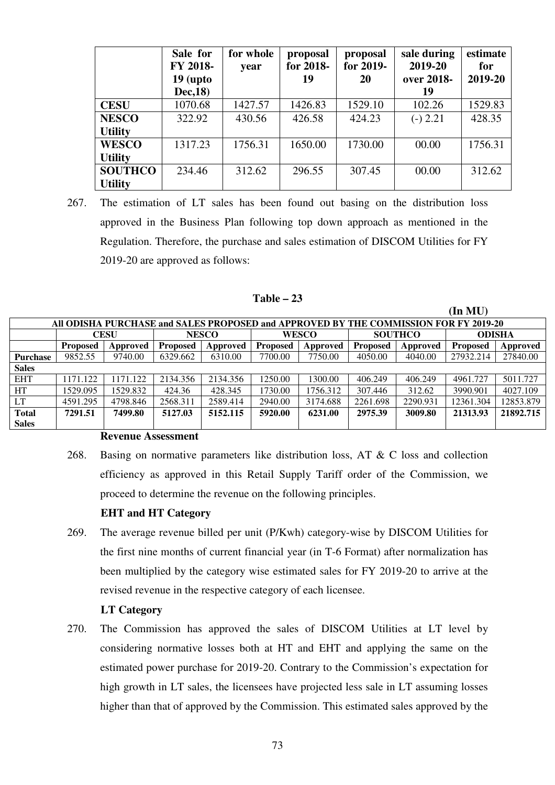|                | Sale for<br>FY 2018-<br>$19$ (upto<br>Dec, 18) | for whole<br>year | proposal<br>for 2018-<br>19 | proposal<br>for 2019-<br><b>20</b> | sale during<br>2019-20<br>over 2018-<br>19 | estimate<br>for<br>2019-20 |
|----------------|------------------------------------------------|-------------------|-----------------------------|------------------------------------|--------------------------------------------|----------------------------|
| <b>CESU</b>    | 1070.68                                        | 1427.57           | 1426.83                     | 1529.10                            | 102.26                                     | 1529.83                    |
| <b>NESCO</b>   | 322.92                                         | 430.56            | 426.58                      | 424.23                             | $(-) 2.21$                                 | 428.35                     |
| <b>Utility</b> |                                                |                   |                             |                                    |                                            |                            |
| <b>WESCO</b>   | 1317.23                                        | 1756.31           | 1650.00                     | 1730.00                            | 00.00                                      | 1756.31                    |
| <b>Utility</b> |                                                |                   |                             |                                    |                                            |                            |
| <b>SOUTHCO</b> | 234.46                                         | 312.62            | 296.55                      | 307.45                             | 00.00                                      | 312.62                     |
| <b>Utility</b> |                                                |                   |                             |                                    |                                            |                            |

267. The estimation of LT sales has been found out basing on the distribution loss approved in the Business Plan following top down approach as mentioned in the Regulation. Therefore, the purchase and sales estimation of DISCOM Utilities for FY 2019-20 are approved as follows:

### **Table – 23**

**(In MU)** 

|                 |                                                                                      |             |                 |              |                 |          |                 |          | THE MEVI        |           |
|-----------------|--------------------------------------------------------------------------------------|-------------|-----------------|--------------|-----------------|----------|-----------------|----------|-----------------|-----------|
|                 | All ODISHA PURCHASE and SALES PROPOSED and APPROVED BY THE COMMISSION FOR FY 2019-20 |             |                 |              |                 |          |                 |          |                 |           |
|                 |                                                                                      | <b>CESU</b> |                 | <b>NESCO</b> | <b>WESCO</b>    |          | <b>SOUTHCO</b>  |          | <b>ODISHA</b>   |           |
|                 | <b>Proposed</b>                                                                      | Approved    | <b>Proposed</b> | Approved     | <b>Proposed</b> | Approved | <b>Proposed</b> | Approved | <b>Proposed</b> | Approved  |
| <b>Purchase</b> | 9852.55                                                                              | 9740.00     | 6329.662        | 6310.00      | 7700.00         | 7750.00  | 4050.00         | 4040.00  | 27932.214       | 27840.00  |
| <b>Sales</b>    |                                                                                      |             |                 |              |                 |          |                 |          |                 |           |
| <b>EHT</b>      | 1171.122                                                                             | 171.122     | 2134.356        | 2134.356     | 1250.00         | 1300.00  | 406.249         | 406.249  | 4961.727        | 5011.727  |
| HT              | 1529.095                                                                             | 1529.832    | 424.36          | 428.345      | 1730.00         | 1756.312 | 307.446         | 312.62   | 3990.901        | 4027.109  |
| <b>LT</b>       | 4591.295                                                                             | 4798.846    | 2568.311        | 2589.414     | 2940.00         | 3174.688 | 2261.698        | 2290.931 | 12361.304       | 12853.879 |
| <b>Total</b>    | 7291.51                                                                              | 7499.80     | 5127.03         | 5152.115     | 5920.00         | 6231.00  | 2975.39         | 3009.80  | 21313.93        | 21892.715 |
| <b>Sales</b>    |                                                                                      |             |                 |              |                 |          |                 |          |                 |           |

#### **Revenue Assessment**

268. Basing on normative parameters like distribution loss, AT & C loss and collection efficiency as approved in this Retail Supply Tariff order of the Commission, we proceed to determine the revenue on the following principles.

#### **EHT and HT Category**

269. The average revenue billed per unit (P/Kwh) category-wise by DISCOM Utilities for the first nine months of current financial year (in T-6 Format) after normalization has been multiplied by the category wise estimated sales for FY 2019-20 to arrive at the revised revenue in the respective category of each licensee.

### **LT Category**

270. The Commission has approved the sales of DISCOM Utilities at LT level by considering normative losses both at HT and EHT and applying the same on the estimated power purchase for 2019-20. Contrary to the Commission's expectation for high growth in LT sales, the licensees have projected less sale in LT assuming losses higher than that of approved by the Commission. This estimated sales approved by the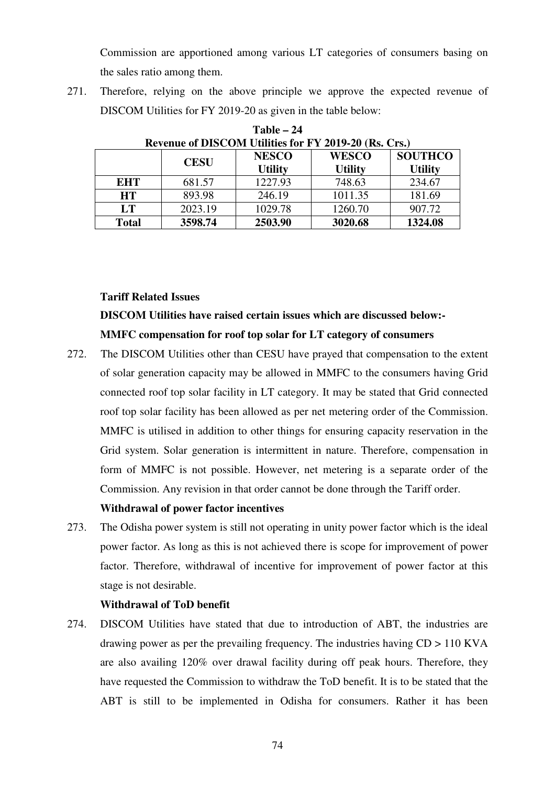Commission are apportioned among various LT categories of consumers basing on the sales ratio among them.

271. Therefore, relying on the above principle we approve the expected revenue of DISCOM Utilities for FY 2019-20 as given in the table below:

|              | Revenue of DISCOM Unities for F $\frac{1}{2}$ $\frac{2013-20}{185}$ , CIS. |                                |                                |                                  |  |  |  |  |
|--------------|----------------------------------------------------------------------------|--------------------------------|--------------------------------|----------------------------------|--|--|--|--|
|              | <b>CESU</b>                                                                | <b>NESCO</b><br><b>Utility</b> | <b>WESCO</b><br><b>Utility</b> | <b>SOUTHCO</b><br><b>Utility</b> |  |  |  |  |
| <b>EHT</b>   | 681.57                                                                     | 1227.93                        | 748.63                         | 234.67                           |  |  |  |  |
| <b>HT</b>    | 893.98                                                                     | 246.19                         | 1011.35                        | 181.69                           |  |  |  |  |
| LT           | 2023.19                                                                    | 1029.78                        | 1260.70                        | 907.72                           |  |  |  |  |
| <b>Total</b> | 3598.74                                                                    | 2503.90                        | 3020.68                        | 1324.08                          |  |  |  |  |

**Table – 24 Revenue of DISCOM Utilities for FY 2019-20 (Rs. Crs.)** 

# **Tariff Related Issues**

# **DISCOM Utilities have raised certain issues which are discussed below:- MMFC compensation for roof top solar for LT category of consumers**

272. The DISCOM Utilities other than CESU have prayed that compensation to the extent of solar generation capacity may be allowed in MMFC to the consumers having Grid connected roof top solar facility in LT category. It may be stated that Grid connected roof top solar facility has been allowed as per net metering order of the Commission. MMFC is utilised in addition to other things for ensuring capacity reservation in the Grid system. Solar generation is intermittent in nature. Therefore, compensation in form of MMFC is not possible. However, net metering is a separate order of the Commission. Any revision in that order cannot be done through the Tariff order.

# **Withdrawal of power factor incentives**

273. The Odisha power system is still not operating in unity power factor which is the ideal power factor. As long as this is not achieved there is scope for improvement of power factor. Therefore, withdrawal of incentive for improvement of power factor at this stage is not desirable.

# **Withdrawal of ToD benefit**

274. DISCOM Utilities have stated that due to introduction of ABT, the industries are drawing power as per the prevailing frequency. The industries having CD > 110 KVA are also availing 120% over drawal facility during off peak hours. Therefore, they have requested the Commission to withdraw the ToD benefit. It is to be stated that the ABT is still to be implemented in Odisha for consumers. Rather it has been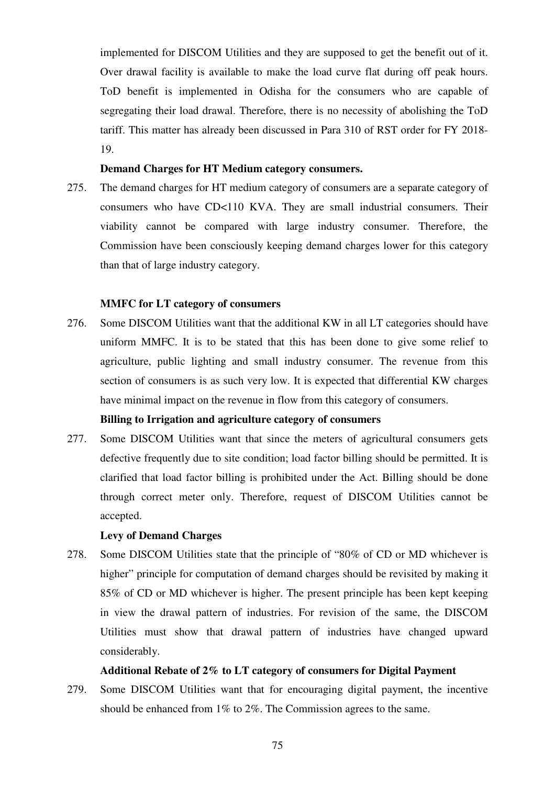implemented for DISCOM Utilities and they are supposed to get the benefit out of it. Over drawal facility is available to make the load curve flat during off peak hours. ToD benefit is implemented in Odisha for the consumers who are capable of segregating their load drawal. Therefore, there is no necessity of abolishing the ToD tariff. This matter has already been discussed in Para 310 of RST order for FY 2018- 19.

# **Demand Charges for HT Medium category consumers.**

275. The demand charges for HT medium category of consumers are a separate category of consumers who have CD<110 KVA. They are small industrial consumers. Their viability cannot be compared with large industry consumer. Therefore, the Commission have been consciously keeping demand charges lower for this category than that of large industry category.

# **MMFC for LT category of consumers**

276. Some DISCOM Utilities want that the additional KW in all LT categories should have uniform MMFC. It is to be stated that this has been done to give some relief to agriculture, public lighting and small industry consumer. The revenue from this section of consumers is as such very low. It is expected that differential KW charges have minimal impact on the revenue in flow from this category of consumers.

#### **Billing to Irrigation and agriculture category of consumers**

277. Some DISCOM Utilities want that since the meters of agricultural consumers gets defective frequently due to site condition; load factor billing should be permitted. It is clarified that load factor billing is prohibited under the Act. Billing should be done through correct meter only. Therefore, request of DISCOM Utilities cannot be accepted.

### **Levy of Demand Charges**

278. Some DISCOM Utilities state that the principle of "80% of CD or MD whichever is higher" principle for computation of demand charges should be revisited by making it 85% of CD or MD whichever is higher. The present principle has been kept keeping in view the drawal pattern of industries. For revision of the same, the DISCOM Utilities must show that drawal pattern of industries have changed upward considerably.

#### **Additional Rebate of 2% to LT category of consumers for Digital Payment**

279. Some DISCOM Utilities want that for encouraging digital payment, the incentive should be enhanced from 1% to 2%. The Commission agrees to the same.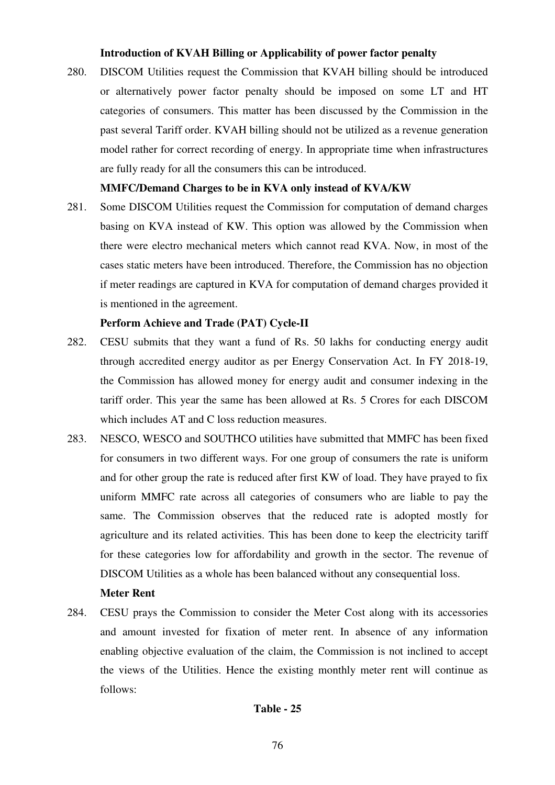# **Introduction of KVAH Billing or Applicability of power factor penalty**

280. DISCOM Utilities request the Commission that KVAH billing should be introduced or alternatively power factor penalty should be imposed on some LT and HT categories of consumers. This matter has been discussed by the Commission in the past several Tariff order. KVAH billing should not be utilized as a revenue generation model rather for correct recording of energy. In appropriate time when infrastructures are fully ready for all the consumers this can be introduced.

# **MMFC/Demand Charges to be in KVA only instead of KVA/KW**

281. Some DISCOM Utilities request the Commission for computation of demand charges basing on KVA instead of KW. This option was allowed by the Commission when there were electro mechanical meters which cannot read KVA. Now, in most of the cases static meters have been introduced. Therefore, the Commission has no objection if meter readings are captured in KVA for computation of demand charges provided it is mentioned in the agreement.

# **Perform Achieve and Trade (PAT) Cycle-II**

- 282. CESU submits that they want a fund of Rs. 50 lakhs for conducting energy audit through accredited energy auditor as per Energy Conservation Act. In FY 2018-19, the Commission has allowed money for energy audit and consumer indexing in the tariff order. This year the same has been allowed at Rs. 5 Crores for each DISCOM which includes AT and C loss reduction measures.
- 283. NESCO, WESCO and SOUTHCO utilities have submitted that MMFC has been fixed for consumers in two different ways. For one group of consumers the rate is uniform and for other group the rate is reduced after first KW of load. They have prayed to fix uniform MMFC rate across all categories of consumers who are liable to pay the same. The Commission observes that the reduced rate is adopted mostly for agriculture and its related activities. This has been done to keep the electricity tariff for these categories low for affordability and growth in the sector. The revenue of DISCOM Utilities as a whole has been balanced without any consequential loss.

# **Meter Rent**

284. CESU prays the Commission to consider the Meter Cost along with its accessories and amount invested for fixation of meter rent. In absence of any information enabling objective evaluation of the claim, the Commission is not inclined to accept the views of the Utilities. Hence the existing monthly meter rent will continue as follows:

# **Table - 25**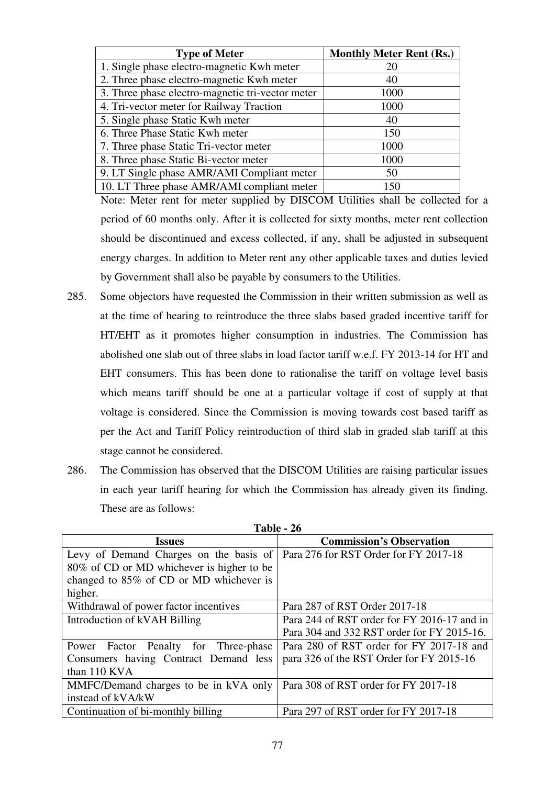| <b>Type of Meter</b>                             | <b>Monthly Meter Rent (Rs.)</b> |
|--------------------------------------------------|---------------------------------|
| 1. Single phase electro-magnetic Kwh meter       | 20                              |
| 2. Three phase electro-magnetic Kwh meter        | 40                              |
| 3. Three phase electro-magnetic tri-vector meter | 1000                            |
| 4. Tri-vector meter for Railway Traction         | 1000                            |
| 5. Single phase Static Kwh meter                 | 40                              |
| 6. Three Phase Static Kwh meter                  | 150                             |
| 7. Three phase Static Tri-vector meter           | 1000                            |
| 8. Three phase Static Bi-vector meter            | 1000                            |
| 9. LT Single phase AMR/AMI Compliant meter       | 50                              |
| 10. LT Three phase AMR/AMI compliant meter       | 150                             |

Note: Meter rent for meter supplied by DISCOM Utilities shall be collected for a period of 60 months only. After it is collected for sixty months, meter rent collection should be discontinued and excess collected, if any, shall be adjusted in subsequent energy charges. In addition to Meter rent any other applicable taxes and duties levied by Government shall also be payable by consumers to the Utilities.

- 285. Some objectors have requested the Commission in their written submission as well as at the time of hearing to reintroduce the three slabs based graded incentive tariff for HT/EHT as it promotes higher consumption in industries. The Commission has abolished one slab out of three slabs in load factor tariff w.e.f. FY 2013-14 for HT and EHT consumers. This has been done to rationalise the tariff on voltage level basis which means tariff should be one at a particular voltage if cost of supply at that voltage is considered. Since the Commission is moving towards cost based tariff as per the Act and Tariff Policy reintroduction of third slab in graded slab tariff at this stage cannot be considered.
- 286. The Commission has observed that the DISCOM Utilities are raising particular issues in each year tariff hearing for which the Commission has already given its finding. These are as follows:

| <b>Issues</b>                                                                  | <b>Commission's Observation</b>             |
|--------------------------------------------------------------------------------|---------------------------------------------|
| Levy of Demand Charges on the basis of   Para 276 for RST Order for FY 2017-18 |                                             |
| 80% of CD or MD whichever is higher to be                                      |                                             |
| changed to 85% of CD or MD whichever is                                        |                                             |
| higher.                                                                        |                                             |
| Withdrawal of power factor incentives                                          | Para 287 of RST Order 2017-18               |
| Introduction of kVAH Billing                                                   | Para 244 of RST order for FY 2016-17 and in |
|                                                                                | Para 304 and 332 RST order for FY 2015-16.  |
| Power Factor Penalty for Three-phase                                           | Para 280 of RST order for FY 2017-18 and    |
| Consumers having Contract Demand less                                          | para 326 of the RST Order for FY 2015-16    |
| than 110 KVA                                                                   |                                             |
| MMFC/Demand charges to be in kVA only                                          | Para 308 of RST order for FY 2017-18        |
| instead of kVA/kW                                                              |                                             |
| Continuation of bi-monthly billing                                             | Para 297 of RST order for FY 2017-18        |

**Table - 26**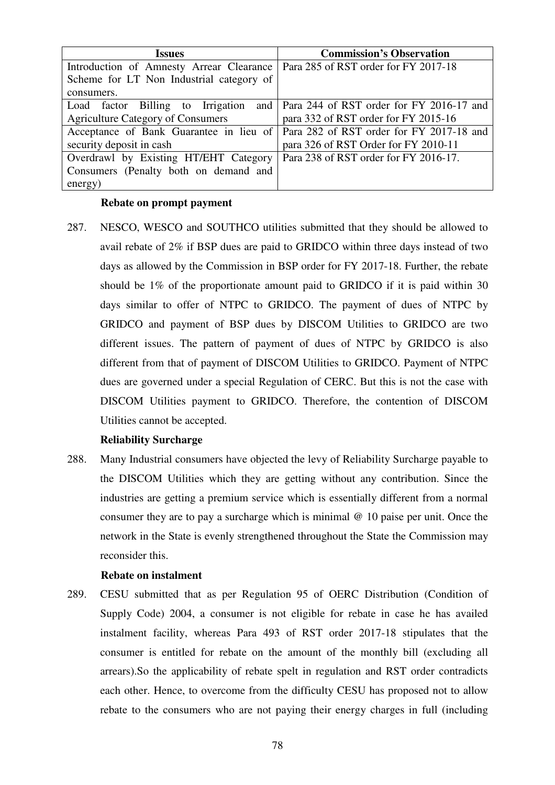| <b>Issues</b>                            | <b>Commission's Observation</b>                                                    |  |  |
|------------------------------------------|------------------------------------------------------------------------------------|--|--|
| Introduction of Amnesty Arrear Clearance | Para 285 of RST order for FY 2017-18                                               |  |  |
| Scheme for LT Non Industrial category of |                                                                                    |  |  |
| consumers.                               |                                                                                    |  |  |
| Load factor Billing to Irrigation        | and   Para 244 of RST order for FY 2016-17 and                                     |  |  |
| <b>Agriculture Category of Consumers</b> | para 332 of RST order for FY 2015-16                                               |  |  |
|                                          | Acceptance of Bank Guarantee in lieu of   Para 282 of RST order for FY 2017-18 and |  |  |
| security deposit in cash                 | para 326 of RST Order for FY 2010-11                                               |  |  |
| Overdrawl by Existing HT/EHT Category    | Para 238 of RST order for FY 2016-17.                                              |  |  |
| Consumers (Penalty both on demand and    |                                                                                    |  |  |
| energy)                                  |                                                                                    |  |  |

### **Rebate on prompt payment**

287. NESCO, WESCO and SOUTHCO utilities submitted that they should be allowed to avail rebate of 2% if BSP dues are paid to GRIDCO within three days instead of two days as allowed by the Commission in BSP order for FY 2017-18. Further, the rebate should be 1% of the proportionate amount paid to GRIDCO if it is paid within 30 days similar to offer of NTPC to GRIDCO. The payment of dues of NTPC by GRIDCO and payment of BSP dues by DISCOM Utilities to GRIDCO are two different issues. The pattern of payment of dues of NTPC by GRIDCO is also different from that of payment of DISCOM Utilities to GRIDCO. Payment of NTPC dues are governed under a special Regulation of CERC. But this is not the case with DISCOM Utilities payment to GRIDCO. Therefore, the contention of DISCOM Utilities cannot be accepted.

# **Reliability Surcharge**

288. Many Industrial consumers have objected the levy of Reliability Surcharge payable to the DISCOM Utilities which they are getting without any contribution. Since the industries are getting a premium service which is essentially different from a normal consumer they are to pay a surcharge which is minimal @ 10 paise per unit. Once the network in the State is evenly strengthened throughout the State the Commission may reconsider this.

# **Rebate on instalment**

289. CESU submitted that as per Regulation 95 of OERC Distribution (Condition of Supply Code) 2004, a consumer is not eligible for rebate in case he has availed instalment facility, whereas Para 493 of RST order 2017-18 stipulates that the consumer is entitled for rebate on the amount of the monthly bill (excluding all arrears).So the applicability of rebate spelt in regulation and RST order contradicts each other. Hence, to overcome from the difficulty CESU has proposed not to allow rebate to the consumers who are not paying their energy charges in full (including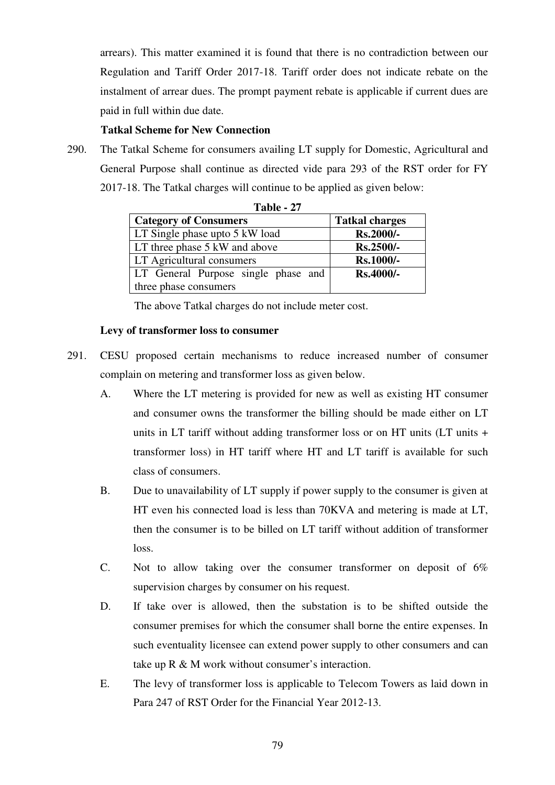arrears). This matter examined it is found that there is no contradiction between our Regulation and Tariff Order 2017-18. Tariff order does not indicate rebate on the instalment of arrear dues. The prompt payment rebate is applicable if current dues are paid in full within due date.

# **Tatkal Scheme for New Connection**

290. The Tatkal Scheme for consumers availing LT supply for Domestic, Agricultural and General Purpose shall continue as directed vide para 293 of the RST order for FY 2017-18. The Tatkal charges will continue to be applied as given below:

| 1 apie - <i>21</i>                  |                       |  |  |  |  |  |  |  |
|-------------------------------------|-----------------------|--|--|--|--|--|--|--|
| <b>Category of Consumers</b>        | <b>Tatkal charges</b> |  |  |  |  |  |  |  |
| LT Single phase upto 5 kW load      | Rs.2000/-             |  |  |  |  |  |  |  |
| LT three phase 5 kW and above       | Rs.2500/-             |  |  |  |  |  |  |  |
| <b>LT</b> Agricultural consumers    | <b>Rs.1000/-</b>      |  |  |  |  |  |  |  |
| LT General Purpose single phase and | <b>Rs.4000/-</b>      |  |  |  |  |  |  |  |
| three phase consumers               |                       |  |  |  |  |  |  |  |

**Table - 27** 

The above Tatkal charges do not include meter cost.

# **Levy of transformer loss to consumer**

- 291. CESU proposed certain mechanisms to reduce increased number of consumer complain on metering and transformer loss as given below.
	- A. Where the LT metering is provided for new as well as existing HT consumer and consumer owns the transformer the billing should be made either on LT units in LT tariff without adding transformer loss or on HT units (LT units + transformer loss) in HT tariff where HT and LT tariff is available for such class of consumers.
	- B. Due to unavailability of LT supply if power supply to the consumer is given at HT even his connected load is less than 70KVA and metering is made at LT, then the consumer is to be billed on LT tariff without addition of transformer loss.
	- C. Not to allow taking over the consumer transformer on deposit of  $6\%$ supervision charges by consumer on his request.
	- D. If take over is allowed, then the substation is to be shifted outside the consumer premises for which the consumer shall borne the entire expenses. In such eventuality licensee can extend power supply to other consumers and can take up R & M work without consumer's interaction.
	- E. The levy of transformer loss is applicable to Telecom Towers as laid down in Para 247 of RST Order for the Financial Year 2012-13.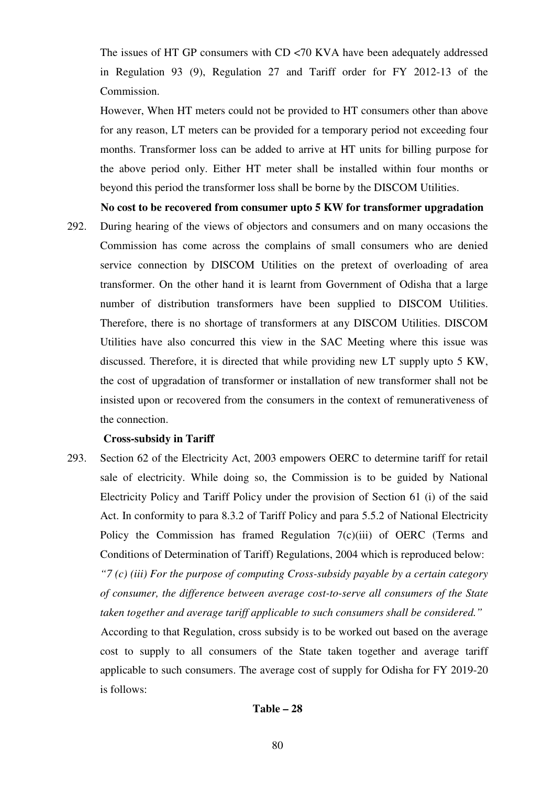The issues of HT GP consumers with CD <70 KVA have been adequately addressed in Regulation 93 (9), Regulation 27 and Tariff order for FY 2012-13 of the Commission.

However, When HT meters could not be provided to HT consumers other than above for any reason, LT meters can be provided for a temporary period not exceeding four months. Transformer loss can be added to arrive at HT units for billing purpose for the above period only. Either HT meter shall be installed within four months or beyond this period the transformer loss shall be borne by the DISCOM Utilities.

**No cost to be recovered from consumer upto 5 KW for transformer upgradation** 

292. During hearing of the views of objectors and consumers and on many occasions the Commission has come across the complains of small consumers who are denied service connection by DISCOM Utilities on the pretext of overloading of area transformer. On the other hand it is learnt from Government of Odisha that a large number of distribution transformers have been supplied to DISCOM Utilities. Therefore, there is no shortage of transformers at any DISCOM Utilities. DISCOM Utilities have also concurred this view in the SAC Meeting where this issue was discussed. Therefore, it is directed that while providing new LT supply upto 5 KW, the cost of upgradation of transformer or installation of new transformer shall not be insisted upon or recovered from the consumers in the context of remunerativeness of the connection.

### **Cross-subsidy in Tariff**

293. Section 62 of the Electricity Act, 2003 empowers OERC to determine tariff for retail sale of electricity. While doing so, the Commission is to be guided by National Electricity Policy and Tariff Policy under the provision of Section 61 (i) of the said Act. In conformity to para 8.3.2 of Tariff Policy and para 5.5.2 of National Electricity Policy the Commission has framed Regulation 7(c)(iii) of OERC (Terms and Conditions of Determination of Tariff) Regulations, 2004 which is reproduced below: *"7 (c) (iii) For the purpose of computing Cross-subsidy payable by a certain category of consumer, the difference between average cost-to-serve all consumers of the State taken together and average tariff applicable to such consumers shall be considered."* 

 According to that Regulation, cross subsidy is to be worked out based on the average cost to supply to all consumers of the State taken together and average tariff applicable to such consumers. The average cost of supply for Odisha for FY 2019-20 is follows:

### **Table – 28**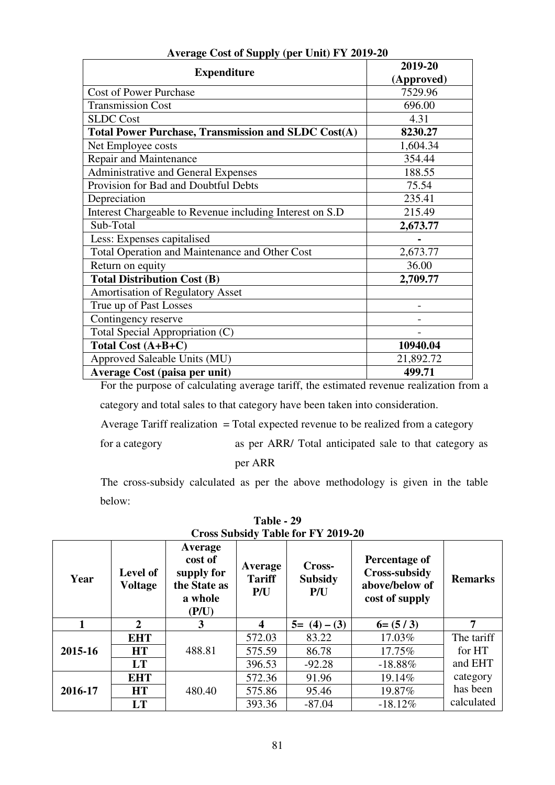|                                                            | 2019-20    |
|------------------------------------------------------------|------------|
| <b>Expenditure</b>                                         | (Approved) |
| <b>Cost of Power Purchase</b>                              | 7529.96    |
| <b>Transmission Cost</b>                                   | 696.00     |
| <b>SLDC</b> Cost                                           | 4.31       |
| <b>Total Power Purchase, Transmission and SLDC Cost(A)</b> | 8230.27    |
| Net Employee costs                                         | 1,604.34   |
| Repair and Maintenance                                     | 354.44     |
| Administrative and General Expenses                        | 188.55     |
| Provision for Bad and Doubtful Debts                       | 75.54      |
| Depreciation                                               | 235.41     |
| Interest Chargeable to Revenue including Interest on S.D   | 215.49     |
| Sub-Total                                                  | 2,673.77   |
| Less: Expenses capitalised                                 |            |
| Total Operation and Maintenance and Other Cost             | 2,673.77   |
| Return on equity                                           | 36.00      |
| <b>Total Distribution Cost (B)</b>                         | 2,709.77   |
| <b>Amortisation of Regulatory Asset</b>                    |            |
| True up of Past Losses                                     |            |
| Contingency reserve                                        |            |
| Total Special Appropriation (C)                            |            |
| Total Cost (A+B+C)                                         | 10940.04   |
| Approved Saleable Units (MU)                               | 21,892.72  |
| Average Cost (paisa per unit)                              | 499.71     |

# **Average Cost of Supply (per Unit) FY 2019-20**

 For the purpose of calculating average tariff, the estimated revenue realization from a category and total sales to that category have been taken into consideration.

Average Tariff realization  $=$  Total expected revenue to be realized from a category

for a category as per ARR/ Total anticipated sale to that category as

per ARR

 The cross-subsidy calculated as per the above methodology is given in the table below:

| Year    | Level of<br><b>Voltage</b> | Average<br>cost of<br>supply for<br>the State as<br>a whole<br>(P/U) | Average<br><b>Tariff</b><br>P/U | Cross-<br><b>Subsidy</b><br>P/U | Percentage of<br>Cross-subsidy<br>above/below of<br>cost of supply | <b>Remarks</b> |
|---------|----------------------------|----------------------------------------------------------------------|---------------------------------|---------------------------------|--------------------------------------------------------------------|----------------|
|         | $\overline{2}$             | 3                                                                    | 4                               | $5 = (4) - (3)$                 | $6=(5/3)$                                                          | 7              |
|         | <b>EHT</b>                 |                                                                      | 572.03                          | 83.22                           | 17.03%                                                             | The tariff     |
| 2015-16 | <b>HT</b>                  | 488.81                                                               | 575.59                          | 86.78                           | 17.75%                                                             | for HT         |
|         | LT                         |                                                                      | 396.53                          | $-92.28$                        | $-18.88\%$                                                         | and EHT        |
|         | <b>EHT</b>                 |                                                                      | 572.36                          | 91.96                           | 19.14%                                                             | category       |
| 2016-17 | <b>HT</b>                  | 480.40                                                               | 575.86                          | 95.46                           | 19.87%                                                             | has been       |
|         | LT                         |                                                                      | 393.36                          | $-87.04$                        | $-18.12%$                                                          | calculated     |

**Table - 29 Cross Subsidy Table for FY 2019-20**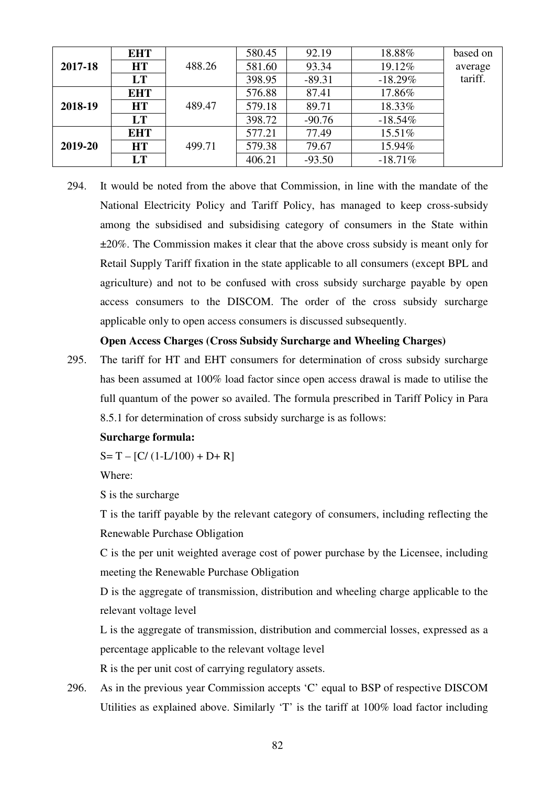|         | <b>EHT</b> |        | 580.45 | 92.19    | 18.88%     | based on |
|---------|------------|--------|--------|----------|------------|----------|
| 2017-18 | HT         | 488.26 | 581.60 | 93.34    | 19.12%     | average  |
|         | LT         |        | 398.95 | $-89.31$ | $-18.29%$  | tariff.  |
|         | <b>EHT</b> |        | 576.88 | 87.41    | 17.86%     |          |
| 2018-19 | HT         | 489.47 | 579.18 | 89.71    | 18.33%     |          |
|         | LT         |        | 398.72 | $-90.76$ | $-18.54\%$ |          |
|         | <b>EHT</b> |        | 577.21 | 77.49    | 15.51%     |          |
| 2019-20 | HT         | 499.71 | 579.38 | 79.67    | 15.94%     |          |
|         | LT         |        | 406.21 | $-93.50$ | $-18.71%$  |          |

294. It would be noted from the above that Commission, in line with the mandate of the National Electricity Policy and Tariff Policy, has managed to keep cross-subsidy among the subsidised and subsidising category of consumers in the State within ±20%. The Commission makes it clear that the above cross subsidy is meant only for Retail Supply Tariff fixation in the state applicable to all consumers (except BPL and agriculture) and not to be confused with cross subsidy surcharge payable by open access consumers to the DISCOM. The order of the cross subsidy surcharge applicable only to open access consumers is discussed subsequently.

### **Open Access Charges (Cross Subsidy Surcharge and Wheeling Charges)**

295. The tariff for HT and EHT consumers for determination of cross subsidy surcharge has been assumed at 100% load factor since open access drawal is made to utilise the full quantum of the power so availed. The formula prescribed in Tariff Policy in Para 8.5.1 for determination of cross subsidy surcharge is as follows:

#### **Surcharge formula:**

 $S = T - [C/(1-L/100) + D + R]$ 

Where:

S is the surcharge

T is the tariff payable by the relevant category of consumers, including reflecting the Renewable Purchase Obligation

C is the per unit weighted average cost of power purchase by the Licensee, including meeting the Renewable Purchase Obligation

D is the aggregate of transmission, distribution and wheeling charge applicable to the relevant voltage level

L is the aggregate of transmission, distribution and commercial losses, expressed as a percentage applicable to the relevant voltage level

R is the per unit cost of carrying regulatory assets.

296. As in the previous year Commission accepts 'C' equal to BSP of respective DISCOM Utilities as explained above. Similarly 'T' is the tariff at 100% load factor including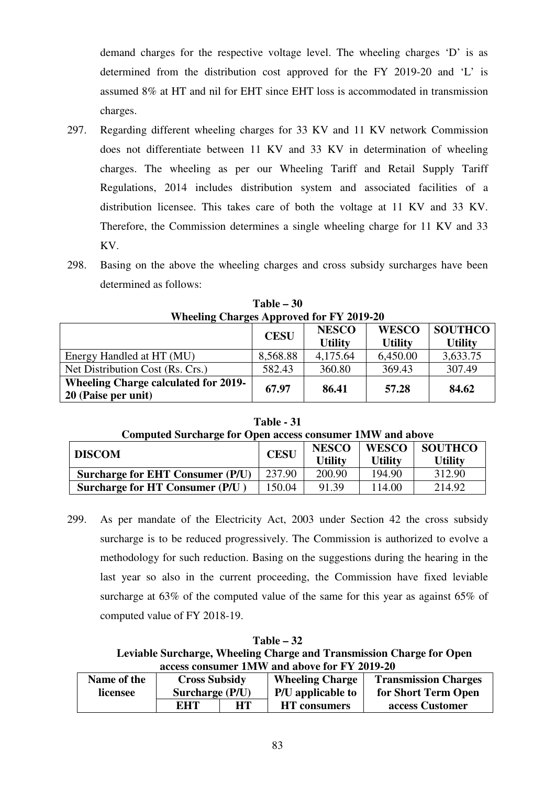demand charges for the respective voltage level. The wheeling charges 'D' is as determined from the distribution cost approved for the FY 2019-20 and 'L' is assumed 8% at HT and nil for EHT since EHT loss is accommodated in transmission charges.

- 297. Regarding different wheeling charges for 33 KV and 11 KV network Commission does not differentiate between 11 KV and 33 KV in determination of wheeling charges. The wheeling as per our Wheeling Tariff and Retail Supply Tariff Regulations, 2014 includes distribution system and associated facilities of a distribution licensee. This takes care of both the voltage at 11 KV and 33 KV. Therefore, the Commission determines a single wheeling charge for 11 KV and 33 KV.
- 298. Basing on the above the wheeling charges and cross subsidy surcharges have been determined as follows:

| Wheeling Charges Approved for F Y 2019-20                          |             |                                |                                |                                  |  |  |
|--------------------------------------------------------------------|-------------|--------------------------------|--------------------------------|----------------------------------|--|--|
|                                                                    | <b>CESU</b> | <b>NESCO</b><br><b>Utility</b> | <b>WESCO</b><br><b>Utility</b> | <b>SOUTHCO</b><br><b>Utility</b> |  |  |
| Energy Handled at HT (MU)                                          | 8,568.88    | 4,175.64                       | 6,450.00                       | 3,633.75                         |  |  |
| Net Distribution Cost (Rs. Crs.)                                   | 582.43      | 360.80                         | 369.43                         | 307.49                           |  |  |
| <b>Wheeling Charge calculated for 2019-</b><br>20 (Paise per unit) | 67.97       | 86.41                          | 57.28                          | 84.62                            |  |  |

**Table – 30**  Wheeling Charges **Approved For FI** 

**Table - 31 Computed Surcharge for Open access consumer 1MW and above** 

| <b>DISCOM</b> | ៝                                      | <b>CESU</b> | <b>NESCO</b><br><b>Utility</b> | <b>WESCO</b><br><b>Utility</b> | <b>SOUTHCO</b><br><b>Utility</b> |
|---------------|----------------------------------------|-------------|--------------------------------|--------------------------------|----------------------------------|
|               | Surcharge for EHT Consumer (P/U)       | 237.90      | 200.90                         | 194.90                         | 312.90                           |
|               | <b>Surcharge for HT Consumer (P/U)</b> | 150.04      | 91.39                          | 114.00                         | 214.92                           |

299. As per mandate of the Electricity Act, 2003 under Section 42 the cross subsidy surcharge is to be reduced progressively. The Commission is authorized to evolve a methodology for such reduction. Basing on the suggestions during the hearing in the last year so also in the current proceeding, the Commission have fixed leviable surcharge at 63% of the computed value of the same for this year as against 65% of computed value of FY 2018-19.

**Table – 32 Leviable Surcharge, Wheeling Charge and Transmission Charge for Open access consumer 1MW and above for FY 2019-20** 

| Name of the | <b>Cross Subsidy</b> |  | <b>Wheeling Charge</b> | <b>Transmission Charges</b> |
|-------------|----------------------|--|------------------------|-----------------------------|
| licensee    | Surcharge (P/U)      |  | P/U applicable to      | for Short Term Open         |
|             | HТ<br>EHT            |  | <b>HT</b> consumers    | access Customer             |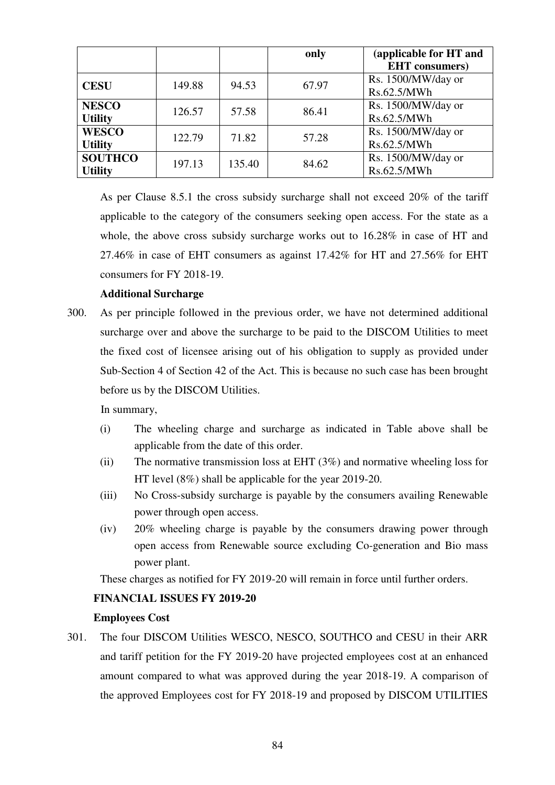|                |        |        | only  | (applicable for HT and |
|----------------|--------|--------|-------|------------------------|
|                |        |        |       | <b>EHT</b> consumers)  |
| <b>CESU</b>    | 149.88 | 94.53  | 67.97 | Rs. 1500/MW/day or     |
|                |        |        |       | Rs.62.5/MWh            |
| <b>NESCO</b>   | 126.57 | 57.58  | 86.41 | Rs. 1500/MW/day or     |
| <b>Utility</b> |        |        |       | Rs.62.5/MWh            |
| <b>WESCO</b>   | 122.79 | 71.82  | 57.28 | Rs. 1500/MW/day or     |
| <b>Utility</b> |        |        |       | Rs.62.5/MWh            |
| <b>SOUTHCO</b> | 197.13 | 135.40 | 84.62 | Rs. 1500/MW/day or     |
| <b>Utility</b> |        |        |       | Rs.62.5/MWh            |

As per Clause 8.5.1 the cross subsidy surcharge shall not exceed 20% of the tariff applicable to the category of the consumers seeking open access. For the state as a whole, the above cross subsidy surcharge works out to 16.28% in case of HT and 27.46% in case of EHT consumers as against 17.42% for HT and 27.56% for EHT consumers for FY 2018-19.

# **Additional Surcharge**

300. As per principle followed in the previous order, we have not determined additional surcharge over and above the surcharge to be paid to the DISCOM Utilities to meet the fixed cost of licensee arising out of his obligation to supply as provided under Sub-Section 4 of Section 42 of the Act. This is because no such case has been brought before us by the DISCOM Utilities.

In summary,

- (i) The wheeling charge and surcharge as indicated in Table above shall be applicable from the date of this order.
- (ii) The normative transmission loss at EHT (3%) and normative wheeling loss for HT level (8%) shall be applicable for the year 2019-20.
- (iii) No Cross-subsidy surcharge is payable by the consumers availing Renewable power through open access.
- (iv) 20% wheeling charge is payable by the consumers drawing power through open access from Renewable source excluding Co-generation and Bio mass power plant.

These charges as notified for FY 2019-20 will remain in force until further orders.

# **FINANCIAL ISSUES FY 2019-20**

# **Employees Cost**

301. The four DISCOM Utilities WESCO, NESCO, SOUTHCO and CESU in their ARR and tariff petition for the FY 2019-20 have projected employees cost at an enhanced amount compared to what was approved during the year 2018-19. A comparison of the approved Employees cost for FY 2018-19 and proposed by DISCOM UTILITIES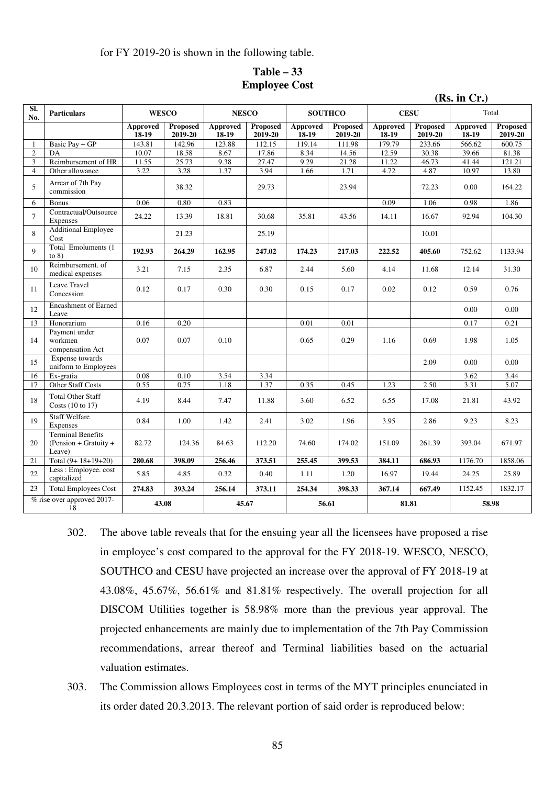for FY 2019-20 is shown in the following table.

| $Table - 33$         |  |
|----------------------|--|
| <b>Employee Cost</b> |  |

|                |                                                             |                          |                            |                   |                            |                   |                            | (Rs. in Cr.)             |                     |                          |                            |  |
|----------------|-------------------------------------------------------------|--------------------------|----------------------------|-------------------|----------------------------|-------------------|----------------------------|--------------------------|---------------------|--------------------------|----------------------------|--|
| Sl.<br>No.     | <b>Particulars</b>                                          | <b>WESCO</b>             |                            | <b>NESCO</b>      |                            | <b>SOUTHCO</b>    |                            | <b>CESU</b>              |                     | Total                    |                            |  |
|                |                                                             | <b>Approved</b><br>18-19 | <b>Proposed</b><br>2019-20 | Approved<br>18-19 | <b>Proposed</b><br>2019-20 | Approved<br>18-19 | <b>Proposed</b><br>2019-20 | <b>Approved</b><br>18-19 | Proposed<br>2019-20 | <b>Approved</b><br>18-19 | <b>Proposed</b><br>2019-20 |  |
| -1             | Basic Pay + GP                                              | 143.81                   | 142.96                     | 123.88            | 112.15                     | 119.14            | 111.98                     | 179.79                   | 233.66              | 566.62                   | 600.75                     |  |
| 2              | DA                                                          | 10.07                    | 18.58                      | 8.67              | 17.86                      | 8.34              | 14.56                      | 12.59                    | 30.38               | 39.66                    | 81.38                      |  |
| 3              | Reimbursement of HR                                         | 11.55                    | 25.73                      | 9.38              | 27.47                      | 9.29              | 21.28                      | 11.22                    | 46.73               | 41.44                    | 121.21                     |  |
| $\overline{4}$ | Other allowance                                             | 3.22                     | 3.28                       | 1.37              | 3.94                       | 1.66              | 1.71                       | 4.72                     | 4.87                | 10.97                    | 13.80                      |  |
| 5              | Arrear of 7th Pay<br>commission                             |                          | 38.32                      |                   | 29.73                      |                   | 23.94                      |                          | 72.23               | 0.00                     | 164.22                     |  |
| 6              | <b>Bonus</b>                                                | 0.06                     | 0.80                       | 0.83              |                            |                   |                            | 0.09                     | 1.06                | 0.98                     | 1.86                       |  |
| $\tau$         | Contractual/Outsource<br>Expenses                           | 24.22                    | 13.39                      | 18.81             | 30.68                      | 35.81             | 43.56                      | 14.11                    | 16.67               | 92.94                    | 104.30                     |  |
| 8              | <b>Additional Employee</b><br>Cost                          |                          | 21.23                      |                   | 25.19                      |                   |                            |                          | 10.01               |                          |                            |  |
| $\mathbf{Q}$   | Total Emoluments (1<br>to $8)$                              | 192.93                   | 264.29                     | 162.95            | 247.02                     | 174.23            | 217.03                     | 222.52                   | 405.60              | 752.62                   | 1133.94                    |  |
| 10             | Reimbursement, of<br>medical expenses                       | 3.21                     | 7.15                       | 2.35              | 6.87                       | 2.44              | 5.60                       | 4.14                     | 11.68               | 12.14                    | 31.30                      |  |
| 11             | Leave Travel<br>Concession                                  | 0.12                     | 0.17                       | 0.30              | 0.30                       | 0.15              | 0.17                       | 0.02                     | 0.12                | 0.59                     | 0.76                       |  |
| 12             | <b>Encashment of Earned</b><br>Leave                        |                          |                            |                   |                            |                   |                            |                          |                     | 0.00                     | 0.00                       |  |
| 13             | Honorarium                                                  | 0.16                     | 0.20                       |                   |                            | 0.01              | 0.01                       |                          |                     | 0.17                     | 0.21                       |  |
| 14             | Payment under<br>workmen<br>compensation Act                | 0.07                     | 0.07                       | 0.10              |                            | 0.65              | 0.29                       | 1.16                     | 0.69                | 1.98                     | 1.05                       |  |
| 15             | <b>Expense</b> towards<br>uniform to Employees              |                          |                            |                   |                            |                   |                            |                          | 2.09                | 0.00                     | 0.00                       |  |
| 16             | Ex-gratia                                                   | 0.08                     | 0.10                       | 3.54              | 3.34                       |                   |                            |                          |                     | 3.62                     | 3.44                       |  |
| 17             | Other Staff Costs                                           | 0.55                     | 0.75                       | 1.18              | 1.37                       | 0.35              | 0.45                       | 1.23                     | 2.50                | 3.31                     | 5.07                       |  |
| 18             | <b>Total Other Staff</b><br>Costs $(10 \text{ to } 17)$     | 4.19                     | 8.44                       | 7.47              | 11.88                      | 3.60              | 6.52                       | 6.55                     | 17.08               | 21.81                    | 43.92                      |  |
| 19             | <b>Staff Welfare</b><br>Expenses                            | 0.84                     | 1.00                       | 1.42              | 2.41                       | 3.02              | 1.96                       | 3.95                     | 2.86                | 9.23                     | 8.23                       |  |
| 20             | <b>Terminal Benefits</b><br>(Pension + Gratuity +<br>Leave) | 82.72                    | 124.36                     | 84.63             | 112.20                     | 74.60             | 174.02                     | 151.09                   | 261.39              | 393.04                   | 671.97                     |  |
| 21             | Total $(9+18+19+20)$                                        | 280.68                   | 398.09                     | 256.46            | 373.51                     | 255.45            | 399.53                     | 384.11                   | 686.93              | 1176.70                  | 1858.06                    |  |
| 22             | Less: Employee. cost<br>capitalized                         | 5.85                     | 4.85                       | 0.32              | 0.40                       | 1.11              | 1.20                       | 16.97                    | 19.44               | 24.25                    | 25.89                      |  |
| 23             | <b>Total Employees Cost</b>                                 | 274.83                   | 393.24                     | 256.14            | 373.11                     | 254.34            | 398.33                     | 367.14                   | 667.49              | 1152.45                  | 1832.17                    |  |
|                | % rise over approved 2017-<br>18                            | 43.08                    |                            | 45.67             |                            | 56.61             |                            | 81.81                    |                     | 58.98                    |                            |  |

- 302. The above table reveals that for the ensuing year all the licensees have proposed a rise in employee's cost compared to the approval for the FY 2018-19. WESCO, NESCO, SOUTHCO and CESU have projected an increase over the approval of FY 2018-19 at 43.08%, 45.67%, 56.61% and 81.81% respectively. The overall projection for all DISCOM Utilities together is 58.98% more than the previous year approval. The projected enhancements are mainly due to implementation of the 7th Pay Commission recommendations, arrear thereof and Terminal liabilities based on the actuarial valuation estimates.
- 303. The Commission allows Employees cost in terms of the MYT principles enunciated in its order dated 20.3.2013. The relevant portion of said order is reproduced below: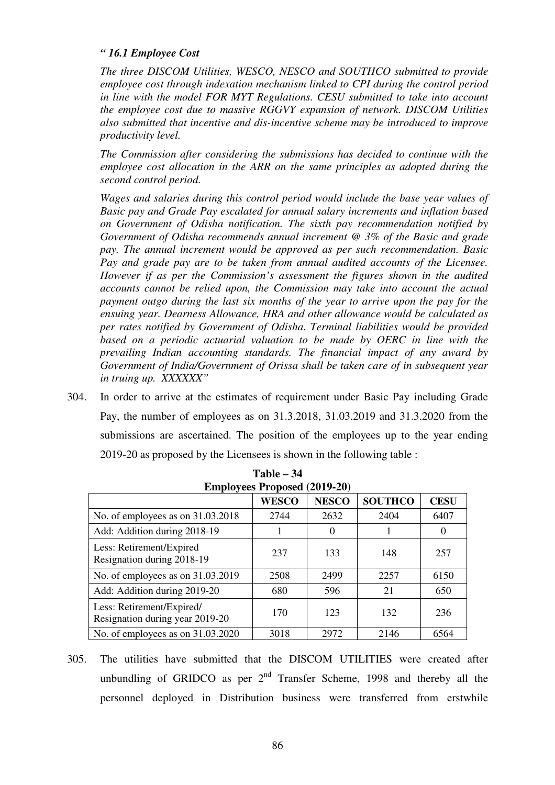# *" 16.1 Employee Cost*

*The three DISCOM Utilities, WESCO, NESCO and SOUTHCO submitted to provide employee cost through indexation mechanism linked to CPI during the control period in line with the model FOR MYT Regulations. CESU submitted to take into account the employee cost due to massive RGGVY expansion of network. DISCOM Utilities also submitted that incentive and dis-incentive scheme may be introduced to improve productivity level.* 

*The Commission after considering the submissions has decided to continue with the employee cost allocation in the ARR on the same principles as adopted during the second control period.* 

*Wages and salaries during this control period would include the base year values of Basic pay and Grade Pay escalated for annual salary increments and inflation based on Government of Odisha notification. The sixth pay recommendation notified by Government of Odisha recommends annual increment @ 3% of the Basic and grade pay. The annual increment would be approved as per such recommendation. Basic Pay and grade pay are to be taken from annual audited accounts of the Licensee. However if as per the Commission's assessment the figures shown in the audited accounts cannot be relied upon, the Commission may take into account the actual payment outgo during the last six months of the year to arrive upon the pay for the ensuing year. Dearness Allowance, HRA and other allowance would be calculated as per rates notified by Government of Odisha. Terminal liabilities would be provided based on a periodic actuarial valuation to be made by OERC in line with the prevailing Indian accounting standards. The financial impact of any award by Government of India/Government of Orissa shall be taken care of in subsequent year in truing up. XXXXXX"* 

304. In order to arrive at the estimates of requirement under Basic Pay including Grade Pay, the number of employees as on 31.3.2018, 31.03.2019 and 31.3.2020 from the submissions are ascertained. The position of the employees up to the year ending 2019-20 as proposed by the Licensees is shown in the following table :

|                                                              | <b>Employees Proposed (2019-20)</b> |              |                |                  |
|--------------------------------------------------------------|-------------------------------------|--------------|----------------|------------------|
|                                                              | <b>WESCO</b>                        | <b>NESCO</b> | <b>SOUTHCO</b> | <b>CESU</b>      |
| No. of employees as on 31.03.2018                            | 2744                                | 2632         | 2404           | 6407             |
| Add: Addition during 2018-19                                 |                                     | $\Omega$     |                | $\left( \right)$ |
| Less: Retirement/Expired<br>Resignation during 2018-19       | 237                                 | 133          | 148            | 257              |
| No. of employees as on 31.03.2019                            | 2508                                | 2499         | 2257           | 6150             |
| Add: Addition during 2019-20                                 | 680                                 | 596          | 21             | 650              |
| Less: Retirement/Expired/<br>Resignation during year 2019-20 | 170                                 | 123          | 132            | 236              |
| No. of employees as on 31.03.2020                            | 3018                                | 2972         | 2146           | 6564             |

**Table – 34** 

305. The utilities have submitted that the DISCOM UTILITIES were created after unbundling of GRIDCO as per  $2<sup>nd</sup>$  Transfer Scheme, 1998 and thereby all the personnel deployed in Distribution business were transferred from erstwhile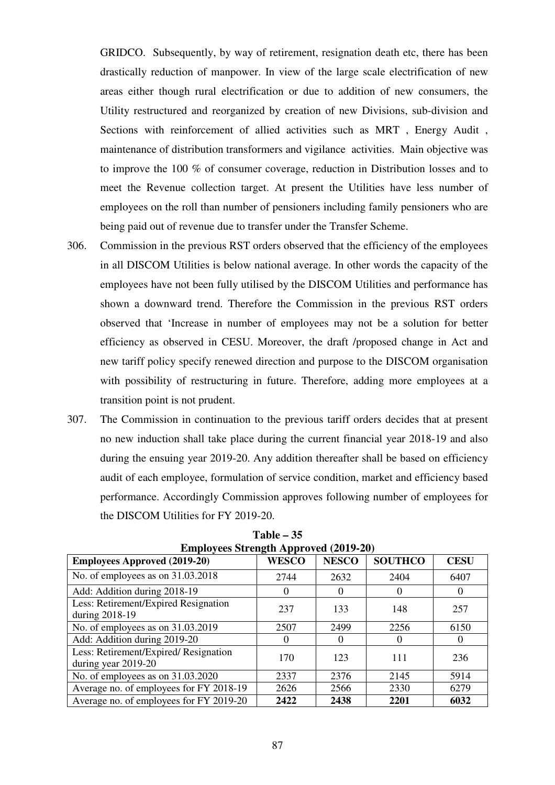GRIDCO. Subsequently, by way of retirement, resignation death etc, there has been drastically reduction of manpower. In view of the large scale electrification of new areas either though rural electrification or due to addition of new consumers, the Utility restructured and reorganized by creation of new Divisions, sub-division and Sections with reinforcement of allied activities such as MRT , Energy Audit , maintenance of distribution transformers and vigilance activities. Main objective was to improve the 100 % of consumer coverage, reduction in Distribution losses and to meet the Revenue collection target. At present the Utilities have less number of employees on the roll than number of pensioners including family pensioners who are being paid out of revenue due to transfer under the Transfer Scheme.

- 306. Commission in the previous RST orders observed that the efficiency of the employees in all DISCOM Utilities is below national average. In other words the capacity of the employees have not been fully utilised by the DISCOM Utilities and performance has shown a downward trend. Therefore the Commission in the previous RST orders observed that 'Increase in number of employees may not be a solution for better efficiency as observed in CESU. Moreover, the draft /proposed change in Act and new tariff policy specify renewed direction and purpose to the DISCOM organisation with possibility of restructuring in future. Therefore, adding more employees at a transition point is not prudent.
- 307. The Commission in continuation to the previous tariff orders decides that at present no new induction shall take place during the current financial year 2018-19 and also during the ensuing year 2019-20. Any addition thereafter shall be based on efficiency audit of each employee, formulation of service condition, market and efficiency based performance. Accordingly Commission approves following number of employees for the DISCOM Utilities for FY 2019-20.

| <b>Employees Approved (2019-20)</b>                          | <b>WESCO</b> | <b>NESCO</b> | <b>SOUTHCO</b> | <b>CESU</b> |
|--------------------------------------------------------------|--------------|--------------|----------------|-------------|
| No. of employees as on 31.03.2018                            | 2744         | 2632         | 2404           | 6407        |
| Add: Addition during 2018-19                                 | $\theta$     | $\theta$     |                | $\theta$    |
| Less: Retirement/Expired Resignation<br>during 2018-19       | 237          | 133          | 148            | 257         |
| No. of employees as on 31.03.2019                            | 2507         | 2499         | 2256           | 6150        |
| Add: Addition during 2019-20                                 | $\theta$     | $\Omega$     | 0              | $\theta$    |
| Less: Retirement/Expired/ Resignation<br>during year 2019-20 | 170          | 123          | 111            | 236         |
| No. of employees as on $31.03.2020$                          | 2337         | 2376         | 2145           | 5914        |
| Average no. of employees for FY 2018-19                      | 2626         | 2566         | 2330           | 6279        |
| Average no. of employees for FY 2019-20                      | 2422         | 2438         | 2201           | 6032        |

**Table – 35 Employees Strength Approved (2019-20)**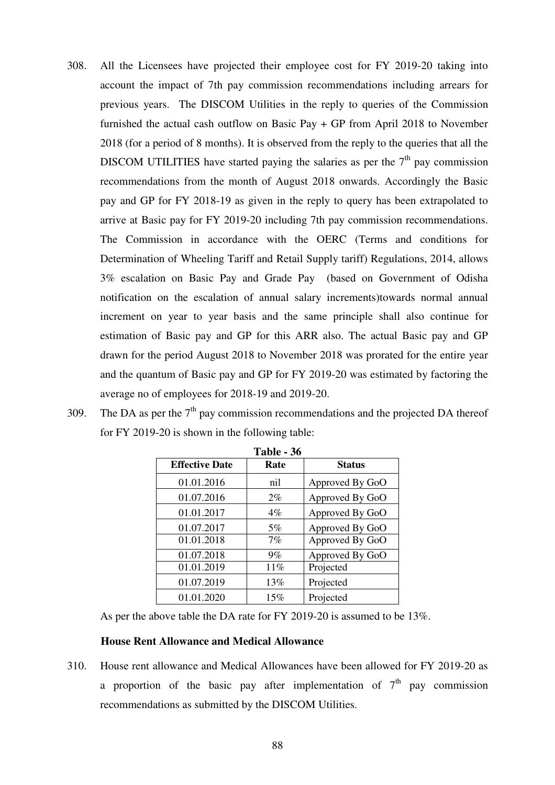- 308. All the Licensees have projected their employee cost for FY 2019-20 taking into account the impact of 7th pay commission recommendations including arrears for previous years. The DISCOM Utilities in the reply to queries of the Commission furnished the actual cash outflow on Basic Pay + GP from April 2018 to November 2018 (for a period of 8 months). It is observed from the reply to the queries that all the DISCOM UTILITIES have started paying the salaries as per the  $7<sup>th</sup>$  pay commission recommendations from the month of August 2018 onwards. Accordingly the Basic pay and GP for FY 2018-19 as given in the reply to query has been extrapolated to arrive at Basic pay for FY 2019-20 including 7th pay commission recommendations. The Commission in accordance with the OERC (Terms and conditions for Determination of Wheeling Tariff and Retail Supply tariff) Regulations, 2014, allows 3% escalation on Basic Pay and Grade Pay (based on Government of Odisha notification on the escalation of annual salary increments)towards normal annual increment on year to year basis and the same principle shall also continue for estimation of Basic pay and GP for this ARR also. The actual Basic pay and GP drawn for the period August 2018 to November 2018 was prorated for the entire year and the quantum of Basic pay and GP for FY 2019-20 was estimated by factoring the average no of employees for 2018-19 and 2019-20.
- 309. The DA as per the  $7<sup>th</sup>$  pay commission recommendations and the projected DA thereof for FY 2019-20 is shown in the following table:

|                       | 1 avie - 90 |                 |
|-----------------------|-------------|-----------------|
| <b>Effective Date</b> | Rate        | <b>Status</b>   |
| 01.01.2016            | nil         | Approved By GoO |
| 01.07.2016            | $2\%$       | Approved By GoO |
| 01.01.2017            | $4\%$       | Approved By GoO |
| 01.07.2017            | 5%          | Approved By GoO |
| 01.01.2018            | 7%          | Approved By GoO |
| 01.07.2018            | $9\%$       | Approved By GoO |
| 01.01.2019            | 11%         | Projected       |
| 01.07.2019            | 13%         | Projected       |
| 01.01.2020            | 15%         | Projected       |

**Table - 36** 

As per the above table the DA rate for FY 2019-20 is assumed to be 13%.

### **House Rent Allowance and Medical Allowance**

310. House rent allowance and Medical Allowances have been allowed for FY 2019-20 as a proportion of the basic pay after implementation of  $7<sup>th</sup>$  pay commission recommendations as submitted by the DISCOM Utilities.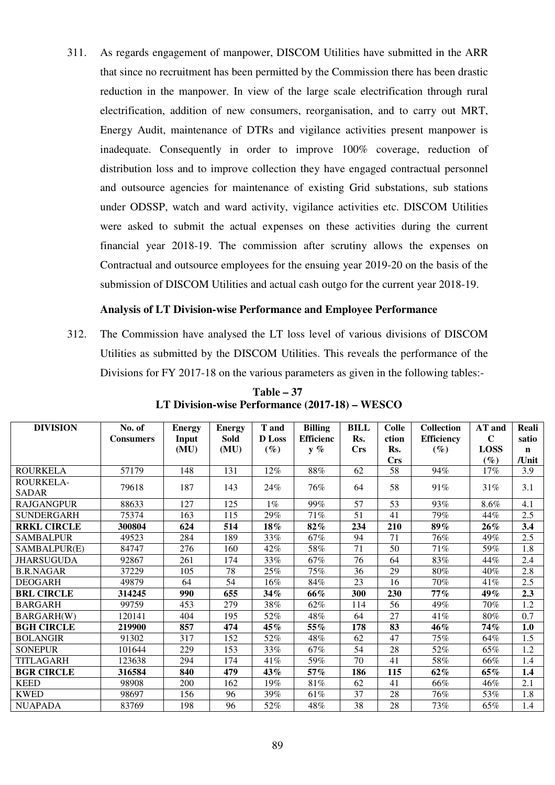311. As regards engagement of manpower, DISCOM Utilities have submitted in the ARR that since no recruitment has been permitted by the Commission there has been drastic reduction in the manpower. In view of the large scale electrification through rural electrification, addition of new consumers, reorganisation, and to carry out MRT, Energy Audit, maintenance of DTRs and vigilance activities present manpower is inadequate. Consequently in order to improve 100% coverage, reduction of distribution loss and to improve collection they have engaged contractual personnel and outsource agencies for maintenance of existing Grid substations, sub stations under ODSSP, watch and ward activity, vigilance activities etc. DISCOM Utilities were asked to submit the actual expenses on these activities during the current financial year 2018-19. The commission after scrutiny allows the expenses on Contractual and outsource employees for the ensuing year 2019-20 on the basis of the submission of DISCOM Utilities and actual cash outgo for the current year 2018-19.

### **Analysis of LT Division-wise Performance and Employee Performance**

312. The Commission have analysed the LT loss level of various divisions of DISCOM Utilities as submitted by the DISCOM Utilities. This reveals the performance of the Divisions for FY 2017-18 on the various parameters as given in the following tables:-

| <b>DIVISION</b>    | No. of           | <b>Energy</b> | <b>Energy</b> | <b>T</b> and  | <b>Billing</b>   | <b>BILL</b> | <b>Colle</b>                     | <b>Collection</b> | AT and      | Reali       |
|--------------------|------------------|---------------|---------------|---------------|------------------|-------------|----------------------------------|-------------------|-------------|-------------|
|                    | <b>Consumers</b> | Input         | Sold          | <b>D</b> Loss | <b>Efficienc</b> | Rs.         | ction                            | <b>Efficiency</b> | $\mathbf C$ | satio       |
|                    |                  | (MU)          | (MU)          | $(\%)$        | $y \%$           | <b>Crs</b>  | Rs.                              | $(\%)$            | <b>LOSS</b> | $\mathbf n$ |
|                    |                  |               |               |               |                  |             | $\mathbf{C}\mathbf{r}\mathbf{s}$ |                   | $(\%)$      | /Unit       |
| ROURKELA           | 57179            | 148           | 131           | 12%           | 88%              | 62          | 58                               | 94%               | 17%         | 3.9         |
| ROURKELA-<br>SADAR | 79618            | 187           | 143           | 24%           | 76%              | 64          | 58                               | 91%               | 31%         | 3.1         |
| RAJGANGPUR         | 88633            | 127           | 125           | $1\%$         | 99%              | 57          | 53                               | 93%               | 8.6%        | 4.1         |
| SUNDERGARH         | 75374            | 163           | 115           | 29%           | 71%              | 51          | 41                               | 79%               | 44%         | 2.5         |
| <b>RRKL CIRCLE</b> | 300804           | 624           | 514           | $18\%$        | 82%              | 234         | 210                              | 89%               | $26\%$      | 3.4         |
| SAMBALPUR          | 49523            | 284           | 189           | 33%           | 67%              | 94          | 71                               | 76%               | 49%         | 2.5         |
| SAMBALPUR(E)       | 84747            | 276           | 160           | 42%           | 58%              | 71          | 50                               | 71%               | 59%         | 1.8         |
| <b>JHARSUGUDA</b>  | 92867            | 261           | 174           | 33%           | 67%              | 76          | 64                               | 83%               | 44%         | 2.4         |
| <b>B.R.NAGAR</b>   | 37229            | 105           | 78            | 25%           | $75\%$           | 36          | 29                               | 80%               | 40%         | 2.8         |
| <b>DEOGARH</b>     | 49879            | 64            | 54            | 16%           | 84%              | 23          | 16                               | 70%               | 41%         | 2.5         |
| <b>BRL CIRCLE</b>  | 314245           | 990           | 655           | 34%           | 66%              | 300         | 230                              | 77%               | 49%         | 2.3         |
| <b>BARGARH</b>     | 99759            | 453           | 279           | 38%           | 62%              | 114         | 56                               | 49%               | 70%         | 1.2         |
| <b>BARGARH(W)</b>  | 120141           | 404           | 195           | 52%           | 48%              | 64          | 27                               | 41%               | 80%         | 0.7         |
| <b>BGH CIRCLE</b>  | 219900           | 857           | 474           | $45\%$        | 55%              | 178         | 83                               | 46%               | 74%         | 1.0         |
| <b>BOLANGIR</b>    | 91302            | 317           | 152           | 52%           | 48%              | 62          | 47                               | 75%               | 64%         | 1.5         |
| <b>SONEPUR</b>     | 101644           | 229           | 153           | 33%           | 67%              | 54          | 28                               | 52%               | 65%         | 1.2         |
| TITLAGARH          | 123638           | 294           | 174           | 41%           | 59%              | 70          | 41                               | 58%               | 66%         | 1.4         |
| <b>BGR CIRCLE</b>  | 316584           | 840           | 479           | 43%           | 57%              | 186         | 115                              | $62\%$            | 65%         | 1.4         |
| <b>KEED</b>        | 98908            | 200           | 162           | 19%           | 81%              | 62          | 41                               | 66%               | 46%         | 2.1         |
| <b>KWED</b>        | 98697            | 156           | 96            | 39%           | 61%              | 37          | 28                               | 76%               | 53%         | 1.8         |
| <b>NUAPADA</b>     | 83769            | 198           | 96            | 52%           | 48%              | 38          | 28                               | 73%               | 65%         | 1.4         |

**Table – 37 LT Division-wise Performance (2017-18) – WESCO**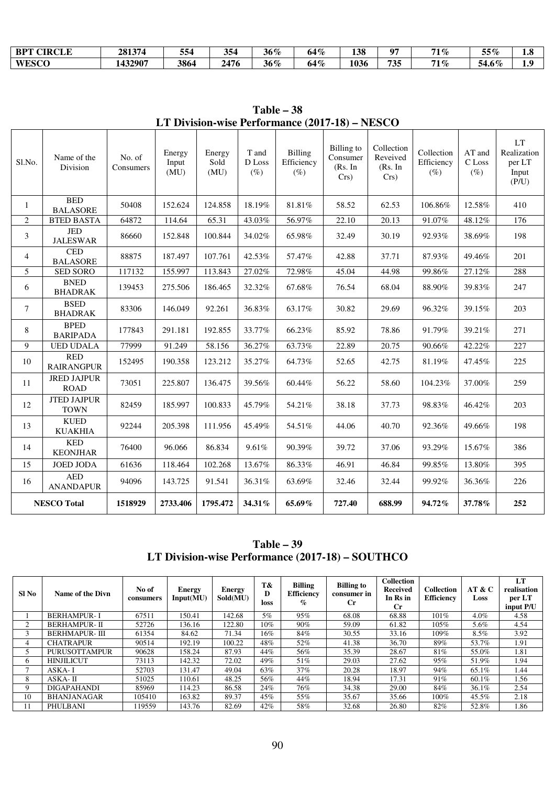| <b>BPT</b><br><b>CIRCLE</b> | 281374 | --<br>554 | 354<br>ູບບ    | 36 %   | 64% | 138  | $\mathbf{u}$ | 71%<br>. .                   | 55%   | $\Omega$<br>1.0 |
|-----------------------------|--------|-----------|---------------|--------|-----|------|--------------|------------------------------|-------|-----------------|
| <b>WESCO</b>                | 432907 | 3864      | ) 176<br>2476 | $36\%$ | 64% | 1036 | 735          | $71\%$<br>$\blacksquare$ / L | 54.6% | - 0<br>1.7      |

**Table – 38 LT Division-wise Performance (2017-18) – NESCO** 

| Sl.No.         | Name of the<br>Division           | No. of<br>Consumers | Energy<br>Input<br>(MU) | Energy<br>Sold<br>(MU) | T and<br>D Loss<br>$(\%)$ | <b>Billing</b><br>Efficiency<br>$(\%)$ | <b>Billing</b> to<br>Consumer<br>(Rs. In<br>$Crs$ ) | Collection<br>Reveived<br>(Rs. In<br>Crs) | Collection<br>Efficiency<br>$(\% )$ | AT and<br>C Loss<br>$(\%)$ | <b>LT</b><br>Realization<br>per LT<br>Input<br>(P/U) |
|----------------|-----------------------------------|---------------------|-------------------------|------------------------|---------------------------|----------------------------------------|-----------------------------------------------------|-------------------------------------------|-------------------------------------|----------------------------|------------------------------------------------------|
| 1              | <b>BED</b><br><b>BALASORE</b>     | 50408               | 152.624                 | 124.858                | 18.19%                    | 81.81%                                 | 58.52                                               | 62.53                                     | 106.86%                             | 12.58%                     | 410                                                  |
| $\overline{2}$ | <b>BTED BASTA</b>                 | 64872               | 114.64                  | 65.31                  | 43.03%                    | 56.97%                                 | 22.10                                               | 20.13                                     | 91.07%                              | 48.12%                     | 176                                                  |
| 3              | <b>JED</b><br><b>JALESWAR</b>     | 86660               | 152.848                 | 100.844                | 34.02%                    | 65.98%                                 | 32.49                                               | 30.19                                     | 92.93%                              | 38.69%                     | 198                                                  |
| $\overline{4}$ | <b>CED</b><br><b>BALASORE</b>     | 88875               | 187.497                 | 107.761                | 42.53%                    | 57.47%                                 | 42.88                                               | 37.71                                     | 87.93%                              | 49.46%                     | 201                                                  |
| 5              | <b>SED SORO</b>                   | 117132              | 155.997                 | 113.843                | $27.02\%$                 | 72.98%                                 | 45.04                                               | 44.98                                     | 99.86%                              | 27.12%                     | 288                                                  |
| 6              | <b>BNED</b><br><b>BHADRAK</b>     | 139453              | 275.506                 | 186.465                | 32.32%                    | 67.68%                                 | 76.54                                               | 68.04                                     | 88.90%                              | 39.83%                     | 247                                                  |
| 7              | <b>BSED</b><br><b>BHADRAK</b>     | 83306               | 146.049                 | 92.261                 | 36.83%                    | 63.17%                                 | 30.82                                               | 29.69                                     | 96.32%                              | 39.15%                     | 203                                                  |
| 8              | <b>BPED</b><br><b>BARIPADA</b>    | 177843              | 291.181                 | 192.855                | 33.77%                    | 66.23%                                 | 85.92                                               | 78.86                                     | 91.79%                              | 39.21%                     | 271                                                  |
| 9              | <b>UED UDALA</b>                  | 77999               | 91.249                  | 58.156                 | 36.27%                    | 63.73%                                 | 22.89                                               | 20.75                                     | 90.66%                              | 42.22%                     | 227                                                  |
| 10             | <b>RED</b><br><b>RAIRANGPUR</b>   | 152495              | 190.358                 | 123.212                | 35.27%                    | 64.73%                                 | 52.65                                               | 42.75                                     | 81.19%                              | 47.45%                     | 225                                                  |
| 11             | <b>JRED JAJPUR</b><br><b>ROAD</b> | 73051               | 225.807                 | 136.475                | 39.56%                    | 60.44%                                 | 56.22                                               | 58.60                                     | 104.23%                             | 37.00%                     | 259                                                  |
| 12             | <b>JTED JAJPUR</b><br><b>TOWN</b> | 82459               | 185.997                 | 100.833                | 45.79%                    | 54.21%                                 | 38.18                                               | 37.73                                     | 98.83%                              | 46.42%                     | 203                                                  |
| 13             | <b>KUED</b><br><b>KUAKHIA</b>     | 92244               | 205.398                 | 111.956                | 45.49%                    | 54.51%                                 | 44.06                                               | 40.70                                     | 92.36%                              | 49.66%                     | 198                                                  |
| 14             | <b>KED</b><br><b>KEONJHAR</b>     | 76400               | 96.066                  | 86.834                 | 9.61%                     | 90.39%                                 | 39.72                                               | 37.06                                     | 93.29%                              | 15.67%                     | 386                                                  |
| 15             | <b>JOED JODA</b>                  | 61636               | 118.464                 | 102.268                | 13.67%                    | 86.33%                                 | 46.91                                               | 46.84                                     | 99.85%                              | 13.80%                     | 395                                                  |
| 16             | <b>AED</b><br><b>ANANDAPUR</b>    | 94096               | 143.725                 | 91.541                 | 36.31%                    | 63.69%                                 | 32.46                                               | 32.44                                     | 99.92%                              | 36.36%                     | 226                                                  |
|                | <b>NESCO Total</b>                | 1518929             | 2733.406                | 1795.472               | 34.31%                    | 65.69%                                 | 727.40                                              | 688.99                                    | 94.72%                              | 37.78%                     | 252                                                  |

**Table – 39 LT Division-wise Performance (2017-18) – SOUTHCO** 

| SI No | Name of the Divn     | No of<br>consumers | <b>Energy</b><br>Input(MU) | <b>Energy</b><br>Sold(MU) | T&<br>D<br>loss | <b>Billing</b><br><b>Efficiency</b><br>$\%$ | <b>Billing to</b><br>consumer in<br>$_{\rm Cr}$ | <b>Collection</b><br><b>Received</b><br>In Rs in<br>Сr | <b>Collection</b><br><b>Efficiency</b> | AT & C<br>Loss | LT<br>realisation<br>per LT<br>input P/U |
|-------|----------------------|--------------------|----------------------------|---------------------------|-----------------|---------------------------------------------|-------------------------------------------------|--------------------------------------------------------|----------------------------------------|----------------|------------------------------------------|
|       | <b>BERHAMPUR-I</b>   | 67511              | 150.41                     | 142.68                    | 5%              | 95%                                         | 68.08                                           | 68.88                                                  | 101%                                   | 4.0%           | 4.58                                     |
| 2     | <b>BERHAMPUR-II</b>  | 52726              | 136.16                     | 122.80                    | 10%             | 90%                                         | 59.09                                           | 61.82                                                  | 105%                                   | 5.6%           | 4.54                                     |
| 3     | <b>BERHMAPUR-III</b> | 61354              | 84.62                      | 71.34                     | 16%             | 84%                                         | 30.55                                           | 33.16                                                  | 109%                                   | $8.5\%$        | 3.92                                     |
| 4     | <b>CHATRAPUR</b>     | 90514              | 192.19                     | 100.22                    | 48%             | 52%                                         | 41.38                                           | 36.70                                                  | 89%                                    | 53.7%          | 1.91                                     |
|       | <b>PURUSOTTAMPUR</b> | 90628              | 158.24                     | 87.93                     | 44%             | 56%                                         | 35.39                                           | 28.67                                                  | 81%                                    | 55.0%          | 1.81                                     |
| 6     | <b>HINJILICUT</b>    | 73113              | 142.32                     | 72.02                     | 49%             | 51%                                         | 29.03                                           | 27.62                                                  | 95%                                    | 51.9%          | 1.94                                     |
|       | ASKA-I               | 52703              | 131.47                     | 49.04                     | 63%             | 37%                                         | 20.28                                           | 18.97                                                  | 94%                                    | 65.1%          | 1.44                                     |
| 8     | $ASKA - II$          | 51025              | 110.61                     | 48.25                     | 56%             | 44%                                         | 18.94                                           | 17.31                                                  | 91%                                    | 60.1%          | 1.56                                     |
| 9     | <b>DIGAPAHANDI</b>   | 85969              | 114.23                     | 86.58                     | 24%             | 76%                                         | 34.38                                           | 29.00                                                  | 84%                                    | 36.1%          | 2.54                                     |
| 10    | <b>BHANJANAGAR</b>   | 105410             | 163.82                     | 89.37                     | 45%             | 55%                                         | 35.67                                           | 35.66                                                  | 100%                                   | 45.5%          | 2.18                                     |
| 11    | PHULBANI             | 119559             | 143.76                     | 82.69                     | 42%             | 58%                                         | 32.68                                           | 26.80                                                  | 82%                                    | 52.8%          | 1.86                                     |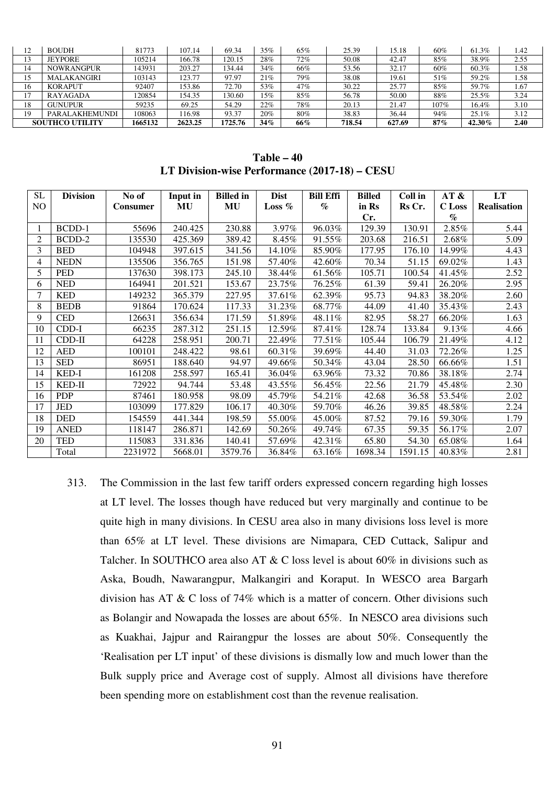| 12 | <b>BOUDH</b>           | 81773   | 107.14  | 69.34   | 35% | 65% | 25.39  | 15.18  | 60%  | 61.3%  | 1.42 |
|----|------------------------|---------|---------|---------|-----|-----|--------|--------|------|--------|------|
| 13 | <b>JEYPORE</b>         | 105214  | 166.78  | 120.15  | 28% | 72% | 50.08  | 42.47  | 85%  | 38.9%  | 2.55 |
| 14 | <b>NOWRANGPUR</b>      | 143931  | 203.27  | 134.44  | 34% | 66% | 53.56  | 32.17  | 60%  | 60.3%  | 1.58 |
| 15 | <b>MALAKANGIRI</b>     | 103143  | 123.77  | 97.97   | 21% | 79% | 38.08  | 19.61  | 51%  | 59.2%  | 1.58 |
| 16 | <b>KORAPUT</b>         | 92407   | 153.86  | 72.70   | 53% | 47% | 30.22  | 25.77  | 85%  | 59.7%  | 1.67 |
| 17 | RAYAGADA               | 120854  | 154.35  | 30.60   | 15% | 85% | 56.78  | 50.00  | 88%  | 25.5%  | 3.24 |
| 18 | <b>GUNUPUR</b>         | 59235   | 69.25   | 54.29   | 22% | 78% | 20.13  | 21.47  | 107% | 16.4%  | 3.10 |
| 19 | PARALAKHEMUNDI         | 108063  | 116.98  | 93.37   | 20% | 80% | 38.83  | 36.44  | 94%  | 25.1%  | 3.12 |
|    | <b>SOUTHCO UTILITY</b> | 1665132 | 2623.25 | 1725.76 | 34% | 66% | 718.54 | 627.69 | 87%  | 42.30% | 2.40 |

**Table – 40 LT Division-wise Performance (2017-18) – CESU** 

| <b>SL</b> | <b>Division</b> | No of           | Input in | <b>Billed</b> in | <b>Dist</b> | <b>Bill Effi</b> | <b>Billed</b> | Coll in | AT &          | LT                 |
|-----------|-----------------|-----------------|----------|------------------|-------------|------------------|---------------|---------|---------------|--------------------|
| NO        |                 | <b>Consumer</b> | MU       | MU               | Loss $%$    | $\%$             | in Rs         | Rs Cr.  | <b>C</b> Loss | <b>Realisation</b> |
|           |                 |                 |          |                  |             |                  | Cr.           |         | $\%$          |                    |
|           | BCDD-1          | 55696           | 240.425  | 230.88           | 3.97%       | 96.03%           | 129.39        | 130.91  | 2.85%         | 5.44               |
| 2         | BCDD-2          | 135530          | 425.369  | 389.42           | 8.45%       | 91.55%           | 203.68        | 216.51  | 2.68%         | 5.09               |
| 3         | <b>BED</b>      | 104948          | 397.615  | 341.56           | 14.10%      | 85.90%           | 177.95        | 176.10  | 14.99%        | 4.43               |
| 4         | <b>NEDN</b>     | 135506          | 356.765  | 151.98           | 57.40%      | 42.60%           | 70.34         | 51.15   | 69.02%        | 1.43               |
| 5         | <b>PED</b>      | 137630          | 398.173  | 245.10           | 38.44%      | 61.56%           | 105.71        | 100.54  | 41.45%        | 2.52               |
| 6         | <b>NED</b>      | 164941          | 201.521  | 153.67           | 23.75%      | 76.25%           | 61.39         | 59.41   | 26.20%        | 2.95               |
| 7         | <b>KED</b>      | 149232          | 365.379  | 227.95           | 37.61%      | 62.39%           | 95.73         | 94.83   | 38.20%        | 2.60               |
| 8         | <b>BEDB</b>     | 91864           | 170.624  | 117.33           | 31.23%      | 68.77%           | 44.09         | 41.40   | 35.43%        | 2.43               |
| 9         | <b>CED</b>      | 126631          | 356.634  | 171.59           | 51.89%      | 48.11%           | 82.95         | 58.27   | 66.20%        | 1.63               |
| 10        | $CDD-I$         | 66235           | 287.312  | 251.15           | 12.59%      | 87.41%           | 128.74        | 133.84  | 9.13%         | 4.66               |
| 11        | $CDD-II$        | 64228           | 258.951  | 200.71           | 22.49%      | 77.51%           | 105.44        | 106.79  | 21.49%        | 4.12               |
| 12        | <b>AED</b>      | 100101          | 248.422  | 98.61            | 60.31%      | 39.69%           | 44.40         | 31.03   | 72.26%        | 1.25               |
| 13        | <b>SED</b>      | 86951           | 188.640  | 94.97            | 49.66%      | 50.34%           | 43.04         | 28.50   | 66.66%        | 1.51               |
| 14        | KED-I           | 161208          | 258.597  | 165.41           | 36.04%      | 63.96%           | 73.32         | 70.86   | 38.18%        | 2.74               |
| 15        | KED-II          | 72922           | 94.744   | 53.48            | 43.55%      | 56.45%           | 22.56         | 21.79   | 45.48%        | 2.30               |
| 16        | <b>PDP</b>      | 87461           | 180.958  | 98.09            | 45.79%      | 54.21%           | 42.68         | 36.58   | 53.54%        | 2.02               |
| 17        | <b>JED</b>      | 103099          | 177.829  | 106.17           | 40.30%      | 59.70%           | 46.26         | 39.85   | 48.58%        | 2.24               |
| 18        | <b>DED</b>      | 154559          | 441.344  | 198.59           | 55.00%      | 45.00%           | 87.52         | 79.16   | 59.30%        | 1.79               |
| 19        | <b>ANED</b>     | 118147          | 286.871  | 142.69           | 50.26%      | 49.74%           | 67.35         | 59.35   | 56.17%        | 2.07               |
| 20        | <b>TED</b>      | 115083          | 331.836  | 140.41           | 57.69%      | 42.31%           | 65.80         | 54.30   | 65.08%        | 1.64               |
|           | Total           | 2231972         | 5668.01  | 3579.76          | 36.84%      | 63.16%           | 1698.34       | 1591.15 | 40.83%        | 2.81               |

313. The Commission in the last few tariff orders expressed concern regarding high losses at LT level. The losses though have reduced but very marginally and continue to be quite high in many divisions. In CESU area also in many divisions loss level is more than 65% at LT level. These divisions are Nimapara, CED Cuttack, Salipur and Talcher. In SOUTHCO area also AT & C loss level is about 60% in divisions such as Aska, Boudh, Nawarangpur, Malkangiri and Koraput. In WESCO area Bargarh division has AT & C loss of 74% which is a matter of concern. Other divisions such as Bolangir and Nowapada the losses are about 65%. In NESCO area divisions such as Kuakhai, Jajpur and Rairangpur the losses are about 50%. Consequently the 'Realisation per LT input' of these divisions is dismally low and much lower than the Bulk supply price and Average cost of supply. Almost all divisions have therefore been spending more on establishment cost than the revenue realisation.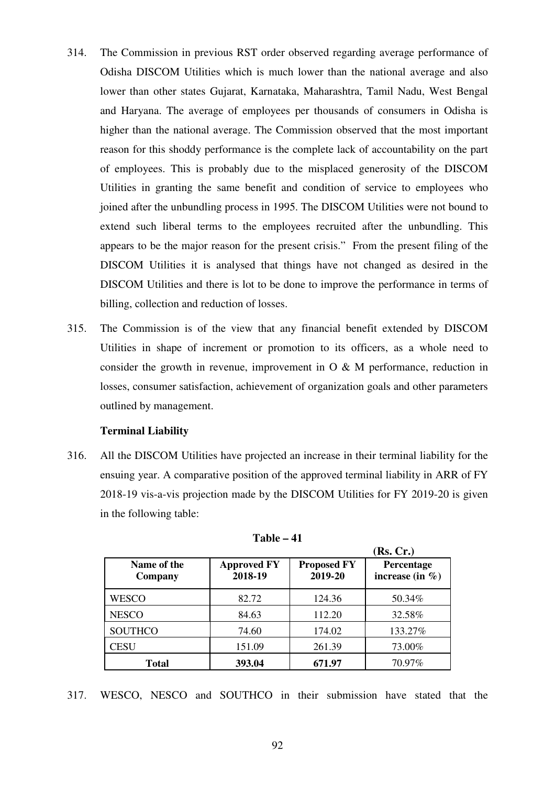- 314. The Commission in previous RST order observed regarding average performance of Odisha DISCOM Utilities which is much lower than the national average and also lower than other states Gujarat, Karnataka, Maharashtra, Tamil Nadu, West Bengal and Haryana. The average of employees per thousands of consumers in Odisha is higher than the national average. The Commission observed that the most important reason for this shoddy performance is the complete lack of accountability on the part of employees. This is probably due to the misplaced generosity of the DISCOM Utilities in granting the same benefit and condition of service to employees who joined after the unbundling process in 1995. The DISCOM Utilities were not bound to extend such liberal terms to the employees recruited after the unbundling. This appears to be the major reason for the present crisis." From the present filing of the DISCOM Utilities it is analysed that things have not changed as desired in the DISCOM Utilities and there is lot to be done to improve the performance in terms of billing, collection and reduction of losses.
- 315. The Commission is of the view that any financial benefit extended by DISCOM Utilities in shape of increment or promotion to its officers, as a whole need to consider the growth in revenue, improvement in O & M performance, reduction in losses, consumer satisfaction, achievement of organization goals and other parameters outlined by management.

# **Terminal Liability**

316. All the DISCOM Utilities have projected an increase in their terminal liability for the ensuing year. A comparative position of the approved terminal liability in ARR of FY 2018-19 vis-a-vis projection made by the DISCOM Utilities for FY 2019-20 is given in the following table:

|                        |                               |                               | (Rs, Cr.)                         |
|------------------------|-------------------------------|-------------------------------|-----------------------------------|
| Name of the<br>Company | <b>Approved FY</b><br>2018-19 | <b>Proposed FY</b><br>2019-20 | Percentage<br>increase (in $\%$ ) |
| WESCO                  | 82.72                         | 124.36                        | 50.34%                            |
| <b>NESCO</b>           | 84.63                         | 112.20                        | 32.58%                            |
| <b>SOUTHCO</b>         | 74.60                         | 174.02                        | 133.27%                           |
| <b>CESU</b>            | 151.09                        | 261.39                        | 73.00%                            |
| Total                  | 393.04                        | 671.97                        | 70.97%                            |

**Table – 41** 

317. WESCO, NESCO and SOUTHCO in their submission have stated that the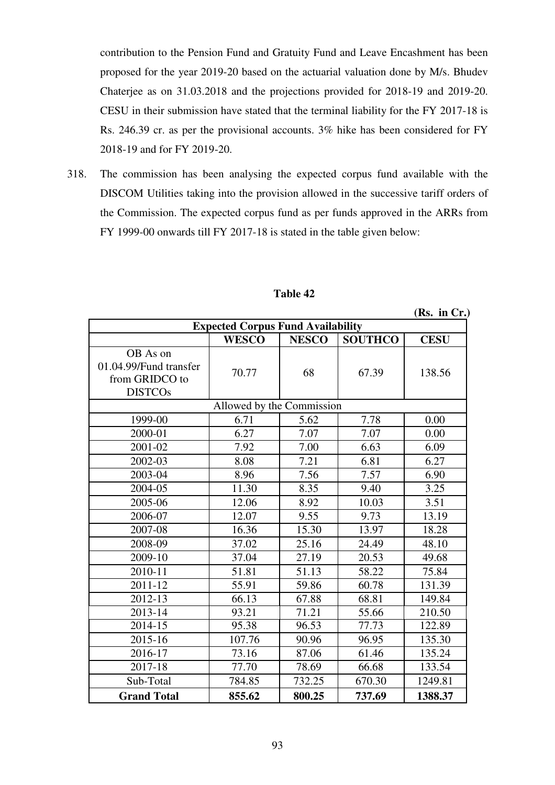contribution to the Pension Fund and Gratuity Fund and Leave Encashment has been proposed for the year 2019-20 based on the actuarial valuation done by M/s. Bhudev Chaterjee as on 31.03.2018 and the projections provided for 2018-19 and 2019-20. CESU in their submission have stated that the terminal liability for the FY 2017-18 is Rs. 246.39 cr. as per the provisional accounts. 3% hike has been considered for FY 2018-19 and for FY 2019-20.

318. The commission has been analysing the expected corpus fund available with the DISCOM Utilities taking into the provision allowed in the successive tariff orders of the Commission. The expected corpus fund as per funds approved in the ARRs from FY 1999-00 onwards till FY 2017-18 is stated in the table given below:

| <b>Expected Corpus Fund Availability</b>                               |              |              |                |             |  |  |  |  |  |
|------------------------------------------------------------------------|--------------|--------------|----------------|-------------|--|--|--|--|--|
|                                                                        | <b>WESCO</b> | <b>NESCO</b> | <b>SOUTHCO</b> | <b>CESU</b> |  |  |  |  |  |
| OB As on<br>01.04.99/Fund transfer<br>from GRIDCO to<br><b>DISTCOs</b> | 70.77        | 68           | 67.39          | 138.56      |  |  |  |  |  |
| Allowed by the Commission                                              |              |              |                |             |  |  |  |  |  |
| 1999-00                                                                | 6.71         | 5.62         | 7.78           | 0.00        |  |  |  |  |  |
| 2000-01                                                                | 6.27         | 7.07         | 7.07           | 0.00        |  |  |  |  |  |
| 2001-02                                                                | 7.92         | 7.00         | 6.63           | 6.09        |  |  |  |  |  |
| 2002-03                                                                | 8.08         | 7.21         | 6.81           | 6.27        |  |  |  |  |  |
| 2003-04                                                                | 8.96         | 7.56         | 7.57           | 6.90        |  |  |  |  |  |
| 2004-05                                                                | 11.30        | 8.35         | 9.40           | 3.25        |  |  |  |  |  |
| 2005-06                                                                | 12.06        | 8.92         | 10.03          | 3.51        |  |  |  |  |  |
| 2006-07                                                                | 12.07        | 9.55         | 9.73           | 13.19       |  |  |  |  |  |
| 2007-08                                                                | 16.36        | 15.30        | 13.97          | 18.28       |  |  |  |  |  |
| 2008-09                                                                | 37.02        | 25.16        | 24.49          | 48.10       |  |  |  |  |  |
| 2009-10                                                                | 37.04        | 27.19        | 20.53          | 49.68       |  |  |  |  |  |
| 2010-11                                                                | 51.81        | 51.13        | 58.22          | 75.84       |  |  |  |  |  |
| 2011-12                                                                | 55.91        | 59.86        | 60.78          | 131.39      |  |  |  |  |  |
| 2012-13                                                                | 66.13        | 67.88        | 68.81          | 149.84      |  |  |  |  |  |
| 2013-14                                                                | 93.21        | 71.21        | 55.66          | 210.50      |  |  |  |  |  |
| 2014-15                                                                | 95.38        | 96.53        | 77.73          | 122.89      |  |  |  |  |  |
| 2015-16                                                                | 107.76       | 90.96        | 96.95          | 135.30      |  |  |  |  |  |
| 2016-17                                                                | 73.16        | 87.06        | 61.46          | 135.24      |  |  |  |  |  |
| 2017-18                                                                | 77.70        | 78.69        | 66.68          | 133.54      |  |  |  |  |  |
| Sub-Total                                                              | 784.85       | 732.25       | 670.30         | 1249.81     |  |  |  |  |  |
| <b>Grand Total</b>                                                     | 855.62       | 800.25       | 737.69         | 1388.37     |  |  |  |  |  |

# **Table 42**

**(Rs. in Cr.)**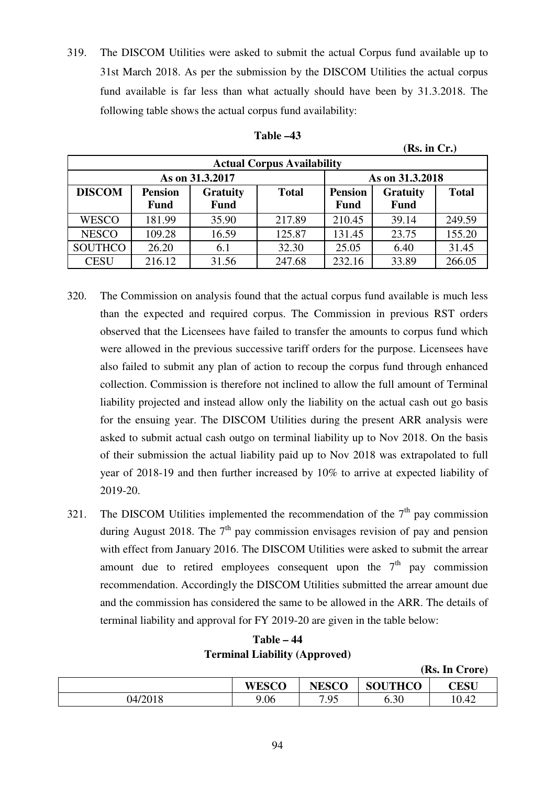319. The DISCOM Utilities were asked to submit the actual Corpus fund available up to 31st March 2018. As per the submission by the DISCOM Utilities the actual corpus fund available is far less than what actually should have been by 31.3.2018. The following table shows the actual corpus fund availability:

| <b>Actual Corpus Availability</b> |        |                                 |        |                 |                 |              |  |  |  |  |
|-----------------------------------|--------|---------------------------------|--------|-----------------|-----------------|--------------|--|--|--|--|
|                                   |        | As on 31.3.2017                 |        | As on 31.3.2018 |                 |              |  |  |  |  |
| <b>DISCOM</b><br><b>Pension</b>   |        | <b>Gratuity</b><br><b>Total</b> |        | <b>Pension</b>  | <b>Gratuity</b> | <b>Total</b> |  |  |  |  |
|                                   | Fund   | <b>Fund</b>                     |        | <b>Fund</b>     | <b>Fund</b>     |              |  |  |  |  |
| <b>WESCO</b>                      | 181.99 | 35.90                           | 217.89 | 210.45          | 39.14           | 249.59       |  |  |  |  |
| <b>NESCO</b>                      | 109.28 | 16.59                           | 125.87 | 131.45          | 23.75           | 155.20       |  |  |  |  |
| <b>SOUTHCO</b>                    | 26.20  | 6.1                             | 32.30  | 25.05           | 6.40            | 31.45        |  |  |  |  |
| <b>CESU</b>                       | 216.12 | 31.56                           | 247.68 | 232.16          | 33.89           | 266.05       |  |  |  |  |

| l`able |  |
|--------|--|
|--------|--|

 **(Rs. in Cr.)** 

**(Rs. In Crore)**

- 320. The Commission on analysis found that the actual corpus fund available is much less than the expected and required corpus. The Commission in previous RST orders observed that the Licensees have failed to transfer the amounts to corpus fund which were allowed in the previous successive tariff orders for the purpose. Licensees have also failed to submit any plan of action to recoup the corpus fund through enhanced collection. Commission is therefore not inclined to allow the full amount of Terminal liability projected and instead allow only the liability on the actual cash out go basis for the ensuing year. The DISCOM Utilities during the present ARR analysis were asked to submit actual cash outgo on terminal liability up to Nov 2018. On the basis of their submission the actual liability paid up to Nov 2018 was extrapolated to full year of 2018-19 and then further increased by 10% to arrive at expected liability of 2019-20.
- 321. The DISCOM Utilities implemented the recommendation of the  $7<sup>th</sup>$  pay commission during August 2018. The  $7<sup>th</sup>$  pay commission envisages revision of pay and pension with effect from January 2016. The DISCOM Utilities were asked to submit the arrear amount due to retired employees consequent upon the  $7<sup>th</sup>$  pay commission recommendation. Accordingly the DISCOM Utilities submitted the arrear amount due and the commission has considered the same to be allowed in the ARR. The details of terminal liability and approval for FY 2019-20 are given in the table below:

| Table – 44                           |
|--------------------------------------|
| <b>Terminal Liability (Approved)</b> |

|         |              |              |                | $(100.10 \text{ C})$ |
|---------|--------------|--------------|----------------|----------------------|
|         | <b>WESCO</b> | <b>NESCO</b> | <b>SOUTHCO</b> | <b>CESU</b>          |
| 04/2018 | 9.06         | 7.95         | 6.30           | 10.42                |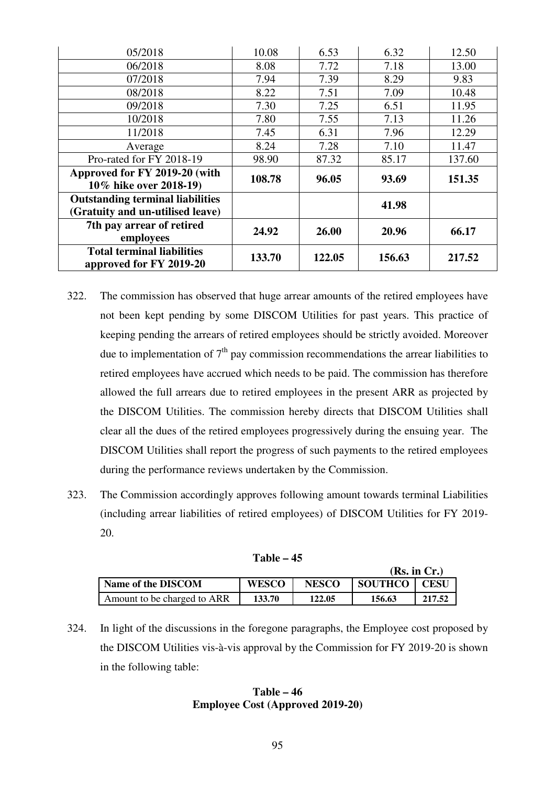| 05/2018                                 | 10.08  | 6.53   | 6.32   | 12.50  |  |
|-----------------------------------------|--------|--------|--------|--------|--|
| 06/2018                                 | 8.08   | 7.72   | 7.18   | 13.00  |  |
| 07/2018                                 | 7.94   | 7.39   | 8.29   | 9.83   |  |
| 08/2018                                 | 8.22   | 7.51   | 7.09   | 10.48  |  |
| 09/2018                                 | 7.30   | 7.25   | 6.51   | 11.95  |  |
| 10/2018                                 | 7.80   | 7.55   | 7.13   | 11.26  |  |
| 11/2018                                 | 7.45   | 6.31   | 7.96   | 12.29  |  |
| Average                                 | 8.24   | 7.28   | 7.10   | 11.47  |  |
| Pro-rated for FY 2018-19                | 98.90  | 87.32  | 85.17  | 137.60 |  |
| Approved for FY 2019-20 (with           | 108.78 | 96.05  | 93.69  | 151.35 |  |
| 10% hike over 2018-19)                  |        |        |        |        |  |
| <b>Outstanding terminal liabilities</b> |        |        | 41.98  |        |  |
| (Gratuity and un-utilised leave)        |        |        |        |        |  |
| 7th pay arrear of retired               | 24.92  | 26.00  | 20.96  | 66.17  |  |
| employees                               |        |        |        |        |  |
| <b>Total terminal liabilities</b>       | 133.70 | 122.05 | 156.63 | 217.52 |  |
| approved for FY 2019-20                 |        |        |        |        |  |

- 322. The commission has observed that huge arrear amounts of the retired employees have not been kept pending by some DISCOM Utilities for past years. This practice of keeping pending the arrears of retired employees should be strictly avoided. Moreover due to implementation of  $7<sup>th</sup>$  pay commission recommendations the arrear liabilities to retired employees have accrued which needs to be paid. The commission has therefore allowed the full arrears due to retired employees in the present ARR as projected by the DISCOM Utilities. The commission hereby directs that DISCOM Utilities shall clear all the dues of the retired employees progressively during the ensuing year. The DISCOM Utilities shall report the progress of such payments to the retired employees during the performance reviews undertaken by the Commission.
- 323. The Commission accordingly approves following amount towards terminal Liabilities (including arrear liabilities of retired employees) of DISCOM Utilities for FY 2019- 20.

| (Rs. in Cr.)                |              |              |                |             |  |  |  |
|-----------------------------|--------------|--------------|----------------|-------------|--|--|--|
| Name of the DISCOM          | <b>WESCO</b> | <b>NESCO</b> | <b>SOUTHCO</b> | <b>CESU</b> |  |  |  |
| Amount to be charged to ARR | 133.70       | 122.05       | 156.63         | 217.52      |  |  |  |

324. In light of the discussions in the foregone paragraphs, the Employee cost proposed by the DISCOM Utilities vis-à-vis approval by the Commission for FY 2019-20 is shown in the following table:

# **Table – 46 Employee Cost (Approved 2019-20)**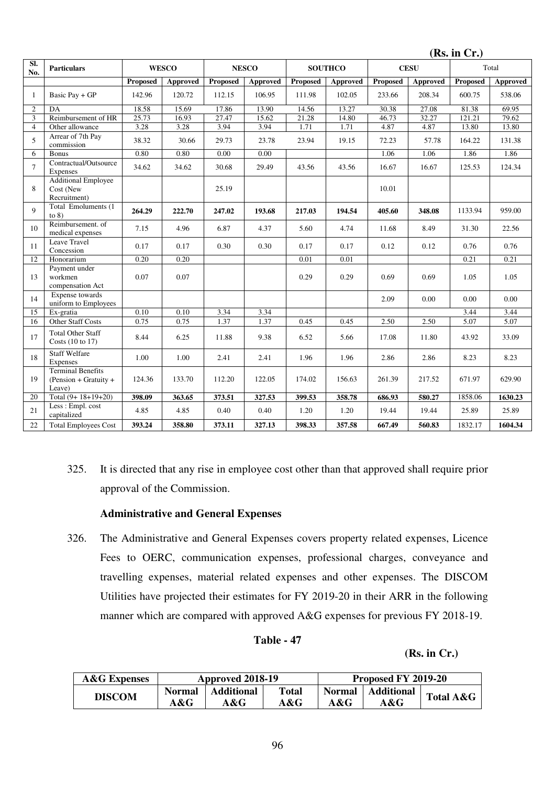|                |                                                             |                 |              |                 |                 |                 |                |          |                 | (Rs. in Cr.) |          |
|----------------|-------------------------------------------------------------|-----------------|--------------|-----------------|-----------------|-----------------|----------------|----------|-----------------|--------------|----------|
| SI.<br>No.     | <b>Particulars</b>                                          |                 | <b>WESCO</b> |                 | <b>NESCO</b>    |                 | <b>SOUTHCO</b> |          | <b>CESU</b>     |              | Total    |
|                |                                                             | <b>Proposed</b> | Approved     | <b>Proposed</b> | <b>Approved</b> | <b>Proposed</b> | Approved       | Proposed | <b>Approved</b> | Proposed     | Approved |
| 1              | Basic Pay + GP                                              | 142.96          | 120.72       | 112.15          | 106.95          | 111.98          | 102.05         | 233.66   | 208.34          | 600.75       | 538.06   |
| $\overline{c}$ | DA                                                          | 18.58           | 15.69        | 17.86           | 13.90           | 14.56           | 13.27          | 30.38    | 27.08           | 81.38        | 69.95    |
| 3              | Reimbursement of HR                                         | 25.73           | 16.93        | 27.47           | 15.62           | 21.28           | 14.80          | 46.73    | 32.27           | 121.21       | 79.62    |
| $\overline{4}$ | Other allowance                                             | 3.28            | 3.28         | 3.94            | 3.94            | 1.71            | 1.71           | 4.87     | 4.87            | 13.80        | 13.80    |
| 5              | Arrear of 7th Pay<br>commission                             | 38.32           | 30.66        | 29.73           | 23.78           | 23.94           | 19.15          | 72.23    | 57.78           | 164.22       | 131.38   |
| 6              | <b>Bonus</b>                                                | 0.80            | 0.80         | 0.00            | 0.00            |                 |                | 1.06     | 1.06            | 1.86         | 1.86     |
| $\tau$         | Contractual/Outsource<br>Expenses                           | 34.62           | 34.62        | 30.68           | 29.49           | 43.56           | 43.56          | 16.67    | 16.67           | 125.53       | 124.34   |
| 8              | <b>Additional Employee</b><br>Cost (New<br>Recruitment)     |                 |              | 25.19           |                 |                 |                | 10.01    |                 |              |          |
| 9              | Total Emoluments (1<br>to $8)$                              | 264.29          | 222.70       | 247.02          | 193.68          | 217.03          | 194.54         | 405.60   | 348.08          | 1133.94      | 959.00   |
| 10             | Reimbursement, of<br>medical expenses                       | 7.15            | 4.96         | 6.87            | 4.37            | 5.60            | 4.74           | 11.68    | 8.49            | 31.30        | 22.56    |
| 11             | Leave Travel<br>Concession                                  | 0.17            | 0.17         | 0.30            | 0.30            | 0.17            | 0.17           | 0.12     | 0.12            | 0.76         | 0.76     |
| 12             | Honorarium                                                  | 0.20            | 0.20         |                 |                 | 0.01            | 0.01           |          |                 | 0.21         | 0.21     |
| 13             | Payment under<br>workmen<br>compensation Act                | 0.07            | 0.07         |                 |                 | 0.29            | 0.29           | 0.69     | 0.69            | 1.05         | 1.05     |
| 14             | <b>Expense</b> towards<br>uniform to Employees              |                 |              |                 |                 |                 |                | 2.09     | 0.00            | 0.00         | 0.00     |
| 15             | Ex-gratia                                                   | 0.10            | 0.10         | 3.34            | 3.34            |                 |                |          |                 | 3.44         | 3.44     |
| 16             | <b>Other Staff Costs</b>                                    | 0.75            | 0.75         | 1.37            | 1.37            | 0.45            | 0.45           | 2.50     | 2.50            | 5.07         | 5.07     |
| 17             | <b>Total Other Staff</b><br>Costs (10 to 17)                | 8.44            | 6.25         | 11.88           | 9.38            | 6.52            | 5.66           | 17.08    | 11.80           | 43.92        | 33.09    |
| 18             | <b>Staff Welfare</b><br>Expenses                            | 1.00            | 1.00         | 2.41            | 2.41            | 1.96            | 1.96           | 2.86     | 2.86            | 8.23         | 8.23     |
| 19             | <b>Terminal Benefits</b><br>(Pension + Gratuity +<br>Leave) | 124.36          | 133.70       | 112.20          | 122.05          | 174.02          | 156.63         | 261.39   | 217.52          | 671.97       | 629.90   |
| 20             | Total $(9+18+19+20)$                                        | 398.09          | 363.65       | 373.51          | 327.53          | 399.53          | 358.78         | 686.93   | 580.27          | 1858.06      | 1630.23  |
| 21             | Less: Empl. cost<br>capitalized                             | 4.85            | 4.85         | 0.40            | 0.40            | 1.20            | 1.20           | 19.44    | 19.44           | 25.89        | 25.89    |
| 22             | <b>Total Employees Cost</b>                                 | 393.24          | 358.80       | 373.11          | 327.13          | 398.33          | 357.58         | 667.49   | 560.83          | 1832.17      | 1604.34  |

325. It is directed that any rise in employee cost other than that approved shall require prior approval of the Commission.

# **Administrative and General Expenses**

326. The Administrative and General Expenses covers property related expenses, Licence Fees to OERC, communication expenses, professional charges, conveyance and travelling expenses, material related expenses and other expenses. The DISCOM Utilities have projected their estimates for FY 2019-20 in their ARR in the following manner which are compared with approved A&G expenses for previous FY 2018-19.

# **Table - 47**

# **(Rs. in Cr.)**

| <b>A&amp;G</b> Expenses |                      | Approved 2018-19     |                     | Proposed FY 2019-20  |                   |           |
|-------------------------|----------------------|----------------------|---------------------|----------------------|-------------------|-----------|
| <b>DISCOM</b>           | <b>Normal</b><br>A&G | Additional<br>$A\&G$ | <b>Total</b><br>A&G | <b>Normal</b><br>A&G | Additional<br>A&G | Total A&G |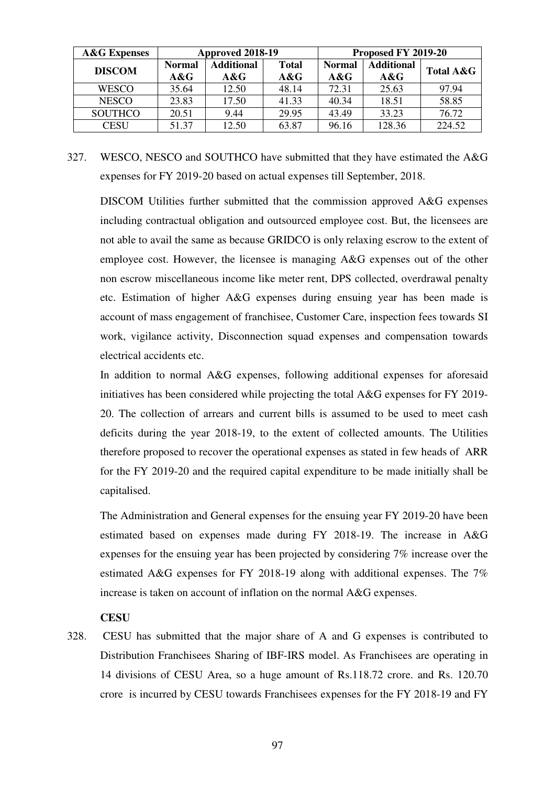| <b>A&amp;G</b> Expenses | Approved 2018-19        |                          |                        | Proposed FY 2019-20  |                             |                      |
|-------------------------|-------------------------|--------------------------|------------------------|----------------------|-----------------------------|----------------------|
| <b>DISCOM</b>           | <b>Normal</b><br>$A\&G$ | <b>Additional</b><br>A&G | <b>Total</b><br>$A\&G$ | <b>Normal</b><br>A&G | <b>Additional</b><br>$A\&G$ | <b>Total A&amp;G</b> |
| <b>WESCO</b>            | 35.64                   | 12.50                    | 48.14                  | 72.31                | 25.63                       | 97.94                |
| <b>NESCO</b>            | 23.83                   | 17.50                    | 41.33                  | 40.34                | 18.51                       | 58.85                |
| <b>SOUTHCO</b>          | 20.51                   | 9.44                     | 29.95                  | 43.49                | 33.23                       | 76.72                |
| <b>CESU</b>             | 51.37                   | 12.50                    | 63.87                  | 96.16                | 128.36                      | 224.52               |

327. WESCO, NESCO and SOUTHCO have submitted that they have estimated the A&G expenses for FY 2019-20 based on actual expenses till September, 2018.

DISCOM Utilities further submitted that the commission approved A&G expenses including contractual obligation and outsourced employee cost. But, the licensees are not able to avail the same as because GRIDCO is only relaxing escrow to the extent of employee cost. However, the licensee is managing A&G expenses out of the other non escrow miscellaneous income like meter rent, DPS collected, overdrawal penalty etc. Estimation of higher A&G expenses during ensuing year has been made is account of mass engagement of franchisee, Customer Care, inspection fees towards SI work, vigilance activity, Disconnection squad expenses and compensation towards electrical accidents etc.

In addition to normal A&G expenses, following additional expenses for aforesaid initiatives has been considered while projecting the total A&G expenses for FY 2019- 20. The collection of arrears and current bills is assumed to be used to meet cash deficits during the year 2018-19, to the extent of collected amounts. The Utilities therefore proposed to recover the operational expenses as stated in few heads of ARR for the FY 2019-20 and the required capital expenditure to be made initially shall be capitalised.

The Administration and General expenses for the ensuing year FY 2019-20 have been estimated based on expenses made during FY 2018-19. The increase in A&G expenses for the ensuing year has been projected by considering 7% increase over the estimated A&G expenses for FY 2018-19 along with additional expenses. The 7% increase is taken on account of inflation on the normal A&G expenses.

# **CESU**

328. CESU has submitted that the major share of A and G expenses is contributed to Distribution Franchisees Sharing of IBF-IRS model. As Franchisees are operating in 14 divisions of CESU Area, so a huge amount of Rs.118.72 crore. and Rs. 120.70 crore is incurred by CESU towards Franchisees expenses for the FY 2018-19 and FY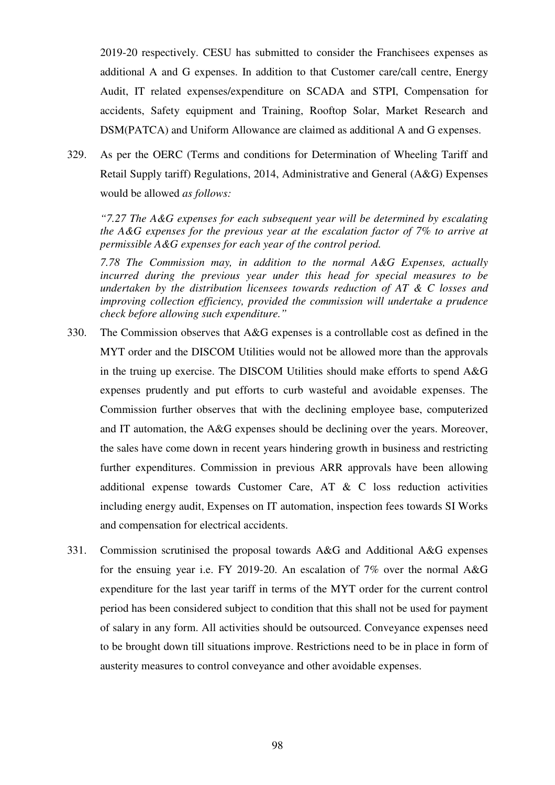2019-20 respectively. CESU has submitted to consider the Franchisees expenses as additional A and G expenses. In addition to that Customer care/call centre, Energy Audit, IT related expenses/expenditure on SCADA and STPI, Compensation for accidents, Safety equipment and Training, Rooftop Solar, Market Research and DSM(PATCA) and Uniform Allowance are claimed as additional A and G expenses.

329. As per the OERC (Terms and conditions for Determination of Wheeling Tariff and Retail Supply tariff) Regulations, 2014, Administrative and General (A&G) Expenses would be allowed *as follows:* 

*"7.27 The A&G expenses for each subsequent year will be determined by escalating the A&G expenses for the previous year at the escalation factor of 7% to arrive at permissible A&G expenses for each year of the control period.* 

*7.78 The Commission may, in addition to the normal A&G Expenses, actually incurred during the previous year under this head for special measures to be undertaken by the distribution licensees towards reduction of AT & C losses and improving collection efficiency, provided the commission will undertake a prudence check before allowing such expenditure."* 

- 330. The Commission observes that A&G expenses is a controllable cost as defined in the MYT order and the DISCOM Utilities would not be allowed more than the approvals in the truing up exercise. The DISCOM Utilities should make efforts to spend A&G expenses prudently and put efforts to curb wasteful and avoidable expenses. The Commission further observes that with the declining employee base, computerized and IT automation, the A&G expenses should be declining over the years. Moreover, the sales have come down in recent years hindering growth in business and restricting further expenditures. Commission in previous ARR approvals have been allowing additional expense towards Customer Care, AT & C loss reduction activities including energy audit, Expenses on IT automation, inspection fees towards SI Works and compensation for electrical accidents.
- 331. Commission scrutinised the proposal towards A&G and Additional A&G expenses for the ensuing year i.e. FY 2019-20. An escalation of 7% over the normal A&G expenditure for the last year tariff in terms of the MYT order for the current control period has been considered subject to condition that this shall not be used for payment of salary in any form. All activities should be outsourced. Conveyance expenses need to be brought down till situations improve. Restrictions need to be in place in form of austerity measures to control conveyance and other avoidable expenses.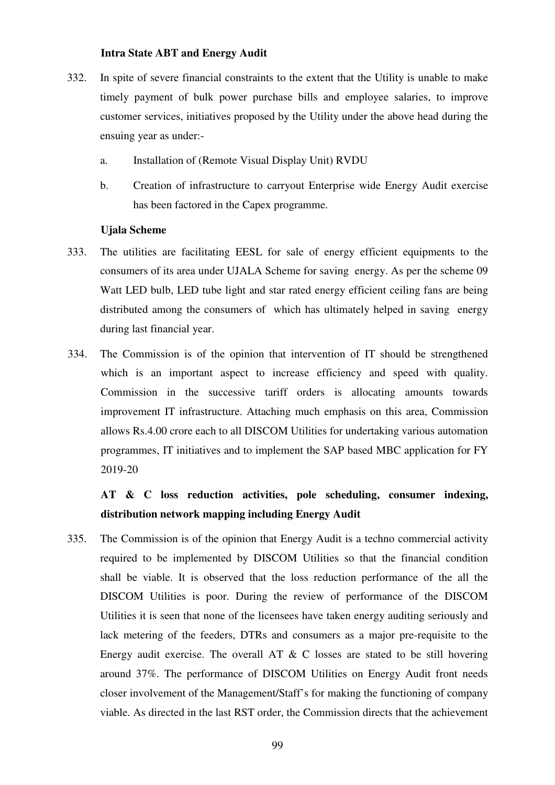### **Intra State ABT and Energy Audit**

- 332. In spite of severe financial constraints to the extent that the Utility is unable to make timely payment of bulk power purchase bills and employee salaries, to improve customer services, initiatives proposed by the Utility under the above head during the ensuing year as under:
	- a. Installation of (Remote Visual Display Unit) RVDU
	- b. Creation of infrastructure to carryout Enterprise wide Energy Audit exercise has been factored in the Capex programme.

### **Ujala Scheme**

- 333. The utilities are facilitating EESL for sale of energy efficient equipments to the consumers of its area under UJALA Scheme for saving energy. As per the scheme 09 Watt LED bulb, LED tube light and star rated energy efficient ceiling fans are being distributed among the consumers of which has ultimately helped in saving energy during last financial year.
- 334. The Commission is of the opinion that intervention of IT should be strengthened which is an important aspect to increase efficiency and speed with quality. Commission in the successive tariff orders is allocating amounts towards improvement IT infrastructure. Attaching much emphasis on this area, Commission allows Rs.4.00 crore each to all DISCOM Utilities for undertaking various automation programmes, IT initiatives and to implement the SAP based MBC application for FY 2019-20

# **AT & C loss reduction activities, pole scheduling, consumer indexing, distribution network mapping including Energy Audit**

335. The Commission is of the opinion that Energy Audit is a techno commercial activity required to be implemented by DISCOM Utilities so that the financial condition shall be viable. It is observed that the loss reduction performance of the all the DISCOM Utilities is poor. During the review of performance of the DISCOM Utilities it is seen that none of the licensees have taken energy auditing seriously and lack metering of the feeders, DTRs and consumers as a major pre-requisite to the Energy audit exercise. The overall AT  $\& C$  losses are stated to be still hovering around 37%. The performance of DISCOM Utilities on Energy Audit front needs closer involvement of the Management/Staff's for making the functioning of company viable. As directed in the last RST order, the Commission directs that the achievement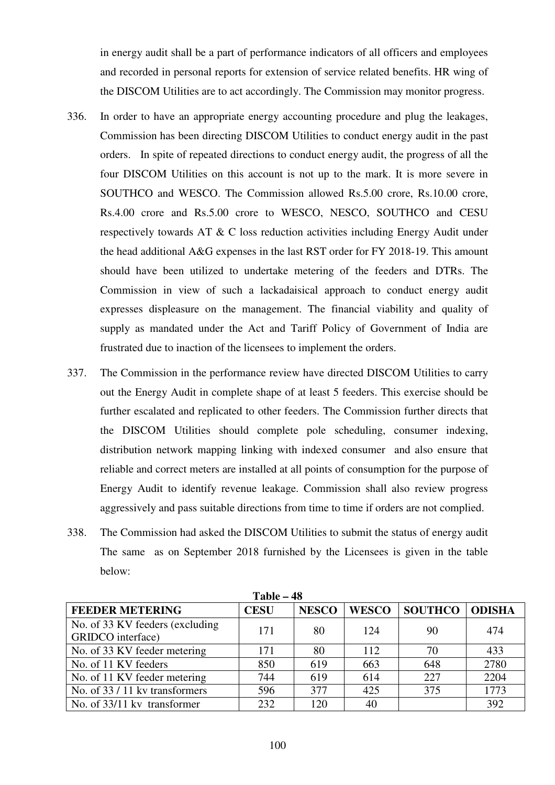in energy audit shall be a part of performance indicators of all officers and employees and recorded in personal reports for extension of service related benefits. HR wing of the DISCOM Utilities are to act accordingly. The Commission may monitor progress.

- 336. In order to have an appropriate energy accounting procedure and plug the leakages, Commission has been directing DISCOM Utilities to conduct energy audit in the past orders. In spite of repeated directions to conduct energy audit, the progress of all the four DISCOM Utilities on this account is not up to the mark. It is more severe in SOUTHCO and WESCO. The Commission allowed Rs.5.00 crore, Rs.10.00 crore, Rs.4.00 crore and Rs.5.00 crore to WESCO, NESCO, SOUTHCO and CESU respectively towards AT & C loss reduction activities including Energy Audit under the head additional A&G expenses in the last RST order for FY 2018-19. This amount should have been utilized to undertake metering of the feeders and DTRs. The Commission in view of such a lackadaisical approach to conduct energy audit expresses displeasure on the management. The financial viability and quality of supply as mandated under the Act and Tariff Policy of Government of India are frustrated due to inaction of the licensees to implement the orders.
- 337. The Commission in the performance review have directed DISCOM Utilities to carry out the Energy Audit in complete shape of at least 5 feeders. This exercise should be further escalated and replicated to other feeders. The Commission further directs that the DISCOM Utilities should complete pole scheduling, consumer indexing, distribution network mapping linking with indexed consumer and also ensure that reliable and correct meters are installed at all points of consumption for the purpose of Energy Audit to identify revenue leakage. Commission shall also review progress aggressively and pass suitable directions from time to time if orders are not complied.
- 338. The Commission had asked the DISCOM Utilities to submit the status of energy audit The same as on September 2018 furnished by the Licensees is given in the table below:

| 1 avit – 70                                          |             |              |              |                |               |  |  |  |  |
|------------------------------------------------------|-------------|--------------|--------------|----------------|---------------|--|--|--|--|
| <b>FEEDER METERING</b>                               | <b>CESU</b> | <b>NESCO</b> | <b>WESCO</b> | <b>SOUTHCO</b> | <b>ODISHA</b> |  |  |  |  |
| No. of 33 KV feeders (excluding<br>GRIDCO interface) | 171         | 80           | 124          | 90             | 474           |  |  |  |  |
| No. of 33 KV feeder metering                         | 171         | 80           | 112          | 70             | 433           |  |  |  |  |
| No. of 11 KV feeders                                 | 850         | 619          | 663          | 648            | 2780          |  |  |  |  |
| No. of 11 KV feeder metering                         | 744         | 619          | 614          | 227            | 2204          |  |  |  |  |
| No. of 33 / 11 kv transformers                       | 596         | 377          | 425          | 375            | 1773          |  |  |  |  |
| No. of 33/11 kv transformer                          | 232         | 120          | 40           |                | 392           |  |  |  |  |

**Table – 48**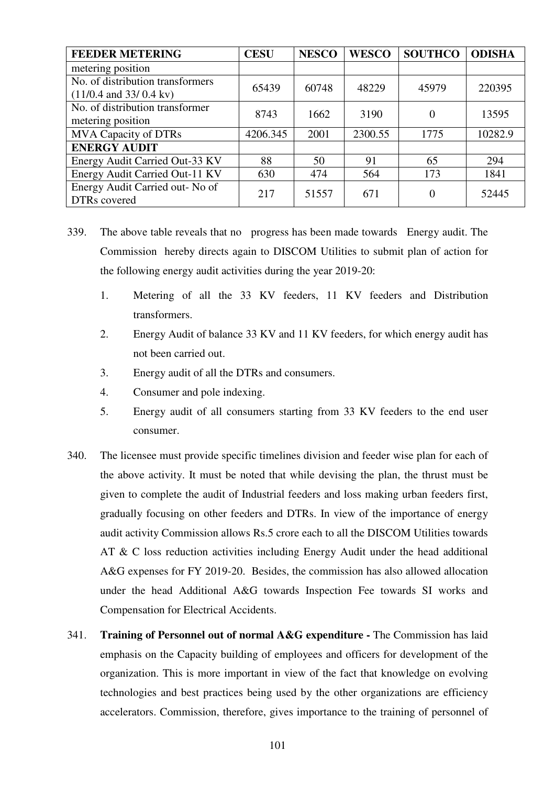| <b>FEEDER METERING</b>                                       | <b>CESU</b> | <b>NESCO</b> | <b>WESCO</b> | <b>SOUTHCO</b> | <b>ODISHA</b> |
|--------------------------------------------------------------|-------------|--------------|--------------|----------------|---------------|
| metering position                                            |             |              |              |                |               |
| No. of distribution transformers<br>$(11/0.4$ and 33/0.4 kv) | 65439       | 60748        | 48229        | 45979          | 220395        |
| No. of distribution transformer<br>metering position         | 8743        | 1662         | 3190         | $\Omega$       | 13595         |
| <b>MVA Capacity of DTRs</b>                                  | 4206.345    | 2001         | 2300.55      | 1775           | 10282.9       |
| <b>ENERGY AUDIT</b>                                          |             |              |              |                |               |
| Energy Audit Carried Out-33 KV                               | 88          | 50           | 91           | 65             | 294           |
| Energy Audit Carried Out-11 KV                               | 630         | 474          | 564          | 173            | 1841          |
| Energy Audit Carried out- No of<br>DTRs covered              | 217         | 51557        | 671          | 0              | 52445         |

- 339. The above table reveals that no progress has been made towards Energy audit. The Commission hereby directs again to DISCOM Utilities to submit plan of action for the following energy audit activities during the year 2019-20:
	- 1. Metering of all the 33 KV feeders, 11 KV feeders and Distribution transformers.
	- 2. Energy Audit of balance 33 KV and 11 KV feeders, for which energy audit has not been carried out.
	- 3. Energy audit of all the DTRs and consumers.
	- 4. Consumer and pole indexing.
	- 5. Energy audit of all consumers starting from 33 KV feeders to the end user consumer.
- 340. The licensee must provide specific timelines division and feeder wise plan for each of the above activity. It must be noted that while devising the plan, the thrust must be given to complete the audit of Industrial feeders and loss making urban feeders first, gradually focusing on other feeders and DTRs. In view of the importance of energy audit activity Commission allows Rs.5 crore each to all the DISCOM Utilities towards AT & C loss reduction activities including Energy Audit under the head additional A&G expenses for FY 2019-20. Besides, the commission has also allowed allocation under the head Additional A&G towards Inspection Fee towards SI works and Compensation for Electrical Accidents.
- 341. **Training of Personnel out of normal A&G expenditure** The Commission has laid emphasis on the Capacity building of employees and officers for development of the organization. This is more important in view of the fact that knowledge on evolving technologies and best practices being used by the other organizations are efficiency accelerators. Commission, therefore, gives importance to the training of personnel of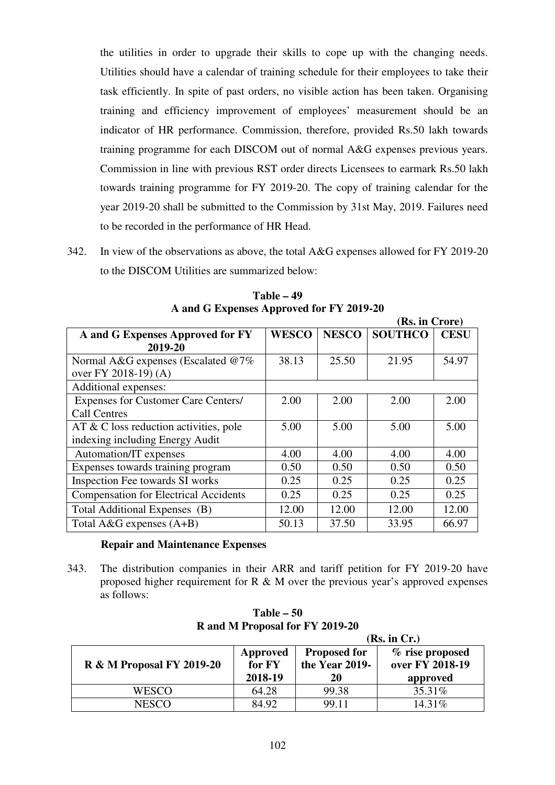the utilities in order to upgrade their skills to cope up with the changing needs. Utilities should have a calendar of training schedule for their employees to take their task efficiently. In spite of past orders, no visible action has been taken. Organising training and efficiency improvement of employees' measurement should be an indicator of HR performance. Commission, therefore, provided Rs.50 lakh towards training programme for each DISCOM out of normal A&G expenses previous years. Commission in line with previous RST order directs Licensees to earmark Rs.50 lakh towards training programme for FY 2019-20. The copy of training calendar for the year 2019-20 shall be submitted to the Commission by 31st May, 2019. Failures need to be recorded in the performance of HR Head.

342. In view of the observations as above, the total A&G expenses allowed for FY 2019-20 to the DISCOM Utilities are summarized below:

|                                              |              |              | (Rs. in Crore) |             |
|----------------------------------------------|--------------|--------------|----------------|-------------|
| A and G Expenses Approved for FY             | <b>WESCO</b> | <b>NESCO</b> | <b>SOUTHCO</b> | <b>CESU</b> |
| 2019-20                                      |              |              |                |             |
| Normal A&G expenses (Escalated @7%)          | 38.13        | 25.50        | 21.95          | 54.97       |
| over FY 2018-19) (A)                         |              |              |                |             |
| Additional expenses:                         |              |              |                |             |
| <b>Expenses for Customer Care Centers/</b>   | 2.00         | 2.00         | 2.00           | 2.00        |
| <b>Call Centres</b>                          |              |              |                |             |
| $AT & C$ loss reduction activities, pole     | 5.00         | 5.00         | 5.00           | 5.00        |
| indexing including Energy Audit              |              |              |                |             |
| Automation/IT expenses                       | 4.00         | 4.00         | 4.00           | 4.00        |
| Expenses towards training program            | 0.50         | 0.50         | 0.50           | 0.50        |
| Inspection Fee towards SI works              | 0.25         | 0.25         | 0.25           | 0.25        |
| <b>Compensation for Electrical Accidents</b> | 0.25         | 0.25         | 0.25           | 0.25        |
| Total Additional Expenses (B)                | 12.00        | 12.00        | 12.00          | 12.00       |
| Total A&G expenses $(A+B)$                   | 50.13        | 37.50        | 33.95          | 66.97       |

**Table – 49 A and G Expenses Approved for FY 2019-20** 

# **Repair and Maintenance Expenses**

343. The distribution companies in their ARR and tariff petition for FY 2019-20 have proposed higher requirement for  $R \& M$  over the previous year's approved expenses as follows:

|                                      | (Rs. in Cr.)                  |                                             |                                                |  |  |  |  |
|--------------------------------------|-------------------------------|---------------------------------------------|------------------------------------------------|--|--|--|--|
| <b>R &amp; M Proposal FY 2019-20</b> | Approved<br>for FY<br>2018-19 | <b>Proposed for</b><br>the Year 2019-<br>20 | % rise proposed<br>over FY 2018-19<br>approved |  |  |  |  |
| WESCO                                | 64.28                         | 99.38                                       | 35.31%                                         |  |  |  |  |
| NESCO                                | 84.92                         | 99.11                                       | 14.31\%                                        |  |  |  |  |

**Table – 50 R and M Proposal for FY 2019-20**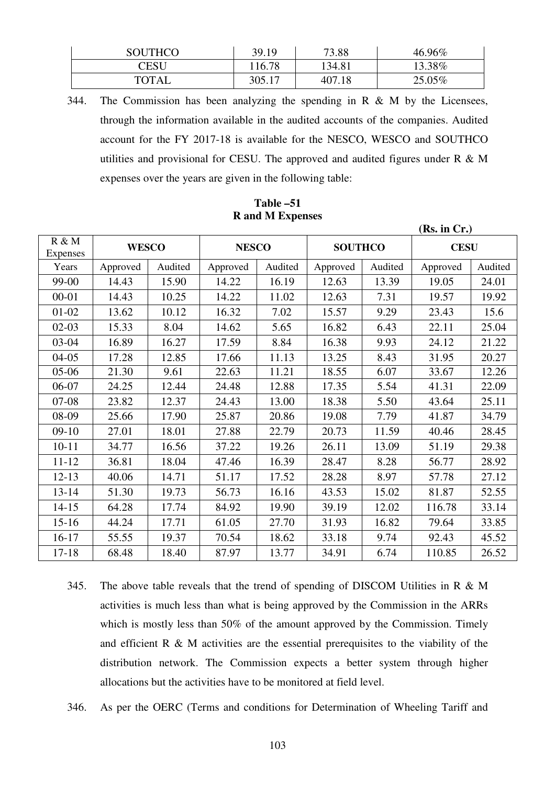| <b>SOUTHCO</b> | 39.19  | 73.88  | 46.96% |
|----------------|--------|--------|--------|
| CESU           | 16.78  | 134.81 | 13.38% |
| <b>TOTAL</b>   | 305.17 | 407.18 | 25.05% |

344. The Commission has been analyzing the spending in R & M by the Licensees, through the information available in the audited accounts of the companies. Audited account for the FY 2017-18 is available for the NESCO, WESCO and SOUTHCO utilities and provisional for CESU. The approved and audited figures under  $R \& M$ expenses over the years are given in the following table:

|                   | (Rs. in Cr.) |         |              |         |                |         |             |         |
|-------------------|--------------|---------|--------------|---------|----------------|---------|-------------|---------|
| R & M<br>Expenses | <b>WESCO</b> |         | <b>NESCO</b> |         | <b>SOUTHCO</b> |         | <b>CESU</b> |         |
| Years             | Approved     | Audited | Approved     | Audited | Approved       | Audited | Approved    | Audited |
| 99-00             | 14.43        | 15.90   | 14.22        | 16.19   | 12.63          | 13.39   | 19.05       | 24.01   |
| $00 - 01$         | 14.43        | 10.25   | 14.22        | 11.02   | 12.63          | 7.31    | 19.57       | 19.92   |
| $01-02$           | 13.62        | 10.12   | 16.32        | 7.02    | 15.57          | 9.29    | 23.43       | 15.6    |
| $02-03$           | 15.33        | 8.04    | 14.62        | 5.65    | 16.82          | 6.43    | 22.11       | 25.04   |
| $03-04$           | 16.89        | 16.27   | 17.59        | 8.84    | 16.38          | 9.93    | 24.12       | 21.22   |
| $04 - 05$         | 17.28        | 12.85   | 17.66        | 11.13   | 13.25          | 8.43    | 31.95       | 20.27   |
| $05-06$           | 21.30        | 9.61    | 22.63        | 11.21   | 18.55          | 6.07    | 33.67       | 12.26   |
| 06-07             | 24.25        | 12.44   | 24.48        | 12.88   | 17.35          | 5.54    | 41.31       | 22.09   |
| $07-08$           | 23.82        | 12.37   | 24.43        | 13.00   | 18.38          | 5.50    | 43.64       | 25.11   |
| 08-09             | 25.66        | 17.90   | 25.87        | 20.86   | 19.08          | 7.79    | 41.87       | 34.79   |
| $09-10$           | 27.01        | 18.01   | 27.88        | 22.79   | 20.73          | 11.59   | 40.46       | 28.45   |
| $10 - 11$         | 34.77        | 16.56   | 37.22        | 19.26   | 26.11          | 13.09   | 51.19       | 29.38   |
| $11 - 12$         | 36.81        | 18.04   | 47.46        | 16.39   | 28.47          | 8.28    | 56.77       | 28.92   |
| $12 - 13$         | 40.06        | 14.71   | 51.17        | 17.52   | 28.28          | 8.97    | 57.78       | 27.12   |
| $13 - 14$         | 51.30        | 19.73   | 56.73        | 16.16   | 43.53          | 15.02   | 81.87       | 52.55   |
| $14 - 15$         | 64.28        | 17.74   | 84.92        | 19.90   | 39.19          | 12.02   | 116.78      | 33.14   |
| $15-16$           | 44.24        | 17.71   | 61.05        | 27.70   | 31.93          | 16.82   | 79.64       | 33.85   |
| $16-17$           | 55.55        | 19.37   | 70.54        | 18.62   | 33.18          | 9.74    | 92.43       | 45.52   |
| $17 - 18$         | 68.48        | 18.40   | 87.97        | 13.77   | 34.91          | 6.74    | 110.85      | 26.52   |

# **Table –51 R and M Expenses**

345. The above table reveals that the trend of spending of DISCOM Utilities in R & M activities is much less than what is being approved by the Commission in the ARRs which is mostly less than 50% of the amount approved by the Commission. Timely and efficient  $R \& M$  activities are the essential prerequisites to the viability of the distribution network. The Commission expects a better system through higher allocations but the activities have to be monitored at field level.

346. As per the OERC (Terms and conditions for Determination of Wheeling Tariff and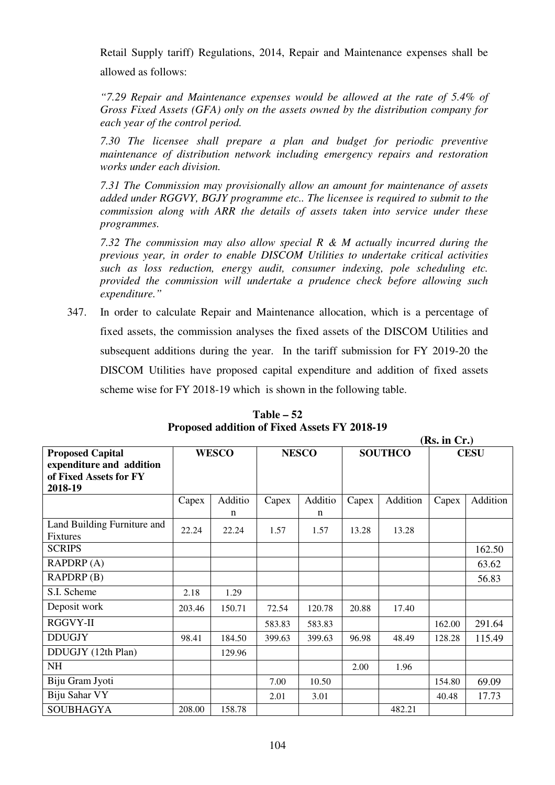Retail Supply tariff) Regulations, 2014, Repair and Maintenance expenses shall be allowed as follows:

*"7.29 Repair and Maintenance expenses would be allowed at the rate of 5.4% of Gross Fixed Assets (GFA) only on the assets owned by the distribution company for each year of the control period.* 

*7.30 The licensee shall prepare a plan and budget for periodic preventive maintenance of distribution network including emergency repairs and restoration works under each division.* 

*7.31 The Commission may provisionally allow an amount for maintenance of assets added under RGGVY, BGJY programme etc.. The licensee is required to submit to the commission along with ARR the details of assets taken into service under these programmes.* 

*7.32 The commission may also allow special R & M actually incurred during the previous year, in order to enable DISCOM Utilities to undertake critical activities such as loss reduction, energy audit, consumer indexing, pole scheduling etc. provided the commission will undertake a prudence check before allowing such expenditure."* 

347. In order to calculate Repair and Maintenance allocation, which is a percentage of fixed assets, the commission analyses the fixed assets of the DISCOM Utilities and subsequent additions during the year. In the tariff submission for FY 2019-20 the DISCOM Utilities have proposed capital expenditure and addition of fixed assets scheme wise for FY 2018-19 which is shown in the following table.

|                                                                                          |        |              |        |              |       |                | (Rs. in Cr.) |             |
|------------------------------------------------------------------------------------------|--------|--------------|--------|--------------|-------|----------------|--------------|-------------|
| <b>Proposed Capital</b><br>expenditure and addition<br>of Fixed Assets for FY<br>2018-19 |        | <b>WESCO</b> |        | <b>NESCO</b> |       | <b>SOUTHCO</b> |              | <b>CESU</b> |
|                                                                                          | Capex  | Additio<br>n | Capex  | Additio<br>n | Capex | Addition       | Capex        | Addition    |
| Land Building Furniture and<br><b>Fixtures</b>                                           | 22.24  | 22.24        | 1.57   | 1.57         | 13.28 | 13.28          |              |             |
| <b>SCRIPS</b>                                                                            |        |              |        |              |       |                |              | 162.50      |
| RAPDRP(A)                                                                                |        |              |        |              |       |                |              | 63.62       |
| RAPDRP(B)                                                                                |        |              |        |              |       |                |              | 56.83       |
| S.I. Scheme                                                                              | 2.18   | 1.29         |        |              |       |                |              |             |
| Deposit work                                                                             | 203.46 | 150.71       | 72.54  | 120.78       | 20.88 | 17.40          |              |             |
| RGGVY-II                                                                                 |        |              | 583.83 | 583.83       |       |                | 162.00       | 291.64      |
| <b>DDUGJY</b>                                                                            | 98.41  | 184.50       | 399.63 | 399.63       | 96.98 | 48.49          | 128.28       | 115.49      |
| DDUGJY (12th Plan)                                                                       |        | 129.96       |        |              |       |                |              |             |
| <b>NH</b>                                                                                |        |              |        |              | 2.00  | 1.96           |              |             |
| Biju Gram Jyoti                                                                          |        |              | 7.00   | 10.50        |       |                | 154.80       | 69.09       |
| Biju Sahar VY                                                                            |        |              | 2.01   | 3.01         |       |                | 40.48        | 17.73       |
| <b>SOUBHAGYA</b>                                                                         | 208.00 | 158.78       |        |              |       | 482.21         |              |             |

**Table – 52 Proposed addition of Fixed Assets FY 2018-19**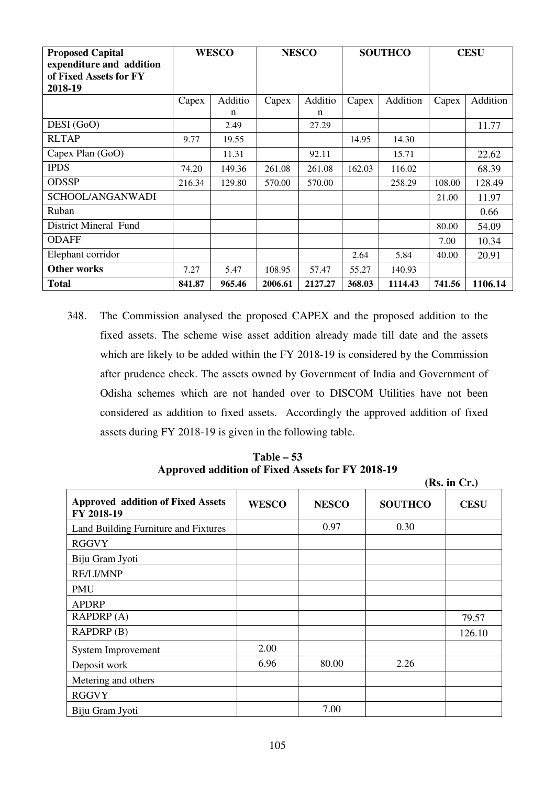| <b>Proposed Capital</b><br>expenditure and addition<br>of Fixed Assets for FY<br>2018-19 |        | <b>WESCO</b> |         | <b>NESCO</b> |        | <b>SOUTHCO</b> |        | <b>CESU</b> |
|------------------------------------------------------------------------------------------|--------|--------------|---------|--------------|--------|----------------|--------|-------------|
|                                                                                          | Capex  | Additio      | Capex   | Additio      | Capex  | Addition       | Capex  | Addition    |
|                                                                                          |        | n            |         | n            |        |                |        |             |
| DESI (GoO)                                                                               |        | 2.49         |         | 27.29        |        |                |        | 11.77       |
| <b>RLTAP</b>                                                                             | 9.77   | 19.55        |         |              | 14.95  | 14.30          |        |             |
| Capex Plan (GoO)                                                                         |        | 11.31        |         | 92.11        |        | 15.71          |        | 22.62       |
| <b>IPDS</b>                                                                              | 74.20  | 149.36       | 261.08  | 261.08       | 162.03 | 116.02         |        | 68.39       |
| <b>ODSSP</b>                                                                             | 216.34 | 129.80       | 570.00  | 570.00       |        | 258.29         | 108.00 | 128.49      |
| SCHOOL/ANGANWADI                                                                         |        |              |         |              |        |                | 21.00  | 11.97       |
| Ruban                                                                                    |        |              |         |              |        |                |        | 0.66        |
| <b>District Mineral Fund</b>                                                             |        |              |         |              |        |                | 80.00  | 54.09       |
| <b>ODAFF</b>                                                                             |        |              |         |              |        |                | 7.00   | 10.34       |
| Elephant corridor                                                                        |        |              |         |              | 2.64   | 5.84           | 40.00  | 20.91       |
| <b>Other works</b>                                                                       | 7.27   | 5.47         | 108.95  | 57.47        | 55.27  | 140.93         |        |             |
| <b>Total</b>                                                                             | 841.87 | 965.46       | 2006.61 | 2127.27      | 368.03 | 1114.43        | 741.56 | 1106.14     |

348. The Commission analysed the proposed CAPEX and the proposed addition to the fixed assets. The scheme wise asset addition already made till date and the assets which are likely to be added within the FY 2018-19 is considered by the Commission after prudence check. The assets owned by Government of India and Government of Odisha schemes which are not handed over to DISCOM Utilities have not been considered as addition to fixed assets. Accordingly the approved addition of fixed assets during FY 2018-19 is given in the following table.

**Table – 53 Approved addition of Fixed Assets for FY 2018-19**

|                                                        |              |              |                | (Rs. in Cr.) |
|--------------------------------------------------------|--------------|--------------|----------------|--------------|
| <b>Approved addition of Fixed Assets</b><br>FY 2018-19 | <b>WESCO</b> | <b>NESCO</b> | <b>SOUTHCO</b> | <b>CESU</b>  |
| Land Building Furniture and Fixtures                   |              | 0.97         | 0.30           |              |
| <b>RGGVY</b>                                           |              |              |                |              |
| Biju Gram Jyoti                                        |              |              |                |              |
| <b>RE/LI/MNP</b>                                       |              |              |                |              |
| <b>PMU</b>                                             |              |              |                |              |
| <b>APDRP</b>                                           |              |              |                |              |
| RAPDRP(A)                                              |              |              |                | 79.57        |
| RAPDRP(B)                                              |              |              |                | 126.10       |
| System Improvement                                     | 2.00         |              |                |              |
| Deposit work                                           | 6.96         | 80.00        | 2.26           |              |
| Metering and others                                    |              |              |                |              |
| <b>RGGVY</b>                                           |              |              |                |              |
| Biju Gram Jyoti                                        |              | 7.00         |                |              |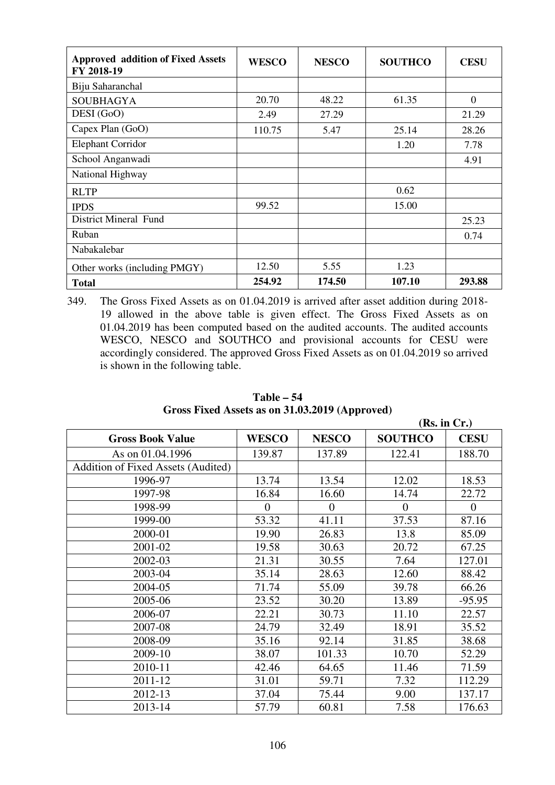| <b>Approved addition of Fixed Assets</b><br>FY 2018-19 | <b>WESCO</b> | <b>NESCO</b> | <b>SOUTHCO</b> | <b>CESU</b> |
|--------------------------------------------------------|--------------|--------------|----------------|-------------|
| Biju Saharanchal                                       |              |              |                |             |
| <b>SOUBHAGYA</b>                                       | 20.70        | 48.22        | 61.35          | $\Omega$    |
| DESI (GoO)                                             | 2.49         | 27.29        |                | 21.29       |
| Capex Plan (GoO)                                       | 110.75       | 5.47         | 25.14          | 28.26       |
| <b>Elephant Corridor</b>                               |              |              | 1.20           | 7.78        |
| School Anganwadi                                       |              |              |                | 4.91        |
| National Highway                                       |              |              |                |             |
| <b>RLTP</b>                                            |              |              | 0.62           |             |
| <b>IPDS</b>                                            | 99.52        |              | 15.00          |             |
| District Mineral Fund                                  |              |              |                | 25.23       |
| Ruban                                                  |              |              |                | 0.74        |
| Nabakalebar                                            |              |              |                |             |
| Other works (including PMGY)                           | 12.50        | 5.55         | 1.23           |             |
| <b>Total</b>                                           | 254.92       | 174.50       | 107.10         | 293.88      |

349. The Gross Fixed Assets as on 01.04.2019 is arrived after asset addition during 2018- 19 allowed in the above table is given effect. The Gross Fixed Assets as on 01.04.2019 has been computed based on the audited accounts. The audited accounts WESCO, NESCO and SOUTHCO and provisional accounts for CESU were accordingly considered. The approved Gross Fixed Assets as on 01.04.2019 so arrived is shown in the following table.

# **Table – 54 Gross Fixed Assets as on 31.03.2019 (Approved)**

|                                           |                  |              |                | (Rs. in Cr.) |
|-------------------------------------------|------------------|--------------|----------------|--------------|
| <b>Gross Book Value</b>                   | <b>WESCO</b>     | <b>NESCO</b> | <b>SOUTHCO</b> | <b>CESU</b>  |
| As on 01.04.1996                          | 139.87           | 137.89       | 122.41         | 188.70       |
| <b>Addition of Fixed Assets (Audited)</b> |                  |              |                |              |
| 1996-97                                   | 13.74            | 13.54        | 12.02          | 18.53        |
| 1997-98                                   | 16.84            | 16.60        | 14.74          | 22.72        |
| 1998-99                                   | $\boldsymbol{0}$ | 0            | $\Omega$       | $\theta$     |
| 1999-00                                   | 53.32            | 41.11        | 37.53          | 87.16        |
| 2000-01                                   | 19.90            | 26.83        | 13.8           | 85.09        |
| 2001-02                                   | 19.58            | 30.63        | 20.72          | 67.25        |
| 2002-03                                   | 21.31            | 30.55        | 7.64           | 127.01       |
| 2003-04                                   | 35.14            | 28.63        | 12.60          | 88.42        |
| 2004-05                                   | 71.74            | 55.09        | 39.78          | 66.26        |
| 2005-06                                   | 23.52            | 30.20        | 13.89          | $-95.95$     |
| 2006-07                                   | 22.21            | 30.73        | 11.10          | 22.57        |
| 2007-08                                   | 24.79            | 32.49        | 18.91          | 35.52        |
| 2008-09                                   | 35.16            | 92.14        | 31.85          | 38.68        |
| 2009-10                                   | 38.07            | 101.33       | 10.70          | 52.29        |
| 2010-11                                   | 42.46            | 64.65        | 11.46          | 71.59        |
| 2011-12                                   | 31.01            | 59.71        | 7.32           | 112.29       |
| 2012-13                                   | 37.04            | 75.44        | 9.00           | 137.17       |
| 2013-14                                   | 57.79            | 60.81        | 7.58           | 176.63       |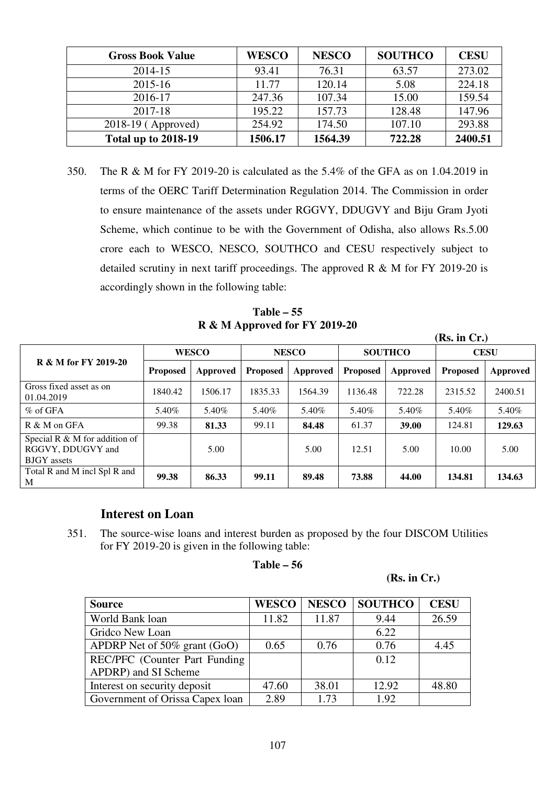| <b>Gross Book Value</b>    | <b>WESCO</b> | <b>NESCO</b> | <b>SOUTHCO</b> | <b>CESU</b> |
|----------------------------|--------------|--------------|----------------|-------------|
| 2014-15                    | 93.41        | 76.31        | 63.57          | 273.02      |
| 2015-16                    | 11.77        | 120.14       | 5.08           | 224.18      |
| 2016-17                    | 247.36       | 107.34       | 15.00          | 159.54      |
| 2017-18                    | 195.22       | 157.73       | 128.48         | 147.96      |
| 2018-19 (Approved)         | 254.92       | 174.50       | 107.10         | 293.88      |
| <b>Total up to 2018-19</b> | 1506.17      | 1564.39      | 722.28         | 2400.51     |

350. The R & M for FY 2019-20 is calculated as the 5.4% of the GFA as on 1.04.2019 in terms of the OERC Tariff Determination Regulation 2014. The Commission in order to ensure maintenance of the assets under RGGVY, DDUGVY and Biju Gram Jyoti Scheme, which continue to be with the Government of Odisha, also allows Rs.5.00 crore each to WESCO, NESCO, SOUTHCO and CESU respectively subject to detailed scrutiny in next tariff proceedings. The approved R & M for FY 2019-20 is accordingly shown in the following table:

**Table – 55 R & M Approved for FY 2019-20** 

|                                                                             |                 |              |                 |              |                 |                |                 | (Rs. in Cr.) |  |  |
|-----------------------------------------------------------------------------|-----------------|--------------|-----------------|--------------|-----------------|----------------|-----------------|--------------|--|--|
|                                                                             |                 | <b>WESCO</b> |                 | <b>NESCO</b> |                 | <b>SOUTHCO</b> | <b>CESU</b>     |              |  |  |
| R & M for FY 2019-20                                                        | <b>Proposed</b> | Approved     | <b>Proposed</b> | Approved     | <b>Proposed</b> | Approved       | <b>Proposed</b> | Approved     |  |  |
| Gross fixed asset as on<br>01.04.2019                                       | 1840.42         | 1506.17      | 1835.33         | 1564.39      | 1136.48         | 722.28         | 2315.52         | 2400.51      |  |  |
| $%$ of GFA                                                                  | 5.40%           | 5.40%        | 5.40%           | 5.40%        | 5.40%           | 5.40%          | 5.40%           | 5.40%        |  |  |
| R & M on GFA                                                                | 99.38           | 81.33        | 99.11           | 84.48        | 61.37           | 39.00          | 124.81          | 129.63       |  |  |
| Special R $\&$ M for addition of<br>RGGVY, DDUGVY and<br><b>BJGY</b> assets |                 | 5.00         |                 | 5.00         | 12.51           | 5.00           | 10.00           | 5.00         |  |  |
| Total R and M incl Spl R and<br>M                                           | 99.38           | 86.33        | 99.11           | 89.48        | 73.88           | 44.00          | 134.81          | 134.63       |  |  |

# **Interest on Loan**

351. The source-wise loans and interest burden as proposed by the four DISCOM Utilities for FY 2019-20 is given in the following table:

# **Table – 56**

#### **(Rs. in Cr.)**

| <b>Source</b>                   | <b>WESCO</b> | <b>NESCO</b> | <b>SOUTHCO</b> | <b>CESU</b> |
|---------------------------------|--------------|--------------|----------------|-------------|
| World Bank loan                 | 11.82        | 11.87        | 9.44           | 26.59       |
| Gridco New Loan                 |              |              | 6.22           |             |
| APDRP Net of 50% grant (GoO)    | 0.65         | 0.76         | 0.76           | 4.45        |
| REC/PFC (Counter Part Funding)  |              |              | 0.12           |             |
| APDRP) and SI Scheme            |              |              |                |             |
| Interest on security deposit    | 47.60        | 38.01        | 12.92          | 48.80       |
| Government of Orissa Capex loan | 2.89         | 1.73         | 1.92           |             |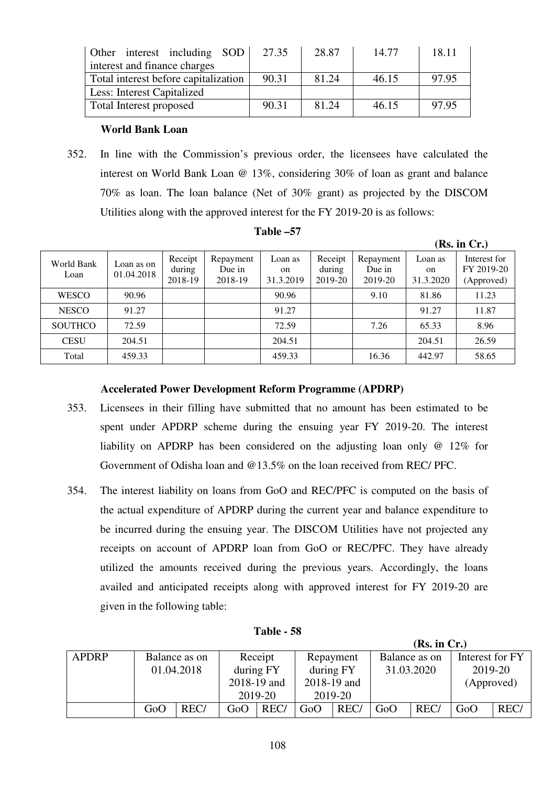| Other interest including SOD<br>27.35 | 28.87 | 14.77 | 18.11 |  |  |  |  |  |  |
|---------------------------------------|-------|-------|-------|--|--|--|--|--|--|
| interest and finance charges          |       |       |       |  |  |  |  |  |  |
| 90.31                                 | 81.24 | 46.15 | 97.95 |  |  |  |  |  |  |
|                                       |       |       |       |  |  |  |  |  |  |
| 90.31                                 | 81.24 | 46.15 | 97.95 |  |  |  |  |  |  |
|                                       |       |       |       |  |  |  |  |  |  |

# **World Bank Loan**

352. In line with the Commission's previous order, the licensees have calculated the interest on World Bank Loan @ 13%, considering 30% of loan as grant and balance 70% as loan. The loan balance (Net of 30% grant) as projected by the DISCOM Utilities along with the approved interest for the FY 2019-20 is as follows:

|                    |                          |                              |                                |                                       |                              |                                |                                       | (Rs. in Cr.)                             |
|--------------------|--------------------------|------------------------------|--------------------------------|---------------------------------------|------------------------------|--------------------------------|---------------------------------------|------------------------------------------|
| World Bank<br>Loan | Loan as on<br>01.04.2018 | Receipt<br>during<br>2018-19 | Repayment<br>Due in<br>2018-19 | Loan as<br><sub>on</sub><br>31.3.2019 | Receipt<br>during<br>2019-20 | Repayment<br>Due in<br>2019-20 | Loan as<br><sub>on</sub><br>31.3.2020 | Interest for<br>FY 2019-20<br>(Approved) |
| <b>WESCO</b>       | 90.96                    |                              |                                | 90.96                                 |                              | 9.10                           | 81.86                                 | 11.23                                    |
| <b>NESCO</b>       | 91.27                    |                              |                                | 91.27                                 |                              |                                | 91.27                                 | 11.87                                    |
| <b>SOUTHCO</b>     | 72.59                    |                              |                                | 72.59                                 |                              | 7.26                           | 65.33                                 | 8.96                                     |
| <b>CESU</b>        | 204.51                   |                              |                                | 204.51                                |                              |                                | 204.51                                | 26.59                                    |
| Total              | 459.33                   |                              |                                | 459.33                                |                              | 16.36                          | 442.97                                | 58.65                                    |

### **Table –57**

#### **Accelerated Power Development Reform Programme (APDRP)**

- 353. Licensees in their filling have submitted that no amount has been estimated to be spent under APDRP scheme during the ensuing year FY 2019-20. The interest liability on APDRP has been considered on the adjusting loan only @ 12% for Government of Odisha loan and @13.5% on the loan received from REC/ PFC.
- 354. The interest liability on loans from GoO and REC/PFC is computed on the basis of the actual expenditure of APDRP during the current year and balance expenditure to be incurred during the ensuing year. The DISCOM Utilities have not projected any receipts on account of APDRP loan from GoO or REC/PFC. They have already utilized the amounts received during the previous years. Accordingly, the loans availed and anticipated receipts along with approved interest for FY 2019-20 are given in the following table:

| Table · | 58 |
|---------|----|
|---------|----|

| (Rs. in Cr.) |               |            |             |                                       |             |      |            |            |            |                 |
|--------------|---------------|------------|-------------|---------------------------------------|-------------|------|------------|------------|------------|-----------------|
| <b>APDRP</b> | Balance as on |            |             | Receipt<br>Balance as on<br>Repayment |             |      |            |            |            | Interest for FY |
|              |               | 01.04.2018 | during FY   |                                       | during FY   |      | 31.03.2020 |            | 2019-20    |                 |
|              |               |            | 2018-19 and |                                       | 2018-19 and |      |            |            | (Approved) |                 |
|              |               |            |             | 2019-20                               | 2019-20     |      |            |            |            |                 |
|              | GoO           | REC/       | GoO         | REC/                                  | GoO         | REC/ | GoO        | <b>REC</b> | GoO        | REC/            |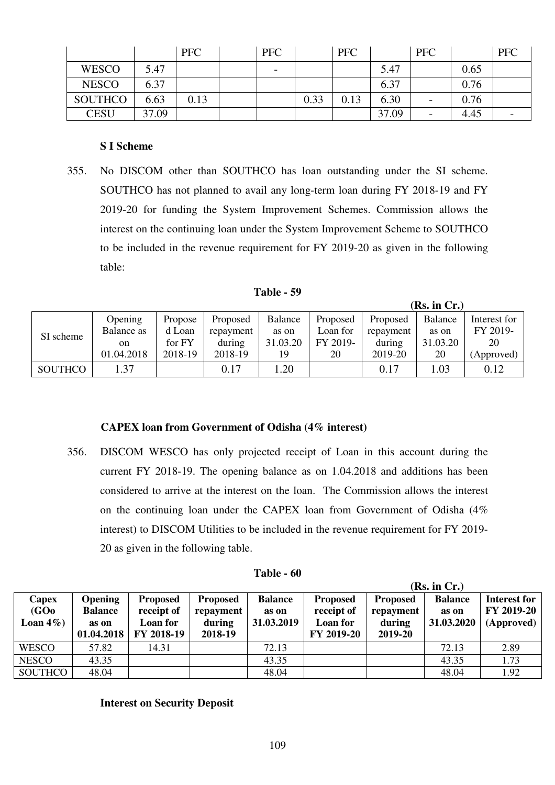|                |       | <b>PFC</b> | <b>PFC</b>               |      | <b>PFC</b> |       | PFC                      |      | <b>PFC</b> |
|----------------|-------|------------|--------------------------|------|------------|-------|--------------------------|------|------------|
| <b>WESCO</b>   | 5.47  |            | $\overline{\phantom{0}}$ |      |            | 5.47  |                          | 0.65 |            |
| <b>NESCO</b>   | 6.37  |            |                          |      |            | 6.37  |                          | 0.76 |            |
| <b>SOUTHCO</b> | 6.63  | 0.13       |                          | 0.33 | 0.13       | 6.30  | $\overline{\phantom{a}}$ | 0.76 |            |
| <b>CESU</b>    | 37.09 |            |                          |      |            | 37.09 |                          | 4.45 |            |

#### **S I Scheme**

355. No DISCOM other than SOUTHCO has loan outstanding under the SI scheme. SOUTHCO has not planned to avail any long-term loan during FY 2018-19 and FY 2019-20 for funding the System Improvement Schemes. Commission allows the interest on the continuing loan under the System Improvement Scheme to SOUTHCO to be included in the revenue requirement for FY 2019-20 as given in the following table:

| Table |  |
|-------|--|
|-------|--|

 $(\mathbf{D}_\alpha, \mathbf{L}_\alpha, \mathbf{C}_\alpha)$ 

|                |            |         |           |          |          |           | $(ns, m \cup n)$ |              |
|----------------|------------|---------|-----------|----------|----------|-----------|------------------|--------------|
|                | Opening    | Propose | Proposed  | Balance  | Proposed | Proposed  | Balance          | Interest for |
| SI scheme      | Balance as | d Loan  | repayment | as on    | Loan for | repayment | as on            | FY 2019-     |
|                | on         | for FY  | during    | 31.03.20 | FY 2019- | during    | 31.03.20         | 20           |
|                | 01.04.2018 | 2018-19 | 2018-19   | 19       | 20       | 2019-20   | 20               | (Approved)   |
| <b>SOUTHCO</b> | 1.37       |         | 0.17      | 1.20     |          | 0.17      | .03              | 0.12         |

#### **CAPEX loan from Government of Odisha (4% interest)**

356. DISCOM WESCO has only projected receipt of Loan in this account during the current FY 2018-19. The opening balance as on 1.04.2018 and additions has been considered to arrive at the interest on the loan. The Commission allows the interest on the continuing loan under the CAPEX loan from Government of Odisha (4% interest) to DISCOM Utilities to be included in the revenue requirement for FY 2019- 20 as given in the following table.

| <b>Table - 60</b> |  |
|-------------------|--|
|-------------------|--|

|                                             |                                                         |                                                         |                                                   |                                       | (Rs. in Cr.)                                            |                                                   |                                       |                                                 |  |
|---------------------------------------------|---------------------------------------------------------|---------------------------------------------------------|---------------------------------------------------|---------------------------------------|---------------------------------------------------------|---------------------------------------------------|---------------------------------------|-------------------------------------------------|--|
| Capex<br>(GO <sub>0</sub> )<br>Loan $4\%$ ) | <b>Opening</b><br><b>Balance</b><br>as on<br>01.04.2018 | <b>Proposed</b><br>receipt of<br>Loan for<br>FY 2018-19 | <b>Proposed</b><br>repayment<br>during<br>2018-19 | <b>Balance</b><br>as on<br>31.03.2019 | <b>Proposed</b><br>receipt of<br>Loan for<br>FY 2019-20 | <b>Proposed</b><br>repayment<br>during<br>2019-20 | <b>Balance</b><br>as on<br>31.03.2020 | <b>Interest for</b><br>FY 2019-20<br>(Approved) |  |
| <b>WESCO</b>                                | 57.82                                                   | 14.31                                                   |                                                   | 72.13                                 |                                                         |                                                   | 72.13                                 | 2.89                                            |  |
| <b>NESCO</b>                                | 43.35                                                   |                                                         |                                                   | 43.35                                 |                                                         |                                                   | 43.35                                 | 1.73                                            |  |
| SOUTHCO                                     | 48.04                                                   |                                                         |                                                   | 48.04                                 |                                                         |                                                   | 48.04                                 | 1.92                                            |  |

**Interest on Security Deposit**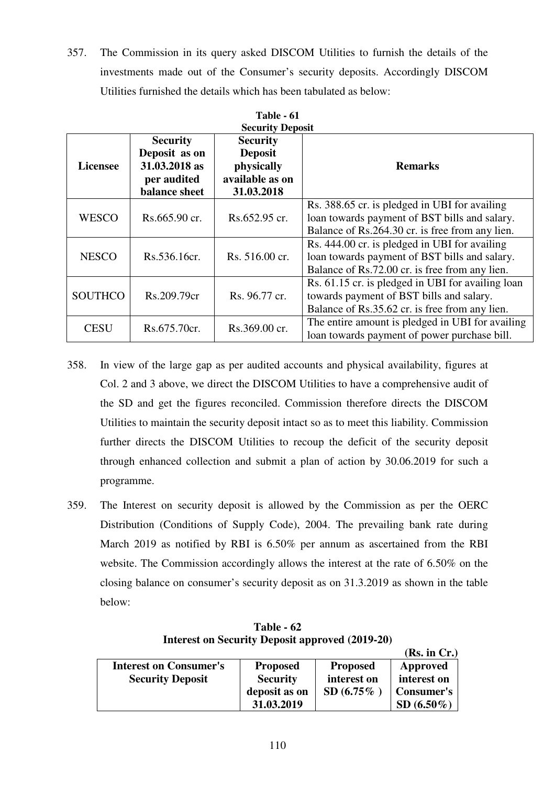357. The Commission in its query asked DISCOM Utilities to furnish the details of the investments made out of the Consumer's security deposits. Accordingly DISCOM Utilities furnished the details which has been tabulated as below:

| Table - 61<br><b>Security Deposit</b> |                                                                                                                                                                       |                |                                                                                                                                                   |  |  |  |  |
|---------------------------------------|-----------------------------------------------------------------------------------------------------------------------------------------------------------------------|----------------|---------------------------------------------------------------------------------------------------------------------------------------------------|--|--|--|--|
| <b>Licensee</b>                       | <b>Security</b><br><b>Security</b><br>Deposit as on<br><b>Deposit</b><br>31.03.2018 as<br>physically<br>available as on<br>per audited<br>balance sheet<br>31.03.2018 |                | <b>Remarks</b>                                                                                                                                    |  |  |  |  |
| <b>WESCO</b>                          | Rs.665.90 cr.                                                                                                                                                         | Rs.652.95 cr.  | Rs. 388.65 cr. is pledged in UBI for availing<br>loan towards payment of BST bills and salary.<br>Balance of Rs.264.30 cr. is free from any lien. |  |  |  |  |
| <b>NESCO</b>                          | Rs.536.16cr.                                                                                                                                                          | Rs. 516.00 cr. | Rs. 444.00 cr. is pledged in UBI for availing<br>loan towards payment of BST bills and salary.<br>Balance of Rs.72.00 cr. is free from any lien.  |  |  |  |  |
| <b>SOUTHCO</b>                        | Rs.209.79cr                                                                                                                                                           | Rs. 96.77 cr.  | Rs. 61.15 cr. is pledged in UBI for availing loan<br>towards payment of BST bills and salary.<br>Balance of Rs.35.62 cr. is free from any lien.   |  |  |  |  |
| <b>CESU</b>                           | Rs.675.70cr.                                                                                                                                                          | Rs.369.00 cr.  | The entire amount is pledged in UBI for availing<br>loan towards payment of power purchase bill.                                                  |  |  |  |  |

- 358. In view of the large gap as per audited accounts and physical availability, figures at Col. 2 and 3 above, we direct the DISCOM Utilities to have a comprehensive audit of the SD and get the figures reconciled. Commission therefore directs the DISCOM Utilities to maintain the security deposit intact so as to meet this liability. Commission further directs the DISCOM Utilities to recoup the deficit of the security deposit through enhanced collection and submit a plan of action by 30.06.2019 for such a programme.
- 359. The Interest on security deposit is allowed by the Commission as per the OERC Distribution (Conditions of Supply Code), 2004. The prevailing bank rate during March 2019 as notified by RBI is 6.50% per annum as ascertained from the RBI website. The Commission accordingly allows the interest at the rate of 6.50% on the closing balance on consumer's security deposit as on 31.3.2019 as shown in the table below:

**Table - 62 Interest on Security Deposit approved (2019-20)** 

 $(\mathbf{D}_\alpha, \mathbf{L}, \mathbf{C}_\alpha)$ 

|                               |                 |                 | (KS. III UT.)     |
|-------------------------------|-----------------|-----------------|-------------------|
| <b>Interest on Consumer's</b> | <b>Proposed</b> | <b>Proposed</b> | Approved          |
| <b>Security Deposit</b>       | <b>Security</b> | interest on     | interest on       |
|                               | deposit as on   | $SD(6.75\%$     | <b>Consumer's</b> |
|                               | 31.03.2019      |                 | $SD(6.50\%)$      |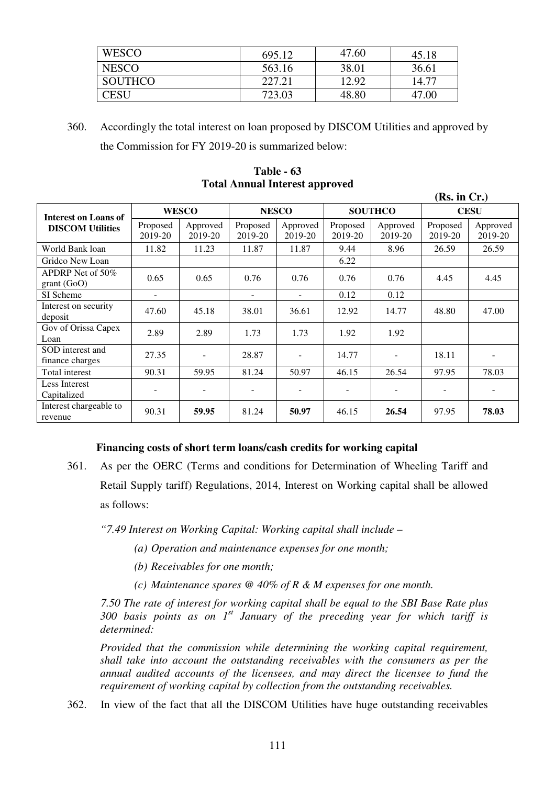| <b>WESCO</b>   | 695.12 | 47.60 | 45.18 |
|----------------|--------|-------|-------|
| <b>NESCO</b>   | 563.16 | 38.01 | 36.61 |
| <b>SOUTHCO</b> | 227.21 | 12.92 | 14.77 |
| CESU           | 723.03 | 48.80 | 47.00 |

360. Accordingly the total interest on loan proposed by DISCOM Utilities and approved by the Commission for FY 2019-20 is summarized below:

**Table - 63 Total Annual Interest approved** 

|                                     |                          |                          |                     |                     |                     |                     | (Rs. in Cr.)        |                     |
|-------------------------------------|--------------------------|--------------------------|---------------------|---------------------|---------------------|---------------------|---------------------|---------------------|
| Interest on Loans of                | <b>WESCO</b>             |                          | <b>NESCO</b>        |                     | <b>SOUTHCO</b>      |                     | <b>CESU</b>         |                     |
| <b>DISCOM Utilities</b>             | Proposed<br>2019-20      | Approved<br>2019-20      | Proposed<br>2019-20 | Approved<br>2019-20 | Proposed<br>2019-20 | Approved<br>2019-20 | Proposed<br>2019-20 | Approved<br>2019-20 |
| World Bank loan                     | 11.82                    | 11.23                    | 11.87               | 11.87               | 9.44                | 8.96                | 26.59               | 26.59               |
| Gridco New Loan                     |                          |                          |                     |                     | 6.22                |                     |                     |                     |
| APDRP Net of 50%<br>grant(GoO)      | 0.65                     | 0.65                     | 0.76                | 0.76                | 0.76                | 0.76                | 4.45                | 4.45                |
| SI Scheme                           | $\overline{\phantom{a}}$ |                          | $\sim$              | $\blacksquare$      | 0.12                | 0.12                |                     |                     |
| Interest on security<br>deposit     | 47.60                    | 45.18                    | 38.01               | 36.61               | 12.92               | 14.77               | 48.80               | 47.00               |
| Gov of Orissa Capex<br>Loan         | 2.89                     | 2.89                     | 1.73                | 1.73                | 1.92                | 1.92                |                     |                     |
| SOD interest and<br>finance charges | 27.35                    | $\overline{\phantom{a}}$ | 28.87               |                     | 14.77               |                     | 18.11               |                     |
| Total interest                      | 90.31                    | 59.95                    | 81.24               | 50.97               | 46.15               | 26.54               | 97.95               | 78.03               |
| Less Interest<br>Capitalized        | $\overline{\phantom{a}}$ |                          |                     |                     |                     |                     |                     |                     |
| Interest chargeable to<br>revenue   | 90.31                    | 59.95                    | 81.24               | 50.97               | 46.15               | 26.54               | 97.95               | 78.03               |

#### **Financing costs of short term loans/cash credits for working capital**

361. As per the OERC (Terms and conditions for Determination of Wheeling Tariff and Retail Supply tariff) Regulations, 2014, Interest on Working capital shall be allowed as follows:

*"7.49 Interest on Working Capital: Working capital shall include –* 

- *(a) Operation and maintenance expenses for one month;*
- *(b) Receivables for one month;*
- *(c) Maintenance spares @ 40% of R & M expenses for one month.*

 *7.50 The rate of interest for working capital shall be equal to the SBI Base Rate plus 300 basis points as on 1st January of the preceding year for which tariff is determined:* 

*Provided that the commission while determining the working capital requirement, shall take into account the outstanding receivables with the consumers as per the annual audited accounts of the licensees, and may direct the licensee to fund the requirement of working capital by collection from the outstanding receivables.* 

362. In view of the fact that all the DISCOM Utilities have huge outstanding receivables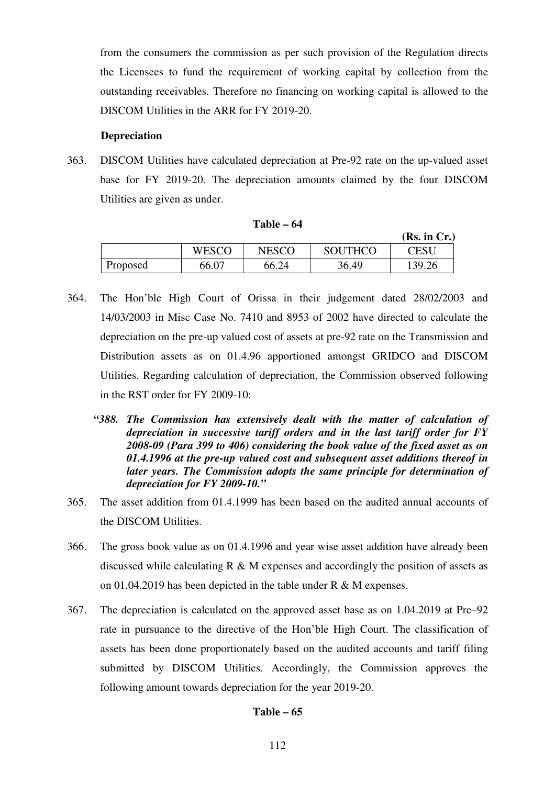from the consumers the commission as per such provision of the Regulation directs the Licensees to fund the requirement of working capital by collection from the outstanding receivables. Therefore no financing on working capital is allowed to the DISCOM Utilities in the ARR for FY 2019-20.

#### **Depreciation**

363. DISCOM Utilities have calculated depreciation at Pre-92 rate on the up-valued asset base for FY 2019-20. The depreciation amounts claimed by the four DISCOM Utilities are given as under.

|          |              |       |                | (Rs. in Cr.) |
|----------|--------------|-------|----------------|--------------|
|          | <b>WESCO</b> | NESCO | <b>SOUTHCO</b> | CESU         |
| Proposed | 66.07        | 66.24 | 36.49          | 139.26       |

#### **Table – 64**

- 364. The Hon'ble High Court of Orissa in their judgement dated 28/02/2003 and 14/03/2003 in Misc Case No. 7410 and 8953 of 2002 have directed to calculate the depreciation on the pre-up valued cost of assets at pre-92 rate on the Transmission and Distribution assets as on 01.4.96 apportioned amongst GRIDCO and DISCOM Utilities. Regarding calculation of depreciation, the Commission observed following in the RST order for FY 2009-10:
	- "388. The Commission has extensively dealt with the matter of calculation of *depreciation in successive tariff orders and in the last tariff order for FY 2008-09 (Para 399 to 406) considering the book value of the fixed asset as on 01.4.1996 at the pre-up valued cost and subsequent asset additions thereof in later years. The Commission adopts the same principle for determination of depreciation for FY 2009-10."*
- 365. The asset addition from 01.4.1999 has been based on the audited annual accounts of the DISCOM Utilities.
- 366. The gross book value as on 01.4.1996 and year wise asset addition have already been discussed while calculating  $R \& M$  expenses and accordingly the position of assets as on 01.04.2019 has been depicted in the table under R & M expenses.
- 367. The depreciation is calculated on the approved asset base as on 1.04.2019 at Pre–92 rate in pursuance to the directive of the Hon'ble High Court. The classification of assets has been done proportionately based on the audited accounts and tariff filing submitted by DISCOM Utilities. Accordingly, the Commission approves the following amount towards depreciation for the year 2019-20.

#### **Table – 65**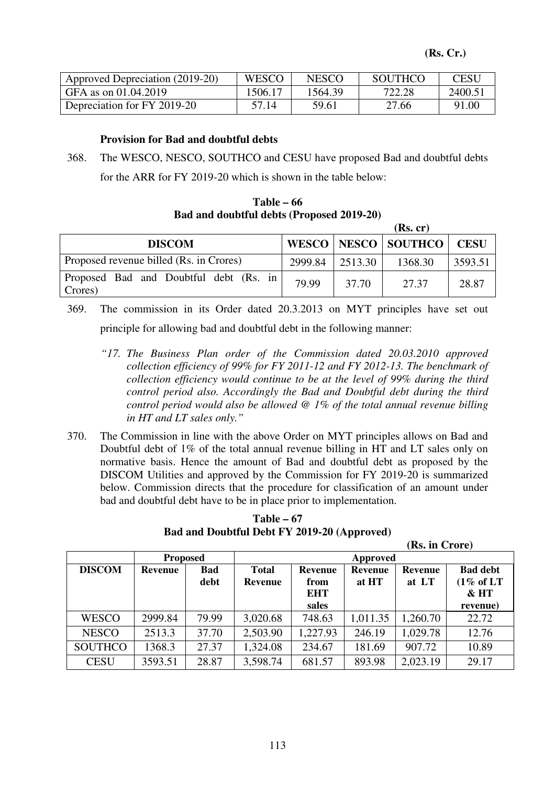| Approved Depreciation (2019-20) | <b>WESCO</b> | <b>NESCO</b> | <b>SOUTHCO</b> | <b>CESU</b> |
|---------------------------------|--------------|--------------|----------------|-------------|
| GFA as on $01.04.2019$          | 1506.17      | 1564.39      | 722.28         | 2400.51     |
| Depreciation for FY 2019-20     | 57.14        | 59.61        | 27.66          | 91.00       |

# **Provision for Bad and doubtful debts**

٦

368. The WESCO, NESCO, SOUTHCO and CESU have proposed Bad and doubtful debts for the ARR for FY 2019-20 which is shown in the table below:

**Table – 66 Bad and doubtful debts (Proposed 2019-20)**

|                                                   |         |         | (Rs, cr)                |             |
|---------------------------------------------------|---------|---------|-------------------------|-------------|
| <b>DISCOM</b>                                     |         |         | WESCO   NESCO   SOUTHCO | <b>CESU</b> |
| Proposed revenue billed (Rs. in Crores)           | 2999.84 | 2513.30 | 1368.30                 | 3593.51     |
| Proposed Bad and Doubtful debt (Rs. in<br>Crores) | 79.99   | 37.70   | 27.37                   | 28.87       |

369. The commission in its Order dated 20.3.2013 on MYT principles have set out principle for allowing bad and doubtful debt in the following manner:

- *"17. The Business Plan order of the Commission dated 20.03.2010 approved collection efficiency of 99% for FY 2011-12 and FY 2012-13. The benchmark of collection efficiency would continue to be at the level of 99% during the third control period also. Accordingly the Bad and Doubtful debt during the third control period would also be allowed @ 1% of the total annual revenue billing in HT and LT sales only."*
- 370. The Commission in line with the above Order on MYT principles allows on Bad and Doubtful debt of 1% of the total annual revenue billing in HT and LT sales only on normative basis. Hence the amount of Bad and doubtful debt as proposed by the DISCOM Utilities and approved by the Commission for FY 2019-20 is summarized below. Commission directs that the procedure for classification of an amount under bad and doubtful debt have to be in place prior to implementation.

**Table – 67 Bad and Doubtful Debt FY 2019-20 (Approved)** 

 **(Rs. in Crore)** 

|                |                 |             |                                |                                      |                  | $\frac{1}{2}$           |                                                   |
|----------------|-----------------|-------------|--------------------------------|--------------------------------------|------------------|-------------------------|---------------------------------------------------|
|                | <b>Proposed</b> |             | Approved                       |                                      |                  |                         |                                                   |
| <b>DISCOM</b>  | Revenue         | Bad<br>debt | <b>Total</b><br><b>Revenue</b> | <b>Revenue</b><br>from<br><b>EHT</b> | Revenue<br>at HT | <b>Revenue</b><br>at LT | <b>Bad debt</b><br>$(1\% \text{ of LT})$<br>& H T |
|                |                 |             |                                | sales                                |                  |                         | revenue)                                          |
| <b>WESCO</b>   | 2999.84         | 79.99       | 3,020.68                       | 748.63                               | 1,011.35         | 1,260.70                | 22.72                                             |
| <b>NESCO</b>   | 2513.3          | 37.70       | 2,503.90                       | 1,227.93                             | 246.19           | 1,029.78                | 12.76                                             |
| <b>SOUTHCO</b> | 1368.3          | 27.37       | 1,324.08                       | 234.67                               | 181.69           | 907.72                  | 10.89                                             |
| <b>CESU</b>    | 3593.51         | 28.87       | 3,598.74                       | 681.57                               | 893.98           | 2,023.19                | 29.17                                             |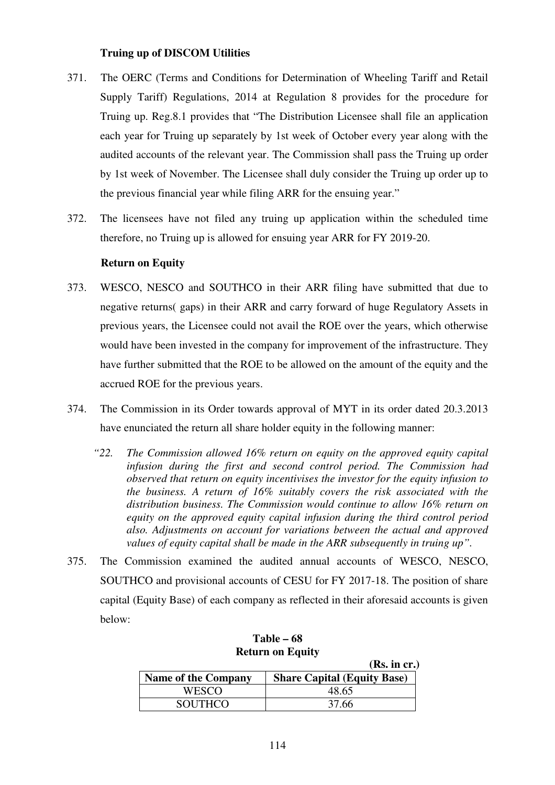#### **Truing up of DISCOM Utilities**

- 371. The OERC (Terms and Conditions for Determination of Wheeling Tariff and Retail Supply Tariff) Regulations, 2014 at Regulation 8 provides for the procedure for Truing up. Reg.8.1 provides that "The Distribution Licensee shall file an application each year for Truing up separately by 1st week of October every year along with the audited accounts of the relevant year. The Commission shall pass the Truing up order by 1st week of November. The Licensee shall duly consider the Truing up order up to the previous financial year while filing ARR for the ensuing year."
- 372. The licensees have not filed any truing up application within the scheduled time therefore, no Truing up is allowed for ensuing year ARR for FY 2019-20.

# **Return on Equity**

- 373. WESCO, NESCO and SOUTHCO in their ARR filing have submitted that due to negative returns( gaps) in their ARR and carry forward of huge Regulatory Assets in previous years, the Licensee could not avail the ROE over the years, which otherwise would have been invested in the company for improvement of the infrastructure. They have further submitted that the ROE to be allowed on the amount of the equity and the accrued ROE for the previous years.
- 374. The Commission in its Order towards approval of MYT in its order dated 20.3.2013 have enunciated the return all share holder equity in the following manner:
	- *"22. The Commission allowed 16% return on equity on the approved equity capital infusion during the first and second control period. The Commission had observed that return on equity incentivises the investor for the equity infusion to the business. A return of 16% suitably covers the risk associated with the distribution business. The Commission would continue to allow 16% return on equity on the approved equity capital infusion during the third control period also. Adjustments on account for variations between the actual and approved values of equity capital shall be made in the ARR subsequently in truing up".*
- 375. The Commission examined the audited annual accounts of WESCO, NESCO, SOUTHCO and provisional accounts of CESU for FY 2017-18. The position of share capital (Equity Base) of each company as reflected in their aforesaid accounts is given below:

|                            | (Rs. in cr.)                       |
|----------------------------|------------------------------------|
| <b>Name of the Company</b> | <b>Share Capital (Equity Base)</b> |
| <b>WESCO</b>               | 48.65                              |
| <b>SOUTHCO</b>             | 37.66                              |

| Table – 68              |
|-------------------------|
| <b>Return on Equity</b> |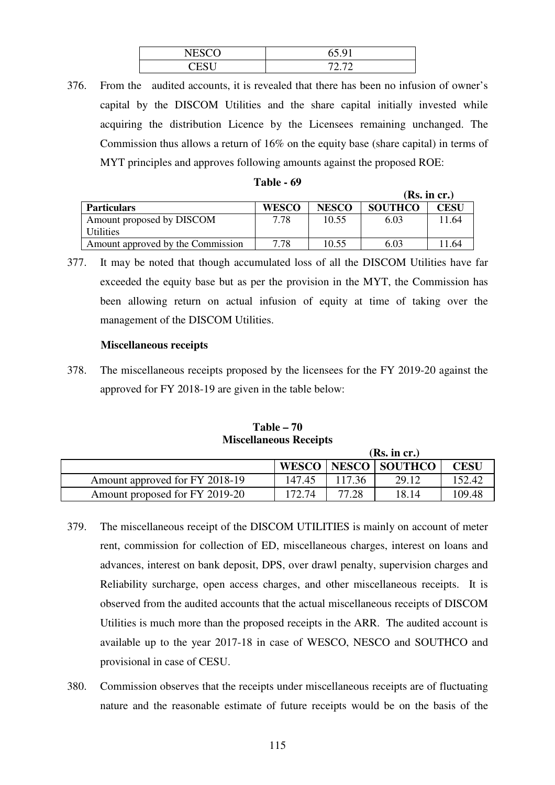| $\mathbf{H}$<br>N<br>$-1$  | $\epsilon \in \Delta$<br>υJ |
|----------------------------|-----------------------------|
| $\sim$ $\sim$ $\sim$<br>e. | 70.70                       |

376. From the audited accounts, it is revealed that there has been no infusion of owner's capital by the DISCOM Utilities and the share capital initially invested while acquiring the distribution Licence by the Licensees remaining unchanged. The Commission thus allows a return of 16% on the equity base (share capital) in terms of MYT principles and approves following amounts against the proposed ROE:

| Table - 69 |  |  |
|------------|--|--|
|------------|--|--|

|                                        |              |              |                | (Rs. in cr.) |
|----------------------------------------|--------------|--------------|----------------|--------------|
| <b>Particulars</b>                     | <b>WESCO</b> | <b>NESCO</b> | <b>SOUTHCO</b> | CESU         |
| Amount proposed by DISCOM<br>Utilities | 7.78         | 10.55        | 6.03           | 11.64        |
| Amount approved by the Commission      | 7.78         | 10.55        | 6.03           | 11.64        |

377. It may be noted that though accumulated loss of all the DISCOM Utilities have far exceeded the equity base but as per the provision in the MYT, the Commission has been allowing return on actual infusion of equity at time of taking over the management of the DISCOM Utilities.

#### **Miscellaneous receipts**

378. The miscellaneous receipts proposed by the licensees for the FY 2019-20 against the approved for FY 2018-19 are given in the table below:

**Table – 70 Miscellaneous Receipts** 

|                                |              |        | (Rs. in cr.)         |             |
|--------------------------------|--------------|--------|----------------------|-------------|
|                                | <b>WESCO</b> |        | <b>NESCO SOUTHCO</b> | <b>CESU</b> |
| Amount approved for FY 2018-19 | 147.45       | 117.36 | 29.12                | 152.42      |
| Amount proposed for FY 2019-20 | 172.74       | 77.28  | 18.14                | 109.48      |

- 379. The miscellaneous receipt of the DISCOM UTILITIES is mainly on account of meter rent, commission for collection of ED, miscellaneous charges, interest on loans and advances, interest on bank deposit, DPS, over drawl penalty, supervision charges and Reliability surcharge, open access charges, and other miscellaneous receipts. It is observed from the audited accounts that the actual miscellaneous receipts of DISCOM Utilities is much more than the proposed receipts in the ARR. The audited account is available up to the year 2017-18 in case of WESCO, NESCO and SOUTHCO and provisional in case of CESU.
- 380. Commission observes that the receipts under miscellaneous receipts are of fluctuating nature and the reasonable estimate of future receipts would be on the basis of the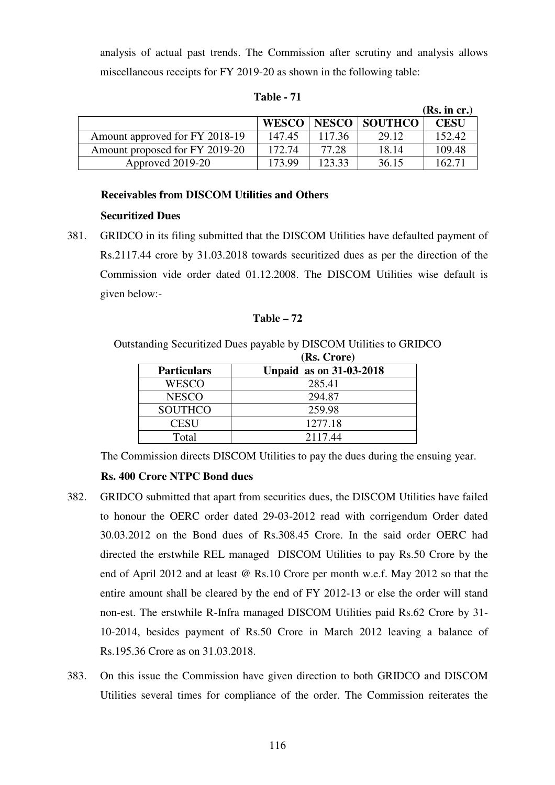analysis of actual past trends. The Commission after scrutiny and analysis allows miscellaneous receipts for FY 2019-20 as shown in the following table:

|                                |              |              |                | (Rs. in cr.) |
|--------------------------------|--------------|--------------|----------------|--------------|
|                                | <b>WESCO</b> | <b>NESCO</b> | <b>SOUTHCO</b> | CESU         |
| Amount approved for FY 2018-19 | 147.45       | 117.36       | 29.12          | 152.42       |
| Amount proposed for FY 2019-20 | 172.74       | 77.28        | 18.14          | 109.48       |
| Approved 2019-20               | 173.99       | 123 33       | 36.15          | 162.71       |

**Table - 71** 

#### **Receivables from DISCOM Utilities and Others**

#### **Securitized Dues**

381. GRIDCO in its filing submitted that the DISCOM Utilities have defaulted payment of Rs.2117.44 crore by 31.03.2018 towards securitized dues as per the direction of the Commission vide order dated 01.12.2008. The DISCOM Utilities wise default is given below:-

#### **Table – 72**

Outstanding Securitized Dues payable by DISCOM Utilities to GRIDCO

|                    | (Rs. Crore)                    |
|--------------------|--------------------------------|
| <b>Particulars</b> | <b>Unpaid as on 31-03-2018</b> |
| WESCO              | 285.41                         |
| <b>NESCO</b>       | 294.87                         |
| <b>SOUTHCO</b>     | 259.98                         |
| <b>CESU</b>        | 1277.18                        |
| Total              | 2117.44                        |

The Commission directs DISCOM Utilities to pay the dues during the ensuing year.

# **Rs. 400 Crore NTPC Bond dues**

- 382. GRIDCO submitted that apart from securities dues, the DISCOM Utilities have failed to honour the OERC order dated 29-03-2012 read with corrigendum Order dated 30.03.2012 on the Bond dues of Rs.308.45 Crore. In the said order OERC had directed the erstwhile REL managed DISCOM Utilities to pay Rs.50 Crore by the end of April 2012 and at least @ Rs.10 Crore per month w.e.f. May 2012 so that the entire amount shall be cleared by the end of FY 2012-13 or else the order will stand non-est. The erstwhile R-Infra managed DISCOM Utilities paid Rs.62 Crore by 31- 10-2014, besides payment of Rs.50 Crore in March 2012 leaving a balance of Rs.195.36 Crore as on 31.03.2018.
- 383. On this issue the Commission have given direction to both GRIDCO and DISCOM Utilities several times for compliance of the order. The Commission reiterates the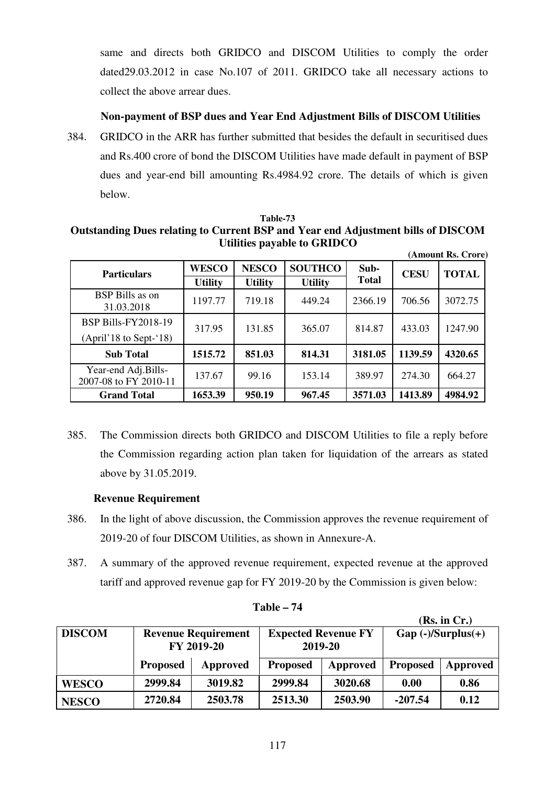same and directs both GRIDCO and DISCOM Utilities to comply the order dated29.03.2012 in case No.107 of 2011. GRIDCO take all necessary actions to collect the above arrear dues.

# **Non-payment of BSP dues and Year End Adjustment Bills of DISCOM Utilities**

384. GRIDCO in the ARR has further submitted that besides the default in securitised dues and Rs.400 crore of bond the DISCOM Utilities have made default in payment of BSP dues and year-end bill amounting Rs.4984.92 crore. The details of which is given below.

#### **Table-73 Outstanding Dues relating to Current BSP and Year end Adjustment bills of DISCOM Utilities payable to GRIDCO (Amount Rs. Crore)**

| <b>Particulars</b>                             | <b>WESCO</b><br><b>Utility</b> | <b>NESCO</b><br><b>Utility</b> | <b>SOUTHCO</b><br><b>Utility</b> | Sub-<br><b>Total</b> | <b>CESU</b> | <b>TOTAL</b> |
|------------------------------------------------|--------------------------------|--------------------------------|----------------------------------|----------------------|-------------|--------------|
| <b>BSP</b> Bills as on<br>31.03.2018           | 1197.77                        | 719.18                         | 449.24                           | 2366.19              | 706.56      | 3072.75      |
| BSP Bills-FY2018-19<br>$(April'18 to Sept-18)$ | 317.95                         | 131.85                         | 365.07                           | 814.87               | 433.03      | 1247.90      |
| <b>Sub Total</b>                               | 1515.72                        | 851.03                         | 814.31                           | 3181.05              | 1139.59     | 4320.65      |
| Year-end Adj.Bills-<br>2007-08 to FY 2010-11   | 137.67                         | 99.16                          | 153.14                           | 389.97               | 274.30      | 664.27       |
| <b>Grand Total</b>                             | 1653.39                        | 950.19                         | 967.45                           | 3571.03              | 1413.89     | 4984.92      |

385. The Commission directs both GRIDCO and DISCOM Utilities to file a reply before the Commission regarding action plan taken for liquidation of the arrears as stated above by 31.05.2019.

# **Revenue Requirement**

- 386. In the light of above discussion, the Commission approves the revenue requirement of 2019-20 of four DISCOM Utilities, as shown in Annexure-A.
- 387. A summary of the approved revenue requirement, expected revenue at the approved tariff and approved revenue gap for FY 2019-20 by the Commission is given below:

|               |                                          |          |                 |                                       |                       | (Rs. in Cr.) |
|---------------|------------------------------------------|----------|-----------------|---------------------------------------|-----------------------|--------------|
| <b>DISCOM</b> | <b>Revenue Requirement</b><br>FY 2019-20 |          |                 | <b>Expected Revenue FY</b><br>2019-20 | $Gap (-)/Surplus (+)$ |              |
|               | <b>Proposed</b>                          | Approved | <b>Proposed</b> | Approved                              | <b>Proposed</b>       | Approved     |
| <b>WESCO</b>  | 2999.84                                  | 3019.82  | 2999.84         | 3020.68                               | 0.00                  | 0.86         |
| <b>NESCO</b>  | 2720.84                                  | 2503.78  | 2513.30         | 2503.90                               | $-207.54$             | 0.12         |

**Table – 74**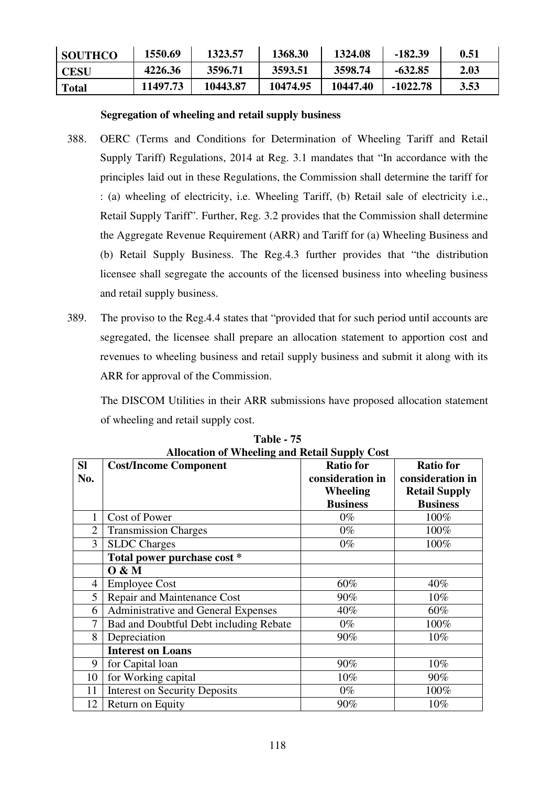| <b>SOUTHCO</b> | 1550.69  | 1323.57  | 1368.30  | 1324.08  | $-182.39$ | 0.51 |
|----------------|----------|----------|----------|----------|-----------|------|
| CESU           | 4226.36  | 3596.71  | 3593.51  | 3598.74  | $-632.85$ | 2.03 |
| Total          | 11497.73 | 10443.87 | 10474.95 | 10447.40 | -1022.78  | 3.53 |

# **Segregation of wheeling and retail supply business**

- 388. OERC (Terms and Conditions for Determination of Wheeling Tariff and Retail Supply Tariff) Regulations, 2014 at Reg. 3.1 mandates that "In accordance with the principles laid out in these Regulations, the Commission shall determine the tariff for : (a) wheeling of electricity, i.e. Wheeling Tariff, (b) Retail sale of electricity i.e., Retail Supply Tariff". Further, Reg. 3.2 provides that the Commission shall determine the Aggregate Revenue Requirement (ARR) and Tariff for (a) Wheeling Business and (b) Retail Supply Business. The Reg.4.3 further provides that "the distribution licensee shall segregate the accounts of the licensed business into wheeling business and retail supply business.
- 389. The proviso to the Reg.4.4 states that "provided that for such period until accounts are segregated, the licensee shall prepare an allocation statement to apportion cost and revenues to wheeling business and retail supply business and submit it along with its ARR for approval of the Commission.

The DISCOM Utilities in their ARR submissions have proposed allocation statement of wheeling and retail supply cost.

| Anocation of Wheeling and Ketan Supply Cost |                                        |                  |                      |  |  |  |  |
|---------------------------------------------|----------------------------------------|------------------|----------------------|--|--|--|--|
| <b>SI</b>                                   | <b>Cost/Income Component</b>           | <b>Ratio for</b> | <b>Ratio for</b>     |  |  |  |  |
| No.                                         |                                        | consideration in | consideration in     |  |  |  |  |
|                                             |                                        | Wheeling         | <b>Retail Supply</b> |  |  |  |  |
|                                             |                                        | <b>Business</b>  | <b>Business</b>      |  |  |  |  |
|                                             | Cost of Power                          | $0\%$            | 100%                 |  |  |  |  |
| $\overline{2}$                              | <b>Transmission Charges</b>            | $0\%$            | 100%                 |  |  |  |  |
| $\overline{3}$                              | <b>SLDC</b> Charges                    | $0\%$            | 100%                 |  |  |  |  |
|                                             | Total power purchase cost *            |                  |                      |  |  |  |  |
|                                             | 0 & M                                  |                  |                      |  |  |  |  |
| 4                                           | <b>Employee Cost</b>                   | 60%              | 40%                  |  |  |  |  |
| 5                                           | Repair and Maintenance Cost            | 90%              | $10\%$               |  |  |  |  |
| 6                                           | Administrative and General Expenses    | 40%              | 60%                  |  |  |  |  |
| 7                                           | Bad and Doubtful Debt including Rebate | $0\%$            | 100%                 |  |  |  |  |
| 8                                           | Depreciation                           | 90%              | 10%                  |  |  |  |  |
|                                             | <b>Interest on Loans</b>               |                  |                      |  |  |  |  |
| 9                                           | for Capital loan                       | 90%              | 10%                  |  |  |  |  |
| 10                                          | for Working capital                    | 10%              | 90%                  |  |  |  |  |
| 11                                          | <b>Interest on Security Deposits</b>   | $0\%$            | 100%                 |  |  |  |  |
| 12                                          | Return on Equity                       | 90%              | 10%                  |  |  |  |  |

**Table - 75 Allocation of Wheeling and Retail Supply Cost**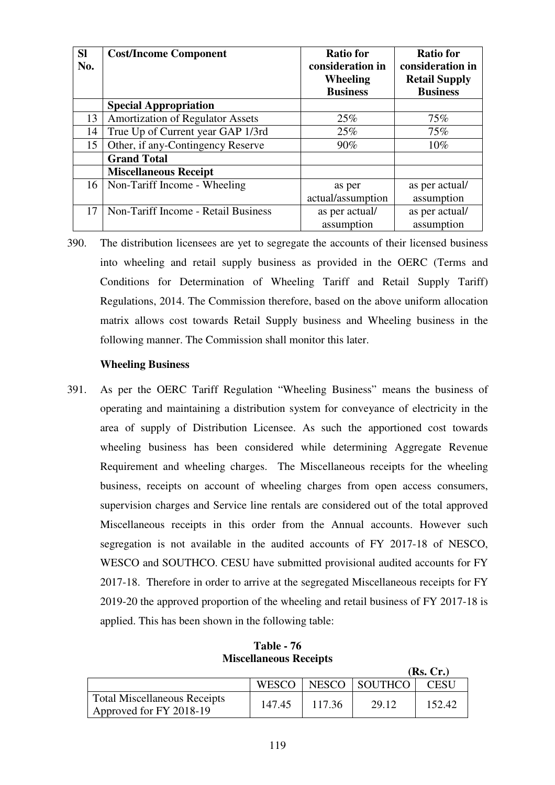| <b>SI</b><br>No. | <b>Cost/Income Component</b>            | <b>Ratio for</b><br>consideration in<br>Wheeling<br><b>Business</b> | <b>Ratio for</b><br>consideration in<br><b>Retail Supply</b><br><b>Business</b> |
|------------------|-----------------------------------------|---------------------------------------------------------------------|---------------------------------------------------------------------------------|
|                  | <b>Special Appropriation</b>            |                                                                     |                                                                                 |
| 13               | <b>Amortization of Regulator Assets</b> | 25%                                                                 | 75%                                                                             |
| 14               | True Up of Current year GAP 1/3rd       | 25%                                                                 | 75%                                                                             |
| 15               | Other, if any-Contingency Reserve       | 90%                                                                 | 10%                                                                             |
|                  | <b>Grand Total</b>                      |                                                                     |                                                                                 |
|                  | <b>Miscellaneous Receipt</b>            |                                                                     |                                                                                 |
| 16               | Non-Tariff Income - Wheeling            | as per                                                              | as per actual/                                                                  |
|                  |                                         | actual/assumption                                                   | assumption                                                                      |
| 17               | Non-Tariff Income - Retail Business     | as per actual/                                                      | as per actual/                                                                  |
|                  |                                         | assumption                                                          | assumption                                                                      |

390. The distribution licensees are yet to segregate the accounts of their licensed business into wheeling and retail supply business as provided in the OERC (Terms and Conditions for Determination of Wheeling Tariff and Retail Supply Tariff) Regulations, 2014. The Commission therefore, based on the above uniform allocation matrix allows cost towards Retail Supply business and Wheeling business in the following manner. The Commission shall monitor this later.

#### **Wheeling Business**

391. As per the OERC Tariff Regulation "Wheeling Business" means the business of operating and maintaining a distribution system for conveyance of electricity in the area of supply of Distribution Licensee. As such the apportioned cost towards wheeling business has been considered while determining Aggregate Revenue Requirement and wheeling charges. The Miscellaneous receipts for the wheeling business, receipts on account of wheeling charges from open access consumers, supervision charges and Service line rentals are considered out of the total approved Miscellaneous receipts in this order from the Annual accounts. However such segregation is not available in the audited accounts of FY 2017-18 of NESCO, WESCO and SOUTHCO. CESU have submitted provisional audited accounts for FY 2017-18. Therefore in order to arrive at the segregated Miscellaneous receipts for FY 2019-20 the approved proportion of the wheeling and retail business of FY 2017-18 is applied. This has been shown in the following table:

**Table - 76 Miscellaneous Receipts** 

**(Rs. Cr.)** 

|                                                                |        |        |               | 1100 CL.I |
|----------------------------------------------------------------|--------|--------|---------------|-----------|
|                                                                | WESCO  |        | NESCO SOUTHCO | CESU      |
| <b>Total Miscellaneous Receipts</b><br>Approved for FY 2018-19 | 147.45 | 117.36 | 29.12         | 152.42    |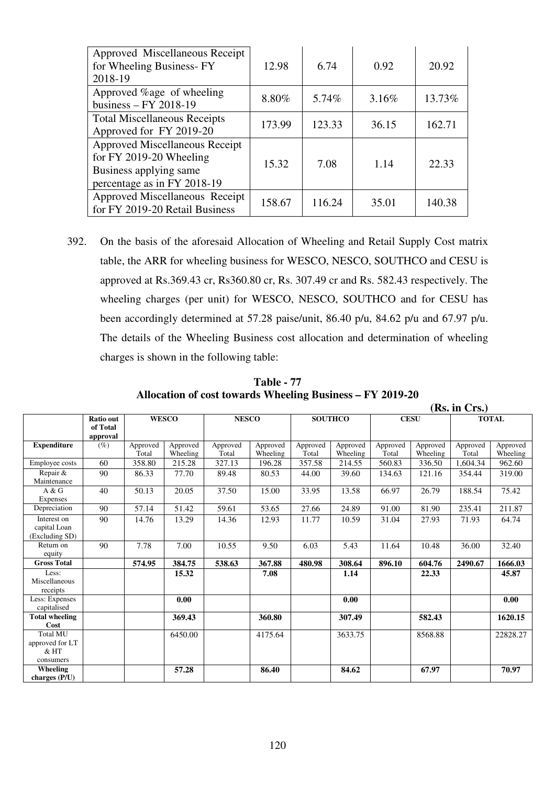| Approved Miscellaneous Receipt<br>for Wheeling Business-FY<br>2018-19                                                     | 12.98  | 6.74   | 0.92  | 20.92  |
|---------------------------------------------------------------------------------------------------------------------------|--------|--------|-------|--------|
| Approved %age of wheeling<br>business $-$ FY 2018-19                                                                      | 8.80%  | 5.74%  | 3.16% | 13.73% |
| <b>Total Miscellaneous Receipts</b><br>Approved for FY 2019-20                                                            | 173.99 | 123.33 | 36.15 | 162.71 |
| <b>Approved Miscellaneous Receipt</b><br>for FY 2019-20 Wheeling<br>Business applying same<br>percentage as in FY 2018-19 | 15.32  | 7.08   | 1.14  | 22.33  |
| Approved Miscellaneous Receipt<br>for FY 2019-20 Retail Business                                                          | 158.67 | 116.24 | 35.01 | 140.38 |

392. On the basis of the aforesaid Allocation of Wheeling and Retail Supply Cost matrix table, the ARR for wheeling business for WESCO, NESCO, SOUTHCO and CESU is approved at Rs.369.43 cr, Rs360.80 cr, Rs. 307.49 cr and Rs. 582.43 respectively. The wheeling charges (per unit) for WESCO, NESCO, SOUTHCO and for CESU has been accordingly determined at 57.28 paise/unit, 86.40 p/u, 84.62 p/u and 67.97 p/u. The details of the Wheeling Business cost allocation and determination of wheeling charges is shown in the following table:

|                                                  |                                          |                   |                      |                   |                      |                   |                      |                   |                      | (Rs. in Crs.)     |                      |
|--------------------------------------------------|------------------------------------------|-------------------|----------------------|-------------------|----------------------|-------------------|----------------------|-------------------|----------------------|-------------------|----------------------|
|                                                  | <b>Ratio out</b><br>of Total<br>approval |                   | <b>WESCO</b>         | <b>NESCO</b>      |                      | <b>SOUTHCO</b>    |                      | <b>CESU</b>       |                      |                   | <b>TOTAL</b>         |
| <b>Expenditure</b>                               | $(\%)$                                   | Approved<br>Total | Approved<br>Wheeling | Approved<br>Total | Approved<br>Wheeling | Approved<br>Total | Approved<br>Wheeling | Approved<br>Total | Approved<br>Wheeling | Approved<br>Total | Approved<br>Wheeling |
| Employee costs                                   | 60                                       | 358.80            | 215.28               | 327.13            | 196.28               | 357.58            | 214.55               | 560.83            | 336.50               | 1.604.34          | 962.60               |
| Repair &<br>Maintenance                          | 90                                       | 86.33             | 77.70                | 89.48             | 80.53                | 44.00             | 39.60                | 134.63            | 121.16               | 354.44            | 319.00               |
| A & G<br>Expenses                                | 40                                       | 50.13             | 20.05                | 37.50             | 15.00                | 33.95             | 13.58                | 66.97             | 26.79                | 188.54            | 75.42                |
| Depreciation                                     | 90                                       | 57.14             | 51.42                | 59.61             | 53.65                | 27.66             | 24.89                | 91.00             | 81.90                | 235.41            | 211.87               |
| Interest on<br>capital Loan<br>(Excluding SD)    | 90                                       | 14.76             | 13.29                | 14.36             | 12.93                | 11.77             | 10.59                | 31.04             | 27.93                | 71.93             | 64.74                |
| Return on<br>equity                              | 90                                       | 7.78              | 7.00                 | 10.55             | 9.50                 | 6.03              | 5.43                 | 11.64             | 10.48                | 36.00             | 32.40                |
| <b>Gross Total</b>                               |                                          | 574.95            | 384.75               | 538.63            | 367.88               | 480.98            | 308.64               | 896.10            | 604.76               | 2490.67           | 1666.03              |
| Less:<br>Miscellaneous<br>receipts               |                                          |                   | 15.32                |                   | 7.08                 |                   | 1.14                 |                   | 22.33                |                   | 45.87                |
| Less: Expenses<br>capitalised                    |                                          |                   | 0.00                 |                   |                      |                   | 0.00                 |                   |                      |                   | 0.00                 |
| <b>Total wheeling</b><br>Cost                    |                                          |                   | 369.43               |                   | 360.80               |                   | 307.49               |                   | 582.43               |                   | 1620.15              |
| Total MU<br>approved for LT<br>& HT<br>consumers |                                          |                   | 6450.00              |                   | 4175.64              |                   | 3633.75              |                   | 8568.88              |                   | 22828.27             |
| Wheeling<br>charges (P/U)                        |                                          |                   | 57.28                |                   | 86.40                |                   | 84.62                |                   | 67.97                |                   | 70.97                |

**Table - 77 Allocation of cost towards Wheeling Business – FY 2019-20**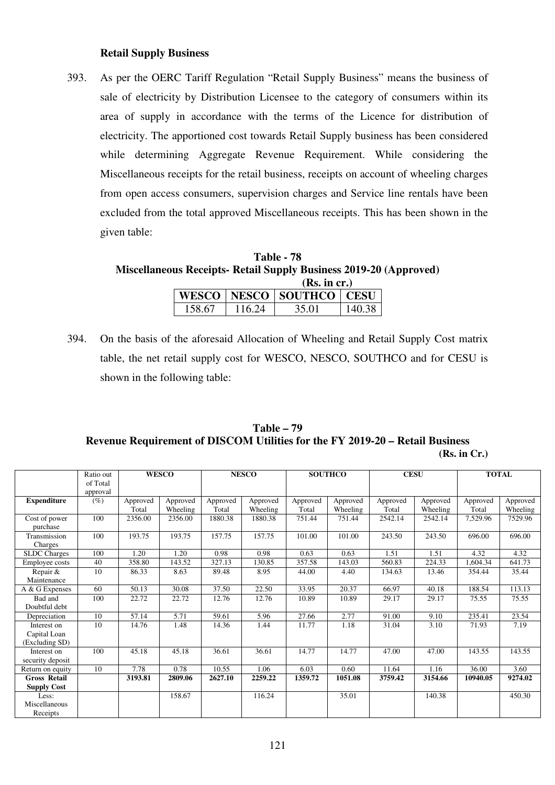#### **Retail Supply Business**

393. As per the OERC Tariff Regulation "Retail Supply Business" means the business of sale of electricity by Distribution Licensee to the category of consumers within its area of supply in accordance with the terms of the Licence for distribution of electricity. The apportioned cost towards Retail Supply business has been considered while determining Aggregate Revenue Requirement. While considering the Miscellaneous receipts for the retail business, receipts on account of wheeling charges from open access consumers, supervision charges and Service line rentals have been excluded from the total approved Miscellaneous receipts. This has been shown in the given table:

**Table - 78 Miscellaneous Receipts- Retail Supply Business 2019-20 (Approved)**   $(\mathbf{D}_\alpha, \mathbf{L}_\alpha, \alpha)$ 

|        |        | (RS. 111 CF.)                  |        |
|--------|--------|--------------------------------|--------|
|        |        | WESCO   NESCO   SOUTHCO   CESU |        |
| 158.67 | 116 24 | 35.01                          | 140.38 |

394. On the basis of the aforesaid Allocation of Wheeling and Retail Supply Cost matrix table, the net retail supply cost for WESCO, NESCO, SOUTHCO and for CESU is shown in the following table:

**Table – 79 Revenue Requirement of DISCOM Utilities for the FY 2019-20 – Retail Business** 

| (Rs. in Cr.) |
|--------------|
|--------------|

|                                               | Ratio out<br>of Total<br>approval |                   | <b>WESCO</b>         |                   | <b>NESCO</b>         |                   | <b>SOUTHCO</b>       | <b>CESU</b>       |                      |                   | <b>TOTAL</b>         |
|-----------------------------------------------|-----------------------------------|-------------------|----------------------|-------------------|----------------------|-------------------|----------------------|-------------------|----------------------|-------------------|----------------------|
| <b>Expenditure</b>                            | $(\%)$                            | Approved<br>Total | Approved<br>Wheeling | Approved<br>Total | Approved<br>Wheeling | Approved<br>Total | Approved<br>Wheeling | Approved<br>Total | Approved<br>Wheeling | Approved<br>Total | Approved<br>Wheeling |
| Cost of power<br>purchase                     | 100                               | 2356.00           | 2356.00              | 1880.38           | 1880.38              | 751.44            | 751.44               | 2542.14           | 2542.14              | 7,529.96          | 7529.96              |
| Transmission<br>Charges                       | 100                               | 193.75            | 193.75               | 157.75            | 157.75               | 101.00            | 101.00               | 243.50            | 243.50               | 696.00            | 696.00               |
| <b>SLDC</b> Charges                           | 100                               | 1.20              | 1.20                 | 0.98              | 0.98                 | 0.63              | 0.63                 | 1.51              | 1.51                 | 4.32              | 4.32                 |
| Employee costs                                | 40                                | 358.80            | 143.52               | 327.13            | 130.85               | 357.58            | 143.03               | 560.83            | 224.33               | .604.34           | 641.73               |
| Repair &<br>Maintenance                       | 10                                | 86.33             | 8.63                 | 89.48             | 8.95                 | 44.00             | 4.40                 | 134.63            | 13.46                | 354.44            | 35.44                |
| $\overline{A}$ & G Expenses                   | 60                                | 50.13             | 30.08                | 37.50             | 22.50                | 33.95             | 20.37                | 66.97             | 40.18                | 188.54            | 113.13               |
| Bad and<br>Doubtful debt                      | 100                               | 22.72             | 22.72                | 12.76             | 12.76                | 10.89             | 10.89                | 29.17             | 29.17                | 75.55             | 75.55                |
| Depreciation                                  | 10                                | 57.14             | 5.71                 | 59.61             | 5.96                 | 27.66             | 2.77                 | 91.00             | 9.10                 | 235.41            | 23.54                |
| Interest on<br>Capital Loan<br>(Excluding SD) | 10                                | 14.76             | 1.48                 | 14.36             | 1.44                 | 11.77             | 1.18                 | 31.04             | 3.10                 | 71.93             | 7.19                 |
| Interest on<br>security deposit               | 100                               | 45.18             | 45.18                | 36.61             | 36.61                | 14.77             | 14.77                | 47.00             | 47.00                | 143.55            | 143.55               |
| Return on equity                              | 10                                | 7.78              | 0.78                 | 10.55             | 1.06                 | 6.03              | 0.60                 | 11.64             | 1.16                 | 36.00             | 3.60                 |
| <b>Gross Retail</b><br><b>Supply Cost</b>     |                                   | 3193.81           | 2809.06              | 2627.10           | 2259.22              | 1359.72           | 1051.08              | 3759.42           | 3154.66              | 10940.05          | 9274.02              |
| Less:<br>Miscellaneous<br>Receipts            |                                   |                   | 158.67               |                   | 116.24               |                   | 35.01                |                   | 140.38               |                   | 450.30               |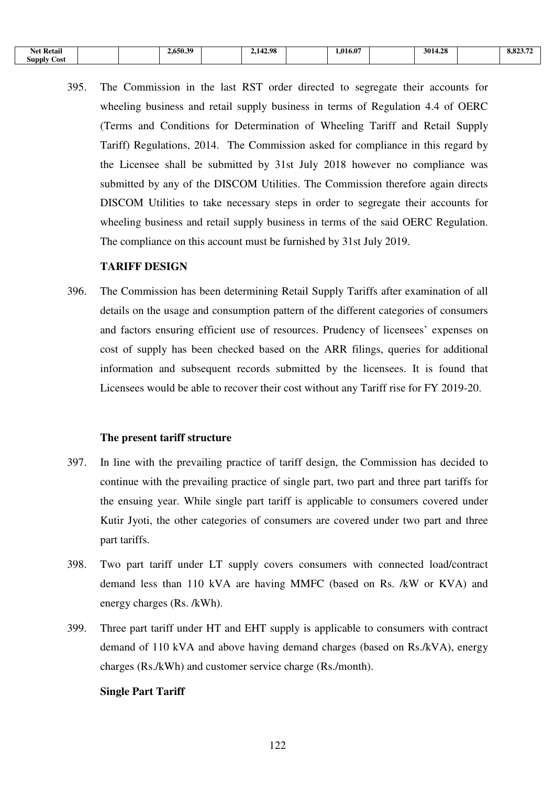| $\cdot$<br>$\mathbf{r}$<br><b>Ketail</b><br>Net |  | 4.650.39 | .98<br>$\overline{\phantom{a}}$<br>. . | $\mathbf{A}$<br>1.016.0 | ຳວ<br>301 | o.o. |
|-------------------------------------------------|--|----------|----------------------------------------|-------------------------|-----------|------|
| <b>⊃ost</b><br>annnr                            |  |          |                                        |                         |           |      |

395. The Commission in the last RST order directed to segregate their accounts for wheeling business and retail supply business in terms of Regulation 4.4 of OERC (Terms and Conditions for Determination of Wheeling Tariff and Retail Supply Tariff) Regulations, 2014. The Commission asked for compliance in this regard by the Licensee shall be submitted by 31st July 2018 however no compliance was submitted by any of the DISCOM Utilities. The Commission therefore again directs DISCOM Utilities to take necessary steps in order to segregate their accounts for wheeling business and retail supply business in terms of the said OERC Regulation. The compliance on this account must be furnished by 31st July 2019.

#### **TARIFF DESIGN**

396. The Commission has been determining Retail Supply Tariffs after examination of all details on the usage and consumption pattern of the different categories of consumers and factors ensuring efficient use of resources. Prudency of licensees' expenses on cost of supply has been checked based on the ARR filings, queries for additional information and subsequent records submitted by the licensees. It is found that Licensees would be able to recover their cost without any Tariff rise for FY 2019-20.

#### **The present tariff structure**

- 397. In line with the prevailing practice of tariff design, the Commission has decided to continue with the prevailing practice of single part, two part and three part tariffs for the ensuing year. While single part tariff is applicable to consumers covered under Kutir Jyoti, the other categories of consumers are covered under two part and three part tariffs.
- 398. Two part tariff under LT supply covers consumers with connected load/contract demand less than 110 kVA are having MMFC (based on Rs. /kW or KVA) and energy charges (Rs. /kWh).
- 399. Three part tariff under HT and EHT supply is applicable to consumers with contract demand of 110 kVA and above having demand charges (based on Rs./kVA), energy charges (Rs./kWh) and customer service charge (Rs./month).

#### **Single Part Tariff**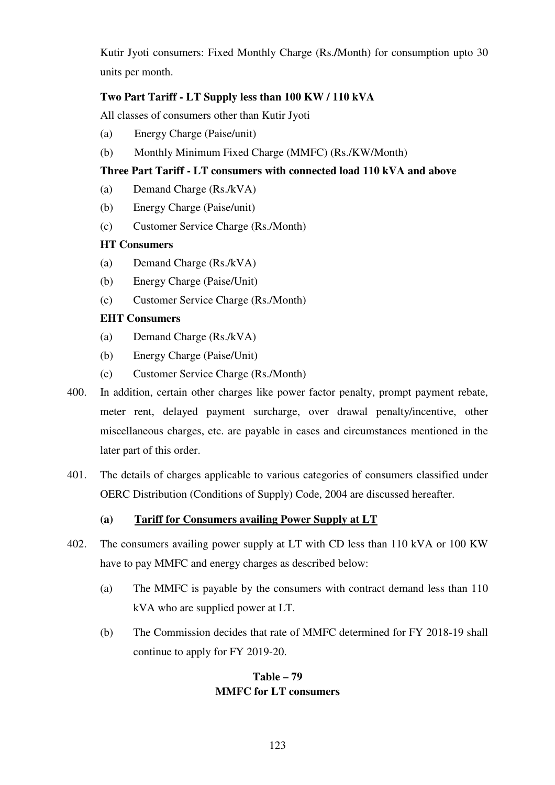Kutir Jyoti consumers: Fixed Monthly Charge (Rs.**/**Month) for consumption upto 30 units per month.

# **Two Part Tariff - LT Supply less than 100 KW / 110 kVA**

All classes of consumers other than Kutir Jyoti

- (a) Energy Charge (Paise/unit)
- (b) Monthly Minimum Fixed Charge (MMFC) (Rs./KW/Month)

# **Three Part Tariff - LT consumers with connected load 110 kVA and above**

- (a) Demand Charge (Rs./kVA)
- (b) Energy Charge (Paise/unit)
- (c) Customer Service Charge (Rs./Month)

# **HT Consumers**

- (a) Demand Charge (Rs./kVA)
- (b) Energy Charge (Paise/Unit)
- (c) Customer Service Charge (Rs./Month)

# **EHT Consumers**

- (a) Demand Charge (Rs./kVA)
- (b) Energy Charge (Paise/Unit)
- (c) Customer Service Charge (Rs./Month)
- 400. In addition, certain other charges like power factor penalty, prompt payment rebate, meter rent, delayed payment surcharge, over drawal penalty/incentive, other miscellaneous charges, etc. are payable in cases and circumstances mentioned in the later part of this order.
- 401. The details of charges applicable to various categories of consumers classified under OERC Distribution (Conditions of Supply) Code, 2004 are discussed hereafter.

# **(a)****Tariff for Consumers availing Power Supply at LT**

- 402. The consumers availing power supply at LT with CD less than 110 kVA or 100 KW have to pay MMFC and energy charges as described below:
	- (a) The MMFC is payable by the consumers with contract demand less than 110 kVA who are supplied power at LT.
	- (b) The Commission decides that rate of MMFC determined for FY 2018-19 shall continue to apply for FY 2019-20.

# **Table – 79 MMFC for LT consumers**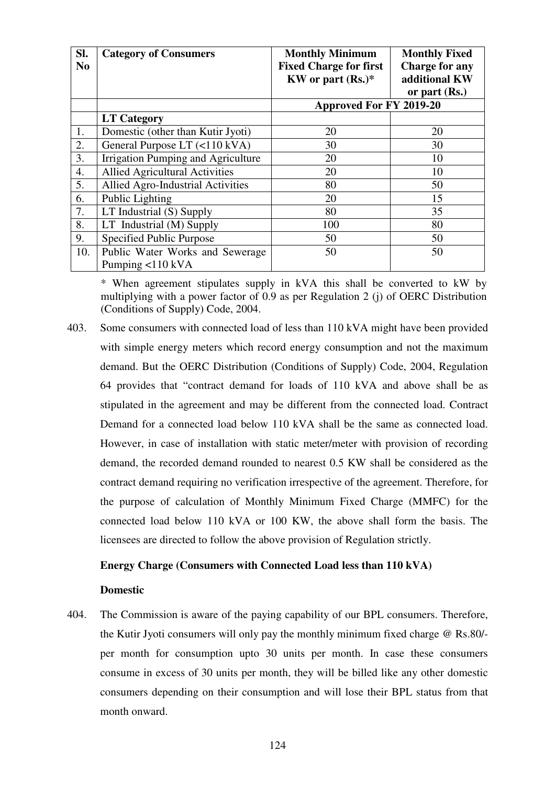| SI.<br>N <sub>0</sub> | <b>Category of Consumers</b>              | <b>Monthly Minimum</b><br><b>Fixed Charge for first</b><br>KW or part $(Rs.)^*$ | <b>Monthly Fixed</b><br><b>Charge for any</b><br>additional KW<br>or part (Rs.) |
|-----------------------|-------------------------------------------|---------------------------------------------------------------------------------|---------------------------------------------------------------------------------|
|                       |                                           | Approved For FY 2019-20                                                         |                                                                                 |
|                       | <b>LT Category</b>                        |                                                                                 |                                                                                 |
| 1.                    | Domestic (other than Kutir Jyoti)         | 20                                                                              | 20                                                                              |
| 2.                    | General Purpose LT (<110 kVA)             | 30                                                                              | 30                                                                              |
| 3.                    | Irrigation Pumping and Agriculture        | 20                                                                              | 10                                                                              |
| 4.                    | <b>Allied Agricultural Activities</b>     | 20                                                                              | 10                                                                              |
| 5.                    | Allied Agro-Industrial Activities         | 80                                                                              | 50                                                                              |
| 6.                    | Public Lighting                           | 20                                                                              | 15                                                                              |
| 7.                    | LT Industrial (S) Supply                  | 80                                                                              | 35                                                                              |
| 8.                    | LT Industrial (M) Supply                  | 100                                                                             | 80                                                                              |
| 9.                    | Specified Public Purpose                  | 50                                                                              | 50                                                                              |
| 10.                   | Public Water Works and Sewerage           | 50                                                                              | 50                                                                              |
|                       | Pumping $\langle 110 \text{ kVA} \rangle$ |                                                                                 |                                                                                 |

\* When agreement stipulates supply in kVA this shall be converted to kW by multiplying with a power factor of 0.9 as per Regulation 2 (j) of OERC Distribution (Conditions of Supply) Code, 2004.

403. Some consumers with connected load of less than 110 kVA might have been provided with simple energy meters which record energy consumption and not the maximum demand. But the OERC Distribution (Conditions of Supply) Code, 2004, Regulation 64 provides that "contract demand for loads of 110 kVA and above shall be as stipulated in the agreement and may be different from the connected load. Contract Demand for a connected load below 110 kVA shall be the same as connected load. However, in case of installation with static meter/meter with provision of recording demand, the recorded demand rounded to nearest 0.5 KW shall be considered as the contract demand requiring no verification irrespective of the agreement. Therefore, for the purpose of calculation of Monthly Minimum Fixed Charge (MMFC) for the connected load below 110 kVA or 100 KW, the above shall form the basis. The licensees are directed to follow the above provision of Regulation strictly.

#### **Energy Charge (Consumers with Connected Load less than 110 kVA)**

#### **Domestic**

404. The Commission is aware of the paying capability of our BPL consumers. Therefore, the Kutir Jyoti consumers will only pay the monthly minimum fixed charge @ Rs.80/ per month for consumption upto 30 units per month. In case these consumers consume in excess of 30 units per month, they will be billed like any other domestic consumers depending on their consumption and will lose their BPL status from that month onward.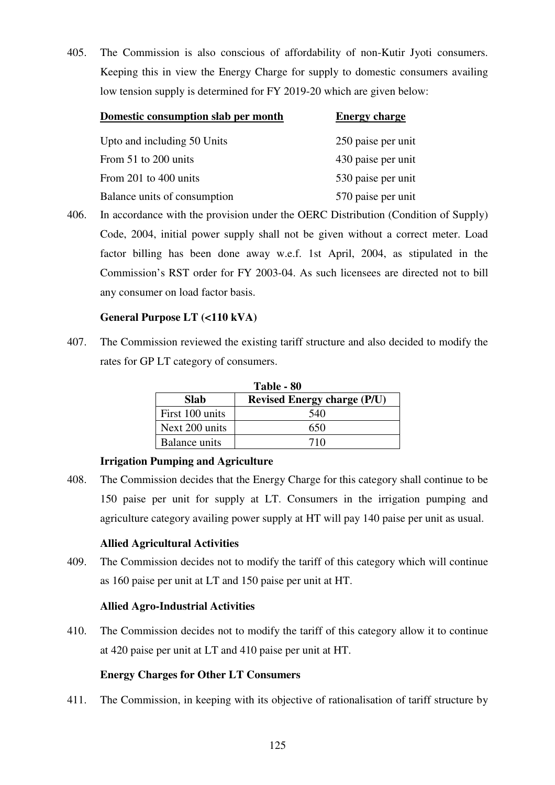405. The Commission is also conscious of affordability of non-Kutir Jyoti consumers. Keeping this in view the Energy Charge for supply to domestic consumers availing low tension supply is determined for FY 2019-20 which are given below:

| Domestic consumption slab per month | <b>Energy charge</b> |
|-------------------------------------|----------------------|
| Upto and including 50 Units         | 250 paise per unit   |
| From 51 to 200 units                | 430 paise per unit   |
| From 201 to 400 units               | 530 paise per unit   |
| Balance units of consumption        | 570 paise per unit   |

406. In accordance with the provision under the OERC Distribution (Condition of Supply) Code, 2004, initial power supply shall not be given without a correct meter. Load factor billing has been done away w.e.f. 1st April, 2004, as stipulated in the Commission's RST order for FY 2003-04. As such licensees are directed not to bill any consumer on load factor basis.

# **General Purpose LT (<110 kVA)**

407. The Commission reviewed the existing tariff structure and also decided to modify the rates for GP LT category of consumers.

| Table - 80      |                                    |  |  |  |  |  |
|-----------------|------------------------------------|--|--|--|--|--|
| <b>Slab</b>     | <b>Revised Energy charge (P/U)</b> |  |  |  |  |  |
| First 100 units | 540                                |  |  |  |  |  |
| Next 200 units  | 650                                |  |  |  |  |  |
| Balance units   | 710                                |  |  |  |  |  |

# **Irrigation Pumping and Agriculture**

408. The Commission decides that the Energy Charge for this category shall continue to be 150 paise per unit for supply at LT. Consumers in the irrigation pumping and agriculture category availing power supply at HT will pay 140 paise per unit as usual.

# **Allied Agricultural Activities**

409. The Commission decides not to modify the tariff of this category which will continue as 160 paise per unit at LT and 150 paise per unit at HT.

# **Allied Agro-Industrial Activities**

410. The Commission decides not to modify the tariff of this category allow it to continue at 420 paise per unit at LT and 410 paise per unit at HT.

# **Energy Charges for Other LT Consumers**

411. The Commission, in keeping with its objective of rationalisation of tariff structure by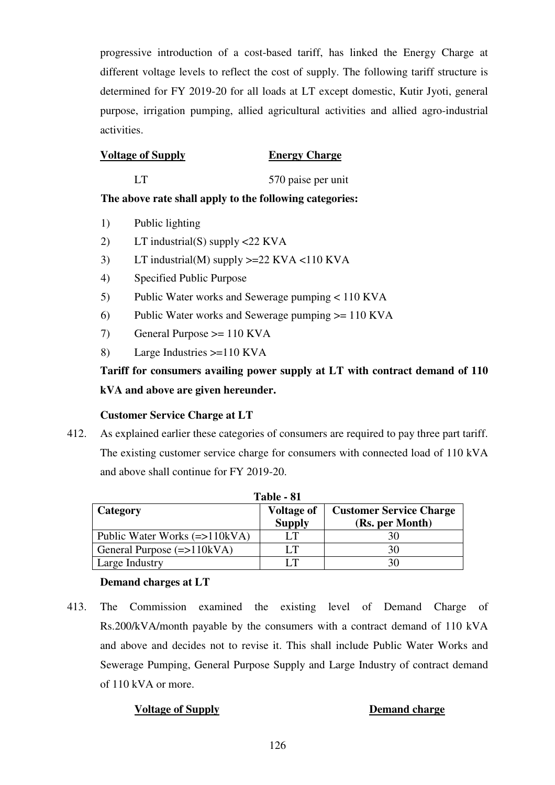progressive introduction of a cost-based tariff, has linked the Energy Charge at different voltage levels to reflect the cost of supply. The following tariff structure is determined for FY 2019-20 for all loads at LT except domestic, Kutir Jyoti, general purpose, irrigation pumping, allied agricultural activities and allied agro-industrial activities.

# **Voltage of Supply Energy Charge**

LT 570 paise per unit

# **The above rate shall apply to the following categories:**

- 1) Public lighting
- 2) LT industrial(S) supply <22 KVA
- 3) LT industrial(M) supply >=22 KVA <110 KVA
- 4) Specified Public Purpose
- 5) Public Water works and Sewerage pumping < 110 KVA
- 6) Public Water works and Sewerage pumping >= 110 KVA
- 7) General Purpose >= 110 KVA
- 8) Large Industries >=110 KVA

# **Tariff for consumers availing power supply at LT with contract demand of 110 kVA and above are given hereunder.**

# **Customer Service Charge at LT**

412. As explained earlier these categories of consumers are required to pay three part tariff. The existing customer service charge for consumers with connected load of 110 kVA and above shall continue for FY 2019-20.

| Table - 81                                |                                    |                                                   |  |
|-------------------------------------------|------------------------------------|---------------------------------------------------|--|
| Category                                  | <b>Voltage of</b><br><b>Supply</b> | <b>Customer Service Charge</b><br>(Rs. per Month) |  |
| Public Water Works $(\Rightarrow 110kVA)$ | LТ                                 | 30                                                |  |
| General Purpose $(=>110kVA)$              | LТ                                 | 30                                                |  |
| Large Industry                            | IТ                                 | 30                                                |  |

# **Demand charges at LT**

413. The Commission examined the existing level of Demand Charge of Rs.200/kVA/month payable by the consumers with a contract demand of 110 kVA and above and decides not to revise it. This shall include Public Water Works and Sewerage Pumping, General Purpose Supply and Large Industry of contract demand of 110 kVA or more.

# **Voltage of Supply Demand charge**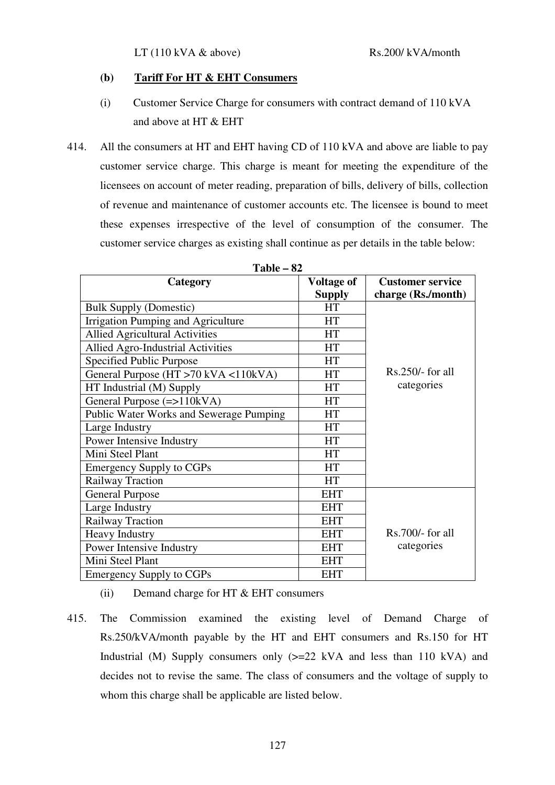#### **(b)****Tariff For HT & EHT Consumers**

- (i) Customer Service Charge for consumers with contract demand of 110 kVA and above at HT & EHT
- 414. All the consumers at HT and EHT having CD of 110 kVA and above are liable to pay customer service charge. This charge is meant for meeting the expenditure of the licensees on account of meter reading, preparation of bills, delivery of bills, collection of revenue and maintenance of customer accounts etc. The licensee is bound to meet these expenses irrespective of the level of consumption of the consumer. The customer service charges as existing shall continue as per details in the table below:

| Category                                       | <b>Voltage of</b> | <b>Customer service</b> |
|------------------------------------------------|-------------------|-------------------------|
|                                                | <b>Supply</b>     | charge (Rs./month)      |
| <b>Bulk Supply (Domestic)</b>                  | <b>HT</b>         |                         |
| Irrigation Pumping and Agriculture             | <b>HT</b>         |                         |
| <b>Allied Agricultural Activities</b>          | <b>HT</b>         |                         |
| <b>Allied Agro-Industrial Activities</b>       | <b>HT</b>         |                         |
| Specified Public Purpose                       | <b>HT</b>         |                         |
| General Purpose (HT >70 kVA <110kVA)           | <b>HT</b>         | $Rs.250/-$ for all      |
| HT Industrial (M) Supply                       | <b>HT</b>         | categories              |
| General Purpose $(=>110kVA)$                   | <b>HT</b>         |                         |
| <b>Public Water Works and Sewerage Pumping</b> | <b>HT</b>         |                         |
| Large Industry                                 | <b>HT</b>         |                         |
| Power Intensive Industry                       | <b>HT</b>         |                         |
| Mini Steel Plant                               | <b>HT</b>         |                         |
| <b>Emergency Supply to CGPs</b>                | <b>HT</b>         |                         |
| Railway Traction                               | <b>HT</b>         |                         |
| <b>General Purpose</b>                         | <b>EHT</b>        |                         |
| Large Industry                                 | <b>EHT</b>        |                         |
| Railway Traction                               | <b>EHT</b>        |                         |
| <b>Heavy Industry</b>                          | <b>EHT</b>        | $Rs.700/-$ for all      |
| Power Intensive Industry                       | <b>EHT</b>        | categories              |
| Mini Steel Plant                               | <b>EHT</b>        |                         |
| <b>Emergency Supply to CGPs</b>                | <b>EHT</b>        |                         |

**Table – 82** 

- (ii) Demand charge for HT  $&$  EHT consumers
- 415. The Commission examined the existing level of Demand Charge of Rs.250/kVA/month payable by the HT and EHT consumers and Rs.150 for HT Industrial (M) Supply consumers only  $(>=22$  kVA and less than 110 kVA) and decides not to revise the same. The class of consumers and the voltage of supply to whom this charge shall be applicable are listed below.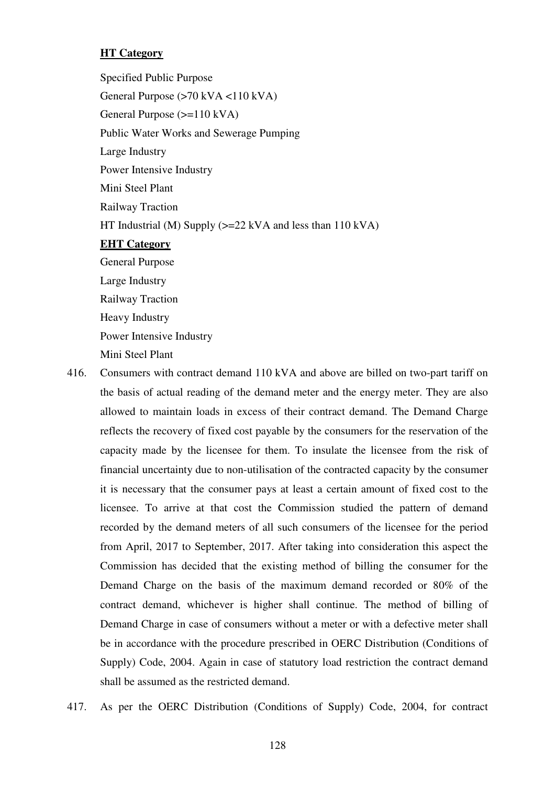# **HT Category**

 Specified Public Purpose General Purpose (>70 kVA <110 kVA) General Purpose (>=110 kVA) Public Water Works and Sewerage Pumping Large Industry Power Intensive Industry Mini Steel Plant Railway Traction HT Industrial (M) Supply  $\geq$  22 kVA and less than 110 kVA)  **EHT Category** General Purpose Large Industry Railway Traction Heavy Industry Power Intensive Industry Mini Steel Plant

- 416. Consumers with contract demand 110 kVA and above are billed on two-part tariff on the basis of actual reading of the demand meter and the energy meter. They are also allowed to maintain loads in excess of their contract demand. The Demand Charge reflects the recovery of fixed cost payable by the consumers for the reservation of the capacity made by the licensee for them. To insulate the licensee from the risk of financial uncertainty due to non-utilisation of the contracted capacity by the consumer it is necessary that the consumer pays at least a certain amount of fixed cost to the licensee. To arrive at that cost the Commission studied the pattern of demand recorded by the demand meters of all such consumers of the licensee for the period from April, 2017 to September, 2017. After taking into consideration this aspect the Commission has decided that the existing method of billing the consumer for the Demand Charge on the basis of the maximum demand recorded or 80% of the contract demand, whichever is higher shall continue. The method of billing of Demand Charge in case of consumers without a meter or with a defective meter shall be in accordance with the procedure prescribed in OERC Distribution (Conditions of Supply) Code, 2004. Again in case of statutory load restriction the contract demand shall be assumed as the restricted demand.
- 417. As per the OERC Distribution (Conditions of Supply) Code, 2004, for contract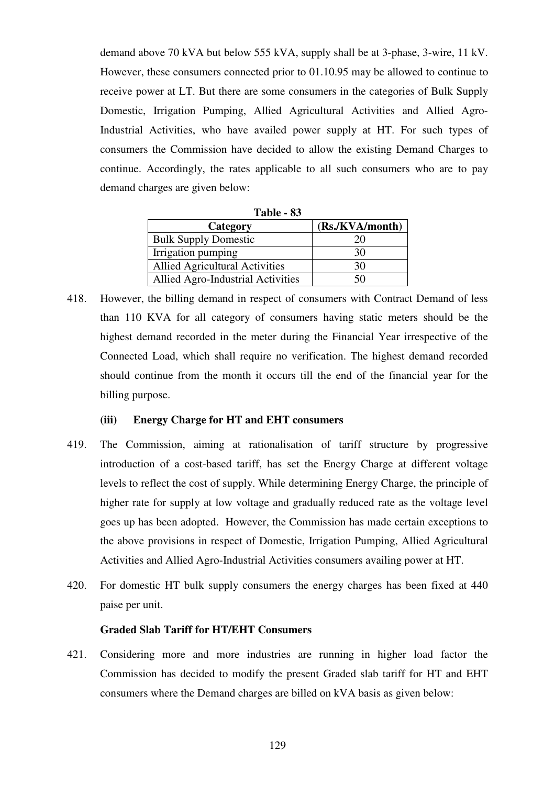demand above 70 kVA but below 555 kVA, supply shall be at 3-phase, 3-wire, 11 kV. However, these consumers connected prior to 01.10.95 may be allowed to continue to receive power at LT. But there are some consumers in the categories of Bulk Supply Domestic, Irrigation Pumping, Allied Agricultural Activities and Allied Agro-Industrial Activities, who have availed power supply at HT. For such types of consumers the Commission have decided to allow the existing Demand Charges to continue. Accordingly, the rates applicable to all such consumers who are to pay demand charges are given below:

| Table - 83                            |                 |  |
|---------------------------------------|-----------------|--|
| Category                              | (Rs./KVA/month) |  |
| <b>Bulk Supply Domestic</b>           | 20              |  |
| Irrigation pumping                    | 30              |  |
| <b>Allied Agricultural Activities</b> | 30              |  |
| Allied Agro-Industrial Activities     | 50              |  |

418. However, the billing demand in respect of consumers with Contract Demand of less than 110 KVA for all category of consumers having static meters should be the highest demand recorded in the meter during the Financial Year irrespective of the Connected Load, which shall require no verification. The highest demand recorded should continue from the month it occurs till the end of the financial year for the billing purpose.

#### **(iii) Energy Charge for HT and EHT consumers**

- 419. The Commission, aiming at rationalisation of tariff structure by progressive introduction of a cost-based tariff, has set the Energy Charge at different voltage levels to reflect the cost of supply. While determining Energy Charge, the principle of higher rate for supply at low voltage and gradually reduced rate as the voltage level goes up has been adopted. However, the Commission has made certain exceptions to the above provisions in respect of Domestic, Irrigation Pumping, Allied Agricultural Activities and Allied Agro-Industrial Activities consumers availing power at HT.
- 420. For domestic HT bulk supply consumers the energy charges has been fixed at 440 paise per unit.

#### **Graded Slab Tariff for HT/EHT Consumers**

421. Considering more and more industries are running in higher load factor the Commission has decided to modify the present Graded slab tariff for HT and EHT consumers where the Demand charges are billed on kVA basis as given below: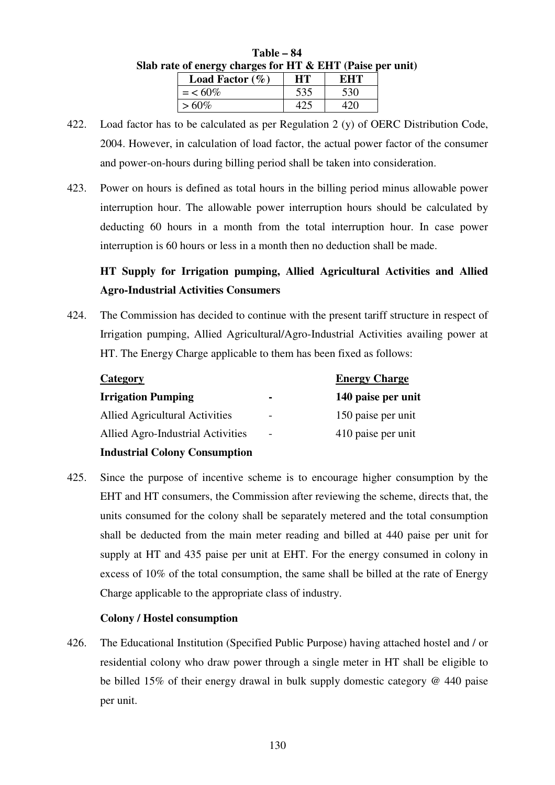| rate of energy charges for HT & EHT (Paise per |           |     |  |
|------------------------------------------------|-----------|-----|--|
| <b>Load Factor</b> $(\%)$                      | <b>HT</b> | EHT |  |
| $=$ < 60%                                      | 535       | 530 |  |
| $>60\%$                                        | 425       | 420 |  |

| $Table - 84$                                                 |  |
|--------------------------------------------------------------|--|
| Slab rate of energy charges for HT $\&$ EHT (Paise per unit) |  |

- 422. Load factor has to be calculated as per Regulation 2 (y) of OERC Distribution Code, 2004. However, in calculation of load factor, the actual power factor of the consumer and power-on-hours during billing period shall be taken into consideration.
- 423. Power on hours is defined as total hours in the billing period minus allowable power interruption hour. The allowable power interruption hours should be calculated by deducting 60 hours in a month from the total interruption hour. In case power interruption is 60 hours or less in a month then no deduction shall be made.

# **HT Supply for Irrigation pumping, Allied Agricultural Activities and Allied Agro-Industrial Activities Consumers**

424. The Commission has decided to continue with the present tariff structure in respect of Irrigation pumping, Allied Agricultural/Agro-Industrial Activities availing power at HT. The Energy Charge applicable to them has been fixed as follows:

| Category                              |                          | <b>Energy Charge</b> |
|---------------------------------------|--------------------------|----------------------|
| <b>Irrigation Pumping</b>             | $\blacksquare$           | 140 paise per unit   |
| <b>Allied Agricultural Activities</b> | $\overline{\phantom{0}}$ | 150 paise per unit   |
| Allied Agro-Industrial Activities     | $\overline{\phantom{a}}$ | 410 paise per unit   |
| <b>Industrial Colony Consumption</b>  |                          |                      |

425. Since the purpose of incentive scheme is to encourage higher consumption by the EHT and HT consumers, the Commission after reviewing the scheme, directs that, the units consumed for the colony shall be separately metered and the total consumption shall be deducted from the main meter reading and billed at 440 paise per unit for supply at HT and 435 paise per unit at EHT. For the energy consumed in colony in excess of 10% of the total consumption, the same shall be billed at the rate of Energy Charge applicable to the appropriate class of industry.

# **Colony / Hostel consumption**

426. The Educational Institution (Specified Public Purpose) having attached hostel and / or residential colony who draw power through a single meter in HT shall be eligible to be billed 15% of their energy drawal in bulk supply domestic category @ 440 paise per unit.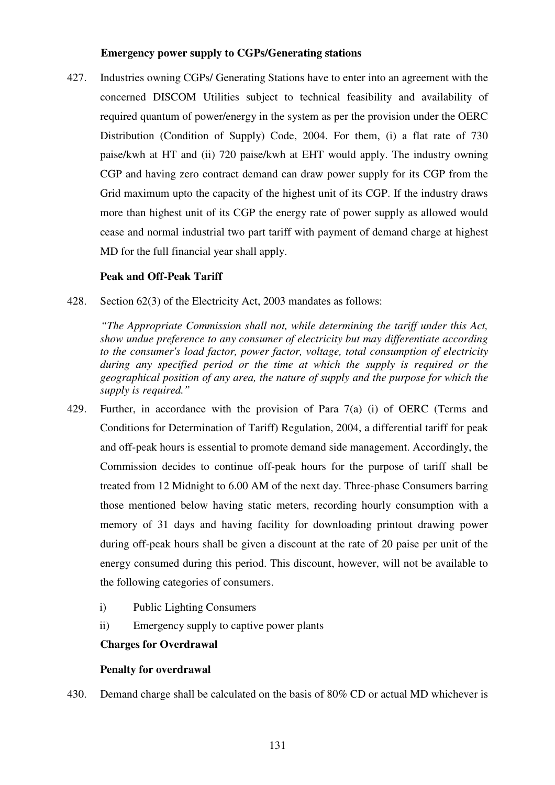#### **Emergency power supply to CGPs/Generating stations**

427. Industries owning CGPs/ Generating Stations have to enter into an agreement with the concerned DISCOM Utilities subject to technical feasibility and availability of required quantum of power/energy in the system as per the provision under the OERC Distribution (Condition of Supply) Code, 2004. For them, (i) a flat rate of 730 paise/kwh at HT and (ii) 720 paise/kwh at EHT would apply. The industry owning CGP and having zero contract demand can draw power supply for its CGP from the Grid maximum upto the capacity of the highest unit of its CGP. If the industry draws more than highest unit of its CGP the energy rate of power supply as allowed would cease and normal industrial two part tariff with payment of demand charge at highest MD for the full financial year shall apply.

# **Peak and Off-Peak Tariff**

428. Section 62(3) of the Electricity Act, 2003 mandates as follows:

 *"The Appropriate Commission shall not, while determining the tariff under this Act, show undue preference to any consumer of electricity but may differentiate according to the consumer's load factor, power factor, voltage, total consumption of electricity during any specified period or the time at which the supply is required or the geographical position of any area, the nature of supply and the purpose for which the supply is required."* 

- 429. Further, in accordance with the provision of Para 7(a) (i) of OERC (Terms and Conditions for Determination of Tariff) Regulation, 2004, a differential tariff for peak and off-peak hours is essential to promote demand side management. Accordingly, the Commission decides to continue off-peak hours for the purpose of tariff shall be treated from 12 Midnight to 6.00 AM of the next day. Three-phase Consumers barring those mentioned below having static meters, recording hourly consumption with a memory of 31 days and having facility for downloading printout drawing power during off-peak hours shall be given a discount at the rate of 20 paise per unit of the energy consumed during this period. This discount, however, will not be available to the following categories of consumers.
	- i) Public Lighting Consumers
	- ii) Emergency supply to captive power plants

#### **Charges for Overdrawal**

#### **Penalty for overdrawal**

430. Demand charge shall be calculated on the basis of 80% CD or actual MD whichever is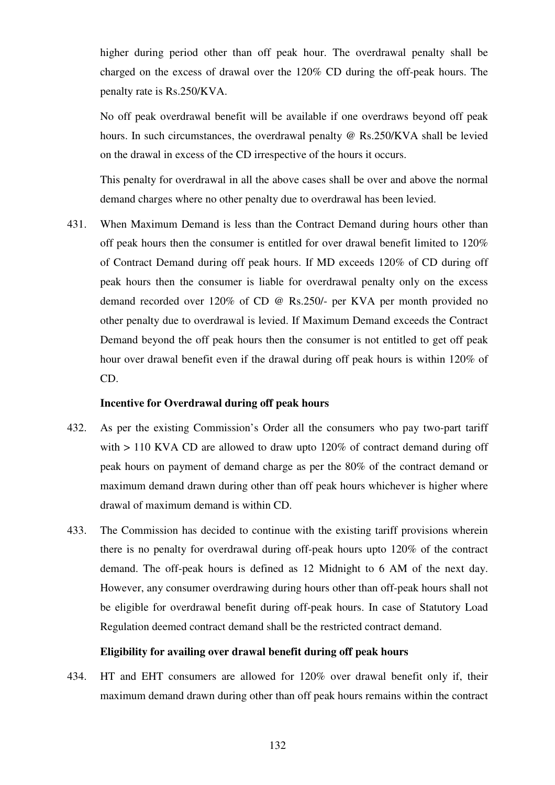higher during period other than off peak hour. The overdrawal penalty shall be charged on the excess of drawal over the 120% CD during the off-peak hours. The penalty rate is Rs.250/KVA.

No off peak overdrawal benefit will be available if one overdraws beyond off peak hours. In such circumstances, the overdrawal penalty @ Rs.250/KVA shall be levied on the drawal in excess of the CD irrespective of the hours it occurs.

This penalty for overdrawal in all the above cases shall be over and above the normal demand charges where no other penalty due to overdrawal has been levied.

431. When Maximum Demand is less than the Contract Demand during hours other than off peak hours then the consumer is entitled for over drawal benefit limited to 120% of Contract Demand during off peak hours. If MD exceeds 120% of CD during off peak hours then the consumer is liable for overdrawal penalty only on the excess demand recorded over 120% of CD @ Rs.250/- per KVA per month provided no other penalty due to overdrawal is levied. If Maximum Demand exceeds the Contract Demand beyond the off peak hours then the consumer is not entitled to get off peak hour over drawal benefit even if the drawal during off peak hours is within 120% of CD.

#### **Incentive for Overdrawal during off peak hours**

- 432. As per the existing Commission's Order all the consumers who pay two-part tariff with > 110 KVA CD are allowed to draw upto 120% of contract demand during off peak hours on payment of demand charge as per the 80% of the contract demand or maximum demand drawn during other than off peak hours whichever is higher where drawal of maximum demand is within CD.
- 433. The Commission has decided to continue with the existing tariff provisions wherein there is no penalty for overdrawal during off-peak hours upto 120% of the contract demand. The off-peak hours is defined as 12 Midnight to 6 AM of the next day. However, any consumer overdrawing during hours other than off-peak hours shall not be eligible for overdrawal benefit during off-peak hours. In case of Statutory Load Regulation deemed contract demand shall be the restricted contract demand.

#### **Eligibility for availing over drawal benefit during off peak hours**

434. HT and EHT consumers are allowed for 120% over drawal benefit only if, their maximum demand drawn during other than off peak hours remains within the contract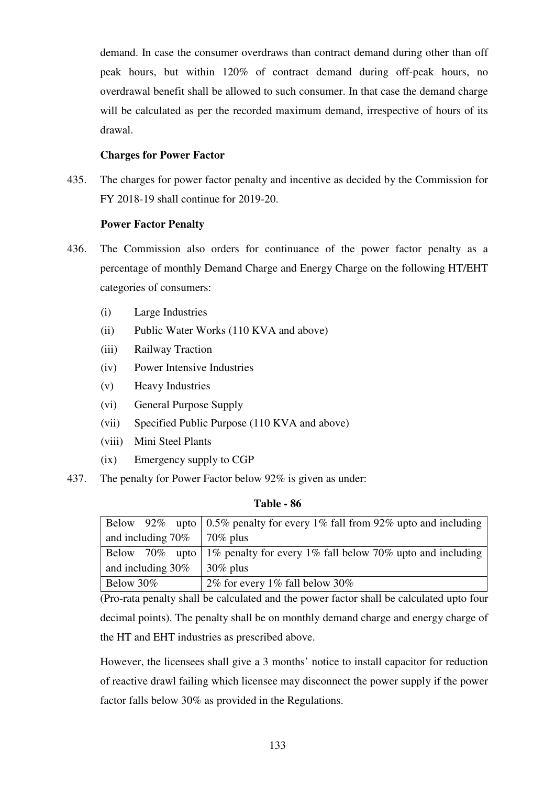demand. In case the consumer overdraws than contract demand during other than off peak hours, but within 120% of contract demand during off-peak hours, no overdrawal benefit shall be allowed to such consumer. In that case the demand charge will be calculated as per the recorded maximum demand, irrespective of hours of its drawal.

# **Charges for Power Factor**

435. The charges for power factor penalty and incentive as decided by the Commission for FY 2018-19 shall continue for 2019-20.

# **Power Factor Penalty**

- 436. The Commission also orders for continuance of the power factor penalty as a percentage of monthly Demand Charge and Energy Charge on the following HT/EHT categories of consumers:
	- (i) Large Industries
	- (ii) Public Water Works (110 KVA and above)
	- (iii) Railway Traction
	- (iv) Power Intensive Industries
	- (v) Heavy Industries
	- (vi) General Purpose Supply
	- (vii) Specified Public Purpose (110 KVA and above)
	- (viii) Mini Steel Plants
	- (ix) Emergency supply to CGP
- 437. The penalty for Power Factor below 92% is given as under:

#### **Table - 86**

|                                    | Below 92% upto $\vert 0.5\%$ penalty for every 1% fall from 92% upto and including |
|------------------------------------|------------------------------------------------------------------------------------|
| and including $70\%$   $70\%$ plus |                                                                                    |
|                                    | Below 70% upto 1% penalty for every 1% fall below 70% upto and including           |
| and including $30\%$               | $\frac{1}{20\%}$ plus                                                              |
| Below 30%                          | 2% for every 1% fall below 30%                                                     |

(Pro-rata penalty shall be calculated and the power factor shall be calculated upto four decimal points). The penalty shall be on monthly demand charge and energy charge of the HT and EHT industries as prescribed above.

However, the licensees shall give a 3 months' notice to install capacitor for reduction of reactive drawl failing which licensee may disconnect the power supply if the power factor falls below 30% as provided in the Regulations.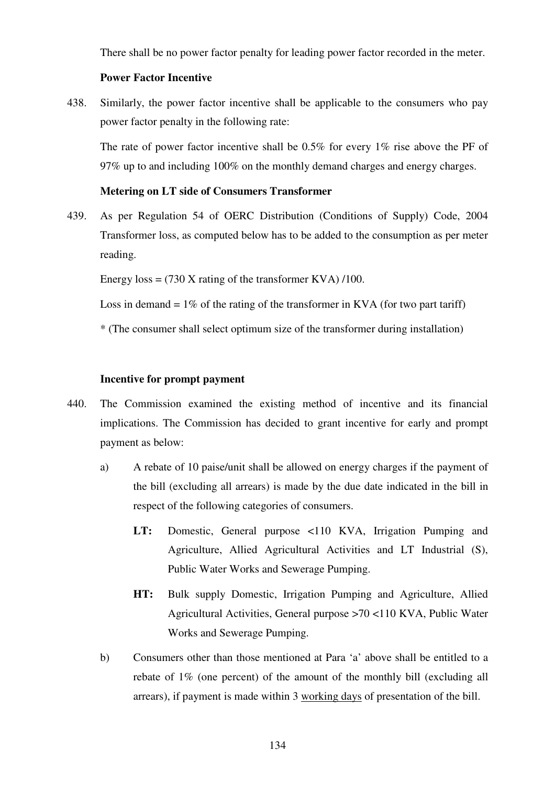There shall be no power factor penalty for leading power factor recorded in the meter.

#### **Power Factor Incentive**

438. Similarly, the power factor incentive shall be applicable to the consumers who pay power factor penalty in the following rate:

The rate of power factor incentive shall be 0.5% for every 1% rise above the PF of 97% up to and including 100% on the monthly demand charges and energy charges.

# **Metering on LT side of Consumers Transformer**

439. As per Regulation 54 of OERC Distribution (Conditions of Supply) Code, 2004 Transformer loss, as computed below has to be added to the consumption as per meter reading.

Energy  $loss = (730 \text{ X rating of the transformer KVA})/100$ .

Loss in demand  $= 1\%$  of the rating of the transformer in KVA (for two part tariff)

\* (The consumer shall select optimum size of the transformer during installation)

# **Incentive for prompt payment**

- 440. The Commission examined the existing method of incentive and its financial implications. The Commission has decided to grant incentive for early and prompt payment as below:
	- a) A rebate of 10 paise/unit shall be allowed on energy charges if the payment of the bill (excluding all arrears) is made by the due date indicated in the bill in respect of the following categories of consumers.
		- LT: Domestic, General purpose <110 KVA, Irrigation Pumping and Agriculture, Allied Agricultural Activities and LT Industrial (S), Public Water Works and Sewerage Pumping.
		- **HT:** Bulk supply Domestic, Irrigation Pumping and Agriculture, Allied Agricultural Activities, General purpose >70 <110 KVA, Public Water Works and Sewerage Pumping.
	- b) Consumers other than those mentioned at Para 'a' above shall be entitled to a rebate of 1% (one percent) of the amount of the monthly bill (excluding all arrears), if payment is made within 3 working days of presentation of the bill.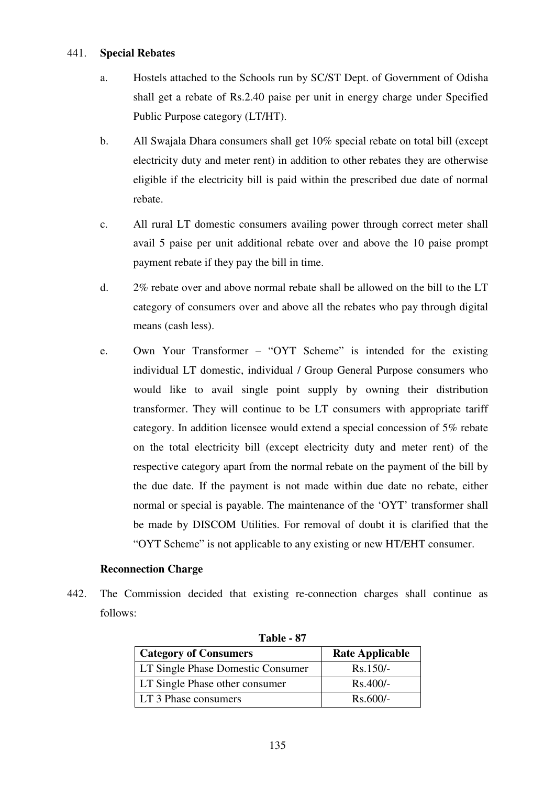#### 441. **Special Rebates**

- a. Hostels attached to the Schools run by SC/ST Dept. of Government of Odisha shall get a rebate of Rs.2.40 paise per unit in energy charge under Specified Public Purpose category (LT/HT).
- b. All Swajala Dhara consumers shall get 10% special rebate on total bill (except electricity duty and meter rent) in addition to other rebates they are otherwise eligible if the electricity bill is paid within the prescribed due date of normal rebate.
- c. All rural LT domestic consumers availing power through correct meter shall avail 5 paise per unit additional rebate over and above the 10 paise prompt payment rebate if they pay the bill in time.
- d. 2% rebate over and above normal rebate shall be allowed on the bill to the LT category of consumers over and above all the rebates who pay through digital means (cash less).
- e. Own Your Transformer "OYT Scheme" is intended for the existing individual LT domestic, individual / Group General Purpose consumers who would like to avail single point supply by owning their distribution transformer. They will continue to be LT consumers with appropriate tariff category. In addition licensee would extend a special concession of 5% rebate on the total electricity bill (except electricity duty and meter rent) of the respective category apart from the normal rebate on the payment of the bill by the due date. If the payment is not made within due date no rebate, either normal or special is payable. The maintenance of the 'OYT' transformer shall be made by DISCOM Utilities. For removal of doubt it is clarified that the "OYT Scheme" is not applicable to any existing or new HT/EHT consumer.

#### **Reconnection Charge**

442. The Commission decided that existing re-connection charges shall continue as follows:

| <b>Category of Consumers</b>          | <b>Rate Applicable</b> |
|---------------------------------------|------------------------|
| LT Single Phase Domestic Consumer     | $Rs.150/-$             |
| <b>LT Single Phase other consumer</b> | $Rs.400/-$             |
| LT 3 Phase consumers                  | $Rs.600/-$             |

| Table - 87 |  |
|------------|--|
|------------|--|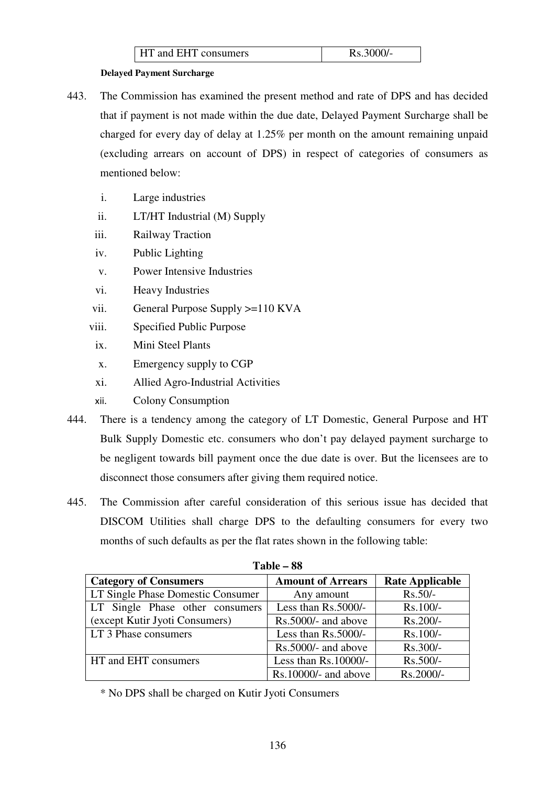| Rs.3000/-<br><b>HT</b> and EHT consumers |
|------------------------------------------|
|------------------------------------------|

#### **Delayed Payment Surcharge**

- 443. The Commission has examined the present method and rate of DPS and has decided that if payment is not made within the due date, Delayed Payment Surcharge shall be charged for every day of delay at 1.25% per month on the amount remaining unpaid (excluding arrears on account of DPS) in respect of categories of consumers as mentioned below:
	- i. Large industries
	- ii. LT/HT Industrial (M) Supply
	- iii. Railway Traction
	- iv. Public Lighting
	- v. Power Intensive Industries
	- vi. Heavy Industries
	- vii. General Purpose Supply >=110 KVA
	- viii. Specified Public Purpose
		- ix. Mini Steel Plants
		- x. Emergency supply to CGP
		- xi. Allied Agro-Industrial Activities
		- xii. Colony Consumption
- 444. There is a tendency among the category of LT Domestic, General Purpose and HT Bulk Supply Domestic etc. consumers who don't pay delayed payment surcharge to be negligent towards bill payment once the due date is over. But the licensees are to disconnect those consumers after giving them required notice.
- 445. The Commission after careful consideration of this serious issue has decided that DISCOM Utilities shall charge DPS to the defaulting consumers for every two months of such defaults as per the flat rates shown in the following table:

| .                                 |                          |                        |  |
|-----------------------------------|--------------------------|------------------------|--|
| <b>Category of Consumers</b>      | <b>Amount of Arrears</b> | <b>Rate Applicable</b> |  |
| LT Single Phase Domestic Consumer | Any amount               | $Rs.50/-$              |  |
| LT Single Phase other consumers   | Less than Rs.5000/-      | Rs.100/-               |  |
| (except Kutir Jyoti Consumers)    | Rs.5000/- and above      | Rs.200/-               |  |
| LT 3 Phase consumers              | Less than $Rs.5000/-$    | Rs.100/-               |  |
|                                   | Rs.5000/- and above      | Rs.300/-               |  |
| HT and EHT consumers              | Less than $Rs.10000/-$   | Rs.500/-               |  |
|                                   | $Rs.10000/-$ and above   | Rs.2000/-              |  |

| <b>Table – 88</b> |  |
|-------------------|--|
|                   |  |

\* No DPS shall be charged on Kutir Jyoti Consumers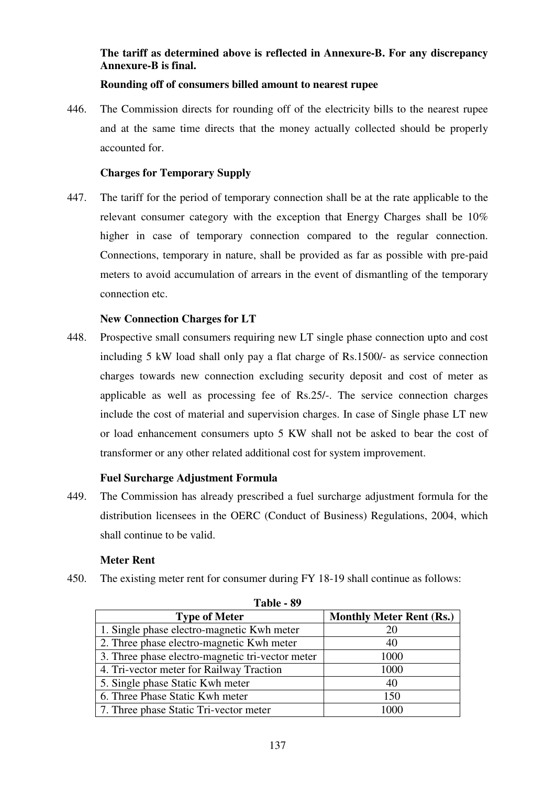# **The tariff as determined above is reflected in Annexure-B. For any discrepancy Annexure-B is final.**

# **Rounding off of consumers billed amount to nearest rupee**

446. The Commission directs for rounding off of the electricity bills to the nearest rupee and at the same time directs that the money actually collected should be properly accounted for.

# **Charges for Temporary Supply**

447. The tariff for the period of temporary connection shall be at the rate applicable to the relevant consumer category with the exception that Energy Charges shall be 10% higher in case of temporary connection compared to the regular connection. Connections, temporary in nature, shall be provided as far as possible with pre-paid meters to avoid accumulation of arrears in the event of dismantling of the temporary connection etc.

# **New Connection Charges for LT**

448. Prospective small consumers requiring new LT single phase connection upto and cost including 5 kW load shall only pay a flat charge of Rs.1500/- as service connection charges towards new connection excluding security deposit and cost of meter as applicable as well as processing fee of Rs.25/-. The service connection charges include the cost of material and supervision charges. In case of Single phase LT new or load enhancement consumers upto 5 KW shall not be asked to bear the cost of transformer or any other related additional cost for system improvement.

# **Fuel Surcharge Adjustment Formula**

449. The Commission has already prescribed a fuel surcharge adjustment formula for the distribution licensees in the OERC (Conduct of Business) Regulations, 2004, which shall continue to be valid.

# **Meter Rent**

450. The existing meter rent for consumer during FY 18-19 shall continue as follows:

| Table - 89                                       |                                 |  |  |  |  |  |
|--------------------------------------------------|---------------------------------|--|--|--|--|--|
| <b>Type of Meter</b>                             | <b>Monthly Meter Rent (Rs.)</b> |  |  |  |  |  |
| 1. Single phase electro-magnetic Kwh meter       | 20                              |  |  |  |  |  |
| 2. Three phase electro-magnetic Kwh meter        | 40                              |  |  |  |  |  |
| 3. Three phase electro-magnetic tri-vector meter | 1000                            |  |  |  |  |  |
| 4. Tri-vector meter for Railway Traction         | 1000                            |  |  |  |  |  |
| 5. Single phase Static Kwh meter                 | 40                              |  |  |  |  |  |
| 6. Three Phase Static Kwh meter                  | 150                             |  |  |  |  |  |
| 7. Three phase Static Tri-vector meter           | 1000                            |  |  |  |  |  |

**Table 1 89**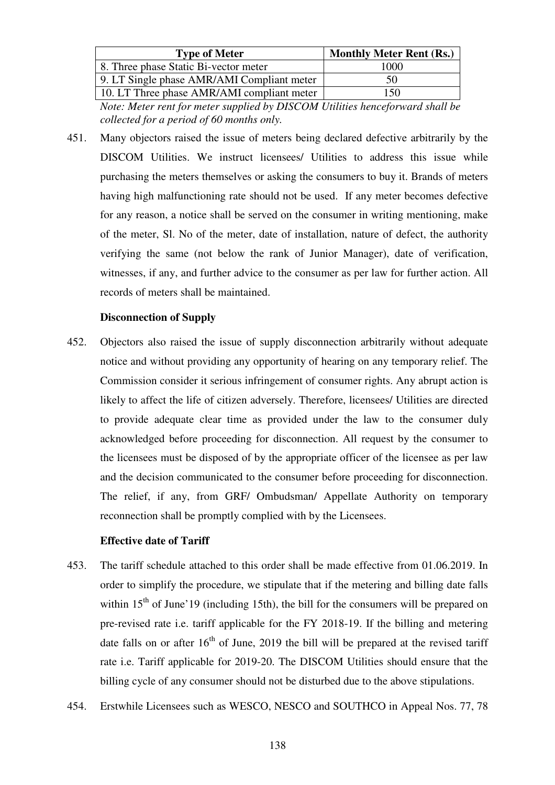| <b>Type of Meter</b>                       | <b>Monthly Meter Rent (Rs.)</b> |
|--------------------------------------------|---------------------------------|
| 8. Three phase Static Bi-vector meter      | 1000                            |
| 9. LT Single phase AMR/AMI Compliant meter | 50                              |
| 10. LT Three phase AMR/AMI compliant meter | 150                             |

*Note: Meter rent for meter supplied by DISCOM Utilities henceforward shall be collected for a period of 60 months only.* 

451. Many objectors raised the issue of meters being declared defective arbitrarily by the DISCOM Utilities. We instruct licensees/ Utilities to address this issue while purchasing the meters themselves or asking the consumers to buy it. Brands of meters having high malfunctioning rate should not be used. If any meter becomes defective for any reason, a notice shall be served on the consumer in writing mentioning, make of the meter, Sl. No of the meter, date of installation, nature of defect, the authority verifying the same (not below the rank of Junior Manager), date of verification, witnesses, if any, and further advice to the consumer as per law for further action. All records of meters shall be maintained.

#### **Disconnection of Supply**

452. Objectors also raised the issue of supply disconnection arbitrarily without adequate notice and without providing any opportunity of hearing on any temporary relief. The Commission consider it serious infringement of consumer rights. Any abrupt action is likely to affect the life of citizen adversely. Therefore, licensees/ Utilities are directed to provide adequate clear time as provided under the law to the consumer duly acknowledged before proceeding for disconnection. All request by the consumer to the licensees must be disposed of by the appropriate officer of the licensee as per law and the decision communicated to the consumer before proceeding for disconnection. The relief, if any, from GRF/ Ombudsman/ Appellate Authority on temporary reconnection shall be promptly complied with by the Licensees.

# **Effective date of Tariff**

- 453. The tariff schedule attached to this order shall be made effective from 01.06.2019. In order to simplify the procedure, we stipulate that if the metering and billing date falls within  $15<sup>th</sup>$  of June'19 (including 15th), the bill for the consumers will be prepared on pre-revised rate i.e. tariff applicable for the FY 2018-19. If the billing and metering date falls on or after  $16<sup>th</sup>$  of June, 2019 the bill will be prepared at the revised tariff rate i.e. Tariff applicable for 2019-20. The DISCOM Utilities should ensure that the billing cycle of any consumer should not be disturbed due to the above stipulations.
- 454. Erstwhile Licensees such as WESCO, NESCO and SOUTHCO in Appeal Nos. 77, 78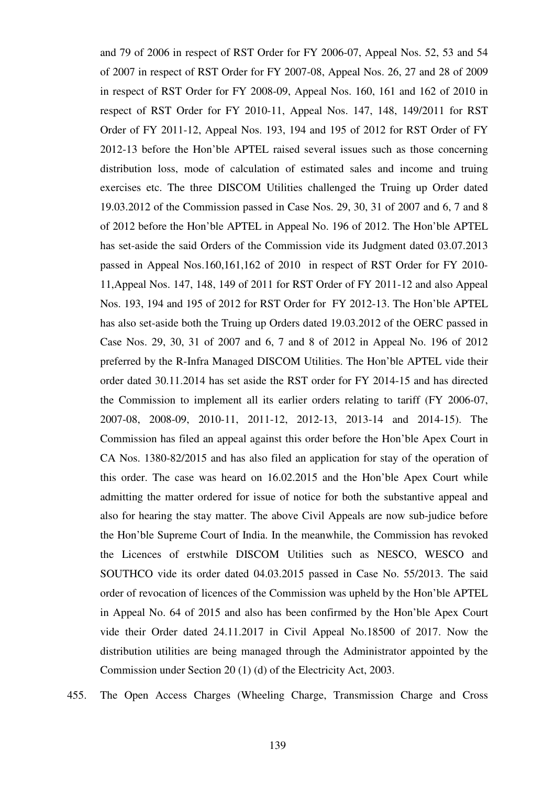and 79 of 2006 in respect of RST Order for FY 2006-07, Appeal Nos. 52, 53 and 54 of 2007 in respect of RST Order for FY 2007-08, Appeal Nos. 26, 27 and 28 of 2009 in respect of RST Order for FY 2008-09, Appeal Nos. 160, 161 and 162 of 2010 in respect of RST Order for FY 2010-11, Appeal Nos. 147, 148, 149/2011 for RST Order of FY 2011-12, Appeal Nos. 193, 194 and 195 of 2012 for RST Order of FY 2012-13 before the Hon'ble APTEL raised several issues such as those concerning distribution loss, mode of calculation of estimated sales and income and truing exercises etc. The three DISCOM Utilities challenged the Truing up Order dated 19.03.2012 of the Commission passed in Case Nos. 29, 30, 31 of 2007 and 6, 7 and 8 of 2012 before the Hon'ble APTEL in Appeal No. 196 of 2012. The Hon'ble APTEL has set-aside the said Orders of the Commission vide its Judgment dated 03.07.2013 passed in Appeal Nos.160,161,162 of 2010 in respect of RST Order for FY 2010- 11,Appeal Nos. 147, 148, 149 of 2011 for RST Order of FY 2011-12 and also Appeal Nos. 193, 194 and 195 of 2012 for RST Order for FY 2012-13. The Hon'ble APTEL has also set-aside both the Truing up Orders dated 19.03.2012 of the OERC passed in Case Nos. 29, 30, 31 of 2007 and 6, 7 and 8 of 2012 in Appeal No. 196 of 2012 preferred by the R-Infra Managed DISCOM Utilities. The Hon'ble APTEL vide their order dated 30.11.2014 has set aside the RST order for FY 2014-15 and has directed the Commission to implement all its earlier orders relating to tariff (FY 2006-07, 2007-08, 2008-09, 2010-11, 2011-12, 2012-13, 2013-14 and 2014-15). The Commission has filed an appeal against this order before the Hon'ble Apex Court in CA Nos. 1380-82/2015 and has also filed an application for stay of the operation of this order. The case was heard on 16.02.2015 and the Hon'ble Apex Court while admitting the matter ordered for issue of notice for both the substantive appeal and also for hearing the stay matter. The above Civil Appeals are now sub-judice before the Hon'ble Supreme Court of India. In the meanwhile, the Commission has revoked the Licences of erstwhile DISCOM Utilities such as NESCO, WESCO and SOUTHCO vide its order dated 04.03.2015 passed in Case No. 55/2013. The said order of revocation of licences of the Commission was upheld by the Hon'ble APTEL in Appeal No. 64 of 2015 and also has been confirmed by the Hon'ble Apex Court vide their Order dated 24.11.2017 in Civil Appeal No.18500 of 2017. Now the distribution utilities are being managed through the Administrator appointed by the Commission under Section 20 (1) (d) of the Electricity Act, 2003.

455. The Open Access Charges (Wheeling Charge, Transmission Charge and Cross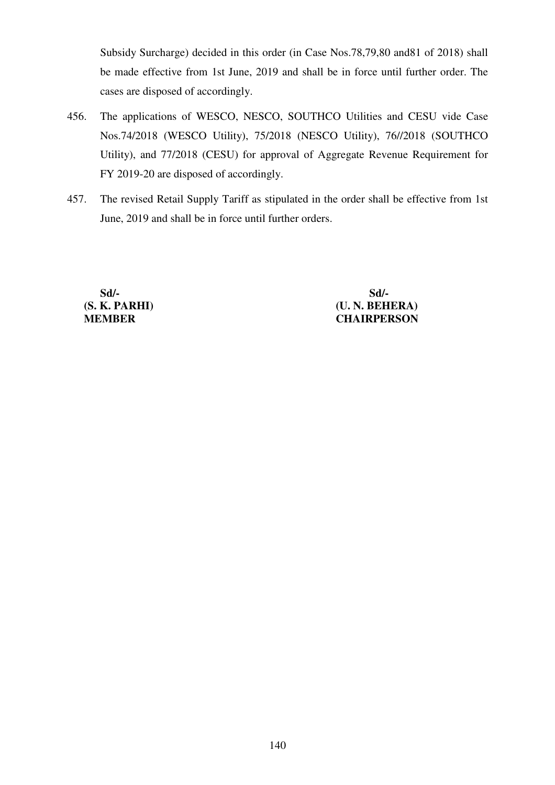Subsidy Surcharge) decided in this order (in Case Nos.78,79,80 and81 of 2018) shall be made effective from 1st June, 2019 and shall be in force until further order. The cases are disposed of accordingly.

- 456. The applications of WESCO, NESCO, SOUTHCO Utilities and CESU vide Case Nos.74/2018 (WESCO Utility), 75/2018 (NESCO Utility), 76//2018 (SOUTHCO Utility), and 77/2018 (CESU) for approval of Aggregate Revenue Requirement for FY 2019-20 are disposed of accordingly.
- 457. The revised Retail Supply Tariff as stipulated in the order shall be effective from 1st June, 2019 and shall be in force until further orders.

**Sd/- Sd/- (S. K. PARHI) (U. N. BEHERA) MEMBER CHAIRPERSON**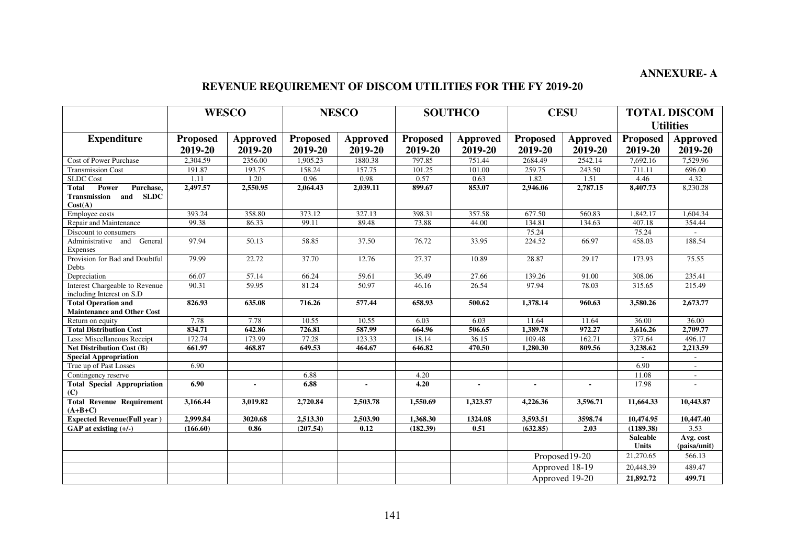# **ANNEXURE- A**

#### **REVENUE REQUIREMENT OF DISCOM UTILITIES FOR THE FY 2019-20**

|                                                                              | <b>WESCO</b>               |                            |                            | <b>NESCO</b>               | <b>SOUTHCO</b>             |                            | <b>CESU</b>                |                            | <b>TOTAL DISCOM</b>             |                            |
|------------------------------------------------------------------------------|----------------------------|----------------------------|----------------------------|----------------------------|----------------------------|----------------------------|----------------------------|----------------------------|---------------------------------|----------------------------|
|                                                                              |                            |                            |                            |                            |                            |                            |                            |                            | <b>Utilities</b>                |                            |
| <b>Expenditure</b>                                                           | <b>Proposed</b><br>2019-20 | <b>Approved</b><br>2019-20 | <b>Proposed</b><br>2019-20 | <b>Approved</b><br>2019-20 | <b>Proposed</b><br>2019-20 | <b>Approved</b><br>2019-20 | <b>Proposed</b><br>2019-20 | <b>Approved</b><br>2019-20 | Proposed<br>2019-20             | <b>Approved</b><br>2019-20 |
| Cost of Power Purchase                                                       | 2,304.59                   | 2356.00                    | 1,905.23                   | 1880.38                    | 797.85                     | 751.44                     | 2684.49                    | 2542.14                    | 7,692.16                        | 7,529.96                   |
| <b>Transmission Cost</b>                                                     | 191.87                     | 193.75                     | 158.24                     | 157.75                     | 101.25                     | 101.00                     | 259.75                     | 243.50                     | 711.11                          | 696.00                     |
| <b>SLDC</b> Cost                                                             | 1.11                       | 1.20                       | 0.96                       | 0.98                       | 0.57                       | 0.63                       | 1.82                       | 1.51                       | 4.46                            | 4.32                       |
| Total<br>Power<br>Purchase,<br><b>SLDC</b><br>Transmission<br>and<br>Cost(A) | 2,497.57                   | 2,550.95                   | 2,064.43                   | 2,039.11                   | 899.67                     | 853.07                     | 2,946.06                   | 2,787.15                   | 8,407.73                        | 8,230.28                   |
| Employee costs                                                               | 393.24                     | 358.80                     | 373.12                     | 327.13                     | 398.31                     | 357.58                     | 677.50                     | 560.83                     | 1.842.17                        | 1.604.34                   |
| Repair and Maintenance                                                       | 99.38                      | 86.33                      | 99.11                      | 89.48                      | 73.88                      | 44.00                      | 134.81                     | 134.63                     | 407.18                          | 354.44                     |
| Discount to consumers                                                        |                            |                            |                            |                            |                            |                            | 75.24                      |                            | 75.24                           |                            |
| Administrative and General<br>Expenses                                       | 97.94                      | 50.13                      | 58.85                      | 37.50                      | 76.72                      | 33.95                      | 224.52                     | 66.97                      | 458.03                          | 188.54                     |
| Provision for Bad and Doubtful<br>Debts                                      | 79.99                      | 22.72                      | 37.70                      | 12.76                      | 27.37                      | 10.89                      | 28.87                      | 29.17                      | 173.93                          | 75.55                      |
| Depreciation                                                                 | 66.07                      | 57.14                      | 66.24                      | 59.61                      | 36.49                      | 27.66                      | 139.26                     | 91.00                      | 308.06                          | 235.41                     |
| Interest Chargeable to Revenue<br>including Interest on S.D                  | 90.31                      | 59.95                      | 81.24                      | 50.97                      | 46.16                      | 26.54                      | 97.94                      | 78.03                      | 315.65                          | 215.49                     |
| <b>Total Operation and</b>                                                   | 826.93                     | 635.08                     | 716.26                     | 577.44                     | 658.93                     | 500.62                     | 1,378.14                   | 960.63                     | 3,580.26                        | 2,673.77                   |
| <b>Maintenance and Other Cost</b>                                            | 7.78                       | 7.78                       | 10.55                      | 10.55                      | 6.03                       | 6.03                       | 11.64                      | 11.64                      | 36.00                           | 36.00                      |
| Return on equity<br><b>Total Distribution Cost</b>                           | 834.71                     | 642.86                     | 726.81                     | 587.99                     | 664.96                     | 506.65                     | 1.389.78                   | 972.27                     | 3.616.26                        | 2,709.77                   |
| Less: Miscellaneous Receipt                                                  | 172.74                     | 173.99                     | 77.28                      | 123.33                     | 18.14                      | 36.15                      | 109.48                     | 162.71                     | 377.64                          | 496.17                     |
| <b>Net Distribution Cost (B)</b>                                             | 661.97                     | 468.87                     | 649.53                     | 464.67                     | 646.82                     | 470.50                     | 1,280.30                   | 809.56                     | 3,238.62                        | 2,213.59                   |
| <b>Special Appropriation</b>                                                 |                            |                            |                            |                            |                            |                            |                            |                            |                                 |                            |
| True up of Past Losses                                                       | 6.90                       |                            |                            |                            |                            |                            |                            |                            | 6.90                            | $\sim$                     |
| Contingency reserve                                                          |                            |                            | 6.88                       |                            | 4.20                       |                            |                            |                            | 11.08                           | $\overline{\phantom{a}}$   |
| <b>Total Special Appropriation</b><br>(C)                                    | 6.90                       | $\overline{a}$             | 6.88                       | $\overline{a}$             | 4.20                       | $\overline{a}$             | $\overline{\phantom{a}}$   |                            | 17.98                           |                            |
| <b>Total Revenue Requirement</b><br>$(A+B+C)$                                | 3,166.44                   | 3,019.82                   | 2,720.84                   | 2,503.78                   | 1,550.69                   | 1,323.57                   | 4,226.36                   | 3,596.71                   | 11,664.33                       | 10,443.87                  |
| <b>Expected Revenue(Full year)</b>                                           | 2,999.84                   | 3020.68                    | 2,513.30                   | 2,503.90                   | 1,368.30                   | 1324.08                    | 3,593.51                   | 3598.74                    | 10,474.95                       | 10,447.40                  |
| GAP at existing $(+/-)$                                                      | (166.60)                   | 0.86                       | (207.54)                   | 0.12                       | (182.39)                   | 0.51                       | (632.85)                   | 2.03                       | (1189.38)                       | 3.53                       |
|                                                                              |                            |                            |                            |                            |                            |                            |                            |                            | <b>Saleable</b><br><b>Units</b> | Avg. cost<br>(paisa/unit)  |
|                                                                              |                            |                            |                            |                            |                            |                            |                            | Proposed19-20              | 21,270.65                       | 566.13                     |
|                                                                              |                            |                            |                            |                            |                            |                            |                            | Approved 18-19             | 20,448.39                       | 489.47                     |
|                                                                              |                            |                            |                            |                            |                            |                            |                            | Approved 19-20             | 21,892.72                       | 499.71                     |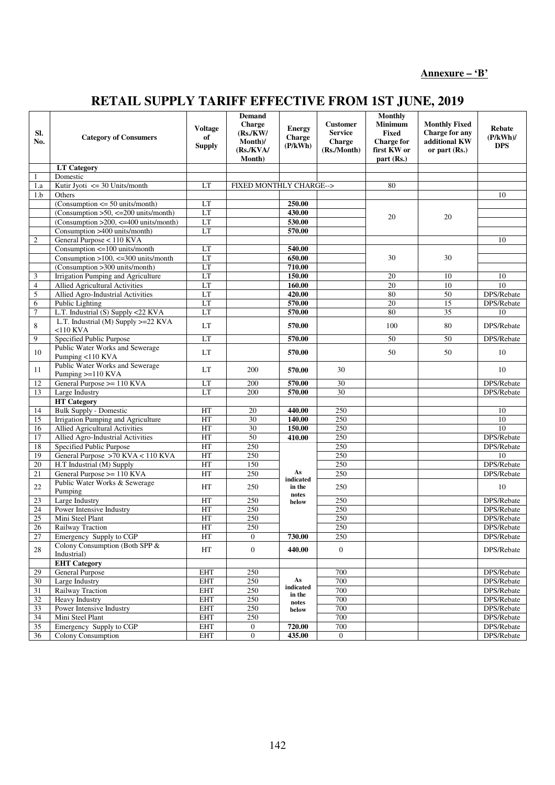# **RETAIL SUPPLY TARIFF EFFECTIVE FROM 1ST JUNE, 2019**

| SI.<br>No.      | <b>Category of Consumers</b>                              | <b>Voltage</b><br>of<br><b>Supply</b> | <b>Demand</b><br><b>Charge</b><br>(Rs/KW)<br>Month)/<br>(Rs/KVA/<br>Month) | <b>Energy</b><br><b>Charge</b><br>(P/kWh) | <b>Customer</b><br><b>Service</b><br>Charge<br>(Rs./Month) | <b>Monthly</b><br>Minimum<br><b>Fixed</b><br><b>Charge for</b><br>first KW or<br>part (Rs.) | <b>Monthly Fixed</b><br>Charge for any<br>additional KW<br>or part $(Rs.)$ | <b>Rebate</b><br>$(P/kWh)$ /<br><b>DPS</b> |
|-----------------|-----------------------------------------------------------|---------------------------------------|----------------------------------------------------------------------------|-------------------------------------------|------------------------------------------------------------|---------------------------------------------------------------------------------------------|----------------------------------------------------------------------------|--------------------------------------------|
|                 | <b>LT</b> Category                                        |                                       |                                                                            |                                           |                                                            |                                                                                             |                                                                            |                                            |
| 1               | Domestic                                                  |                                       |                                                                            |                                           |                                                            |                                                                                             |                                                                            |                                            |
| 1.a             | Kutir Jyoti $\leq$ 30 Units/month                         | LT                                    | FIXED MONTHLY CHARGE-->                                                    |                                           |                                                            | 80                                                                                          |                                                                            |                                            |
| 1.b             | Others                                                    |                                       |                                                                            |                                           |                                                            |                                                                                             |                                                                            | 10                                         |
|                 | $\overline{(\text{Consumption} <= 50 \text{ units/mol})}$ | LT                                    |                                                                            | 250.00                                    |                                                            |                                                                                             |                                                                            |                                            |
|                 | (Consumption $>50$ , $<=200$ units/month)                 | LT                                    |                                                                            | 430.00                                    |                                                            |                                                                                             |                                                                            |                                            |
|                 | (Consumption > $200$ , $\leq$ = 400 units/month)          | LT                                    |                                                                            | 530.00                                    |                                                            | 20                                                                                          | 20                                                                         |                                            |
|                 | Consumption >400 units/month)                             | LT                                    |                                                                            | 570.00                                    |                                                            |                                                                                             |                                                                            |                                            |
| $\sqrt{2}$      | General Purpose < 110 KVA                                 |                                       |                                                                            |                                           |                                                            |                                                                                             |                                                                            | 10                                         |
|                 | Consumption <= 100 units/month                            | LT                                    |                                                                            | 540.00                                    |                                                            |                                                                                             |                                                                            |                                            |
|                 | Consumption $>100$ , $<=300$ units/month                  | LT                                    |                                                                            | 650.00                                    |                                                            | 30                                                                                          | 30                                                                         |                                            |
|                 | (Consumption >300 units/month)                            | LT                                    |                                                                            | 710.00                                    |                                                            |                                                                                             |                                                                            |                                            |
| 3               | Irrigation Pumping and Agriculture                        | LT                                    |                                                                            | 150.00                                    |                                                            | 20                                                                                          | 10                                                                         | 10                                         |
| $\overline{4}$  | Allied Agricultural Activities                            | LT                                    |                                                                            | 160.00                                    |                                                            | $\overline{20}$                                                                             | 10                                                                         | 10                                         |
| 5               | Allied Agro-Industrial Activities                         | LT                                    |                                                                            | 420.00                                    |                                                            | 80                                                                                          | 50                                                                         | DPS/Rebate                                 |
| 6               | Public Lighting                                           | LT                                    |                                                                            | 570.00                                    |                                                            | 20                                                                                          | $\overline{15}$                                                            | DPS/Rebate                                 |
| 7               | L.T. Industrial (S) Supply <22 KVA                        | LT                                    |                                                                            | 570.00                                    |                                                            | 80                                                                                          | 35                                                                         | 10                                         |
|                 | L.T. Industrial (M) Supply >=22 KVA                       |                                       |                                                                            |                                           |                                                            |                                                                                             |                                                                            |                                            |
| 8               | $<$ 110 KVA                                               | LT                                    |                                                                            | 570.00                                    |                                                            | 100                                                                                         | 80                                                                         | DPS/Rebate                                 |
| 9               | Specified Public Purpose                                  | LT                                    |                                                                            | 570.00                                    |                                                            | 50                                                                                          | 50                                                                         | DPS/Rebate                                 |
| 10              | Public Water Works and Sewerage<br>Pumping <110 KVA       | LT                                    |                                                                            | 570.00                                    |                                                            | 50                                                                                          | 50                                                                         | 10                                         |
| 11              | Public Water Works and Sewerage<br>Pumping >=110 KVA      | LT                                    | 200                                                                        | 570.00                                    | 30                                                         |                                                                                             |                                                                            | 10                                         |
| 12              | General Purpose >= 110 KVA                                | LT                                    | 200                                                                        | 570.00                                    | 30                                                         |                                                                                             |                                                                            | DPS/Rebate                                 |
| 13              | Large Industry                                            | LT                                    | 200                                                                        | 570.00                                    | $\overline{30}$                                            |                                                                                             |                                                                            | DPS/Rebate                                 |
|                 | <b>HT</b> Category                                        |                                       |                                                                            |                                           |                                                            |                                                                                             |                                                                            |                                            |
| 14              | <b>Bulk Supply - Domestic</b>                             | HT                                    | 20                                                                         | 440.00                                    | 250                                                        |                                                                                             |                                                                            | 10                                         |
| 15              | Irrigation Pumping and Agriculture                        | HT                                    | $\overline{30}$                                                            | 140.00                                    | 250                                                        |                                                                                             |                                                                            | $\overline{10}$                            |
| 16              | Allied Agricultural Activities                            | HT                                    | $30\,$                                                                     | 150.00                                    | 250                                                        |                                                                                             |                                                                            | 10                                         |
| 17              | Allied Agro-Industrial Activities                         | HT                                    | 50                                                                         | 410.00                                    | 250                                                        |                                                                                             |                                                                            | DPS/Rebate                                 |
| 18              | Specified Public Purpose                                  | HT                                    | 250                                                                        |                                           | 250                                                        |                                                                                             |                                                                            | DPS/Rebate                                 |
| 19              | General Purpose >70 KVA < 110 KVA                         | HT                                    | 250                                                                        |                                           | 250                                                        |                                                                                             |                                                                            | 10                                         |
| 20              | H.T Industrial (M) Supply                                 | HT                                    | 150                                                                        |                                           | 250                                                        |                                                                                             |                                                                            | DPS/Rebate                                 |
| 21              | General Purpose $> = 110$ KVA                             | HT                                    | 250                                                                        | As                                        | 250                                                        |                                                                                             |                                                                            | DPS/Rebate                                 |
| 22              | Public Water Works & Sewerage<br>Pumping                  | HT                                    | 250                                                                        | indicated<br>in the<br>notes              | 250                                                        |                                                                                             |                                                                            | 10                                         |
| 23              | Large Industry                                            | HT                                    | 250                                                                        | below                                     | 250                                                        |                                                                                             |                                                                            | DPS/Rebate                                 |
| 24              | Power Intensive Industry                                  | HT                                    | 250                                                                        |                                           | 250                                                        |                                                                                             |                                                                            | DPS/Rebate                                 |
| 25              | Mini Steel Plant                                          | HT                                    | 250                                                                        |                                           | 250                                                        |                                                                                             |                                                                            | DPS/Rebate                                 |
| $\overline{26}$ | Railway Traction                                          | HT                                    | 250                                                                        |                                           | 250                                                        |                                                                                             |                                                                            | DPS/Rebate                                 |
| 27              | Emergency Supply to CGP                                   | HT                                    | $\Omega$                                                                   | 730.00                                    | 250                                                        |                                                                                             |                                                                            | DPS/Rebate                                 |
| 28              | Colony Consumption (Both SPP &<br>Industrial)             | HT                                    | $\boldsymbol{0}$                                                           | 440.00                                    | $\mathbf{0}$                                               |                                                                                             |                                                                            | DPS/Rebate                                 |
|                 | <b>EHT</b> Category                                       |                                       |                                                                            |                                           |                                                            |                                                                                             |                                                                            |                                            |
| 29              | General Purpose                                           | <b>EHT</b>                            | 250                                                                        |                                           | 700                                                        |                                                                                             |                                                                            | DPS/Rebate                                 |
| 30              | Large Industry                                            | <b>EHT</b>                            | 250                                                                        | As                                        | 700                                                        |                                                                                             |                                                                            | DPS/Rebate                                 |
| 31              | Railway Traction                                          | <b>EHT</b>                            | 250                                                                        | indicated                                 | 700                                                        |                                                                                             |                                                                            | DPS/Rebate                                 |
| 32              | Heavy Industry                                            | <b>EHT</b>                            | 250                                                                        | in the<br>notes                           | 700                                                        |                                                                                             |                                                                            | DPS/Rebate                                 |
| 33              | Power Intensive Industry                                  | <b>EHT</b>                            | 250                                                                        | below                                     | 700                                                        |                                                                                             |                                                                            | DPS/Rebate                                 |
| 34              | Mini Steel Plant                                          | <b>EHT</b>                            | 250                                                                        |                                           | 700                                                        |                                                                                             |                                                                            | DPS/Rebate                                 |
| 35              | Emergency Supply to CGP                                   | <b>EHT</b>                            | $\mathbf{0}$                                                               | 720.00                                    | 700                                                        |                                                                                             |                                                                            | DPS/Rebate                                 |
| 36              | <b>Colony Consumption</b>                                 | <b>EHT</b>                            | $\boldsymbol{0}$                                                           | 435.00                                    | $\overline{0}$                                             |                                                                                             |                                                                            | DPS/Rebate                                 |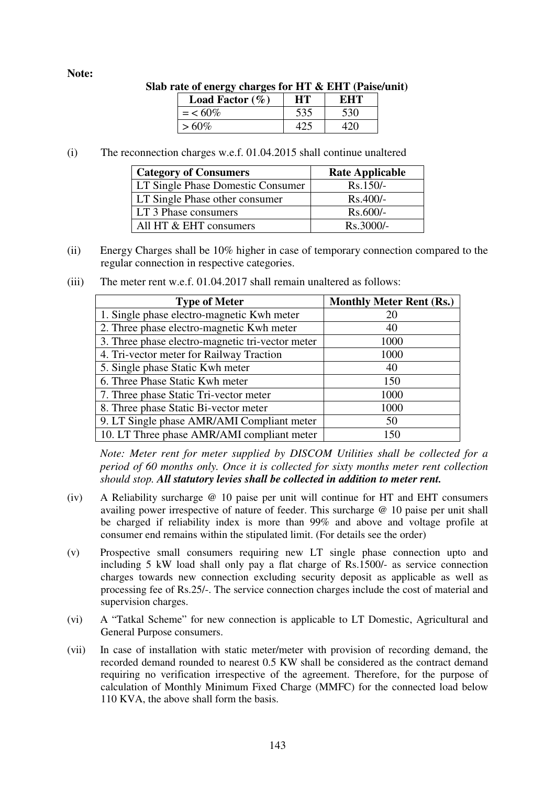#### **Note:**

| ) rate of energy charges for $\pi_1 \propto \pi_1$ (raise/un |           |     |  |  |  |
|--------------------------------------------------------------|-----------|-----|--|--|--|
| Load Factor $(\% )$                                          | HT.       | EHT |  |  |  |
|                                                              | 535       | 530 |  |  |  |
| $>60\%$                                                      |           | 420 |  |  |  |
|                                                              | $=$ < 60% |     |  |  |  |

**Slab rate of energy charges for HT & EHT (Paise/unit)** 

(i) The reconnection charges w.e.f. 01.04.2015 shall continue unaltered

| <b>Category of Consumers</b>      | <b>Rate Applicable</b> |
|-----------------------------------|------------------------|
| LT Single Phase Domestic Consumer | $Rs.150/-$             |
| LT Single Phase other consumer    | $Rs.400/-$             |
| LT 3 Phase consumers              | $Rs.600/-$             |
| All HT & EHT consumers            | Rs.3000/-              |

(ii) Energy Charges shall be 10% higher in case of temporary connection compared to the regular connection in respective categories.

| <b>Type of Meter</b>                             | <b>Monthly Meter Rent (Rs.)</b> |
|--------------------------------------------------|---------------------------------|
| 1. Single phase electro-magnetic Kwh meter       | 20                              |
| 2. Three phase electro-magnetic Kwh meter        | 40                              |
| 3. Three phase electro-magnetic tri-vector meter | 1000                            |
| 4. Tri-vector meter for Railway Traction         | 1000                            |
| 5. Single phase Static Kwh meter                 | 40                              |
| 6. Three Phase Static Kwh meter                  | 150                             |
| 7. Three phase Static Tri-vector meter           | 1000                            |
| 8. Three phase Static Bi-vector meter            | 1000                            |
| 9. LT Single phase AMR/AMI Compliant meter       | 50                              |
| 10. LT Three phase AMR/AMI compliant meter       | 150                             |

(iii) The meter rent w.e.f. 01.04.2017 shall remain unaltered as follows:

*Note: Meter rent for meter supplied by DISCOM Utilities shall be collected for a period of 60 months only. Once it is collected for sixty months meter rent collection should stop. All statutory levies shall be collected in addition to meter rent.*

- (iv) A Reliability surcharge @ 10 paise per unit will continue for HT and EHT consumers availing power irrespective of nature of feeder. This surcharge @ 10 paise per unit shall be charged if reliability index is more than 99% and above and voltage profile at consumer end remains within the stipulated limit. (For details see the order)
- (v) Prospective small consumers requiring new LT single phase connection upto and including 5 kW load shall only pay a flat charge of Rs.1500/- as service connection charges towards new connection excluding security deposit as applicable as well as processing fee of Rs.25/-. The service connection charges include the cost of material and supervision charges.
- (vi) A "Tatkal Scheme" for new connection is applicable to LT Domestic, Agricultural and General Purpose consumers.
- (vii) In case of installation with static meter/meter with provision of recording demand, the recorded demand rounded to nearest 0.5 KW shall be considered as the contract demand requiring no verification irrespective of the agreement. Therefore, for the purpose of calculation of Monthly Minimum Fixed Charge (MMFC) for the connected load below 110 KVA, the above shall form the basis.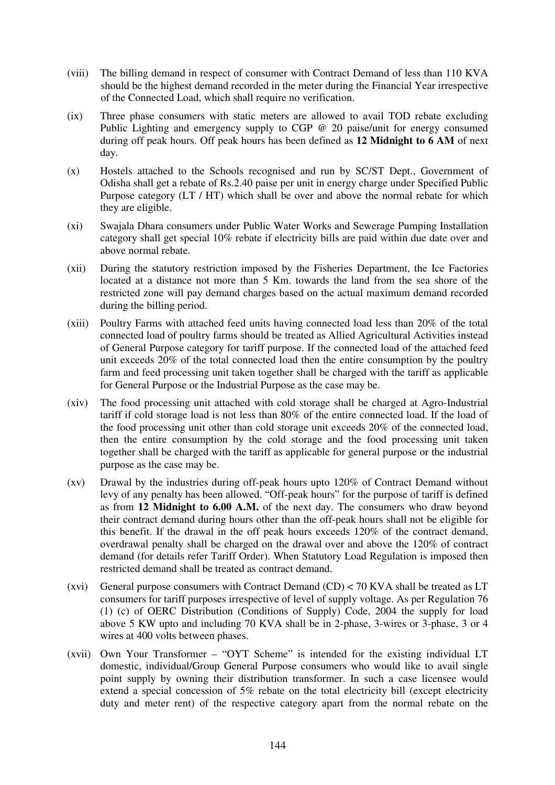- (viii) The billing demand in respect of consumer with Contract Demand of less than 110 KVA should be the highest demand recorded in the meter during the Financial Year irrespective of the Connected Load, which shall require no verification.
- (ix) Three phase consumers with static meters are allowed to avail TOD rebate excluding Public Lighting and emergency supply to CGP @ 20 paise/unit for energy consumed during off peak hours. Off peak hours has been defined as **12 Midnight to 6 AM** of next day.
- (x) Hostels attached to the Schools recognised and run by SC/ST Dept., Government of Odisha shall get a rebate of Rs.2.40 paise per unit in energy charge under Specified Public Purpose category (LT / HT) which shall be over and above the normal rebate for which they are eligible.
- (xi) Swajala Dhara consumers under Public Water Works and Sewerage Pumping Installation category shall get special 10% rebate if electricity bills are paid within due date over and above normal rebate.
- (xii) During the statutory restriction imposed by the Fisheries Department, the Ice Factories located at a distance not more than 5 Km. towards the land from the sea shore of the restricted zone will pay demand charges based on the actual maximum demand recorded during the billing period.
- (xiii) Poultry Farms with attached feed units having connected load less than 20% of the total connected load of poultry farms should be treated as Allied Agricultural Activities instead of General Purpose category for tariff purpose. If the connected load of the attached feed unit exceeds 20% of the total connected load then the entire consumption by the poultry farm and feed processing unit taken together shall be charged with the tariff as applicable for General Purpose or the Industrial Purpose as the case may be.
- (xiv) The food processing unit attached with cold storage shall be charged at Agro-Industrial tariff if cold storage load is not less than 80% of the entire connected load. If the load of the food processing unit other than cold storage unit exceeds 20% of the connected load, then the entire consumption by the cold storage and the food processing unit taken together shall be charged with the tariff as applicable for general purpose or the industrial purpose as the case may be.
- (xv) Drawal by the industries during off-peak hours upto 120% of Contract Demand without levy of any penalty has been allowed. "Off-peak hours" for the purpose of tariff is defined as from **12 Midnight to 6.00 A.M.** of the next day. The consumers who draw beyond their contract demand during hours other than the off-peak hours shall not be eligible for this benefit. If the drawal in the off peak hours exceeds 120% of the contract demand, overdrawal penalty shall be charged on the drawal over and above the 120% of contract demand (for details refer Tariff Order). When Statutory Load Regulation is imposed then restricted demand shall be treated as contract demand.
- (xvi) General purpose consumers with Contract Demand (CD)  $<$  70 KVA shall be treated as LT consumers for tariff purposes irrespective of level of supply voltage. As per Regulation 76 (1) (c) of OERC Distribution (Conditions of Supply) Code, 2004 the supply for load above 5 KW upto and including 70 KVA shall be in 2-phase, 3-wires or 3-phase, 3 or 4 wires at 400 volts between phases.
- (xvii) Own Your Transformer "OYT Scheme" is intended for the existing individual LT domestic, individual/Group General Purpose consumers who would like to avail single point supply by owning their distribution transformer. In such a case licensee would extend a special concession of 5% rebate on the total electricity bill (except electricity duty and meter rent) of the respective category apart from the normal rebate on the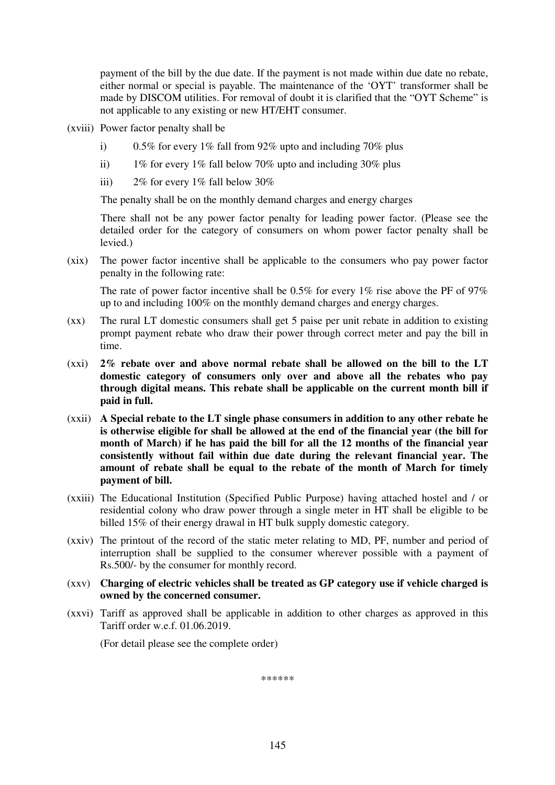payment of the bill by the due date. If the payment is not made within due date no rebate, either normal or special is payable. The maintenance of the 'OYT' transformer shall be made by DISCOM utilities. For removal of doubt it is clarified that the "OYT Scheme" is not applicable to any existing or new HT/EHT consumer.

(xviii) Power factor penalty shall be

- i) 0.5% for every 1% fall from 92% upto and including 70% plus
- ii) 1% for every 1% fall below 70% upto and including 30% plus
- iii)  $2\%$  for every  $1\%$  fall below  $30\%$

The penalty shall be on the monthly demand charges and energy charges

 There shall not be any power factor penalty for leading power factor. (Please see the detailed order for the category of consumers on whom power factor penalty shall be levied.)

(xix) The power factor incentive shall be applicable to the consumers who pay power factor penalty in the following rate:

The rate of power factor incentive shall be  $0.5\%$  for every  $1\%$  rise above the PF of 97% up to and including 100% on the monthly demand charges and energy charges.

- (xx) The rural LT domestic consumers shall get 5 paise per unit rebate in addition to existing prompt payment rebate who draw their power through correct meter and pay the bill in time.
- (xxi) **2% rebate over and above normal rebate shall be allowed on the bill to the LT domestic category of consumers only over and above all the rebates who pay through digital means. This rebate shall be applicable on the current month bill if paid in full.**
- (xxii) **A Special rebate to the LT single phase consumers in addition to any other rebate he is otherwise eligible for shall be allowed at the end of the financial year (the bill for month of March) if he has paid the bill for all the 12 months of the financial year consistently without fail within due date during the relevant financial year. The amount of rebate shall be equal to the rebate of the month of March for timely payment of bill.**
- (xxiii) The Educational Institution (Specified Public Purpose) having attached hostel and / or residential colony who draw power through a single meter in HT shall be eligible to be billed 15% of their energy drawal in HT bulk supply domestic category.
- (xxiv) The printout of the record of the static meter relating to MD, PF, number and period of interruption shall be supplied to the consumer wherever possible with a payment of Rs.500/- by the consumer for monthly record.

## (xxv) **Charging of electric vehicles shall be treated as GP category use if vehicle charged is owned by the concerned consumer.**

(xxvi) Tariff as approved shall be applicable in addition to other charges as approved in this Tariff order w.e.f. 01.06.2019.

(For detail please see the complete order)

\*\*\*\*\*\*